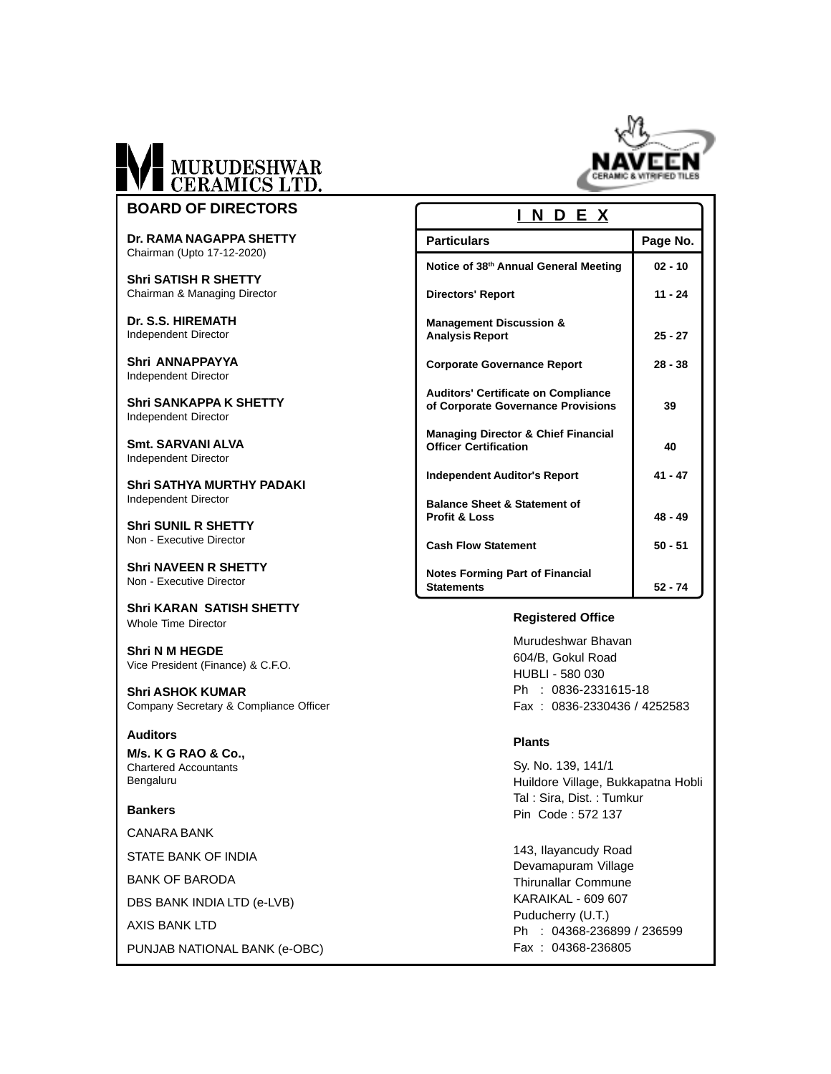

**BOARD OF DIRECTORS**

**Dr. RAMA NAGAPPA SHETTY** Chairman (Upto 17-12-2020)

**Shri SATISH R SHETTY** Chairman & Managing Director

**Dr. S.S. HIREMATH** Independent Director

**Shri ANNAPPAYYA** Independent Director

**Shri SANKAPPA K SHETTY** Independent Director

**Smt. SARVANI ALVA** Independent Director

**Shri SATHYA MURTHY PADAKI** Independent Director

**Shri SUNIL R SHETTY** Non - Executive Director

**Shri NAVEEN R SHETTY** Non - Executive Director

**Shri KARAN SATISH SHETTY** Whole Time Director

**Shri N M HEGDE** Vice President (Finance) & C.F.O.

**Shri ASHOK KUMAR** Company Secretary & Compliance Officer

#### **Auditors**

**M/s. K G RAO & Co.,** Chartered Accountants Bengaluru

#### **Bankers**

CANARA BANK

STATE BANK OF INDIA

BANK OF BARODA

DBS BANK INDIA LTD (e-LVB)

AXIS BANK LTD

PUNJAB NATIONAL BANK (e-OBC)

#### **INDEX**

| <b>Particulars</b>                                                               | Page No.  |
|----------------------------------------------------------------------------------|-----------|
| Notice of 38th Annual General Meeting                                            | $02 - 10$ |
| <b>Directors' Report</b>                                                         | $11 - 24$ |
| <b>Management Discussion &amp;</b><br><b>Analysis Report</b>                     | $25 - 27$ |
| <b>Corporate Governance Report</b>                                               | $28 - 38$ |
| <b>Auditors' Certificate on Compliance</b><br>of Corporate Governance Provisions | 39        |
| <b>Managing Director &amp; Chief Financial</b><br><b>Officer Certification</b>   | 40        |
| Independent Auditor's Report                                                     | $41 - 47$ |
| <b>Balance Sheet &amp; Statement of</b><br><b>Profit &amp; Loss</b>              | $48 - 49$ |
| <b>Cash Flow Statement</b>                                                       | $50 - 51$ |
| <b>Notes Forming Part of Financial</b><br><b>Statements</b>                      | $52 - 74$ |

#### **Registered Office**

Murudeshwar Bhavan 604/B, Gokul Road HUBLI - 580 030 Ph : 0836-2331615-18 Fax : 0836-2330436 / 4252583

#### **Plants**

Sy. No. 139, 141/1 Huildore Village, Bukkapatna Hobli Tal : Sira, Dist. : Tumkur Pin Code : 572 137

143, Ilayancudy Road Devamapuram Village Thirunallar Commune KARAIKAL - 609 607 Puducherry (U.T.) Ph : 04368-236899 / 236599 Fax : 04368-236805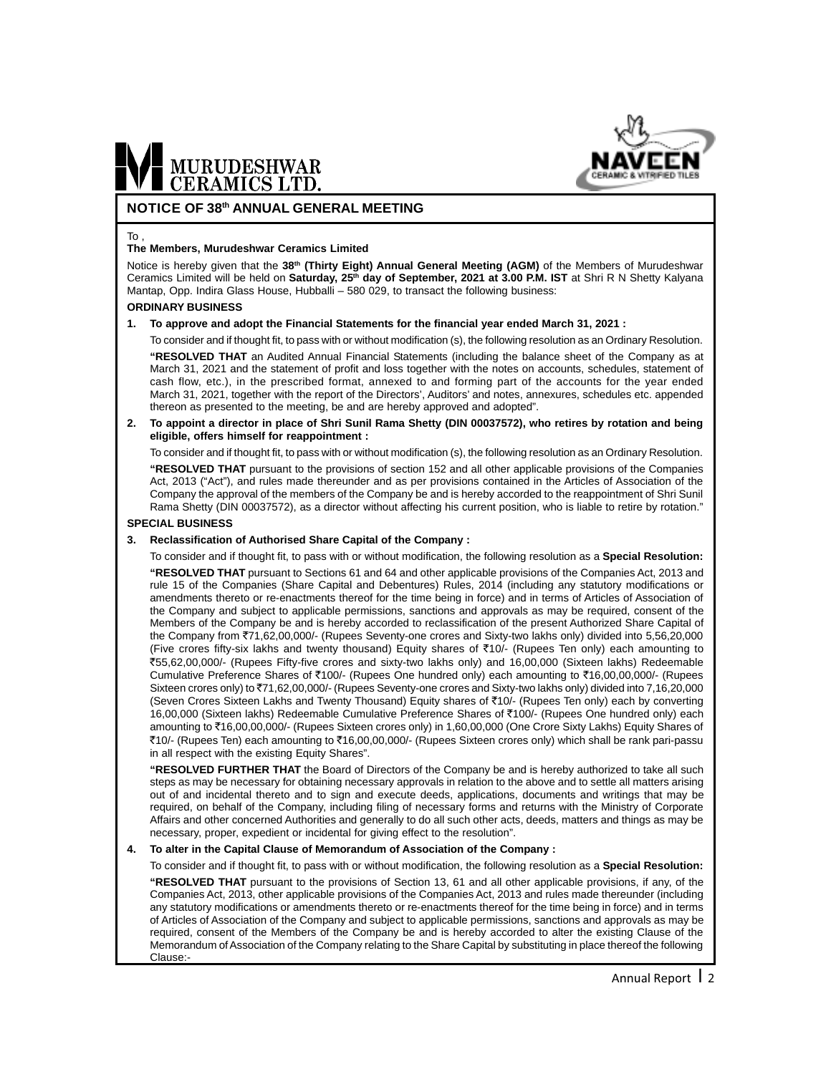

#### **NOTICE OF 38th ANNUAL GENERAL MEETING**

#### To ,

#### **The Members, Murudeshwar Ceramics Limited**

Notice is hereby given that the **38th (Thirty Eight) Annual General Meeting (AGM)** of the Members of Murudeshwar Ceramics Limited will be held on Saturday, 25<sup>th</sup> day of September, 2021 at 3.00 P.M. IST at Shri R N Shetty Kalyana Mantap, Opp. Indira Glass House, Hubballi – 580 029, to transact the following business:

#### **ORDINARY BUSINESS**

#### **1. To approve and adopt the Financial Statements for the financial year ended March 31, 2021 :**

To consider and if thought fit, to pass with or without modification (s), the following resolution as an Ordinary Resolution.

**"RESOLVED THAT** an Audited Annual Financial Statements (including the balance sheet of the Company as at March 31, 2021 and the statement of profit and loss together with the notes on accounts, schedules, statement of cash flow, etc.), in the prescribed format, annexed to and forming part of the accounts for the year ended March 31, 2021, together with the report of the Directors', Auditors' and notes, annexures, schedules etc. appended thereon as presented to the meeting, be and are hereby approved and adopted".

#### **2. To appoint a director in place of Shri Sunil Rama Shetty (DIN 00037572), who retires by rotation and being eligible, offers himself for reappointment :**

To consider and if thought fit, to pass with or without modification (s), the following resolution as an Ordinary Resolution.

**"RESOLVED THAT** pursuant to the provisions of section 152 and all other applicable provisions of the Companies Act, 2013 ("Act"), and rules made thereunder and as per provisions contained in the Articles of Association of the Company the approval of the members of the Company be and is hereby accorded to the reappointment of Shri Sunil Rama Shetty (DIN 00037572), as a director without affecting his current position, who is liable to retire by rotation."

#### **SPECIAL BUSINESS**

#### **3. Reclassification of Authorised Share Capital of the Company :**

To consider and if thought fit, to pass with or without modification, the following resolution as a **Special Resolution: "RESOLVED THAT** pursuant to Sections 61 and 64 and other applicable provisions of the Companies Act, 2013 and rule 15 of the Companies (Share Capital and Debentures) Rules, 2014 (including any statutory modifications or amendments thereto or re-enactments thereof for the time being in force) and in terms of Articles of Association of the Company and subject to applicable permissions, sanctions and approvals as may be required, consent of the Members of the Company be and is hereby accorded to reclassification of the present Authorized Share Capital of the Company from ₹71,62,00,000/- (Rupees Seventy-one crores and Sixty-two lakhs only) divided into 5,56,20,000 (Five crores fifty-six lakhs and twenty thousand) Equity shares of `10/- (Rupees Ten only) each amounting to `55,62,00,000/- (Rupees Fifty-five crores and sixty-two lakhs only) and 16,00,000 (Sixteen lakhs) Redeemable Cumulative Preference Shares of ₹100/- (Rupees One hundred only) each amounting to ₹16,00,00,000/- (Rupees Sixteen crores only) to ₹71,62,00,000/- (Rupees Seventy-one crores and Sixty-two lakhs only) divided into 7,16,20,000 (Seven Crores Sixteen Lakhs and Twenty Thousand) Equity shares of `10/- (Rupees Ten only) each by converting 16,00,000 (Sixteen lakhs) Redeemable Cumulative Preference Shares of ₹100/- (Rupees One hundred only) each amounting to ₹16,00,00,000/- (Rupees Sixteen crores only) in 1,60,00,000 (One Crore Sixty Lakhs) Equity Shares of `10/- (Rupees Ten) each amounting to `16,00,00,000/- (Rupees Sixteen crores only) which shall be rank pari-passu in all respect with the existing Equity Shares".

**"RESOLVED FURTHER THAT** the Board of Directors of the Company be and is hereby authorized to take all such steps as may be necessary for obtaining necessary approvals in relation to the above and to settle all matters arising out of and incidental thereto and to sign and execute deeds, applications, documents and writings that may be required, on behalf of the Company, including filing of necessary forms and returns with the Ministry of Corporate Affairs and other concerned Authorities and generally to do all such other acts, deeds, matters and things as may be necessary, proper, expedient or incidental for giving effect to the resolution".

#### **4. To alter in the Capital Clause of Memorandum of Association of the Company :**

To consider and if thought fit, to pass with or without modification, the following resolution as a **Special Resolution: "RESOLVED THAT** pursuant to the provisions of Section 13, 61 and all other applicable provisions, if any, of the Companies Act, 2013, other applicable provisions of the Companies Act, 2013 and rules made thereunder (including any statutory modifications or amendments thereto or re-enactments thereof for the time being in force) and in terms of Articles of Association of the Company and subject to applicable permissions, sanctions and approvals as may be required, consent of the Members of the Company be and is hereby accorded to alter the existing Clause of the Memorandum of Association of the Company relating to the Share Capital by substituting in place thereof the following Clause:-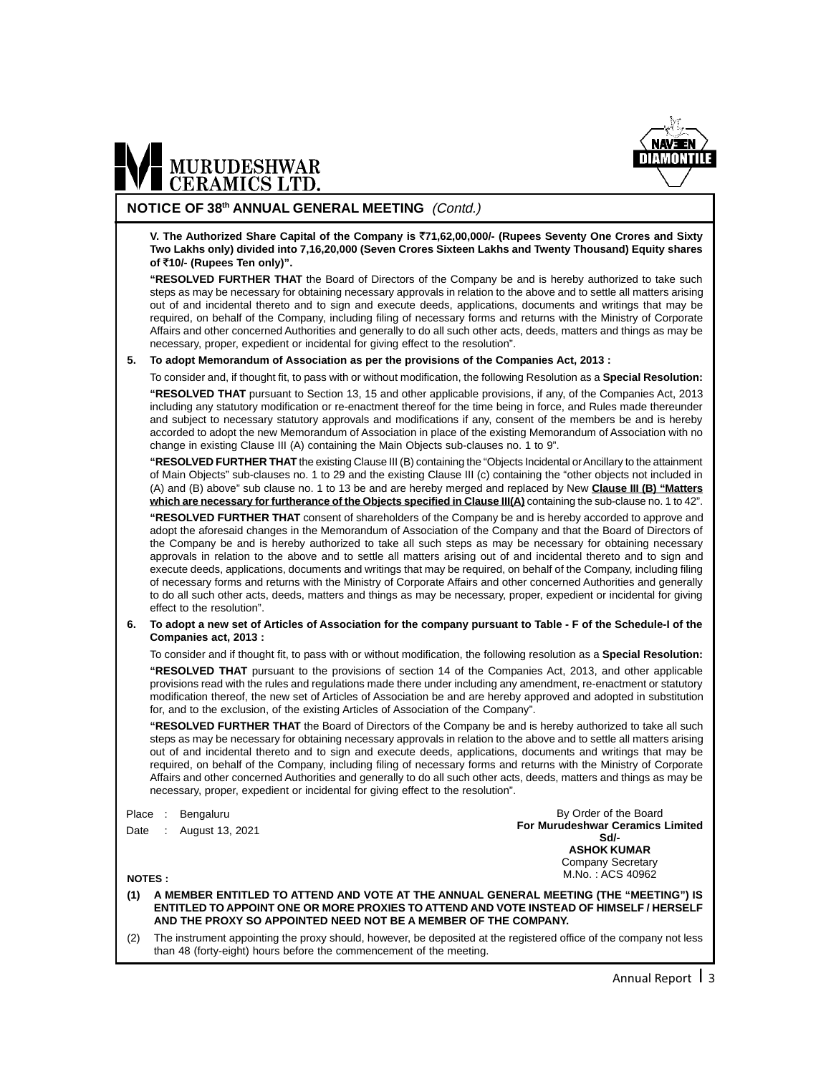

#### **NOTICE OF 38th ANNUAL GENERAL MEETING** (Contd.)

**V. The Authorized Share Capital of the Company is** `**71,62,00,000/- (Rupees Seventy One Crores and Sixty Two Lakhs only) divided into 7,16,20,000 (Seven Crores Sixteen Lakhs and Twenty Thousand) Equity shares of** `**10/- (Rupees Ten only)".**

**"RESOLVED FURTHER THAT** the Board of Directors of the Company be and is hereby authorized to take such steps as may be necessary for obtaining necessary approvals in relation to the above and to settle all matters arising out of and incidental thereto and to sign and execute deeds, applications, documents and writings that may be required, on behalf of the Company, including filing of necessary forms and returns with the Ministry of Corporate Affairs and other concerned Authorities and generally to do all such other acts, deeds, matters and things as may be necessary, proper, expedient or incidental for giving effect to the resolution".

#### **5. To adopt Memorandum of Association as per the provisions of the Companies Act, 2013 :**

To consider and, if thought fit, to pass with or without modification, the following Resolution as a **Special Resolution: "RESOLVED THAT** pursuant to Section 13, 15 and other applicable provisions, if any, of the Companies Act, 2013 including any statutory modification or re-enactment thereof for the time being in force, and Rules made thereunder and subject to necessary statutory approvals and modifications if any, consent of the members be and is hereby accorded to adopt the new Memorandum of Association in place of the existing Memorandum of Association with no change in existing Clause III (A) containing the Main Objects sub-clauses no. 1 to 9".

**"RESOLVED FURTHER THAT** the existing Clause III (B) containing the "Objects Incidental or Ancillary to the attainment of Main Objects" sub-clauses no. 1 to 29 and the existing Clause III (c) containing the "other objects not included in (A) and (B) above" sub clause no. 1 to 13 be and are hereby merged and replaced by New **Clause III (B) "Matters which are necessary for furtherance of the Objects specified in Clause III(A)** containing the sub-clause no. 1 to 42".

**"RESOLVED FURTHER THAT** consent of shareholders of the Company be and is hereby accorded to approve and adopt the aforesaid changes in the Memorandum of Association of the Company and that the Board of Directors of the Company be and is hereby authorized to take all such steps as may be necessary for obtaining necessary approvals in relation to the above and to settle all matters arising out of and incidental thereto and to sign and execute deeds, applications, documents and writings that may be required, on behalf of the Company, including filing of necessary forms and returns with the Ministry of Corporate Affairs and other concerned Authorities and generally to do all such other acts, deeds, matters and things as may be necessary, proper, expedient or incidental for giving effect to the resolution".

**6. To adopt a new set of Articles of Association for the company pursuant to Table - F of the Schedule-I of the Companies act, 2013 :**

To consider and if thought fit, to pass with or without modification, the following resolution as a **Special Resolution:**

**"RESOLVED THAT** pursuant to the provisions of section 14 of the Companies Act, 2013, and other applicable provisions read with the rules and regulations made there under including any amendment, re-enactment or statutory modification thereof, the new set of Articles of Association be and are hereby approved and adopted in substitution for, and to the exclusion, of the existing Articles of Association of the Company".

**"RESOLVED FURTHER THAT** the Board of Directors of the Company be and is hereby authorized to take all such steps as may be necessary for obtaining necessary approvals in relation to the above and to settle all matters arising out of and incidental thereto and to sign and execute deeds, applications, documents and writings that may be required, on behalf of the Company, including filing of necessary forms and returns with the Ministry of Corporate Affairs and other concerned Authorities and generally to do all such other acts, deeds, matters and things as may be necessary, proper, expedient or incidental for giving effect to the resolution".

Place : Bengaluru

Date : August 13, 2021

By Order of the Board **For Murudeshwar Ceramics Limited Sd/- ASHOK KUMAR** Company Secretary M.No. : ACS 40962

**NOTES :**

**(1) A MEMBER ENTITLED TO ATTEND AND VOTE AT THE ANNUAL GENERAL MEETING (THE "MEETING") IS ENTITLED TO APPOINT ONE OR MORE PROXIES TO ATTEND AND VOTE INSTEAD OF HIMSELF / HERSELF AND THE PROXY SO APPOINTED NEED NOT BE A MEMBER OF THE COMPANY.**

(2) The instrument appointing the proxy should, however, be deposited at the registered office of the company not less than 48 (forty-eight) hours before the commencement of the meeting.

Annual Report 13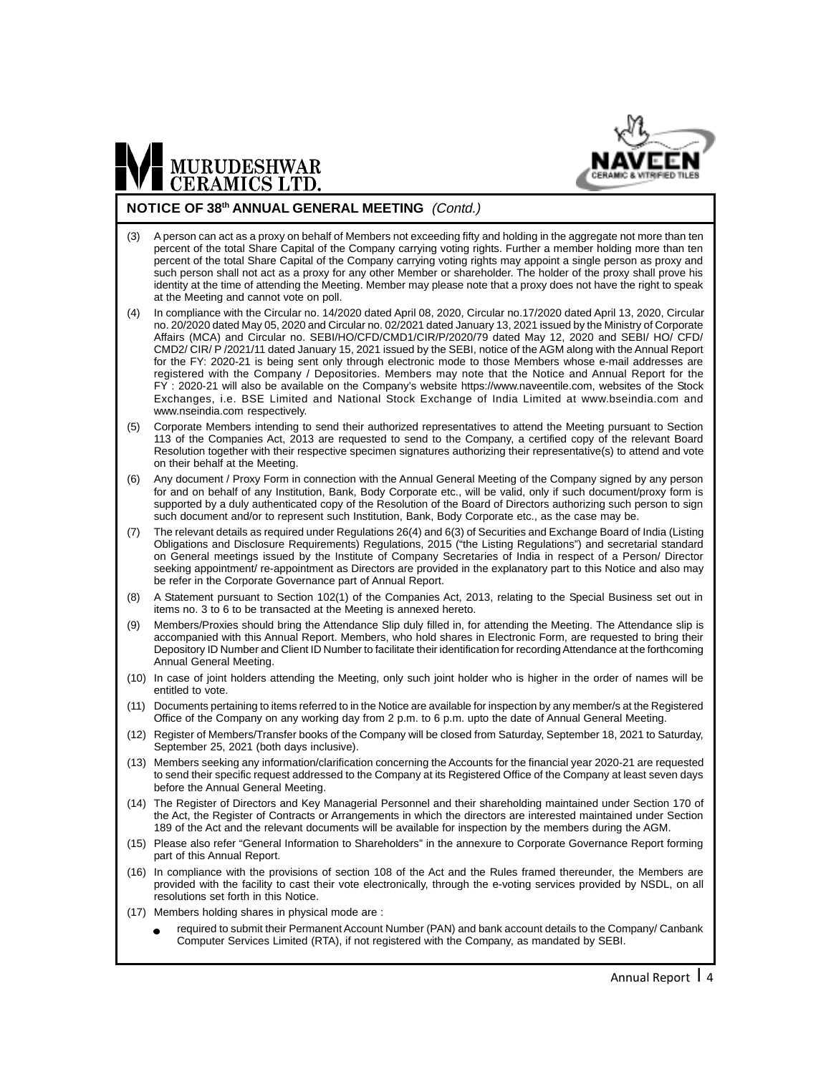

#### **NOTICE OF 38th ANNUAL GENERAL MEETING** (Contd.)

- (3) A person can act as a proxy on behalf of Members not exceeding fifty and holding in the aggregate not more than ten percent of the total Share Capital of the Company carrying voting rights. Further a member holding more than ten percent of the total Share Capital of the Company carrying voting rights may appoint a single person as proxy and such person shall not act as a proxy for any other Member or shareholder. The holder of the proxy shall prove his identity at the time of attending the Meeting. Member may please note that a proxy does not have the right to speak at the Meeting and cannot vote on poll.
- (4) In compliance with the Circular no. 14/2020 dated April 08, 2020, Circular no.17/2020 dated April 13, 2020, Circular no. 20/2020 dated May 05, 2020 and Circular no. 02/2021 dated January 13, 2021 issued by the Ministry of Corporate Affairs (MCA) and Circular no. SEBI/HO/CFD/CMD1/CIR/P/2020/79 dated May 12, 2020 and SEBI/ HO/ CFD/ CMD2/ CIR/ P /2021/11 dated January 15, 2021 issued by the SEBI, notice of the AGM along with the Annual Report for the FY: 2020-21 is being sent only through electronic mode to those Members whose e-mail addresses are registered with the Company / Depositories. Members may note that the Notice and Annual Report for the FY : 2020-21 will also be available on the Company's website https://www.naveentile.com, websites of the Stock Exchanges, i.e. BSE Limited and National Stock Exchange of India Limited at www.bseindia.com and www.nseindia.com respectively.
- (5) Corporate Members intending to send their authorized representatives to attend the Meeting pursuant to Section 113 of the Companies Act, 2013 are requested to send to the Company, a certified copy of the relevant Board Resolution together with their respective specimen signatures authorizing their representative(s) to attend and vote on their behalf at the Meeting.
- (6) Any document / Proxy Form in connection with the Annual General Meeting of the Company signed by any person for and on behalf of any Institution, Bank, Body Corporate etc., will be valid, only if such document/proxy form is supported by a duly authenticated copy of the Resolution of the Board of Directors authorizing such person to sign such document and/or to represent such Institution, Bank, Body Corporate etc., as the case may be.
- (7) The relevant details as required under Regulations 26(4) and 6(3) of Securities and Exchange Board of India (Listing Obligations and Disclosure Requirements) Regulations, 2015 ("the Listing Regulations") and secretarial standard on General meetings issued by the Institute of Company Secretaries of India in respect of a Person/ Director seeking appointment/ re-appointment as Directors are provided in the explanatory part to this Notice and also may be refer in the Corporate Governance part of Annual Report.
- (8) A Statement pursuant to Section 102(1) of the Companies Act, 2013, relating to the Special Business set out in items no. 3 to 6 to be transacted at the Meeting is annexed hereto.
- (9) Members/Proxies should bring the Attendance Slip duly filled in, for attending the Meeting. The Attendance slip is accompanied with this Annual Report. Members, who hold shares in Electronic Form, are requested to bring their Depository ID Number and Client ID Number to facilitate their identification for recording Attendance at the forthcoming Annual General Meeting.
- (10) In case of joint holders attending the Meeting, only such joint holder who is higher in the order of names will be entitled to vote.
- (11) Documents pertaining to items referred to in the Notice are available for inspection by any member/s at the Registered Office of the Company on any working day from 2 p.m. to 6 p.m. upto the date of Annual General Meeting.
- (12) Register of Members/Transfer books of the Company will be closed from Saturday, September 18, 2021 to Saturday, September 25, 2021 (both days inclusive).
- (13) Members seeking any information/clarification concerning the Accounts for the financial year 2020-21 are requested to send their specific request addressed to the Company at its Registered Office of the Company at least seven days before the Annual General Meeting.
- (14) The Register of Directors and Key Managerial Personnel and their shareholding maintained under Section 170 of the Act, the Register of Contracts or Arrangements in which the directors are interested maintained under Section 189 of the Act and the relevant documents will be available for inspection by the members during the AGM.
- (15) Please also refer "General Information to Shareholders" in the annexure to Corporate Governance Report forming part of this Annual Report.
- (16) In compliance with the provisions of section 108 of the Act and the Rules framed thereunder, the Members are provided with the facility to cast their vote electronically, through the e-voting services provided by NSDL, on all resolutions set forth in this Notice.
- (17) Members holding shares in physical mode are :
	- required to submit their Permanent Account Number (PAN) and bank account details to the Company/ Canbank Computer Services Limited (RTA), if not registered with the Company, as mandated by SEBI.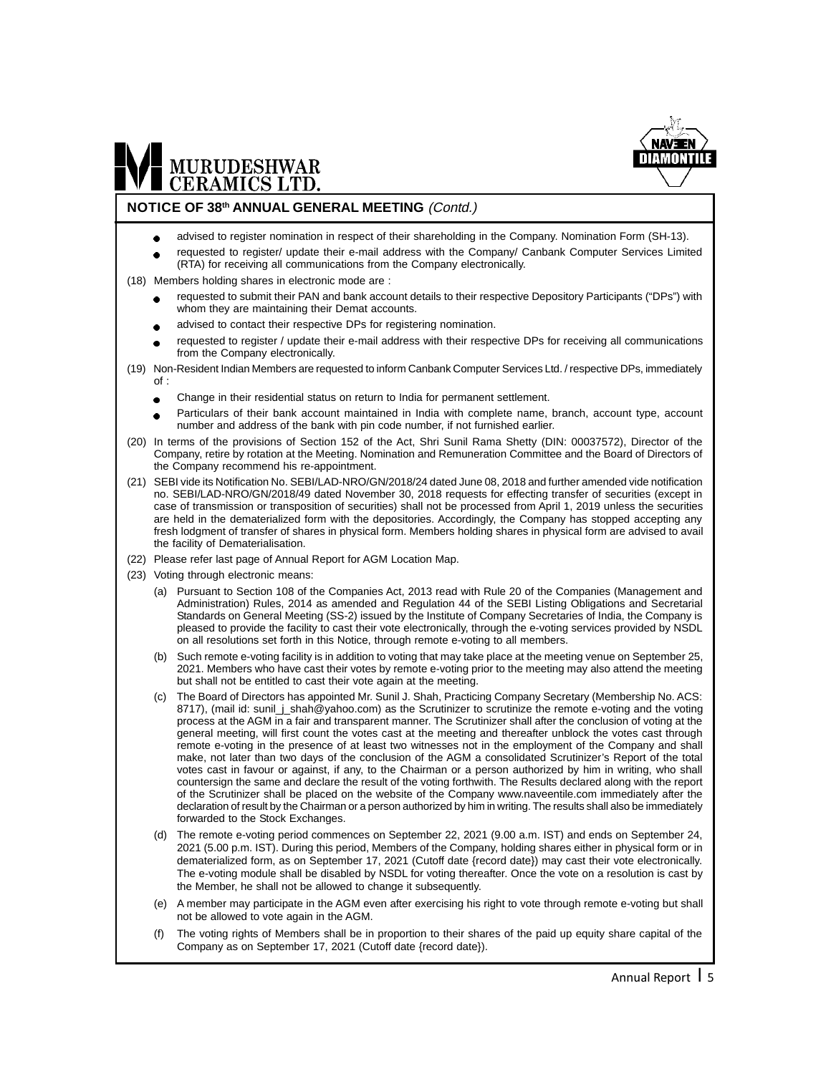

#### **NOTICE OF 38th ANNUAL GENERAL MEETING** (Contd.)

- advised to register nomination in respect of their shareholding in the Company. Nomination Form (SH-13).  $\bullet$
- requested to register/ update their e-mail address with the Company/ Canbank Computer Services Limited (RTA) for receiving all communications from the Company electronically.
- (18) Members holding shares in electronic mode are :
	- requested to submit their PAN and bank account details to their respective Depository Participants ("DPs") with whom they are maintaining their Demat accounts.
	- advised to contact their respective DPs for registering nomination.
	- requested to register / update their e-mail address with their respective DPs for receiving all communications from the Company electronically.
- (19) Non-Resident Indian Members are requested to inform Canbank Computer Services Ltd. / respective DPs, immediately of :
	- Change in their residential status on return to India for permanent settlement.
	- Particulars of their bank account maintained in India with complete name, branch, account type, account number and address of the bank with pin code number, if not furnished earlier.
- (20) In terms of the provisions of Section 152 of the Act, Shri Sunil Rama Shetty (DIN: 00037572), Director of the Company, retire by rotation at the Meeting. Nomination and Remuneration Committee and the Board of Directors of the Company recommend his re-appointment.
- (21) SEBI vide its Notification No. SEBI/LAD-NRO/GN/2018/24 dated June 08, 2018 and further amended vide notification no. SEBI/LAD-NRO/GN/2018/49 dated November 30, 2018 requests for effecting transfer of securities (except in case of transmission or transposition of securities) shall not be processed from April 1, 2019 unless the securities are held in the dematerialized form with the depositories. Accordingly, the Company has stopped accepting any fresh lodgment of transfer of shares in physical form. Members holding shares in physical form are advised to avail the facility of Dematerialisation.
- (22) Please refer last page of Annual Report for AGM Location Map.
- (23) Voting through electronic means:
	- (a) Pursuant to Section 108 of the Companies Act, 2013 read with Rule 20 of the Companies (Management and Administration) Rules, 2014 as amended and Regulation 44 of the SEBI Listing Obligations and Secretarial Standards on General Meeting (SS-2) issued by the Institute of Company Secretaries of India, the Company is pleased to provide the facility to cast their vote electronically, through the e-voting services provided by NSDL on all resolutions set forth in this Notice, through remote e-voting to all members.
	- (b) Such remote e-voting facility is in addition to voting that may take place at the meeting venue on September 25, 2021. Members who have cast their votes by remote e-voting prior to the meeting may also attend the meeting but shall not be entitled to cast their vote again at the meeting.
	- (c) The Board of Directors has appointed Mr. Sunil J. Shah, Practicing Company Secretary (Membership No. ACS: 8717), (mail id: sunil\_j\_shah@yahoo.com) as the Scrutinizer to scrutinize the remote e-voting and the voting process at the AGM in a fair and transparent manner. The Scrutinizer shall after the conclusion of voting at the general meeting, will first count the votes cast at the meeting and thereafter unblock the votes cast through remote e-voting in the presence of at least two witnesses not in the employment of the Company and shall make, not later than two days of the conclusion of the AGM a consolidated Scrutinizer's Report of the total votes cast in favour or against, if any, to the Chairman or a person authorized by him in writing, who shall countersign the same and declare the result of the voting forthwith. The Results declared along with the report of the Scrutinizer shall be placed on the website of the Company www.naveentile.com immediately after the declaration of result by the Chairman or a person authorized by him in writing. The results shall also be immediately forwarded to the Stock Exchanges.
	- (d) The remote e-voting period commences on September 22, 2021 (9.00 a.m. IST) and ends on September 24, 2021 (5.00 p.m. IST). During this period, Members of the Company, holding shares either in physical form or in dematerialized form, as on September 17, 2021 (Cutoff date {record date}) may cast their vote electronically. The e-voting module shall be disabled by NSDL for voting thereafter. Once the vote on a resolution is cast by the Member, he shall not be allowed to change it subsequently.
	- (e) A member may participate in the AGM even after exercising his right to vote through remote e-voting but shall not be allowed to vote again in the AGM.
	- (f) The voting rights of Members shall be in proportion to their shares of the paid up equity share capital of the Company as on September 17, 2021 (Cutoff date {record date}).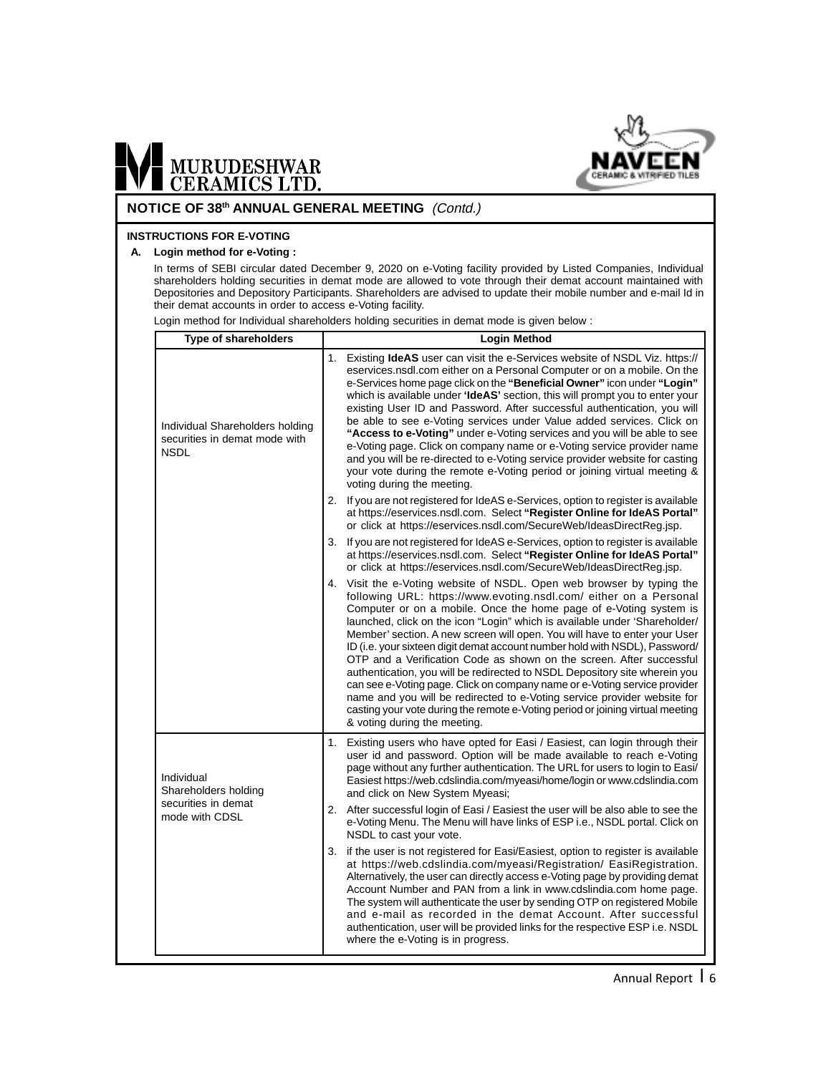

#### **NOTICE OF 38th ANNUAL GENERAL MEETING** (Contd.)

#### **INSTRUCTIONS FOR E-VOTING**

#### **A. Login method for e-Voting :**

In terms of SEBI circular dated December 9, 2020 on e-Voting facility provided by Listed Companies, Individual shareholders holding securities in demat mode are allowed to vote through their demat account maintained with Depositories and Depository Participants. Shareholders are advised to update their mobile number and e-mail Id in their demat accounts in order to access e-Voting facility.

Login method for Individual shareholders holding securities in demat mode is given below :

| <b>Type of shareholders</b>                                                     | <b>Login Method</b>                                                                                                                                                                                                                                                                                                                                                                                                                                                                                                                                                                                                                                                                                                                                                                                                                                                                        |  |
|---------------------------------------------------------------------------------|--------------------------------------------------------------------------------------------------------------------------------------------------------------------------------------------------------------------------------------------------------------------------------------------------------------------------------------------------------------------------------------------------------------------------------------------------------------------------------------------------------------------------------------------------------------------------------------------------------------------------------------------------------------------------------------------------------------------------------------------------------------------------------------------------------------------------------------------------------------------------------------------|--|
| Individual Shareholders holding<br>securities in demat mode with<br><b>NSDL</b> | 1. Existing <b>IdeAS</b> user can visit the e-Services website of NSDL Viz. https://<br>eservices.nsdl.com either on a Personal Computer or on a mobile. On the<br>e-Services home page click on the "Beneficial Owner" icon under "Login"<br>which is available under ' <b>IdeAS'</b> section, this will prompt you to enter your<br>existing User ID and Password. After successful authentication, you will<br>be able to see e-Voting services under Value added services. Click on<br>"Access to e-Voting" under e-Voting services and you will be able to see<br>e-Voting page. Click on company name or e-Voting service provider name<br>and you will be re-directed to e-Voting service provider website for casting<br>your vote during the remote e-Voting period or joining virtual meeting &<br>voting during the meeting.                                                    |  |
|                                                                                 | 2. If you are not registered for IdeAS e-Services, option to register is available<br>at https://eservices.nsdl.com. Select "Register Online for IdeAS Portal"<br>or click at https://eservices.nsdl.com/SecureWeb/IdeasDirectReg.jsp.                                                                                                                                                                                                                                                                                                                                                                                                                                                                                                                                                                                                                                                     |  |
|                                                                                 | 3. If you are not registered for IdeAS e-Services, option to register is available<br>at https://eservices.nsdl.com. Select "Register Online for IdeAS Portal"<br>or click at https://eservices.nsdl.com/SecureWeb/IdeasDirectReg.jsp.                                                                                                                                                                                                                                                                                                                                                                                                                                                                                                                                                                                                                                                     |  |
|                                                                                 | 4. Visit the e-Voting website of NSDL. Open web browser by typing the<br>following URL: https://www.evoting.nsdl.com/ either on a Personal<br>Computer or on a mobile. Once the home page of e-Voting system is<br>launched, click on the icon "Login" which is available under 'Shareholder/<br>Member' section. A new screen will open. You will have to enter your User<br>ID (i.e. your sixteen digit demat account number hold with NSDL), Password/<br>OTP and a Verification Code as shown on the screen. After successful<br>authentication, you will be redirected to NSDL Depository site wherein you<br>can see e-Voting page. Click on company name or e-Voting service provider<br>name and you will be redirected to e-Voting service provider website for<br>casting your vote during the remote e-Voting period or joining virtual meeting<br>& voting during the meeting. |  |
| Individual<br>Shareholders holding                                              | 1. Existing users who have opted for Easi / Easiest, can login through their<br>user id and password. Option will be made available to reach e-Voting<br>page without any further authentication. The URL for users to login to Easi/<br>Easiest https://web.cdslindia.com/myeasi/home/login or www.cdslindia.com<br>and click on New System Myeasi;                                                                                                                                                                                                                                                                                                                                                                                                                                                                                                                                       |  |
| securities in demat<br>mode with CDSL                                           | 2. After successful login of Easi / Easiest the user will be also able to see the<br>e-Voting Menu. The Menu will have links of ESP i.e., NSDL portal. Click on<br>NSDL to cast your vote.                                                                                                                                                                                                                                                                                                                                                                                                                                                                                                                                                                                                                                                                                                 |  |
|                                                                                 | 3. if the user is not registered for Easi/Easiest, option to register is available<br>at https://web.cdslindia.com/myeasi/Registration/ EasiRegistration.<br>Alternatively, the user can directly access e-Voting page by providing demat<br>Account Number and PAN from a link in www.cdslindia.com home page.<br>The system will authenticate the user by sending OTP on registered Mobile<br>and e-mail as recorded in the demat Account. After successful<br>authentication, user will be provided links for the respective ESP i.e. NSDL<br>where the e-Voting is in progress.                                                                                                                                                                                                                                                                                                        |  |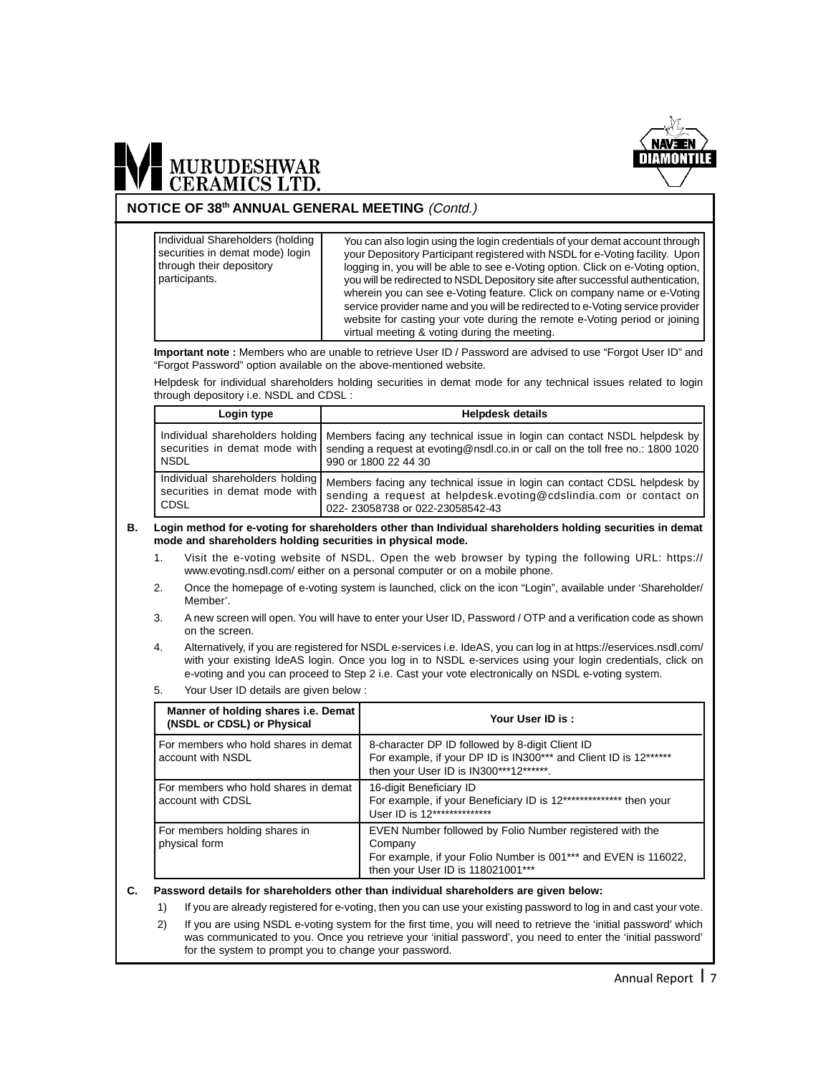

#### **NOTICE OF 38th ANNUAL GENERAL MEETING** (Contd.)

**Important note :** Members who are unable to retrieve User ID / Password are advised to use "Forgot User ID" and "Forgot Password" option available on the above-mentioned website. Helpdesk for individual shareholders holding securities in demat mode for any technical issues related to login through depository i.e. NSDL and CDSL : Login type **Helpdesk** details Individual shareholders holding securities in demat mode with NSDL Individual shareholders holding securities in demat mode with CDSL Members facing any technical issue in login can contact NSDL helpdesk by sending a request at evoting@nsdl.co.in or call on the toll free no.: 1800 1020 990 or 1800 22 44 30 Members facing any technical issue in login can contact CDSL helpdesk by sending a request at helpdesk.evoting@cdslindia.com or contact on 022- 23058738 or 022-23058542-43 **B. Login method for e-voting for shareholders other than Individual shareholders holding securities in demat mode and shareholders holding securities in physical mode.** 1. Visit the e-voting website of NSDL. Open the web browser by typing the following URL: https:// www.evoting.nsdl.com/ either on a personal computer or on a mobile phone. 2. Once the homepage of e-voting system is launched, click on the icon "Login", available under 'Shareholder/ Member'. 3. A new screen will open. You will have to enter your User ID, Password / OTP and a verification code as shown on the screen. 4. Alternatively, if you are registered for NSDL e-services i.e. IdeAS, you can log in at https://eservices.nsdl.com/ with your existing IdeAS login. Once you log in to NSDL e-services using your login credentials, click on e-voting and you can proceed to Step 2 i.e. Cast your vote electronically on NSDL e-voting system. 5. Your User ID details are given below : **Manner of holding shares i.e. Demat (NSDL or CDSL) or Physical** For members who hold shares in demat  $\parallel$  8-character DP ID followed by 8-digit Client ID account with NSDL For example, if your DP ID is IN300\*\*\* and Client ID is 12\*\*\*\*\*\* then your User ID is IN300\*\*\*12\*\*\*\*\*\*. For members who hold shares in demat | 16-digit Beneficiary ID account with CDSL For example, if your Beneficiary ID is 12\*\*\*\*\*\*\*\*\*\*\*\*\*\*\* then your User ID is 12\*\*\*\*\*\*\*\*\*\*\*\*\*\*\* For members holding shares in EVEN Number followed by Folio Number registered with the physical form **Company** For example, if your Folio Number is 001\*\*\* and EVEN is 116022, then your User ID is 118021001\*\*\* You can also login using the login credentials of your demat account through your Depository Participant registered with NSDL for e-Voting facility. Upon logging in, you will be able to see e-Voting option. Click on e-Voting option, you will be redirected to NSDL Depository site after successful authentication, wherein you can see e-Voting feature. Click on company name or e-Voting service provider name and you will be redirected to e-Voting service provider website for casting your vote during the remote e-Voting period or joining virtual meeting & voting during the meeting. Individual Shareholders (holding securities in demat mode) login through their depository participants. **Your User ID is :**

#### **C. Password details for shareholders other than individual shareholders are given below:**

1) If you are already registered for e-voting, then you can use your existing password to log in and cast your vote. 2) If you are using NSDL e-voting system for the first time, you will need to retrieve the 'initial password' which was communicated to you. Once you retrieve your 'initial password', you need to enter the 'initial password' for the system to prompt you to change your password.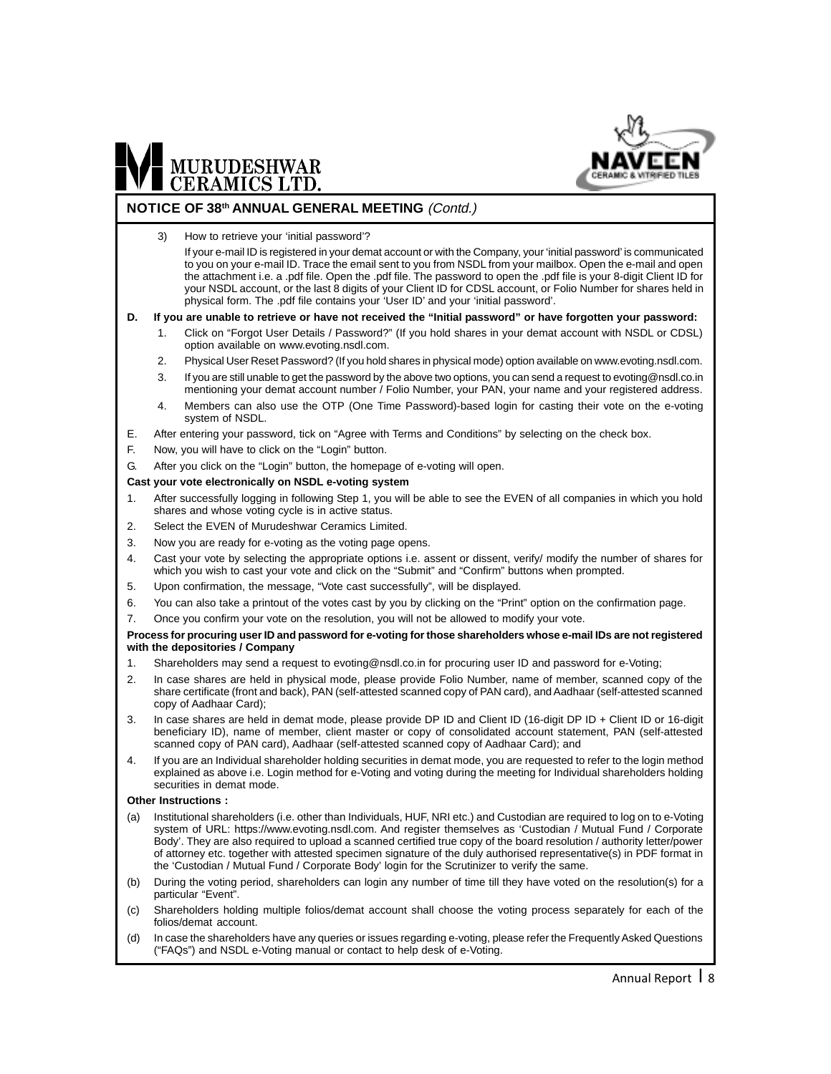

#### **NOTICE OF 38th ANNUAL GENERAL MEETING** (Contd.)

3) How to retrieve your 'initial password'?

If your e-mail ID is registered in your demat account or with the Company, your 'initial password' is communicated to you on your e-mail ID. Trace the email sent to you from NSDL from your mailbox. Open the e-mail and open the attachment i.e. a .pdf file. Open the .pdf file. The password to open the .pdf file is your 8-digit Client ID for your NSDL account, or the last 8 digits of your Client ID for CDSL account, or Folio Number for shares held in physical form. The .pdf file contains your 'User ID' and your 'initial password'.

#### **D. If you are unable to retrieve or have not received the "Initial password" or have forgotten your password:**

- 1. Click on "Forgot User Details / Password?" (If you hold shares in your demat account with NSDL or CDSL) option available on www.evoting.nsdl.com.
- 2. Physical User Reset Password? (If you hold shares in physical mode) option available on www.evoting.nsdl.com.
- 3. If you are still unable to get the password by the above two options, you can send a request to evoting@nsdl.co.in mentioning your demat account number / Folio Number, your PAN, your name and your registered address.
- 4. Members can also use the OTP (One Time Password)-based login for casting their vote on the e-voting system of NSDL.
- E. After entering your password, tick on "Agree with Terms and Conditions" by selecting on the check box.
- F. Now, you will have to click on the "Login" button.
- G. After you click on the "Login" button, the homepage of e-voting will open.

#### **Cast your vote electronically on NSDL e-voting system**

- 1. After successfully logging in following Step 1, you will be able to see the EVEN of all companies in which you hold shares and whose voting cycle is in active status.
- 2. Select the EVEN of Murudeshwar Ceramics Limited.
- 3. Now you are ready for e-voting as the voting page opens.
- 4. Cast your vote by selecting the appropriate options i.e. assent or dissent, verify/ modify the number of shares for which you wish to cast your vote and click on the "Submit" and "Confirm" buttons when prompted.
- 5. Upon confirmation, the message, "Vote cast successfully", will be displayed.
- 6. You can also take a printout of the votes cast by you by clicking on the "Print" option on the confirmation page.
- 7. Once you confirm your vote on the resolution, you will not be allowed to modify your vote.

#### **Process for procuring user ID and password for e-voting for those shareholders whose e-mail IDs are not registered with the depositories / Company**

- 1. Shareholders may send a request to evoting@nsdl.co.in for procuring user ID and password for e-Voting;
- 2. In case shares are held in physical mode, please provide Folio Number, name of member, scanned copy of the share certificate (front and back), PAN (self-attested scanned copy of PAN card), and Aadhaar (self-attested scanned copy of Aadhaar Card);
- 3. In case shares are held in demat mode, please provide DP ID and Client ID (16-digit DP ID + Client ID or 16-digit beneficiary ID), name of member, client master or copy of consolidated account statement, PAN (self-attested scanned copy of PAN card), Aadhaar (self-attested scanned copy of Aadhaar Card); and
- 4. If you are an Individual shareholder holding securities in demat mode, you are requested to refer to the login method explained as above i.e. Login method for e-Voting and voting during the meeting for Individual shareholders holding securities in demat mode.

#### **Other Instructions :**

- (a) Institutional shareholders (i.e. other than Individuals, HUF, NRI etc.) and Custodian are required to log on to e-Voting system of URL: https://www.evoting.nsdl.com. And register themselves as 'Custodian / Mutual Fund / Corporate Body'. They are also required to upload a scanned certified true copy of the board resolution / authority letter/power of attorney etc. together with attested specimen signature of the duly authorised representative(s) in PDF format in the 'Custodian / Mutual Fund / Corporate Body' login for the Scrutinizer to verify the same.
- (b) During the voting period, shareholders can login any number of time till they have voted on the resolution(s) for a particular "Event".
- (c) Shareholders holding multiple folios/demat account shall choose the voting process separately for each of the folios/demat account.
- (d) In case the shareholders have any queries or issues regarding e-voting, please refer the Frequently Asked Questions ("FAQs") and NSDL e-Voting manual or contact to help desk of e-Voting.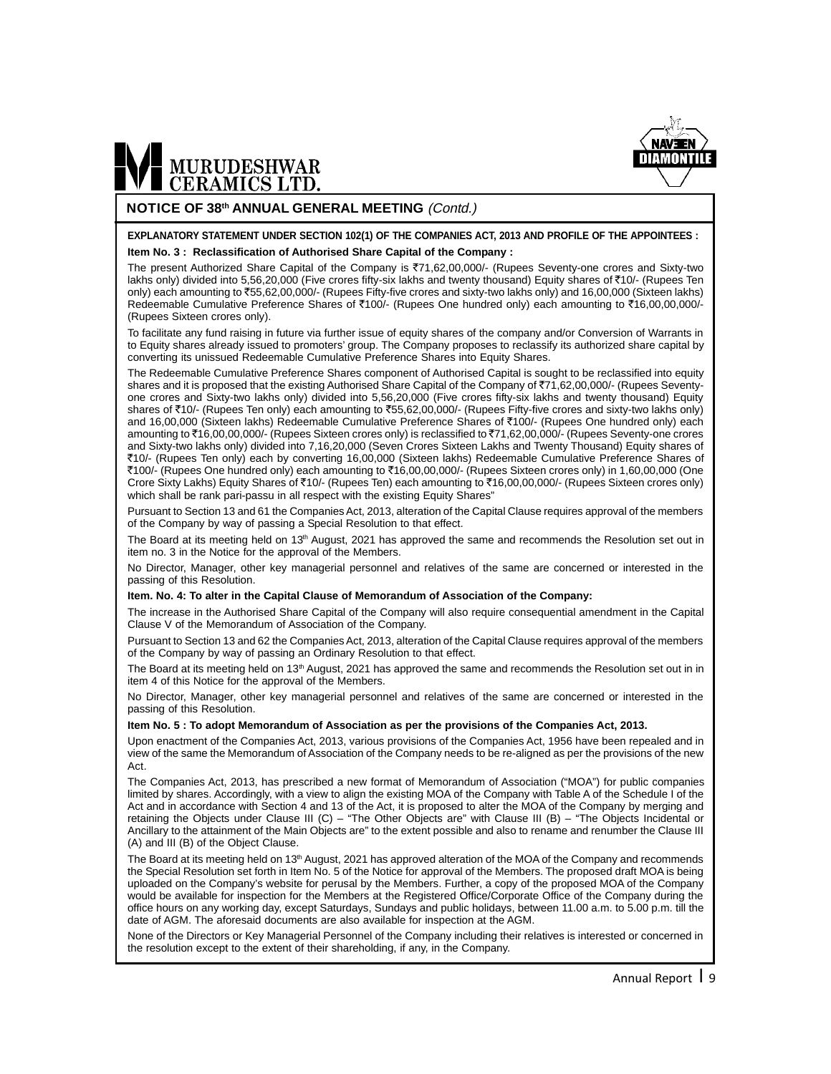

#### **NOTICE OF 38th ANNUAL GENERAL MEETING** (Contd.)

#### **EXPLANATORY STATEMENT UNDER SECTION 102(1) OF THE COMPANIES ACT, 2013 AND PROFILE OF THE APPOINTEES : Item No. 3 : Reclassification of Authorised Share Capital of the Company :**

The present Authorized Share Capital of the Company is ₹71,62,00,000/- (Rupees Seventy-one crores and Sixty-two lakhs only) divided into 5,56,20,000 (Five crores fifty-six lakhs and twenty thousand) Equity shares of ₹10/- (Rupees Ten only) each amounting to `55,62,00,000/- (Rupees Fifty-five crores and sixty-two lakhs only) and 16,00,000 (Sixteen lakhs) Redeemable Cumulative Preference Shares of ₹100/- (Rupees One hundred only) each amounting to ₹16,00,00,000/-(Rupees Sixteen crores only).

To facilitate any fund raising in future via further issue of equity shares of the company and/or Conversion of Warrants in to Equity shares already issued to promoters' group. The Company proposes to reclassify its authorized share capital by converting its unissued Redeemable Cumulative Preference Shares into Equity Shares.

The Redeemable Cumulative Preference Shares component of Authorised Capital is sought to be reclassified into equity shares and it is proposed that the existing Authorised Share Capital of the Company of ₹71,62,00,000/- (Rupees Seventyone crores and Sixty-two lakhs only) divided into 5,56,20,000 (Five crores fifty-six lakhs and twenty thousand) Equity shares of ₹10/- (Rupees Ten only) each amounting to ₹55,62,00,000/- (Rupees Fifty-five crores and sixty-two lakhs only) and 16,00,000 (Sixteen lakhs) Redeemable Cumulative Preference Shares of ₹100/- (Rupees One hundred only) each amounting to ₹16,00,00,000/- (Rupees Sixteen crores only) is reclassified to ₹71,62,00,000/- (Rupees Seventy-one crores and Sixty-two lakhs only) divided into 7,16,20,000 (Seven Crores Sixteen Lakhs and Twenty Thousand) Equity shares of `10/- (Rupees Ten only) each by converting 16,00,000 (Sixteen lakhs) Redeemable Cumulative Preference Shares of ₹100/- (Rupees One hundred only) each amounting to ₹16,00,00,000/- (Rupees Sixteen crores only) in 1,60,00,000 (One Crore Sixty Lakhs) Equity Shares of ₹10/- (Rupees Ten) each amounting to ₹16,00,00,000/- (Rupees Sixteen crores only) which shall be rank pari-passu in all respect with the existing Equity Shares"

Pursuant to Section 13 and 61 the Companies Act, 2013, alteration of the Capital Clause requires approval of the members of the Company by way of passing a Special Resolution to that effect.

The Board at its meeting held on 13<sup>th</sup> August, 2021 has approved the same and recommends the Resolution set out in item no. 3 in the Notice for the approval of the Members.

No Director, Manager, other key managerial personnel and relatives of the same are concerned or interested in the passing of this Resolution.

#### **Item. No. 4: To alter in the Capital Clause of Memorandum of Association of the Company:**

The increase in the Authorised Share Capital of the Company will also require consequential amendment in the Capital Clause V of the Memorandum of Association of the Company.

Pursuant to Section 13 and 62 the Companies Act, 2013, alteration of the Capital Clause requires approval of the members of the Company by way of passing an Ordinary Resolution to that effect.

The Board at its meeting held on 13<sup>th</sup> August, 2021 has approved the same and recommends the Resolution set out in in item 4 of this Notice for the approval of the Members.

No Director, Manager, other key managerial personnel and relatives of the same are concerned or interested in the passing of this Resolution.

#### **Item No. 5 : To adopt Memorandum of Association as per the provisions of the Companies Act, 2013.**

Upon enactment of the Companies Act, 2013, various provisions of the Companies Act, 1956 have been repealed and in view of the same the Memorandum of Association of the Company needs to be re-aligned as per the provisions of the new Act.

The Companies Act, 2013, has prescribed a new format of Memorandum of Association ("MOA") for public companies limited by shares. Accordingly, with a view to align the existing MOA of the Company with Table A of the Schedule I of the Act and in accordance with Section 4 and 13 of the Act, it is proposed to alter the MOA of the Company by merging and retaining the Objects under Clause III (C) – "The Other Objects are" with Clause III (B) – "The Objects Incidental or Ancillary to the attainment of the Main Objects are" to the extent possible and also to rename and renumber the Clause III (A) and III (B) of the Object Clause.

The Board at its meeting held on 13<sup>th</sup> August, 2021 has approved alteration of the MOA of the Company and recommends the Special Resolution set forth in Item No. 5 of the Notice for approval of the Members. The proposed draft MOA is being uploaded on the Company's website for perusal by the Members. Further, a copy of the proposed MOA of the Company would be available for inspection for the Members at the Registered Office/Corporate Office of the Company during the office hours on any working day, except Saturdays, Sundays and public holidays, between 11.00 a.m. to 5.00 p.m. till the date of AGM. The aforesaid documents are also available for inspection at the AGM.

None of the Directors or Key Managerial Personnel of the Company including their relatives is interested or concerned in the resolution except to the extent of their shareholding, if any, in the Company.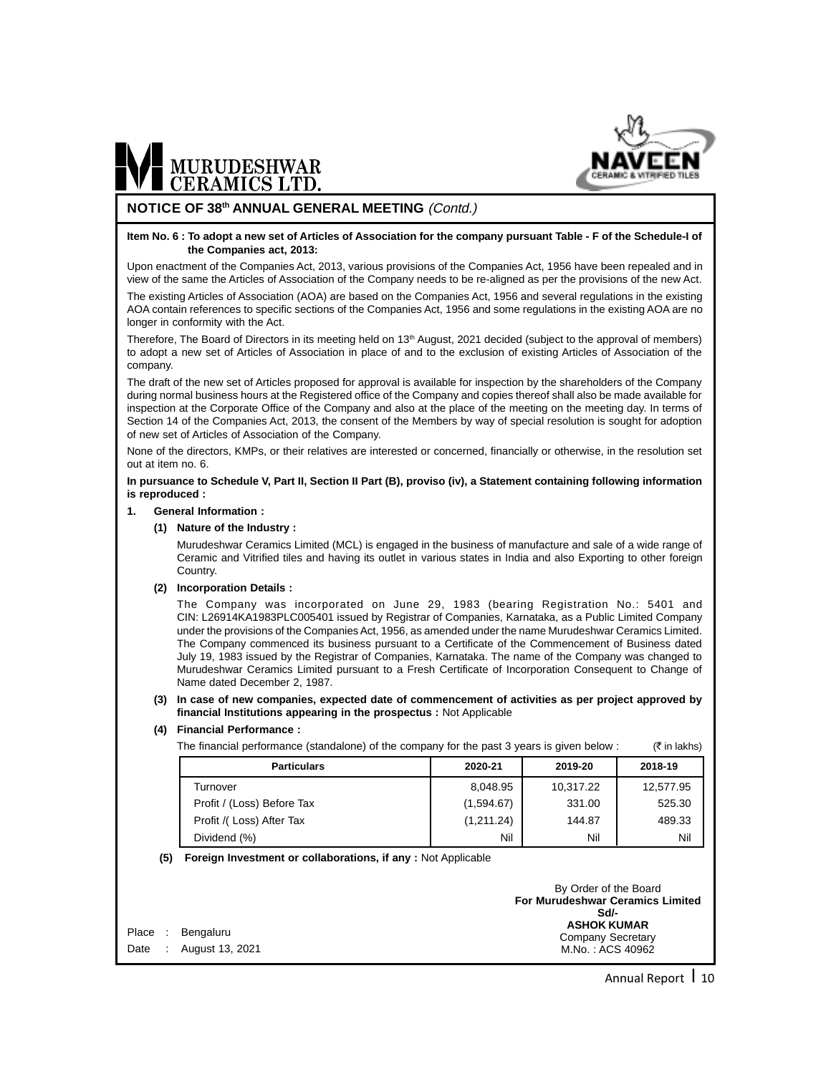

#### **NOTICE OF 38th ANNUAL GENERAL MEETING** (Contd.)

#### **Item No. 6 : To adopt a new set of Articles of Association for the company pursuant Table - F of the Schedule-I of the Companies act, 2013:**

Upon enactment of the Companies Act, 2013, various provisions of the Companies Act, 1956 have been repealed and in view of the same the Articles of Association of the Company needs to be re-aligned as per the provisions of the new Act.

The existing Articles of Association (AOA) are based on the Companies Act, 1956 and several regulations in the existing AOA contain references to specific sections of the Companies Act, 1956 and some regulations in the existing AOA are no longer in conformity with the Act.

Therefore, The Board of Directors in its meeting held on  $13<sup>th</sup>$  August, 2021 decided (subject to the approval of members) to adopt a new set of Articles of Association in place of and to the exclusion of existing Articles of Association of the company.

The draft of the new set of Articles proposed for approval is available for inspection by the shareholders of the Company during normal business hours at the Registered office of the Company and copies thereof shall also be made available for inspection at the Corporate Office of the Company and also at the place of the meeting on the meeting day. In terms of Section 14 of the Companies Act, 2013, the consent of the Members by way of special resolution is sought for adoption of new set of Articles of Association of the Company.

None of the directors, KMPs, or their relatives are interested or concerned, financially or otherwise, in the resolution set out at item no. 6.

#### **In pursuance to Schedule V, Part II, Section II Part (B), proviso (iv), a Statement containing following information is reproduced :**

#### **1. General Information :**

#### **(1) Nature of the Industry :**

Murudeshwar Ceramics Limited (MCL) is engaged in the business of manufacture and sale of a wide range of Ceramic and Vitrified tiles and having its outlet in various states in India and also Exporting to other foreign Country.

#### **(2) Incorporation Details :**

The Company was incorporated on June 29, 1983 (bearing Registration No.: 5401 and CIN: L26914KA1983PLC005401 issued by Registrar of Companies, Karnataka, as a Public Limited Company under the provisions of the Companies Act, 1956, as amended under the name Murudeshwar Ceramics Limited. The Company commenced its business pursuant to a Certificate of the Commencement of Business dated July 19, 1983 issued by the Registrar of Companies, Karnataka. The name of the Company was changed to Murudeshwar Ceramics Limited pursuant to a Fresh Certificate of Incorporation Consequent to Change of Name dated December 2, 1987.

#### **(3) In case of new companies, expected date of commencement of activities as per project approved by financial Institutions appearing in the prospectus :** Not Applicable

#### **(4) Financial Performance :**

The financial performance (standalone) of the company for the past 3 years is given below :  $(*)$  in lakhs)

| <b>Particulars</b>         | 2020-21    | 2019-20   | 2018-19   |
|----------------------------|------------|-----------|-----------|
| Turnover                   | 8,048.95   | 10,317.22 | 12,577.95 |
| Profit / (Loss) Before Tax | (1,594.67) | 331.00    | 525.30    |
| Profit /(Loss) After Tax   | (1,211.24) | 144.87    | 489.33    |
| Dividend (%)               | Nil        | Nil       | Nil       |

#### **(5) Foreign Investment or collaborations, if any :** Not Applicable

|                       | By Order of the Board                           |
|-----------------------|-------------------------------------------------|
|                       | <b>For Murudeshwar Ceramics Limited</b><br>Sd/- |
| Place : Bengaluru     | <b>ASHOK KUMAR</b>                              |
|                       | Company Secretary                               |
| Date: August 13, 2021 | M.No.: ACS 40962                                |

Annual Report 1 10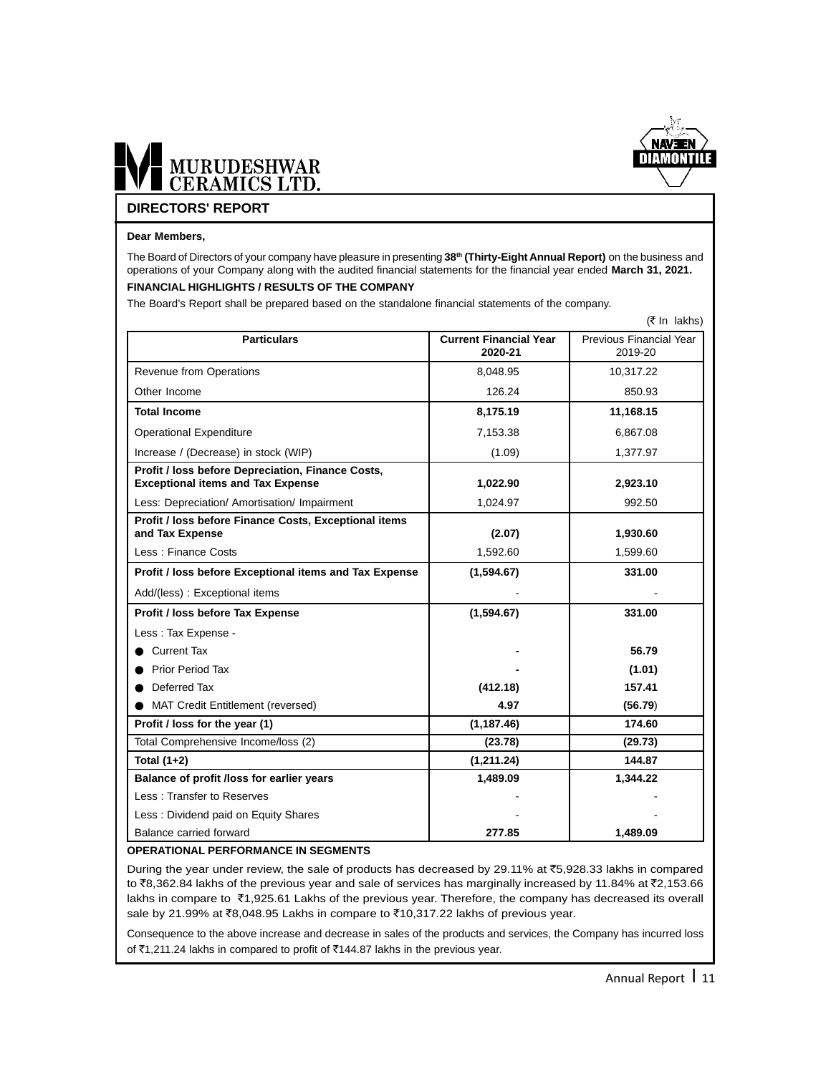

# MURUDESHWAR

#### **DIRECTORS' REPORT**

#### **Dear Members,**

The Board of Directors of your company have pleasure in presenting 38<sup>th</sup> (Thirty-Eight Annual Report) on the business and operations of your Company along with the audited financial statements for the financial year ended **March 31, 2021. FINANCIAL HIGHLIGHTS / RESULTS OF THE COMPANY** 

The Board's Report shall be prepared based on the standalone financial statements of the company.

|                                                                                               |                                          | $(5 \text{ In } \text{lakhs})$     |
|-----------------------------------------------------------------------------------------------|------------------------------------------|------------------------------------|
| <b>Particulars</b>                                                                            | <b>Current Financial Year</b><br>2020-21 | Previous Financial Year<br>2019-20 |
| <b>Revenue from Operations</b>                                                                | 8,048.95                                 | 10,317.22                          |
| Other Income                                                                                  | 126.24                                   | 850.93                             |
| <b>Total Income</b>                                                                           | 8,175.19                                 | 11,168.15                          |
| <b>Operational Expenditure</b>                                                                | 7,153.38                                 | 6,867.08                           |
| Increase / (Decrease) in stock (WIP)                                                          | (1.09)                                   | 1,377.97                           |
| Profit / loss before Depreciation, Finance Costs,<br><b>Exceptional items and Tax Expense</b> | 1,022.90                                 | 2,923.10                           |
| Less: Depreciation/ Amortisation/ Impairment                                                  | 1,024.97                                 | 992.50                             |
| Profit / loss before Finance Costs, Exceptional items<br>and Tax Expense                      | (2.07)                                   | 1,930.60                           |
| Less: Finance Costs                                                                           | 1,592.60                                 | 1,599.60                           |
| Profit / loss before Exceptional items and Tax Expense                                        | (1,594.67)                               | 331.00                             |
| Add/(less): Exceptional items                                                                 |                                          |                                    |
| Profit / loss before Tax Expense                                                              | (1,594.67)                               | 331.00                             |
| Less: Tax Expense -                                                                           |                                          |                                    |
| • Current Tax                                                                                 |                                          | 56.79                              |
| <b>Prior Period Tax</b>                                                                       |                                          | (1.01)                             |
| Deferred Tax                                                                                  | (412.18)                                 | 157.41                             |
| <b>MAT Credit Entitlement (reversed)</b>                                                      | 4.97                                     | (56.79)                            |
| Profit / loss for the year (1)                                                                | (1, 187.46)                              | 174.60                             |
| Total Comprehensive Income/loss (2)                                                           | (23.78)                                  | (29.73)                            |
| Total $(1+2)$                                                                                 | (1, 211.24)                              | 144.87                             |
| Balance of profit /loss for earlier years                                                     | 1,489.09                                 | 1,344.22                           |
| Less: Transfer to Reserves                                                                    |                                          |                                    |
| Less: Dividend paid on Equity Shares                                                          |                                          |                                    |
| Balance carried forward                                                                       | 277.85                                   | 1,489.09                           |

#### **OPERATIONAL PERFORMANCE IN SEGMENTS**

During the year under review, the sale of products has decreased by 29.11% at  $\overline{5}$ ,928.33 lakhs in compared to ₹8,362.84 lakhs of the previous year and sale of services has marginally increased by 11.84% at ₹2,153.66 lakhs in compare to ₹1,925.61 Lakhs of the previous year. Therefore, the company has decreased its overall sale by 21.99% at ₹8,048.95 Lakhs in compare to ₹10,317.22 lakhs of previous year.

Consequence to the above increase and decrease in sales of the products and services, the Company has incurred loss of ₹1,211.24 lakhs in compared to profit of ₹144.87 lakhs in the previous year.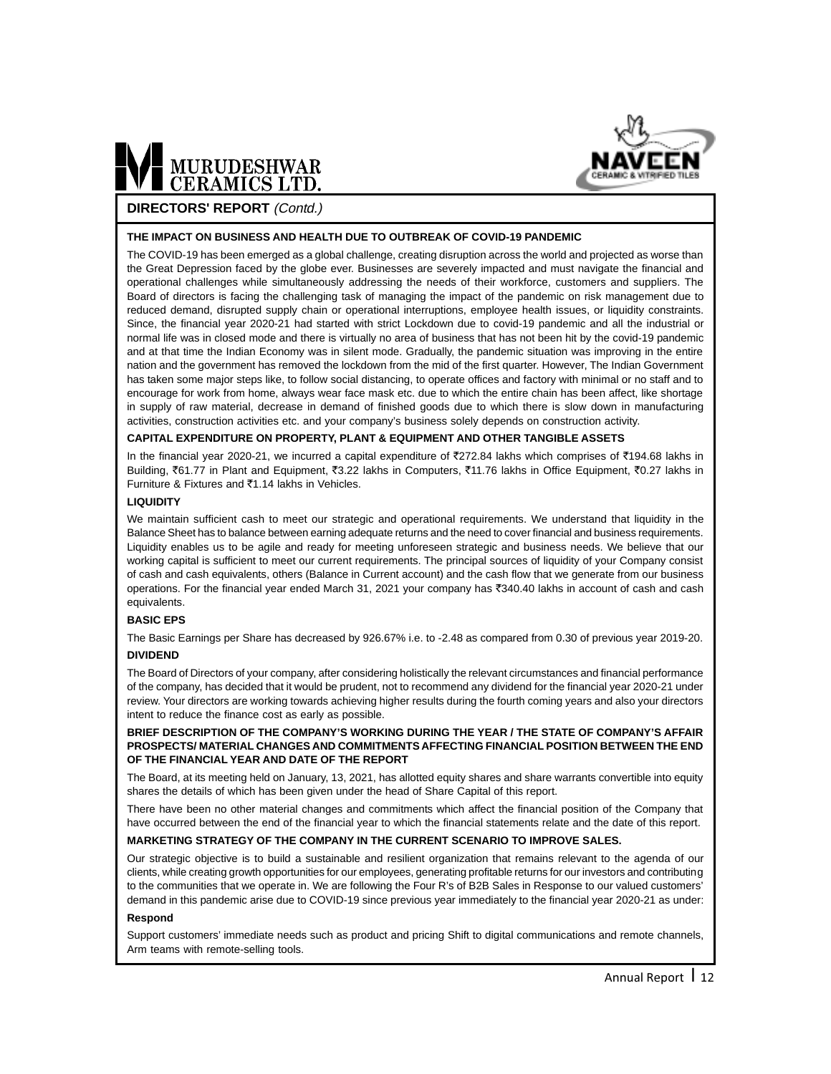

#### **DIRECTORS' REPORT** (Contd.)

#### **THE IMPACT ON BUSINESS AND HEALTH DUE TO OUTBREAK OF COVID-19 PANDEMIC**

The COVID-19 has been emerged as a global challenge, creating disruption across the world and projected as worse than the Great Depression faced by the globe ever. Businesses are severely impacted and must navigate the financial and operational challenges while simultaneously addressing the needs of their workforce, customers and suppliers. The Board of directors is facing the challenging task of managing the impact of the pandemic on risk management due to reduced demand, disrupted supply chain or operational interruptions, employee health issues, or liquidity constraints. Since, the financial year 2020-21 had started with strict Lockdown due to covid-19 pandemic and all the industrial or normal life was in closed mode and there is virtually no area of business that has not been hit by the covid-19 pandemic and at that time the Indian Economy was in silent mode. Gradually, the pandemic situation was improving in the entire nation and the government has removed the lockdown from the mid of the first quarter. However, The Indian Government has taken some major steps like, to follow social distancing, to operate offices and factory with minimal or no staff and to encourage for work from home, always wear face mask etc. due to which the entire chain has been affect, like shortage in supply of raw material, decrease in demand of finished goods due to which there is slow down in manufacturing activities, construction activities etc. and your company's business solely depends on construction activity.

#### **CAPITAL EXPENDITURE ON PROPERTY, PLANT & EQUIPMENT AND OTHER TANGIBLE ASSETS**

In the financial year 2020-21, we incurred a capital expenditure of ₹272.84 lakhs which comprises of ₹194.68 lakhs in Building, ₹61.77 in Plant and Equipment, ₹3.22 lakhs in Computers, ₹11.76 lakhs in Office Equipment, ₹0.27 lakhs in Furniture & Fixtures and  $\bar{c}$ 1.14 lakhs in Vehicles.

#### **LIQUIDITY**

We maintain sufficient cash to meet our strategic and operational requirements. We understand that liquidity in the Balance Sheet has to balance between earning adequate returns and the need to cover financial and business requirements. Liquidity enables us to be agile and ready for meeting unforeseen strategic and business needs. We believe that our working capital is sufficient to meet our current requirements. The principal sources of liquidity of your Company consist of cash and cash equivalents, others (Balance in Current account) and the cash flow that we generate from our business operations. For the financial year ended March 31, 2021 your company has ₹340.40 lakhs in account of cash and cash equivalents.

#### **BASIC EPS**

The Basic Earnings per Share has decreased by 926.67% i.e. to -2.48 as compared from 0.30 of previous year 2019-20. **DIVIDEND**

#### The Board of Directors of your company, after considering holistically the relevant circumstances and financial performance of the company, has decided that it would be prudent, not to recommend any dividend for the financial year 2020-21 under review. Your directors are working towards achieving higher results during the fourth coming years and also your directors intent to reduce the finance cost as early as possible.

#### **BRIEF DESCRIPTION OF THE COMPANY'S WORKING DURING THE YEAR / THE STATE OF COMPANY'S AFFAIR PROSPECTS/ MATERIAL CHANGES AND COMMITMENTS AFFECTING FINANCIAL POSITION BETWEEN THE END OF THE FINANCIAL YEAR AND DATE OF THE REPORT**

The Board, at its meeting held on January, 13, 2021, has allotted equity shares and share warrants convertible into equity shares the details of which has been given under the head of Share Capital of this report.

There have been no other material changes and commitments which affect the financial position of the Company that have occurred between the end of the financial year to which the financial statements relate and the date of this report.

#### **MARKETING STRATEGY OF THE COMPANY IN THE CURRENT SCENARIO TO IMPROVE SALES.**

Our strategic objective is to build a sustainable and resilient organization that remains relevant to the agenda of our clients, while creating growth opportunities for our employees, generating profitable returns for our investors and contributing to the communities that we operate in. We are following the Four R's of B2B Sales in Response to our valued customers' demand in this pandemic arise due to COVID-19 since previous year immediately to the financial year 2020-21 as under:

#### **Respond**

Support customers' immediate needs such as product and pricing Shift to digital communications and remote channels, Arm teams with remote-selling tools.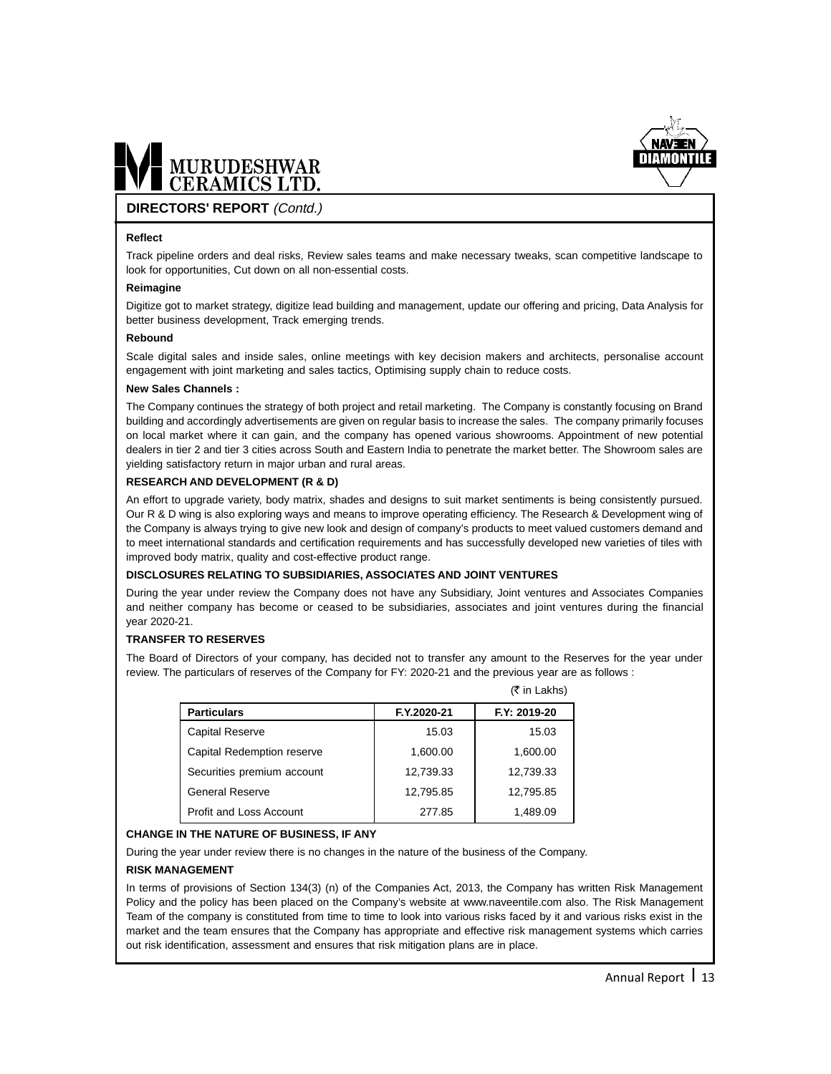

#### **DIRECTORS' REPORT** (Contd.)

#### **Reflect**

Track pipeline orders and deal risks, Review sales teams and make necessary tweaks, scan competitive landscape to look for opportunities, Cut down on all non-essential costs.

#### **Reimagine**

Digitize got to market strategy, digitize lead building and management, update our offering and pricing, Data Analysis for better business development, Track emerging trends.

#### **Rebound**

Scale digital sales and inside sales, online meetings with key decision makers and architects, personalise account engagement with joint marketing and sales tactics, Optimising supply chain to reduce costs.

#### **New Sales Channels :**

The Company continues the strategy of both project and retail marketing. The Company is constantly focusing on Brand building and accordingly advertisements are given on regular basis to increase the sales. The company primarily focuses on local market where it can gain, and the company has opened various showrooms. Appointment of new potential dealers in tier 2 and tier 3 cities across South and Eastern India to penetrate the market better. The Showroom sales are yielding satisfactory return in major urban and rural areas.

#### **RESEARCH AND DEVELOPMENT (R & D)**

An effort to upgrade variety, body matrix, shades and designs to suit market sentiments is being consistently pursued. Our R & D wing is also exploring ways and means to improve operating efficiency. The Research & Development wing of the Company is always trying to give new look and design of company's products to meet valued customers demand and to meet international standards and certification requirements and has successfully developed new varieties of tiles with improved body matrix, quality and cost-effective product range.

#### **DISCLOSURES RELATING TO SUBSIDIARIES, ASSOCIATES AND JOINT VENTURES**

During the year under review the Company does not have any Subsidiary, Joint ventures and Associates Companies and neither company has become or ceased to be subsidiaries, associates and joint ventures during the financial year 2020-21.

#### **TRANSFER TO RESERVES**

The Board of Directors of your company, has decided not to transfer any amount to the Reserves for the year under review. The particulars of reserves of the Company for FY: 2020-21 and the previous year are as follows :

 $(\bar{z}$  in Lakhe)

|                                |             | $(1 111 - 1211113)$ |
|--------------------------------|-------------|---------------------|
| <b>Particulars</b>             | F.Y.2020-21 | F.Y: 2019-20        |
| <b>Capital Reserve</b>         | 15.03       | 15.03               |
| Capital Redemption reserve     | 1,600.00    | 1,600.00            |
| Securities premium account     | 12.739.33   | 12,739.33           |
| <b>General Reserve</b>         | 12,795.85   | 12,795.85           |
| <b>Profit and Loss Account</b> | 277.85      | 1,489.09            |

#### **CHANGE IN THE NATURE OF BUSINESS, IF ANY**

During the year under review there is no changes in the nature of the business of the Company.

#### **RISK MANAGEMENT**

In terms of provisions of Section 134(3) (n) of the Companies Act, 2013, the Company has written Risk Management Policy and the policy has been placed on the Company's website at www.naveentile.com also. The Risk Management Team of the company is constituted from time to time to look into various risks faced by it and various risks exist in the market and the team ensures that the Company has appropriate and effective risk management systems which carries out risk identification, assessment and ensures that risk mitigation plans are in place.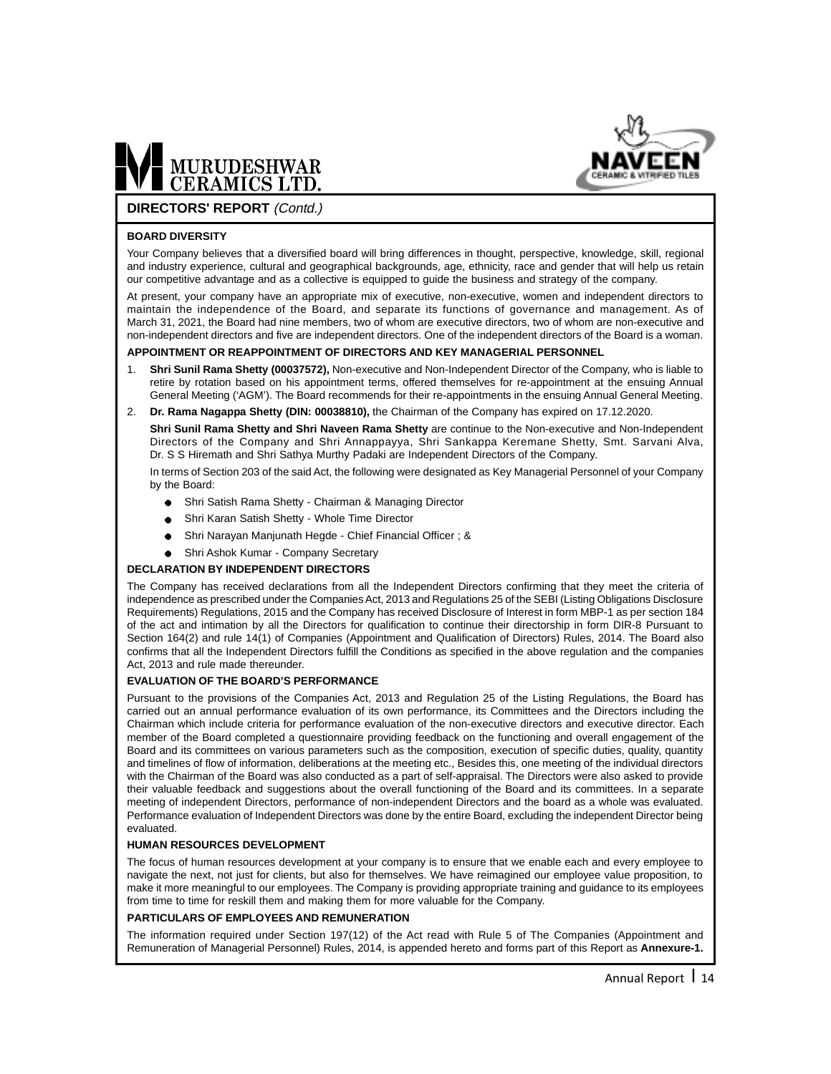



#### **DIRECTORS' REPORT** (Contd.)

#### **BOARD DIVERSITY**

Your Company believes that a diversified board will bring differences in thought, perspective, knowledge, skill, regional and industry experience, cultural and geographical backgrounds, age, ethnicity, race and gender that will help us retain our competitive advantage and as a collective is equipped to guide the business and strategy of the company.

At present, your company have an appropriate mix of executive, non-executive, women and independent directors to maintain the independence of the Board, and separate its functions of governance and management. As of March 31, 2021, the Board had nine members, two of whom are executive directors, two of whom are non-executive and non-independent directors and five are independent directors. One of the independent directors of the Board is a woman.

#### **APPOINTMENT OR REAPPOINTMENT OF DIRECTORS AND KEY MANAGERIAL PERSONNEL**

- 1. **Shri Sunil Rama Shetty (00037572),** Non-executive and Non-Independent Director of the Company, who is liable to retire by rotation based on his appointment terms, offered themselves for re-appointment at the ensuing Annual General Meeting ('AGM'). The Board recommends for their re-appointments in the ensuing Annual General Meeting.
- 2. **Dr. Rama Nagappa Shetty (DIN: 00038810),** the Chairman of the Company has expired on 17.12.2020.

**Shri Sunil Rama Shetty and Shri Naveen Rama Shetty** are continue to the Non-executive and Non-Independent Directors of the Company and Shri Annappayya, Shri Sankappa Keremane Shetty, Smt. Sarvani Alva, Dr. S S Hiremath and Shri Sathya Murthy Padaki are Independent Directors of the Company.

In terms of Section 203 of the said Act, the following were designated as Key Managerial Personnel of your Company by the Board:

- Shri Satish Rama Shetty Chairman & Managing Director  $\bullet$
- Shri Karan Satish Shetty Whole Time Director
- Shri Narayan Manjunath Hegde Chief Financial Officer ; &
- Shri Ashok Kumar Company Secretary  $\bullet$

#### **DECLARATION BY INDEPENDENT DIRECTORS**

The Company has received declarations from all the Independent Directors confirming that they meet the criteria of independence as prescribed under the Companies Act, 2013 and Regulations 25 of the SEBI (Listing Obligations Disclosure Requirements) Regulations, 2015 and the Company has received Disclosure of Interest in form MBP-1 as per section 184 of the act and intimation by all the Directors for qualification to continue their directorship in form DIR-8 Pursuant to Section 164(2) and rule 14(1) of Companies (Appointment and Qualification of Directors) Rules, 2014. The Board also confirms that all the Independent Directors fulfill the Conditions as specified in the above regulation and the companies Act, 2013 and rule made thereunder.

#### **EVALUATION OF THE BOARD'S PERFORMANCE**

Pursuant to the provisions of the Companies Act, 2013 and Regulation 25 of the Listing Regulations, the Board has carried out an annual performance evaluation of its own performance, its Committees and the Directors including the Chairman which include criteria for performance evaluation of the non-executive directors and executive director. Each member of the Board completed a questionnaire providing feedback on the functioning and overall engagement of the Board and its committees on various parameters such as the composition, execution of specific duties, quality, quantity and timelines of flow of information, deliberations at the meeting etc., Besides this, one meeting of the individual directors with the Chairman of the Board was also conducted as a part of self-appraisal. The Directors were also asked to provide their valuable feedback and suggestions about the overall functioning of the Board and its committees. In a separate meeting of independent Directors, performance of non-independent Directors and the board as a whole was evaluated. Performance evaluation of Independent Directors was done by the entire Board, excluding the independent Director being evaluated.

#### **HUMAN RESOURCES DEVELOPMENT**

The focus of human resources development at your company is to ensure that we enable each and every employee to navigate the next, not just for clients, but also for themselves. We have reimagined our employee value proposition, to make it more meaningful to our employees. The Company is providing appropriate training and guidance to its employees from time to time for reskill them and making them for more valuable for the Company.

#### **PARTICULARS OF EMPLOYEES AND REMUNERATION**

The information required under Section 197(12) of the Act read with Rule 5 of The Companies (Appointment and Remuneration of Managerial Personnel) Rules, 2014, is appended hereto and forms part of this Report as **Annexure-1.**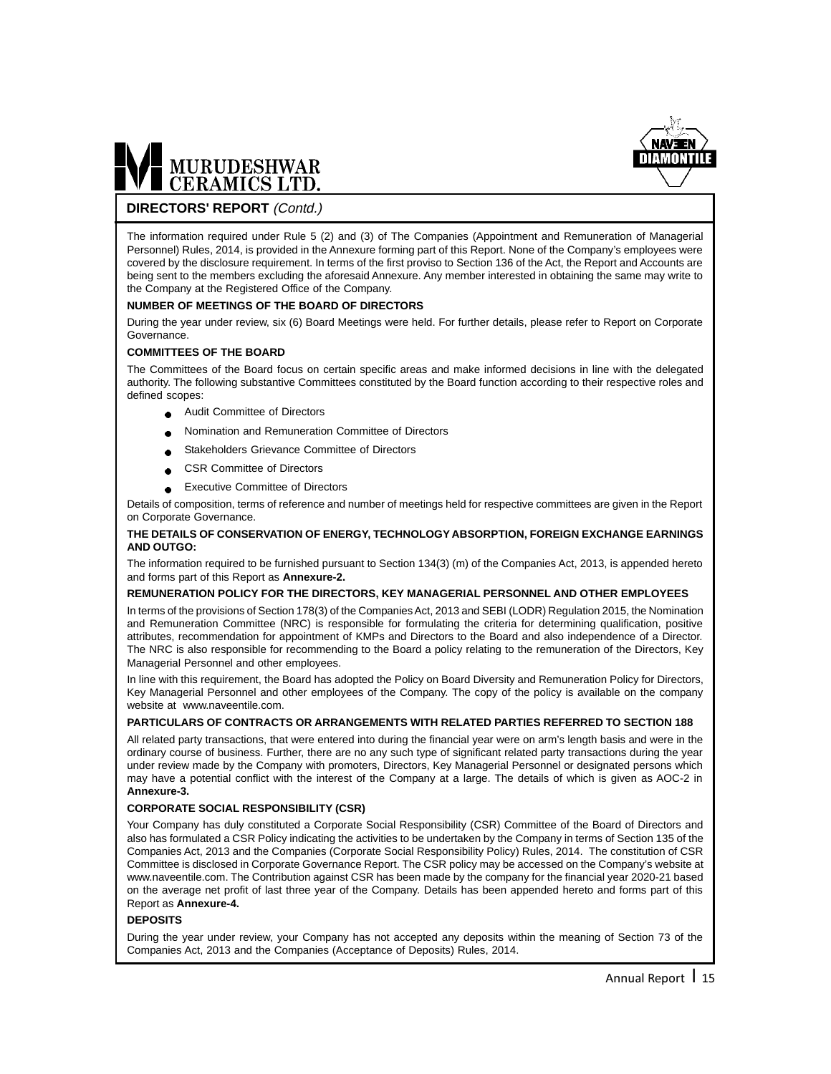

#### **DIRECTORS' REPORT** (Contd.)

The information required under Rule 5 (2) and (3) of The Companies (Appointment and Remuneration of Managerial Personnel) Rules, 2014, is provided in the Annexure forming part of this Report. None of the Company's employees were covered by the disclosure requirement. In terms of the first proviso to Section 136 of the Act, the Report and Accounts are being sent to the members excluding the aforesaid Annexure. Any member interested in obtaining the same may write to the Company at the Registered Office of the Company.

#### **NUMBER OF MEETINGS OF THE BOARD OF DIRECTORS**

During the year under review, six (6) Board Meetings were held. For further details, please refer to Report on Corporate Governance.

#### **COMMITTEES OF THE BOARD**

The Committees of the Board focus on certain specific areas and make informed decisions in line with the delegated authority. The following substantive Committees constituted by the Board function according to their respective roles and defined scopes:

- Audit Committee of Directors  $\bullet$
- Nomination and Remuneration Committee of Directors
- Stakeholders Grievance Committee of Directors
- CSR Committee of Directors  $\bullet$
- Executive Committee of Directors

Details of composition, terms of reference and number of meetings held for respective committees are given in the Report on Corporate Governance.

#### **THE DETAILS OF CONSERVATION OF ENERGY, TECHNOLOGY ABSORPTION, FOREIGN EXCHANGE EARNINGS AND OUTGO:**

The information required to be furnished pursuant to Section 134(3) (m) of the Companies Act, 2013, is appended hereto and forms part of this Report as **Annexure-2.**

#### **REMUNERATION POLICY FOR THE DIRECTORS, KEY MANAGERIAL PERSONNEL AND OTHER EMPLOYEES**

In terms of the provisions of Section 178(3) of the Companies Act, 2013 and SEBI (LODR) Regulation 2015, the Nomination and Remuneration Committee (NRC) is responsible for formulating the criteria for determining qualification, positive attributes, recommendation for appointment of KMPs and Directors to the Board and also independence of a Director. The NRC is also responsible for recommending to the Board a policy relating to the remuneration of the Directors, Key Managerial Personnel and other employees.

In line with this requirement, the Board has adopted the Policy on Board Diversity and Remuneration Policy for Directors, Key Managerial Personnel and other employees of the Company. The copy of the policy is available on the company website at www.naveentile.com.

#### **PARTICULARS OF CONTRACTS OR ARRANGEMENTS WITH RELATED PARTIES REFERRED TO SECTION 188**

All related party transactions, that were entered into during the financial year were on arm's length basis and were in the ordinary course of business. Further, there are no any such type of significant related party transactions during the year under review made by the Company with promoters, Directors, Key Managerial Personnel or designated persons which may have a potential conflict with the interest of the Company at a large. The details of which is given as AOC-2 in **Annexure-3.**

#### **CORPORATE SOCIAL RESPONSIBILITY (CSR)**

Your Company has duly constituted a Corporate Social Responsibility (CSR) Committee of the Board of Directors and also has formulated a CSR Policy indicating the activities to be undertaken by the Company in terms of Section 135 of the Companies Act, 2013 and the Companies (Corporate Social Responsibility Policy) Rules, 2014. The constitution of CSR Committee is disclosed in Corporate Governance Report. The CSR policy may be accessed on the Company's website at www.naveentile.com. The Contribution against CSR has been made by the company for the financial year 2020-21 based on the average net profit of last three year of the Company. Details has been appended hereto and forms part of this Report as **Annexure-4.**

#### **DEPOSITS**

During the year under review, your Company has not accepted any deposits within the meaning of Section 73 of the Companies Act, 2013 and the Companies (Acceptance of Deposits) Rules, 2014.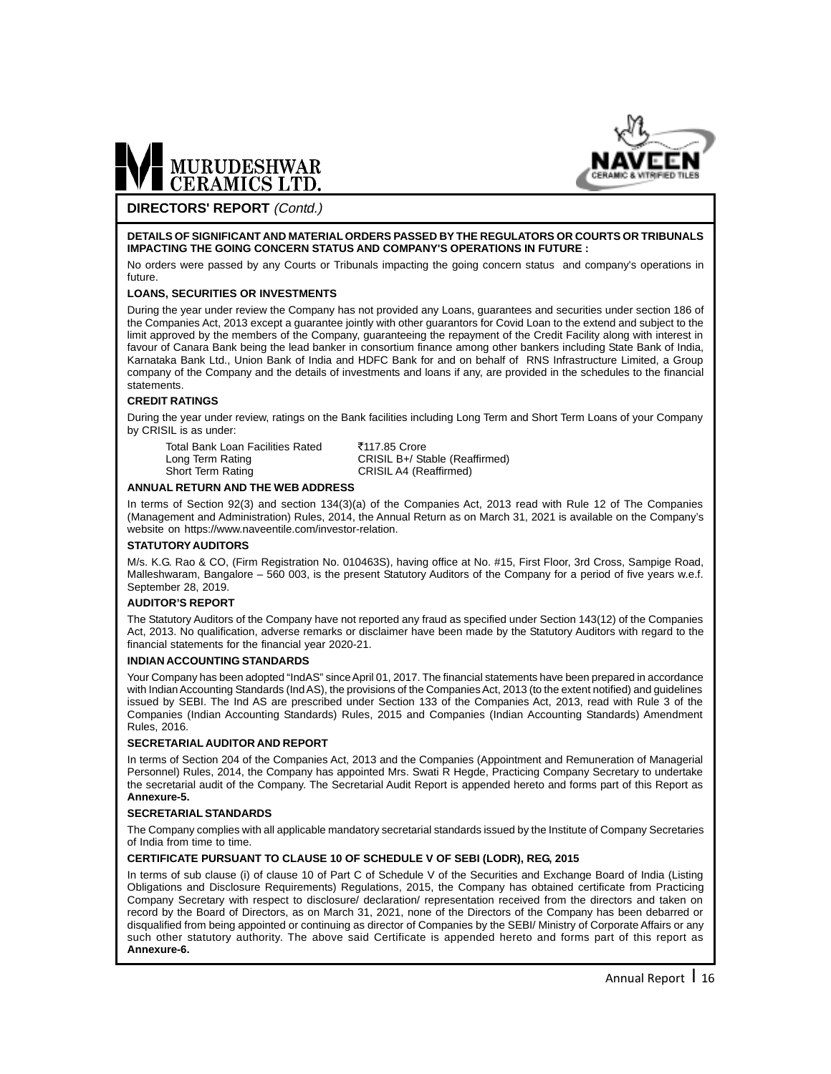



#### **DIRECTORS' REPORT** (Contd.)

#### **DETAILS OF SIGNIFICANT AND MATERIAL ORDERS PASSED BY THE REGULATORS OR COURTS OR TRIBUNALS IMPACTING THE GOING CONCERN STATUS AND COMPANY'S OPERATIONS IN FUTURE :**

No orders were passed by any Courts or Tribunals impacting the going concern status and company's operations in future.

#### **LOANS, SECURITIES OR INVESTMENTS**

During the year under review the Company has not provided any Loans, guarantees and securities under section 186 of the Companies Act, 2013 except a guarantee jointly with other guarantors for Covid Loan to the extend and subject to the limit approved by the members of the Company, guaranteeing the repayment of the Credit Facility along with interest in favour of Canara Bank being the lead banker in consortium finance among other bankers including State Bank of India, Karnataka Bank Ltd., Union Bank of India and HDFC Bank for and on behalf of RNS Infrastructure Limited, a Group company of the Company and the details of investments and loans if any, are provided in the schedules to the financial statements.

#### **CREDIT RATINGS**

During the year under review, ratings on the Bank facilities including Long Term and Short Term Loans of your Company by CRISIL is as under:

Total Bank Loan Facilities Rated ₹117.85 Crore<br>Long Term Rating CRISIL B+/ Sta Short Term Rating CRISIL A4 (Reaffirmed)

CRISIL B+/ Stable (Reaffirmed)

#### **ANNUAL RETURN AND THE WEB ADDRESS**

In terms of Section 92(3) and section 134(3)(a) of the Companies Act, 2013 read with Rule 12 of The Companies (Management and Administration) Rules, 2014, the Annual Return as on March 31, 2021 is available on the Company's website on https://www.naveentile.com/investor-relation.

#### **STATUTORY AUDITORS**

M/s. K.G. Rao & CO, (Firm Registration No. 010463S), having office at No. #15, First Floor, 3rd Cross, Sampige Road, Malleshwaram, Bangalore – 560 003, is the present Statutory Auditors of the Company for a period of five years w.e.f. September 28, 2019.

#### **AUDITOR'S REPORT**

The Statutory Auditors of the Company have not reported any fraud as specified under Section 143(12) of the Companies Act, 2013. No qualification, adverse remarks or disclaimer have been made by the Statutory Auditors with regard to the financial statements for the financial year 2020-21.

#### **INDIAN ACCOUNTING STANDARDS**

Your Company has been adopted "IndAS" since April 01, 2017. The financial statements have been prepared in accordance with Indian Accounting Standards (Ind AS), the provisions of the Companies Act, 2013 (to the extent notified) and guidelines issued by SEBI. The Ind AS are prescribed under Section 133 of the Companies Act, 2013, read with Rule 3 of the Companies (Indian Accounting Standards) Rules, 2015 and Companies (Indian Accounting Standards) Amendment Rules, 2016.

#### **SECRETARIAL AUDITOR AND REPORT**

In terms of Section 204 of the Companies Act, 2013 and the Companies (Appointment and Remuneration of Managerial Personnel) Rules, 2014, the Company has appointed Mrs. Swati R Hegde, Practicing Company Secretary to undertake the secretarial audit of the Company. The Secretarial Audit Report is appended hereto and forms part of this Report as **Annexure-5.**

#### **SECRETARIAL STANDARDS**

The Company complies with all applicable mandatory secretarial standards issued by the Institute of Company Secretaries of India from time to time.

#### **CERTIFICATE PURSUANT TO CLAUSE 10 OF SCHEDULE V OF SEBI (LODR), REG, 2015**

In terms of sub clause (i) of clause 10 of Part C of Schedule V of the Securities and Exchange Board of India (Listing Obligations and Disclosure Requirements) Regulations, 2015, the Company has obtained certificate from Practicing Company Secretary with respect to disclosure/ declaration/ representation received from the directors and taken on record by the Board of Directors, as on March 31, 2021, none of the Directors of the Company has been debarred or disqualified from being appointed or continuing as director of Companies by the SEBI/ Ministry of Corporate Affairs or any such other statutory authority. The above said Certificate is appended hereto and forms part of this report as **Annexure-6.**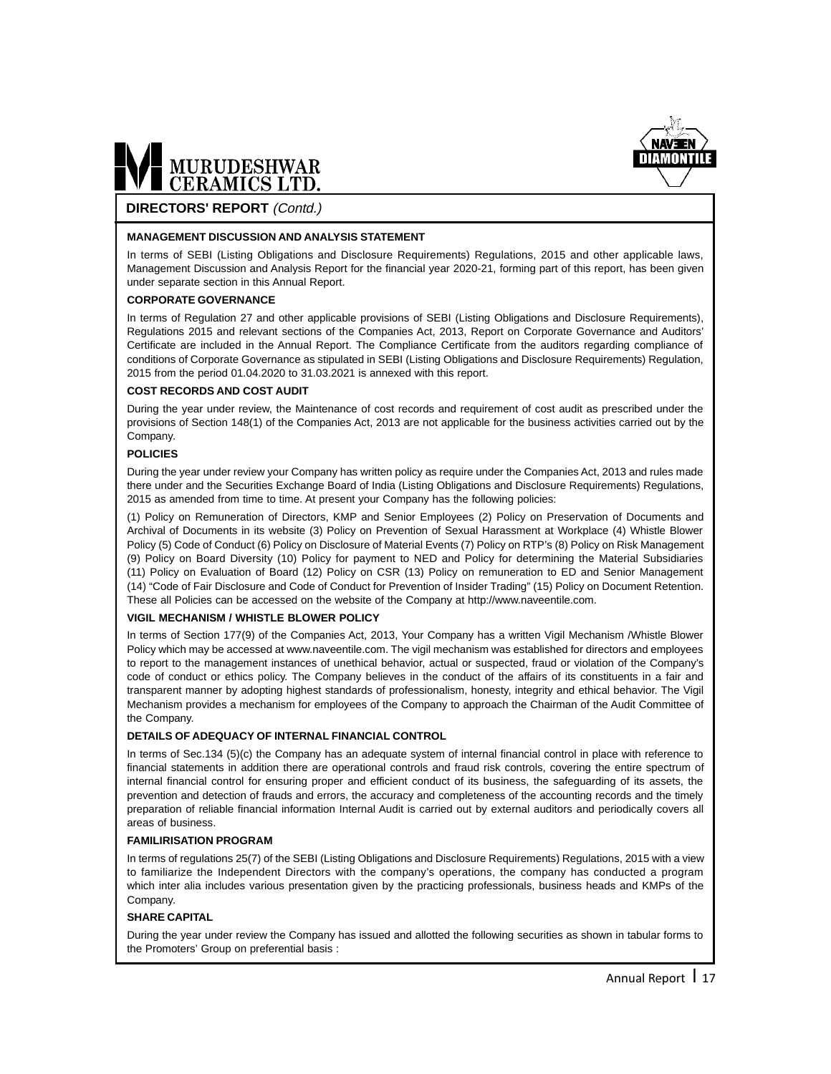

#### **DIRECTORS' REPORT** (Contd.)

#### **MANAGEMENT DISCUSSION AND ANALYSIS STATEMENT**

In terms of SEBI (Listing Obligations and Disclosure Requirements) Regulations, 2015 and other applicable laws, Management Discussion and Analysis Report for the financial year 2020-21, forming part of this report, has been given under separate section in this Annual Report.

#### **CORPORATE GOVERNANCE**

In terms of Regulation 27 and other applicable provisions of SEBI (Listing Obligations and Disclosure Requirements), Regulations 2015 and relevant sections of the Companies Act, 2013, Report on Corporate Governance and Auditors' Certificate are included in the Annual Report. The Compliance Certificate from the auditors regarding compliance of conditions of Corporate Governance as stipulated in SEBI (Listing Obligations and Disclosure Requirements) Regulation, 2015 from the period 01.04.2020 to 31.03.2021 is annexed with this report.

#### **COST RECORDS AND COST AUDIT**

During the year under review, the Maintenance of cost records and requirement of cost audit as prescribed under the provisions of Section 148(1) of the Companies Act, 2013 are not applicable for the business activities carried out by the Company.

#### **POLICIES**

During the year under review your Company has written policy as require under the Companies Act, 2013 and rules made there under and the Securities Exchange Board of India (Listing Obligations and Disclosure Requirements) Regulations, 2015 as amended from time to time. At present your Company has the following policies:

(1) Policy on Remuneration of Directors, KMP and Senior Employees (2) Policy on Preservation of Documents and Archival of Documents in its website (3) Policy on Prevention of Sexual Harassment at Workplace (4) Whistle Blower Policy (5) Code of Conduct (6) Policy on Disclosure of Material Events (7) Policy on RTP's (8) Policy on Risk Management (9) Policy on Board Diversity (10) Policy for payment to NED and Policy for determining the Material Subsidiaries (11) Policy on Evaluation of Board (12) Policy on CSR (13) Policy on remuneration to ED and Senior Management (14) "Code of Fair Disclosure and Code of Conduct for Prevention of Insider Trading" (15) Policy on Document Retention. These all Policies can be accessed on the website of the Company at http://www.naveentile.com.

#### **VIGIL MECHANISM / WHISTLE BLOWER POLICY**

In terms of Section 177(9) of the Companies Act, 2013, Your Company has a written Vigil Mechanism /Whistle Blower Policy which may be accessed at www.naveentile.com. The vigil mechanism was established for directors and employees to report to the management instances of unethical behavior, actual or suspected, fraud or violation of the Company's code of conduct or ethics policy. The Company believes in the conduct of the affairs of its constituents in a fair and transparent manner by adopting highest standards of professionalism, honesty, integrity and ethical behavior. The Vigil Mechanism provides a mechanism for employees of the Company to approach the Chairman of the Audit Committee of the Company.

#### **DETAILS OF ADEQUACY OF INTERNAL FINANCIAL CONTROL**

In terms of Sec.134 (5)(c) the Company has an adequate system of internal financial control in place with reference to financial statements in addition there are operational controls and fraud risk controls, covering the entire spectrum of internal financial control for ensuring proper and efficient conduct of its business, the safeguarding of its assets, the prevention and detection of frauds and errors, the accuracy and completeness of the accounting records and the timely preparation of reliable financial information Internal Audit is carried out by external auditors and periodically covers all areas of business.

#### **FAMILIRISATION PROGRAM**

In terms of regulations 25(7) of the SEBI (Listing Obligations and Disclosure Requirements) Regulations, 2015 with a view to familiarize the Independent Directors with the company's operations, the company has conducted a program which inter alia includes various presentation given by the practicing professionals, business heads and KMPs of the Company.

#### **SHARE CAPITAL**

During the year under review the Company has issued and allotted the following securities as shown in tabular forms to the Promoters' Group on preferential basis :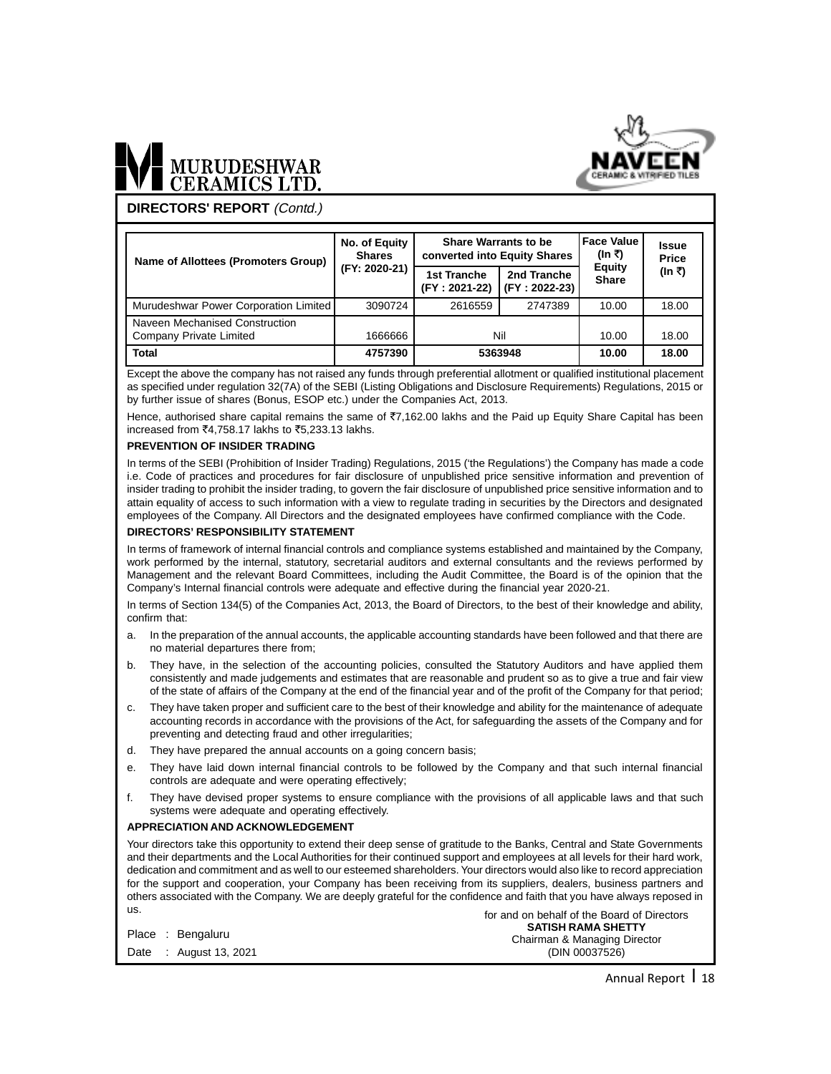

# MURUDESHWAR

**DIRECTORS' REPORT** (Contd.)

| Name of Allottees (Promoters Group)                       | No. of Equity<br><b>Shares</b> | <b>Share Warrants to be</b><br>converted into Equity Shares |                              | <b>Face Value</b><br>(In ₹)   | <b>Issue</b><br>Price |
|-----------------------------------------------------------|--------------------------------|-------------------------------------------------------------|------------------------------|-------------------------------|-----------------------|
|                                                           | (FY: 2020-21)                  | 1st Tranche<br>(FY: 2021-22)                                | 2nd Tranche<br>(FY: 2022-23) | <b>Equity</b><br><b>Share</b> | (In ₹)                |
| Murudeshwar Power Corporation Limited                     | 3090724                        | 2616559                                                     | 2747389                      | 10.00                         | 18.00                 |
| Naveen Mechanised Construction<br>Company Private Limited | 1666666                        | Nil                                                         |                              | 10.00                         | 18.00                 |
| <b>Total</b>                                              | 4757390                        | 5363948                                                     |                              | 10.00                         | 18.00                 |

Except the above the company has not raised any funds through preferential allotment or qualified institutional placement as specified under regulation 32(7A) of the SEBI (Listing Obligations and Disclosure Requirements) Regulations, 2015 or by further issue of shares (Bonus, ESOP etc.) under the Companies Act, 2013.

Hence, authorised share capital remains the same of ₹7,162.00 lakhs and the Paid up Equity Share Capital has been increased from ₹4.758.17 lakhs to ₹5.233.13 lakhs.

#### **PREVENTION OF INSIDER TRADING**

In terms of the SEBI (Prohibition of Insider Trading) Regulations, 2015 ('the Regulations') the Company has made a code i.e. Code of practices and procedures for fair disclosure of unpublished price sensitive information and prevention of insider trading to prohibit the insider trading, to govern the fair disclosure of unpublished price sensitive information and to attain equality of access to such information with a view to regulate trading in securities by the Directors and designated employees of the Company. All Directors and the designated employees have confirmed compliance with the Code.

#### **DIRECTORS' RESPONSIBILITY STATEMENT**

In terms of framework of internal financial controls and compliance systems established and maintained by the Company, work performed by the internal, statutory, secretarial auditors and external consultants and the reviews performed by Management and the relevant Board Committees, including the Audit Committee, the Board is of the opinion that the Company's Internal financial controls were adequate and effective during the financial year 2020-21.

In terms of Section 134(5) of the Companies Act, 2013, the Board of Directors, to the best of their knowledge and ability, confirm that:

- a. In the preparation of the annual accounts, the applicable accounting standards have been followed and that there are no material departures there from;
- b. They have, in the selection of the accounting policies, consulted the Statutory Auditors and have applied them consistently and made judgements and estimates that are reasonable and prudent so as to give a true and fair view of the state of affairs of the Company at the end of the financial year and of the profit of the Company for that period;
- c. They have taken proper and sufficient care to the best of their knowledge and ability for the maintenance of adequate accounting records in accordance with the provisions of the Act, for safeguarding the assets of the Company and for preventing and detecting fraud and other irregularities;
- d. They have prepared the annual accounts on a going concern basis;
- e. They have laid down internal financial controls to be followed by the Company and that such internal financial controls are adequate and were operating effectively;
- f. They have devised proper systems to ensure compliance with the provisions of all applicable laws and that such systems were adequate and operating effectively.

#### **APPRECIATION AND ACKNOWLEDGEMENT**

for and on behalf of the Board of Directors Your directors take this opportunity to extend their deep sense of gratitude to the Banks, Central and State Governments and their departments and the Local Authorities for their continued support and employees at all levels for their hard work, dedication and commitment and as well to our esteemed shareholders. Your directors would also like to record appreciation for the support and cooperation, your Company has been receiving from its suppliers, dealers, business partners and others associated with the Company. We are deeply grateful for the confidence and faith that you have always reposed in us.

|  | Place: Bengaluru       | <b>SATISH RAMA SHETTY</b><br>Chairman & Managing Director |
|--|------------------------|-----------------------------------------------------------|
|  | Date : August 13, 2021 | (DIN 00037526)                                            |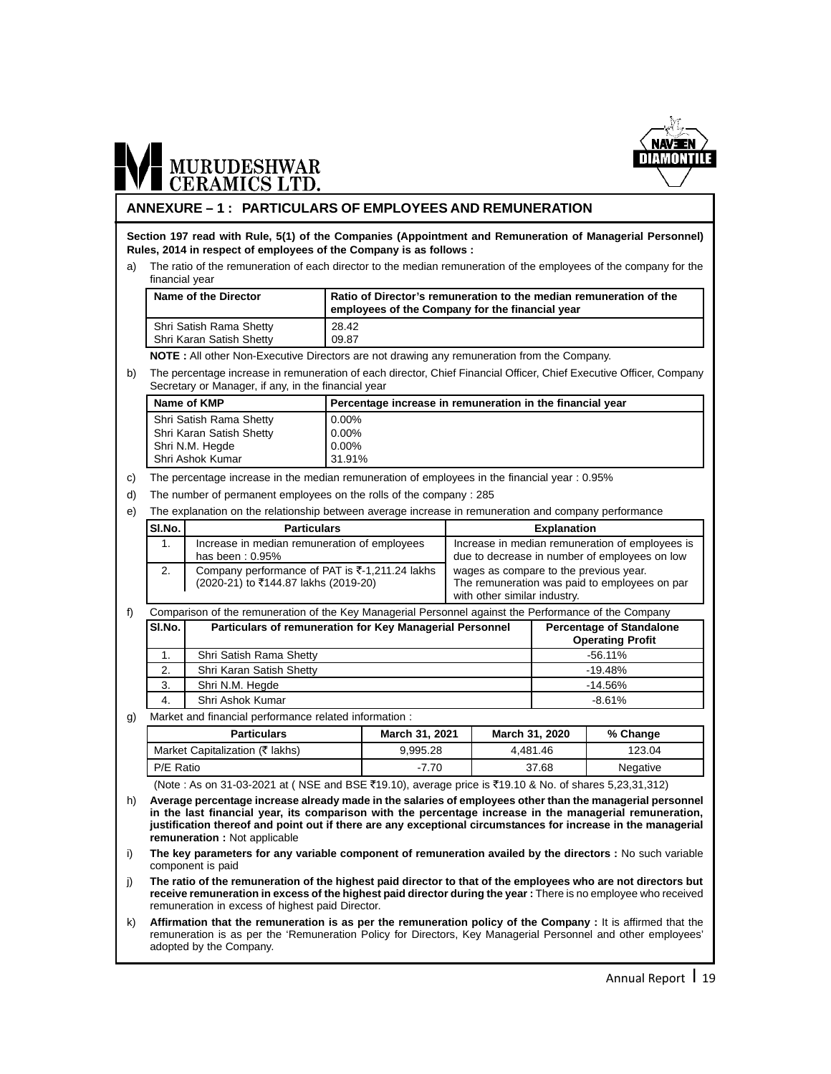

#### **ANNEXURE – 1 : PARTICULARS OF EMPLOYEES AND REMUNERATION**

**Section 197 read with Rule, 5(1) of the Companies (Appointment and Remuneration of Managerial Personnel) Rules, 2014 in respect of employees of the Company is as follows :**

a) The ratio of the remuneration of each director to the median remuneration of the employees of the company for the financial year

| Name of the Director     | I Ratio of Director's remuneration to the median remuneration of the<br>employees of the Company for the financial year |
|--------------------------|-------------------------------------------------------------------------------------------------------------------------|
| Shri Satish Rama Shetty  | 28.42                                                                                                                   |
| Shri Karan Satish Shetty | 09.87                                                                                                                   |

**NOTE :** All other Non-Executive Directors are not drawing any remuneration from the Company.

b) The percentage increase in remuneration of each director, Chief Financial Officer, Chief Executive Officer, Company Secretary or Manager, if any, in the financial year

| Name of KMP              | Percentage increase in remuneration in the financial year |
|--------------------------|-----------------------------------------------------------|
| Shri Satish Rama Shetty  | $0.00\%$                                                  |
| Shri Karan Satish Shetty | 0.00%                                                     |
| Shri N.M. Hegde          | 0.00%                                                     |
| I Shri Ashok Kumar       | 31.91%                                                    |

c) The percentage increase in the median remuneration of employees in the financial year : 0.95%

d) The number of permanent employees on the rolls of the company : 285

e) The explanation on the relationship between average increase in remuneration and company performance

| SI.No.         | <b>Particulars</b>                                                                                   | <b>Explanation</b>                                                                                                      |  |
|----------------|------------------------------------------------------------------------------------------------------|-------------------------------------------------------------------------------------------------------------------------|--|
| $\mathbf{1}$ . | Increase in median remuneration of employees<br>has been: $0.95%$                                    | Increase in median remuneration of employees is<br>due to decrease in number of employees on low                        |  |
| 2.             | Company performance of PAT is $\overline{5}$ -1,211.24 lakhs<br>(2020-21) to ₹144.87 lakhs (2019-20) | wages as compare to the previous year.<br>The remuneration was paid to employees on par<br>with other similar industry. |  |

|          | Comparison of the remuneration of the Key Managerial Personnel against the Performance of the Company |                                                            |  |  |
|----------|-------------------------------------------------------------------------------------------------------|------------------------------------------------------------|--|--|
| SI.No. l | Particulars of remuneration for Key Managerial Personnel                                              | <b>Percentage of Standalone</b><br><b>Operating Profit</b> |  |  |
| 1.       | Shri Satish Rama Shetty                                                                               | $-56.11\%$                                                 |  |  |
| 2.       | Shri Karan Satish Shetty                                                                              | $-19.48%$                                                  |  |  |
| 3.       | Shri N.M. Hegde                                                                                       | $-14.56%$                                                  |  |  |
| 4.       | Shri Ashok Kumar                                                                                      | $-8.61%$                                                   |  |  |

g) Market and financial performance related information :

| <b>Particulars</b>                                                                                     | March 31, 2021 | March 31, 2020 | % Change |  |
|--------------------------------------------------------------------------------------------------------|----------------|----------------|----------|--|
| Market Capitalization (₹ lakhs)                                                                        | 9.995.28       | 4.481.46       | 123.04   |  |
| I P/E Ratio                                                                                            | $-7.70$        | 37.68          | Negative |  |
| (Note : As on 31-03-2021 at (NSE and BSE ₹19.10), average price is ₹19.10 & No. of shares 5,23,31,312) |                |                |          |  |

h) **Average percentage increase already made in the salaries of employees other than the managerial personnel in the last financial year, its comparison with the percentage increase in the managerial remuneration,**

**justification thereof and point out if there are any exceptional circumstances for increase in the managerial remuneration :** Not applicable i) **The key parameters for any variable component of remuneration availed by the directors :** No such variable

component is paid j) **The ratio of the remuneration of the highest paid director to that of the employees who are not directors but**

**receive remuneration in excess of the highest paid director during the year :** There is no employee who received remuneration in excess of highest paid Director.

k) Affirmation that the remuneration is as per the remuneration policy of the Company : It is affirmed that the remuneration is as per the 'Remuneration Policy for Directors, Key Managerial Personnel and other employees' adopted by the Company.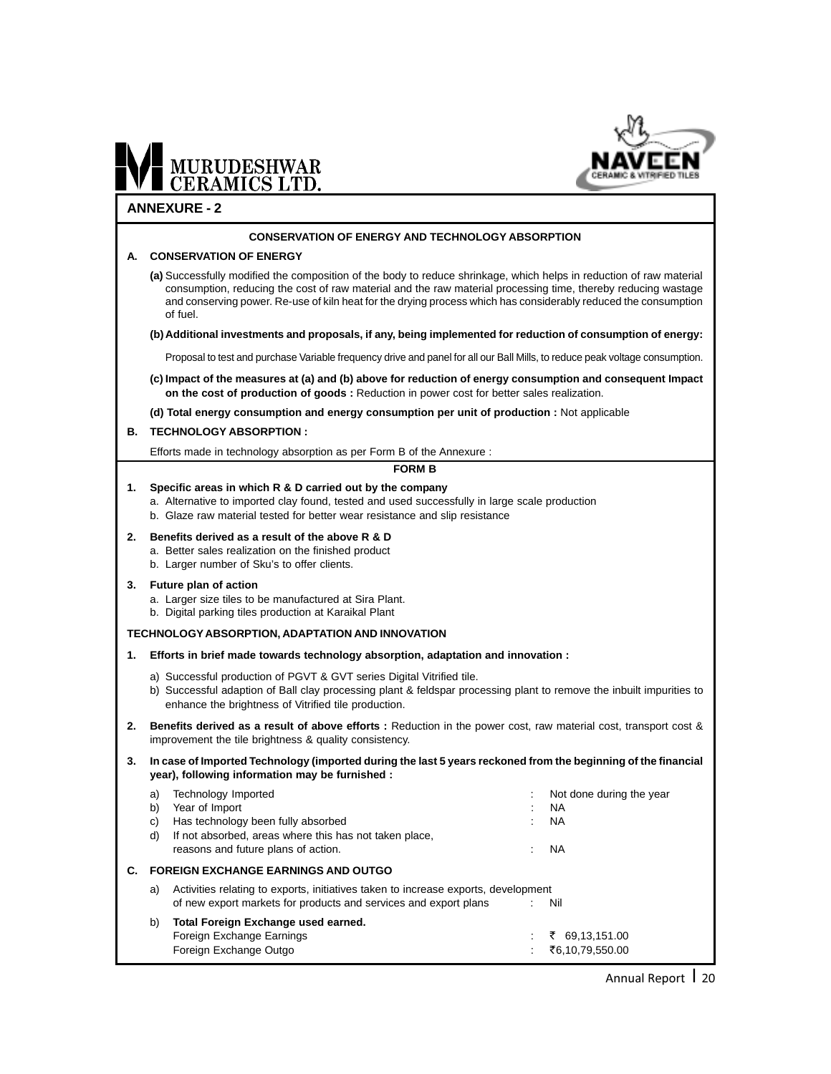

#### **ANNEXURE - 2**

#### **CONSERVATION OF ENERGY AND TECHNOLOGY ABSORPTION**

#### **A. CONSERVATION OF ENERGY**

**(a)** Successfully modified the composition of the body to reduce shrinkage, which helps in reduction of raw material consumption, reducing the cost of raw material and the raw material processing time, thereby reducing wastage and conserving power. Re-use of kiln heat for the drying process which has considerably reduced the consumption of fuel.

#### **(b) Additional investments and proposals, if any, being implemented for reduction of consumption of energy:**

Proposal to test and purchase Variable frequency drive and panel for all our Ball Mills, to reduce peak voltage consumption.

**(c) Impact of the measures at (a) and (b) above for reduction of energy consumption and consequent Impact on the cost of production of goods :** Reduction in power cost for better sales realization.

**(d) Total energy consumption and energy consumption per unit of production :** Not applicable

#### **B. TECHNOLOGY ABSORPTION :**

Efforts made in technology absorption as per Form B of the Annexure :

#### **FORM B**

- **1. Specific areas in which R & D carried out by the company** a. Alternative to imported clay found, tested and used successfully in large scale production
	- b. Glaze raw material tested for better wear resistance and slip resistance
- **2. Benefits derived as a result of the above R & D**
	- a. Better sales realization on the finished product
	- b. Larger number of Sku's to offer clients.

#### **3. Future plan of action**

- a. Larger size tiles to be manufactured at Sira Plant.
- b. Digital parking tiles production at Karaikal Plant

#### **TECHNOLOGY ABSORPTION, ADAPTATION AND INNOVATION**

- **1. Efforts in brief made towards technology absorption, adaptation and innovation :**
	- a) Successful production of PGVT & GVT series Digital Vitrified tile.
	- b) Successful adaption of Ball clay processing plant & feldspar processing plant to remove the inbuilt impurities to enhance the brightness of Vitrified tile production.
- **2. Benefits derived as a result of above efforts :** Reduction in the power cost, raw material cost, transport cost & improvement the tile brightness & quality consistency.
- **3. In case of Imported Technology (imported during the last 5 years reckoned from the beginning of the financial year), following information may be furnished :**

|                                                                                          | a)                                         | Technology Imported                                              |  | Not done during the year |
|------------------------------------------------------------------------------------------|--------------------------------------------|------------------------------------------------------------------|--|--------------------------|
|                                                                                          | b)                                         | Year of Import                                                   |  | <b>NA</b>                |
|                                                                                          | C)                                         | Has technology been fully absorbed                               |  | - NA                     |
|                                                                                          | d)                                         | If not absorbed, areas where this has not taken place,           |  |                          |
|                                                                                          |                                            | reasons and future plans of action.                              |  | <b>NA</b>                |
| С.                                                                                       | <b>FOREIGN EXCHANGE EARNINGS AND OUTGO</b> |                                                                  |  |                          |
| Activities relating to exports, initiatives taken to increase exports, development<br>a) |                                            |                                                                  |  |                          |
|                                                                                          |                                            | of new export markets for products and services and export plans |  | – Nil                    |
|                                                                                          | b)                                         | Total Foreign Exchange used earned.                              |  |                          |
|                                                                                          |                                            | Foreign Exchange Earnings                                        |  | ₹ 69,13,151.00           |
|                                                                                          |                                            | Foreign Exchange Outgo                                           |  | ₹6,10,79,550.00          |
|                                                                                          |                                            |                                                                  |  |                          |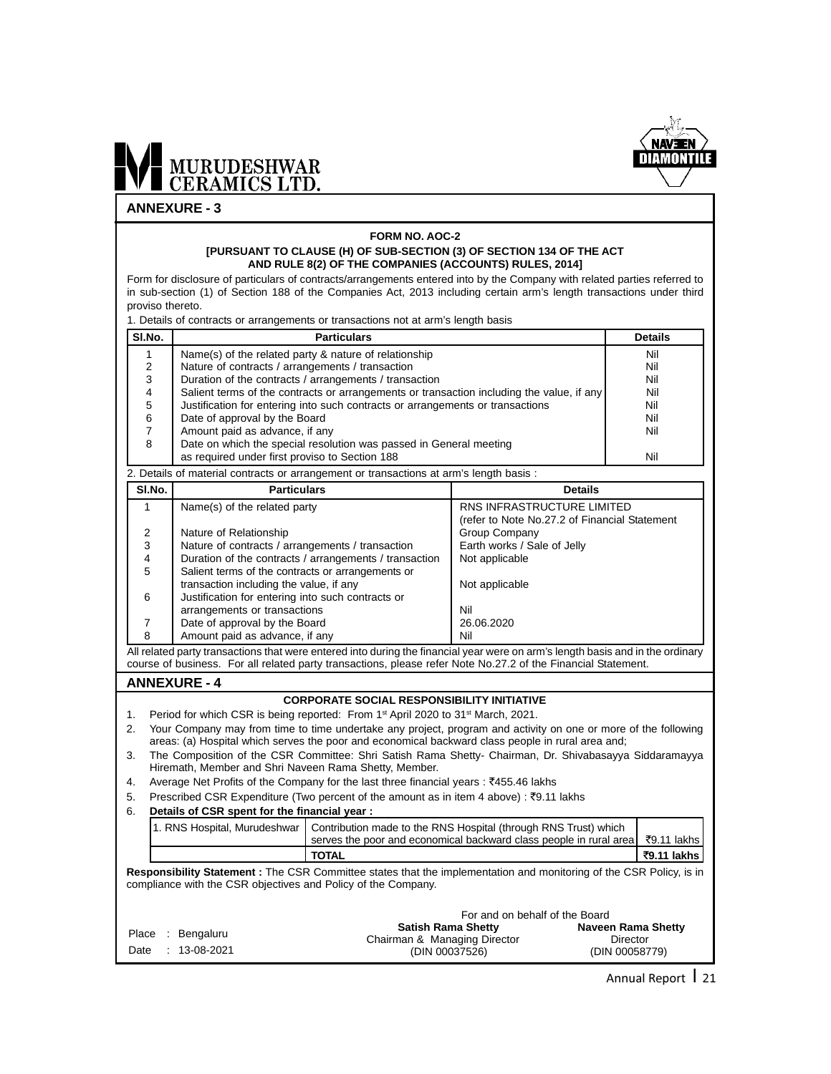

#### **ANNEXURE - 3**

#### **FORM NO. AOC-2 [PURSUANT TO CLAUSE (H) OF SUB-SECTION (3) OF SECTION 134 OF THE ACT AND RULE 8(2) OF THE COMPANIES (ACCOUNTS) RULES, 2014]**

Form for disclosure of particulars of contracts/arrangements entered into by the Company with related parties referred to in sub-section (1) of Section 188 of the Companies Act, 2013 including certain arm's length transactions under third proviso thereto.

1. Details of contracts or arrangements or transactions not at arm's length basis

| SI.No. | <b>Particulars</b>                                                                        | <b>Details</b> |  |  |
|--------|-------------------------------------------------------------------------------------------|----------------|--|--|
|        | Name(s) of the related party & nature of relationship                                     | Nil            |  |  |
|        | Nature of contracts / arrangements / transaction                                          | Nil            |  |  |
| 3      | Duration of the contracts / arrangements / transaction                                    | Nil            |  |  |
| 4      | Salient terms of the contracts or arrangements or transaction including the value, if any | Nil            |  |  |
| 5      | Justification for entering into such contracts or arrangements or transactions            | Nil            |  |  |
| 6      | Date of approval by the Board<br>Nil                                                      |                |  |  |
|        | Amount paid as advance, if any                                                            | Nil            |  |  |
| 8      | Date on which the special resolution was passed in General meeting                        |                |  |  |
|        | as required under first proviso to Section 188                                            | Nil            |  |  |
|        | 2. Details of material contracts or arrangement or transactions at arm's length basis:    |                |  |  |

SI.No. **Particulars Particulars Particulars Particulars Particulars Particulars Particulars Particulars Particulars Particulars Particulars Particulars Particulars Particulars Particulars Part** 1 Name(s) of the related party RNS INFRASTRUCTURE LIMITED (refer to Note No.27.2 of Financial Statement 2 Nature of Relationship<br>3 Nature of contracts / arrangements / transaction Earth works / Sale of Jelly 3 Nature of contracts / arrangements / transaction **Earth works / S**<br>Puration of the contracts / arrangements / transaction Not applicable Duration of the contracts / arrangements / transaction 5 Salient terms of the contracts or arrangements or  $transaction$  including the value, if any  $\blacksquare$  Not applicable 6 Justification for entering into such contracts or arrangements or transactions arrangements or transactions 7 Date of approval by the Board 26.06.2020 8 Amount paid as advance, if any Nil

All related party transactions that were entered into during the financial year were on arm's length basis and in the ordinary course of business. For all related party transactions, please refer Note No.27.2 of the Financial Statement.

#### **ANNEXURE - 4**

#### **CORPORATE SOCIAL RESPONSIBILITY INITIATIVE**

- 1. Period for which CSR is being reported: From 1<sup>st</sup> April 2020 to 31<sup>st</sup> March, 2021.
- 2. Your Company may from time to time undertake any project, program and activity on one or more of the following areas: (a) Hospital which serves the poor and economical backward class people in rural area and;
- 3. The Composition of the CSR Committee: Shri Satish Rama Shetty- Chairman, Dr. Shivabasayya Siddaramayya Hiremath, Member and Shri Naveen Rama Shetty, Member.
- 4. Average Net Profits of the Company for the last three financial years : ₹455.46 lakhs
- 5. Prescribed CSR Expenditure (Two percent of the amount as in item 4 above) :  $\overline{e}$ 9.11 lakhs
- 6. **Details of CSR spent for the financial year :**

|  | 1. RNS Hospital, Murudeshwar   Contribution made to the RNS Hospital (through RNS Trust) which<br>serves the poor and economical backward class people in rural area $\sqrt[3]{2}$ .11 lakhs |             |
|--|----------------------------------------------------------------------------------------------------------------------------------------------------------------------------------------------|-------------|
|  | <b>TOTAL</b>                                                                                                                                                                                 | ₹9.11 lakhs |

**Responsibility Statement :** The CSR Committee states that the implementation and monitoring of the CSR Policy, is in compliance with the CSR objectives and Policy of the Company.

|                                       | For and on behalf of the Board                                              |                                                  |
|---------------------------------------|-----------------------------------------------------------------------------|--------------------------------------------------|
| Place : Bengaluru<br>Date: 13-08-2021 | <b>Satish Rama Shetty</b><br>Chairman & Managing Director<br>(DIN 00037526) | Naveen Rama Shetty<br>Director<br>(DIN 00058779) |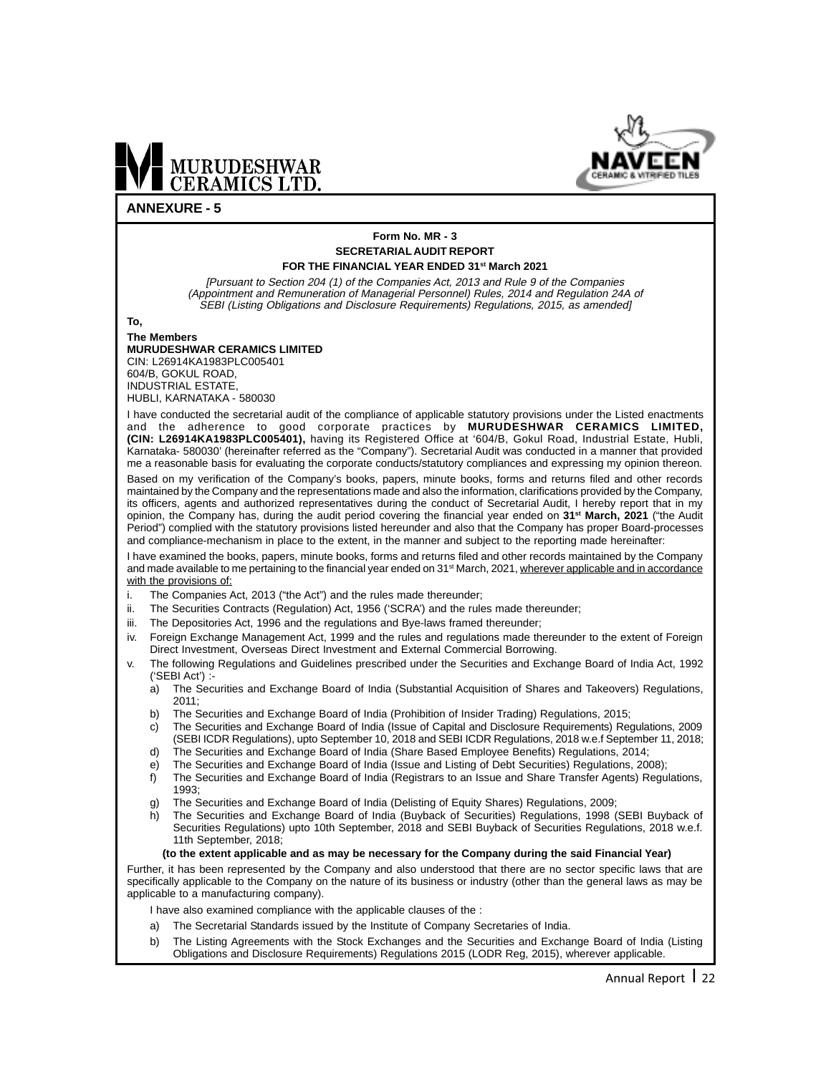



#### **ANNEXURE - 5**

#### **Form No. MR - 3 SECRETARIAL AUDIT REPORT FOR THE FINANCIAL YEAR ENDED 31st March 2021**

[Pursuant to Section 204 (1) of the Companies Act, 2013 and Rule 9 of the Companies (Appointment and Remuneration of Managerial Personnel) Rules, 2014 and Regulation 24A of SEBI (Listing Obligations and Disclosure Requirements) Regulations, 2015, as amended]

**To,**

#### **The Members MURUDESHWAR CERAMICS LIMITED** CIN: L26914KA1983PLC005401 604/B, GOKUL ROAD, INDUSTRIAL ESTATE, HUBLI, KARNATAKA - 580030

I have conducted the secretarial audit of the compliance of applicable statutory provisions under the Listed enactments and the adherence to good corporate practices by **MURUDESHWAR CERAMICS LIMITED, (CIN: L26914KA1983PLC005401),** having its Registered Office at '604/B, Gokul Road, Industrial Estate, Hubli, Karnataka- 580030' (hereinafter referred as the "Company"). Secretarial Audit was conducted in a manner that provided me a reasonable basis for evaluating the corporate conducts/statutory compliances and expressing my opinion thereon.

Based on my verification of the Company's books, papers, minute books, forms and returns filed and other records maintained by the Company and the representations made and also the information, clarifications provided by the Company, its officers, agents and authorized representatives during the conduct of Secretarial Audit, I hereby report that in my opinion, the Company has, during the audit period covering the financial year ended on **31st March, 2021** ("the Audit Period") complied with the statutory provisions listed hereunder and also that the Company has proper Board-processes and compliance-mechanism in place to the extent, in the manner and subject to the reporting made hereinafter:

I have examined the books, papers, minute books, forms and returns filed and other records maintained by the Company and made available to me pertaining to the financial year ended on 31<sup>st</sup> March, 2021, wherever applicable and in accordance with the provisions of:

- i. The Companies Act, 2013 ("the Act") and the rules made thereunder;
- ii. The Securities Contracts (Regulation) Act, 1956 ('SCRA') and the rules made thereunder;
- iii. The Depositories Act, 1996 and the regulations and Bye-laws framed thereunder;
- iv. Foreign Exchange Management Act, 1999 and the rules and regulations made thereunder to the extent of Foreign Direct Investment, Overseas Direct Investment and External Commercial Borrowing.
- v. The following Regulations and Guidelines prescribed under the Securities and Exchange Board of India Act, 1992 ('SEBI Act') :
	- a) The Securities and Exchange Board of India (Substantial Acquisition of Shares and Takeovers) Regulations,  $2011$
	- b) The Securities and Exchange Board of India (Prohibition of Insider Trading) Regulations, 2015;
	- c) The Securities and Exchange Board of India (Issue of Capital and Disclosure Requirements) Regulations, 2009 (SEBI ICDR Regulations), upto September 10, 2018 and SEBI ICDR Regulations, 2018 w.e.f September 11, 2018;
	- d) The Securities and Exchange Board of India (Share Based Employee Benefits) Regulations, 2014;
	- e) The Securities and Exchange Board of India (Issue and Listing of Debt Securities) Regulations, 2008);
	- f) The Securities and Exchange Board of India (Registrars to an Issue and Share Transfer Agents) Regulations, 1993;
	- g) The Securities and Exchange Board of India (Delisting of Equity Shares) Regulations, 2009;
	- h) The Securities and Exchange Board of India (Buyback of Securities) Regulations, 1998 (SEBI Buyback of Securities Regulations) upto 10th September, 2018 and SEBI Buyback of Securities Regulations, 2018 w.e.f. 11th September, 2018;

#### **(to the extent applicable and as may be necessary for the Company during the said Financial Year)**

Further, it has been represented by the Company and also understood that there are no sector specific laws that are specifically applicable to the Company on the nature of its business or industry (other than the general laws as may be applicable to a manufacturing company).

I have also examined compliance with the applicable clauses of the :

- a) The Secretarial Standards issued by the Institute of Company Secretaries of India.
- b) The Listing Agreements with the Stock Exchanges and the Securities and Exchange Board of India (Listing Obligations and Disclosure Requirements) Regulations 2015 (LODR Reg, 2015), wherever applicable.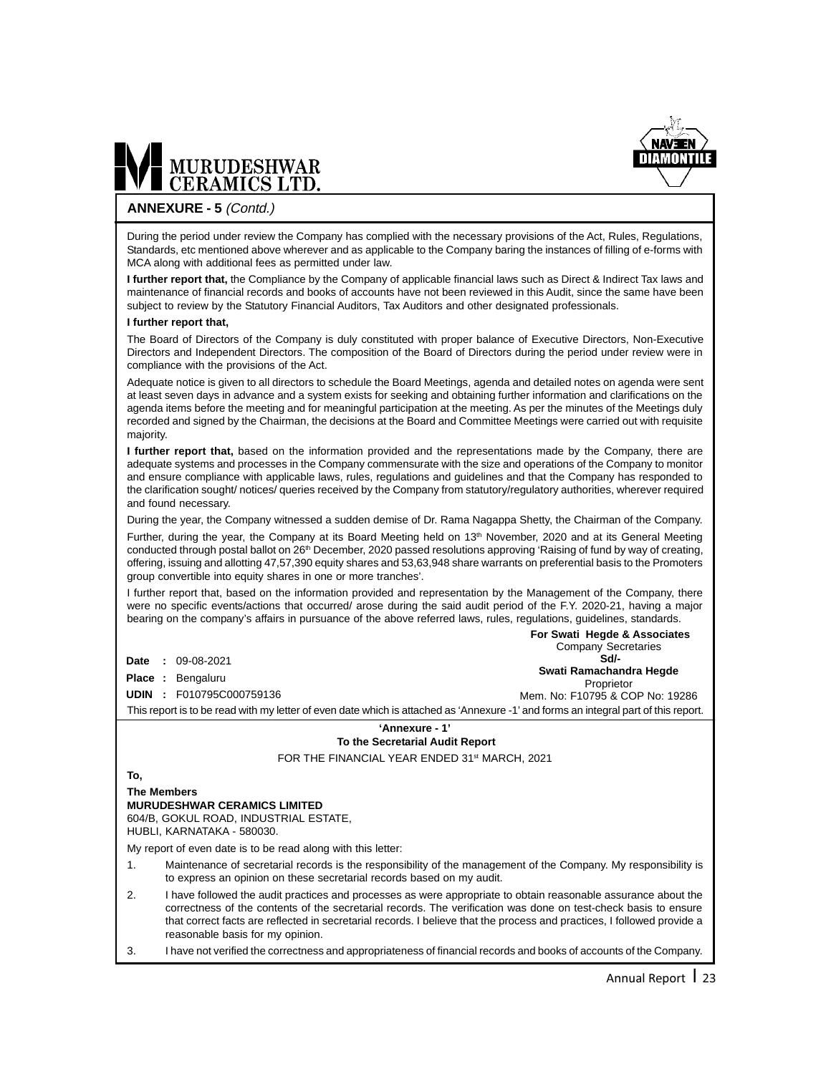

### MURUDESHWAR

#### **ANNEXURE - 5** (Contd.)

During the period under review the Company has complied with the necessary provisions of the Act, Rules, Regulations, Standards, etc mentioned above wherever and as applicable to the Company baring the instances of filling of e-forms with MCA along with additional fees as permitted under law.

**I further report that,** the Compliance by the Company of applicable financial laws such as Direct & Indirect Tax laws and maintenance of financial records and books of accounts have not been reviewed in this Audit, since the same have been subject to review by the Statutory Financial Auditors, Tax Auditors and other designated professionals.

#### **I further report that,**

The Board of Directors of the Company is duly constituted with proper balance of Executive Directors, Non-Executive Directors and Independent Directors. The composition of the Board of Directors during the period under review were in compliance with the provisions of the Act.

Adequate notice is given to all directors to schedule the Board Meetings, agenda and detailed notes on agenda were sent at least seven days in advance and a system exists for seeking and obtaining further information and clarifications on the agenda items before the meeting and for meaningful participation at the meeting. As per the minutes of the Meetings duly recorded and signed by the Chairman, the decisions at the Board and Committee Meetings were carried out with requisite majority.

**I further report that,** based on the information provided and the representations made by the Company, there are adequate systems and processes in the Company commensurate with the size and operations of the Company to monitor and ensure compliance with applicable laws, rules, regulations and guidelines and that the Company has responded to the clarification sought/ notices/ queries received by the Company from statutory/regulatory authorities, wherever required and found necessary.

During the year, the Company witnessed a sudden demise of Dr. Rama Nagappa Shetty, the Chairman of the Company.

Further, during the year, the Company at its Board Meeting held on 13<sup>th</sup> November, 2020 and at its General Meeting conducted through postal ballot on 26<sup>th</sup> December, 2020 passed resolutions approving 'Raising of fund by way of creating, offering, issuing and allotting 47,57,390 equity shares and 53,63,948 share warrants on preferential basis to the Promoters group convertible into equity shares in one or more tranches'.

I further report that, based on the information provided and representation by the Management of the Company, there were no specific events/actions that occurred/ arose during the said audit period of the F.Y. 2020-21, having a major bearing on the company's affairs in pursuance of the above referred laws, rules, regulations, guidelines, standards.

|                                                                                                                                     |   |                          | For Swati Hegde & Associates          |  |  |
|-------------------------------------------------------------------------------------------------------------------------------------|---|--------------------------|---------------------------------------|--|--|
|                                                                                                                                     |   |                          | <b>Company Secretaries</b>            |  |  |
| Date                                                                                                                                | ÷ | 09-08-2021               | Sd/-                                  |  |  |
|                                                                                                                                     |   | <b>Place : Bengaluru</b> | Swati Ramachandra Hegde<br>Proprietor |  |  |
| <b>UDIN</b>                                                                                                                         |   | F010795C000759136        | Mem. No: F10795 & COP No: 19286       |  |  |
| This report is to be read with my letter of even date which is attached as 'Annexure -1' and forms an integral part of this report. |   |                          |                                       |  |  |
| 'Annexure - 1'                                                                                                                      |   |                          |                                       |  |  |

#### **To the Secretarial Audit Report**

FOR THE FINANCIAL YEAR ENDED 31st MARCH, 2021

#### **To,**

**The Members MURUDESHWAR CERAMICS LIMITED** 604/B, GOKUL ROAD, INDUSTRIAL ESTATE,

HUBLI, KARNATAKA - 580030.

My report of even date is to be read along with this letter:

- 1. Maintenance of secretarial records is the responsibility of the management of the Company. My responsibility is to express an opinion on these secretarial records based on my audit.
- 2. I have followed the audit practices and processes as were appropriate to obtain reasonable assurance about the correctness of the contents of the secretarial records. The verification was done on test-check basis to ensure that correct facts are reflected in secretarial records. I believe that the process and practices, I followed provide a reasonable basis for my opinion.
- 3. I have not verified the correctness and appropriateness of financial records and books of accounts of the Company.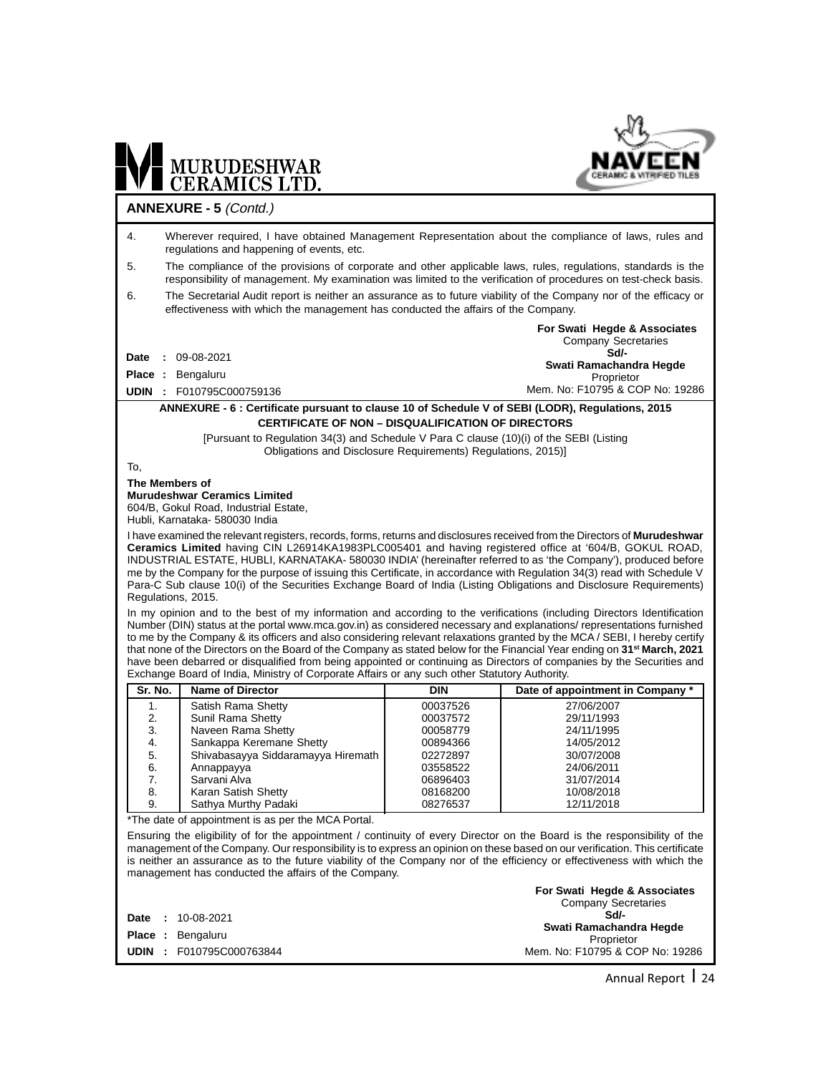

### WE MURUDESHWAR **ANNEXURE - 5** (Contd.)

| 4.             | Wherever required, I have obtained Management Representation about the compliance of laws, rules and<br>regulations and happening of events, etc.                                                                                                                 |                      |                                    |  |  |
|----------------|-------------------------------------------------------------------------------------------------------------------------------------------------------------------------------------------------------------------------------------------------------------------|----------------------|------------------------------------|--|--|
| 5.             | The compliance of the provisions of corporate and other applicable laws, rules, regulations, standards is the<br>responsibility of management. My examination was limited to the verification of procedures on test-check basis.                                  |                      |                                    |  |  |
| 6.             | The Secretarial Audit report is neither an assurance as to future viability of the Company nor of the efficacy or<br>effectiveness with which the management has conducted the affairs of the Company.                                                            |                      |                                    |  |  |
|                |                                                                                                                                                                                                                                                                   |                      | For Swati Hegde & Associates       |  |  |
|                |                                                                                                                                                                                                                                                                   |                      | <b>Company Secretaries</b><br>Sd/- |  |  |
| Date           | $: 09-08-2021$                                                                                                                                                                                                                                                    |                      | Swati Ramachandra Hegde            |  |  |
| Place :        | Bengaluru                                                                                                                                                                                                                                                         |                      | Proprietor                         |  |  |
|                | <b>UDIN : F010795C000759136</b>                                                                                                                                                                                                                                   |                      | Mem. No: F10795 & COP No: 19286    |  |  |
|                | ANNEXURE - 6 : Certificate pursuant to clause 10 of Schedule V of SEBI (LODR), Regulations, 2015                                                                                                                                                                  |                      |                                    |  |  |
|                | <b>CERTIFICATE OF NON - DISQUALIFICATION OF DIRECTORS</b>                                                                                                                                                                                                         |                      |                                    |  |  |
|                | [Pursuant to Regulation 34(3) and Schedule V Para C clause (10)(i) of the SEBI (Listing<br>Obligations and Disclosure Requirements) Regulations, 2015)]                                                                                                           |                      |                                    |  |  |
| To,            |                                                                                                                                                                                                                                                                   |                      |                                    |  |  |
| The Members of |                                                                                                                                                                                                                                                                   |                      |                                    |  |  |
|                | <b>Murudeshwar Ceramics Limited</b><br>604/B, Gokul Road, Industrial Estate,                                                                                                                                                                                      |                      |                                    |  |  |
|                | Hubli, Karnataka- 580030 India                                                                                                                                                                                                                                    |                      |                                    |  |  |
|                | I have examined the relevant registers, records, forms, returns and disclosures received from the Directors of <b>Murudeshwar</b>                                                                                                                                 |                      |                                    |  |  |
|                | Ceramics Limited having CIN L26914KA1983PLC005401 and having registered office at '604/B, GOKUL ROAD,                                                                                                                                                             |                      |                                    |  |  |
|                | INDUSTRIAL ESTATE, HUBLI, KARNATAKA-580030 INDIA' (hereinafter referred to as 'the Company'), produced before                                                                                                                                                     |                      |                                    |  |  |
|                | me by the Company for the purpose of issuing this Certificate, in accordance with Regulation 34(3) read with Schedule V<br>Para-C Sub clause 10(i) of the Securities Exchange Board of India (Listing Obligations and Disclosure Requirements)                    |                      |                                    |  |  |
|                | Regulations, 2015.                                                                                                                                                                                                                                                |                      |                                    |  |  |
|                | In my opinion and to the best of my information and according to the verifications (including Directors Identification                                                                                                                                            |                      |                                    |  |  |
|                | Number (DIN) status at the portal www.mca.gov.in) as considered necessary and explanations/representations furnished                                                                                                                                              |                      |                                    |  |  |
|                | to me by the Company & its officers and also considering relevant relaxations granted by the MCA / SEBI, I hereby certify<br>that none of the Directors on the Board of the Company as stated below for the Financial Year ending on 31 <sup>st</sup> March, 2021 |                      |                                    |  |  |
|                | have been debarred or disqualified from being appointed or continuing as Directors of companies by the Securities and                                                                                                                                             |                      |                                    |  |  |
|                | Exchange Board of India, Ministry of Corporate Affairs or any such other Statutory Authority.                                                                                                                                                                     |                      |                                    |  |  |
| Sr. No.        | <b>Name of Director</b>                                                                                                                                                                                                                                           | <b>DIN</b>           | Date of appointment in Company     |  |  |
| 1.             | Satish Rama Shetty                                                                                                                                                                                                                                                | 00037526             | 27/06/2007                         |  |  |
| 2.             | Sunil Rama Shetty                                                                                                                                                                                                                                                 | 00037572             | 29/11/1993                         |  |  |
| 3.<br>4.       | Naveen Rama Shetty<br>Sankappa Keremane Shetty                                                                                                                                                                                                                    | 00058779<br>00894366 | 24/11/1995<br>14/05/2012           |  |  |
| 5.             | Shivabasayya Siddaramayya Hiremath                                                                                                                                                                                                                                | 02272897             | 30/07/2008                         |  |  |
| 6.             | Annappayya                                                                                                                                                                                                                                                        | 03558522             | 24/06/2011                         |  |  |
| 7.             | Sarvani Alva                                                                                                                                                                                                                                                      | 06896403             | 31/07/2014                         |  |  |
| 8.<br>9.       | Karan Satish Shetty<br>Sathya Murthy Padaki                                                                                                                                                                                                                       | 08168200<br>08276537 | 10/08/2018<br>12/11/2018           |  |  |
|                | *The date of appointment is as per the MCA Portal.                                                                                                                                                                                                                |                      |                                    |  |  |
|                | Ensuring the eligibility of for the appointment / continuity of every Director on the Board is the responsibility of the                                                                                                                                          |                      |                                    |  |  |
|                | management of the Company. Our responsibility is to express an opinion on these based on our verification. This certificate                                                                                                                                       |                      |                                    |  |  |
|                | is neither an assurance as to the future viability of the Company nor of the efficiency or effectiveness with which the                                                                                                                                           |                      |                                    |  |  |
|                | management has conducted the affairs of the Company.                                                                                                                                                                                                              |                      |                                    |  |  |
|                |                                                                                                                                                                                                                                                                   |                      | For Swati Hegde & Associates       |  |  |
|                |                                                                                                                                                                                                                                                                   |                      | <b>Company Secretaries</b>         |  |  |
| Date<br>÷      | 10-08-2021                                                                                                                                                                                                                                                        |                      | Sd/-<br>Swati Ramachandra Hegde    |  |  |
|                | Place: Bengaluru                                                                                                                                                                                                                                                  |                      | Proprietor                         |  |  |

**UDIN :** F010795C000763844

Annual Report | 24

Proprietor Mem. No: F10795 & COP No: 19286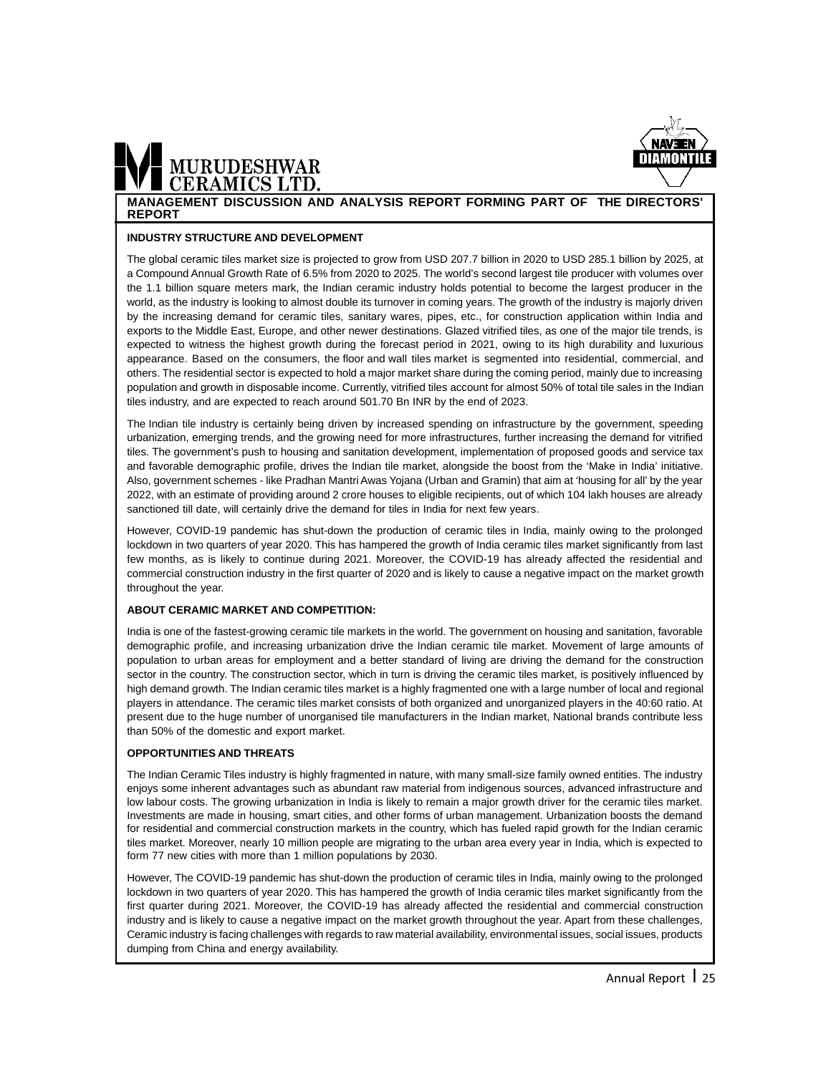

### **MURUDESHWAR**

**MANAGEMENT DISCUSSION AND ANALYSIS REPORT FORMING PART OF THE DIRECTORS' REPORT**

#### **INDUSTRY STRUCTURE AND DEVELOPMENT**

The global ceramic tiles market size is projected to grow from USD 207.7 billion in 2020 to USD 285.1 billion by 2025, at a Compound Annual Growth Rate of 6.5% from 2020 to 2025. The world's second largest tile producer with volumes over the 1.1 billion square meters mark, the Indian ceramic industry holds potential to become the largest producer in the world, as the industry is looking to almost double its turnover in coming years. The growth of the industry is majorly driven by the increasing demand for ceramic tiles, sanitary wares, pipes, etc., for construction application within India and exports to the Middle East, Europe, and other newer destinations. Glazed vitrified tiles, as one of the major tile trends, is expected to witness the highest growth during the forecast period in 2021, owing to its high durability and luxurious appearance. Based on the consumers, the floor and wall tiles market is segmented into residential, commercial, and others. The residential sector is expected to hold a major market share during the coming period, mainly due to increasing population and growth in disposable income. Currently, vitrified tiles account for almost 50% of total tile sales in the Indian tiles industry, and are expected to reach around 501.70 Bn INR by the end of 2023.

The Indian tile industry is certainly being driven by increased spending on infrastructure by the government, speeding urbanization, emerging trends, and the growing need for more infrastructures, further increasing the demand for vitrified tiles. The government's push to housing and sanitation development, implementation of proposed goods and service tax and favorable demographic profile, drives the Indian tile market, alongside the boost from the 'Make in India' initiative. Also, government schemes - like Pradhan Mantri Awas Yojana (Urban and Gramin) that aim at 'housing for all' by the year 2022, with an estimate of providing around 2 crore houses to eligible recipients, out of which 104 lakh houses are already sanctioned till date, will certainly drive the demand for tiles in India for next few years.

However, COVID-19 pandemic has shut-down the production of ceramic tiles in India, mainly owing to the prolonged lockdown in two quarters of year 2020. This has hampered the growth of India ceramic tiles market significantly from last few months, as is likely to continue during 2021. Moreover, the COVID-19 has already affected the residential and commercial construction industry in the first quarter of 2020 and is likely to cause a negative impact on the market growth throughout the year.

#### **ABOUT CERAMIC MARKET AND COMPETITION:**

India is one of the fastest-growing ceramic tile markets in the world. The government on housing and sanitation, favorable demographic profile, and increasing urbanization drive the Indian ceramic tile market. Movement of large amounts of population to urban areas for employment and a better standard of living are driving the demand for the construction sector in the country. The construction sector, which in turn is driving the ceramic tiles market, is positively influenced by high demand growth. The Indian ceramic tiles market is a highly fragmented one with a large number of local and regional players in attendance. The ceramic tiles market consists of both organized and unorganized players in the 40:60 ratio. At present due to the huge number of unorganised tile manufacturers in the Indian market, National brands contribute less than 50% of the domestic and export market.

#### **OPPORTUNITIES AND THREATS**

The Indian Ceramic Tiles industry is highly fragmented in nature, with many small-size family owned entities. The industry enjoys some inherent advantages such as abundant raw material from indigenous sources, advanced infrastructure and low labour costs. The growing urbanization in India is likely to remain a major growth driver for the ceramic tiles market. Investments are made in housing, smart cities, and other forms of urban management. Urbanization boosts the demand for residential and commercial construction markets in the country, which has fueled rapid growth for the Indian ceramic tiles market. Moreover, nearly 10 million people are migrating to the urban area every year in India, which is expected to form 77 new cities with more than 1 million populations by 2030.

However, The COVID-19 pandemic has shut-down the production of ceramic tiles in India, mainly owing to the prolonged lockdown in two quarters of year 2020. This has hampered the growth of India ceramic tiles market significantly from the first quarter during 2021. Moreover, the COVID-19 has already affected the residential and commercial construction industry and is likely to cause a negative impact on the market growth throughout the year. Apart from these challenges, Ceramic industry is facing challenges with regards to raw material availability, environmental issues, social issues, products dumping from China and energy availability.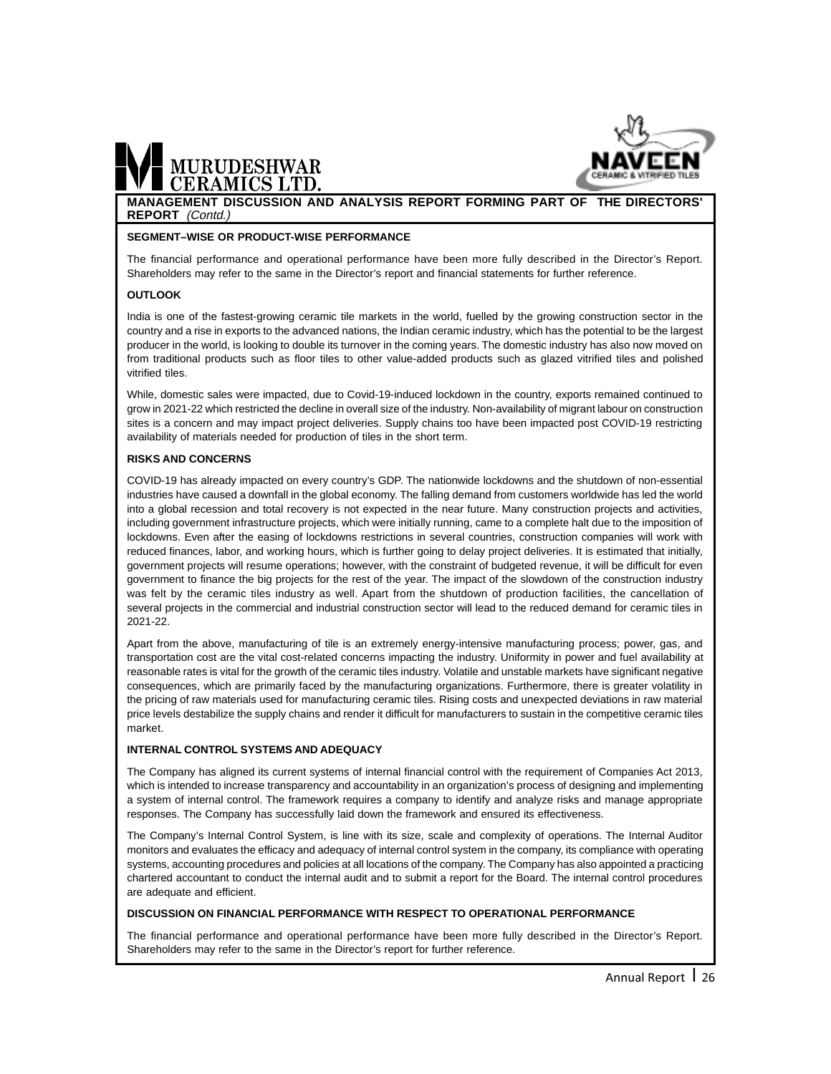

### MURUDESHWAR

**MANAGEMENT DISCUSSION AND ANALYSIS REPORT FORMING PART OF THE DIRECTORS' REPORT** (Contd.)

#### **SEGMENT–WISE OR PRODUCT-WISE PERFORMANCE**

The financial performance and operational performance have been more fully described in the Director's Report. Shareholders may refer to the same in the Director's report and financial statements for further reference.

#### **OUTLOOK**

India is one of the fastest-growing ceramic tile markets in the world, fuelled by the growing construction sector in the country and a rise in exports to the advanced nations, the Indian ceramic industry, which has the potential to be the largest producer in the world, is looking to double its turnover in the coming years. The domestic industry has also now moved on from traditional products such as floor tiles to other value-added products such as glazed vitrified tiles and polished vitrified tiles.

While, domestic sales were impacted, due to Covid-19-induced lockdown in the country, exports remained continued to grow in 2021-22 which restricted the decline in overall size of the industry. Non-availability of migrant labour on construction sites is a concern and may impact project deliveries. Supply chains too have been impacted post COVID-19 restricting availability of materials needed for production of tiles in the short term.

#### **RISKS AND CONCERNS**

COVID-19 has already impacted on every country's GDP. The nationwide lockdowns and the shutdown of non-essential industries have caused a downfall in the global economy. The falling demand from customers worldwide has led the world into a global recession and total recovery is not expected in the near future. Many construction projects and activities, including government infrastructure projects, which were initially running, came to a complete halt due to the imposition of lockdowns. Even after the easing of lockdowns restrictions in several countries, construction companies will work with reduced finances, labor, and working hours, which is further going to delay project deliveries. It is estimated that initially, government projects will resume operations; however, with the constraint of budgeted revenue, it will be difficult for even government to finance the big projects for the rest of the year. The impact of the slowdown of the construction industry was felt by the ceramic tiles industry as well. Apart from the shutdown of production facilities, the cancellation of several projects in the commercial and industrial construction sector will lead to the reduced demand for ceramic tiles in 2021-22.

Apart from the above, manufacturing of tile is an extremely energy-intensive manufacturing process; power, gas, and transportation cost are the vital cost-related concerns impacting the industry. Uniformity in power and fuel availability at reasonable rates is vital for the growth of the ceramic tiles industry. Volatile and unstable markets have significant negative consequences, which are primarily faced by the manufacturing organizations. Furthermore, there is greater volatility in the pricing of raw materials used for manufacturing ceramic tiles. Rising costs and unexpected deviations in raw material price levels destabilize the supply chains and render it difficult for manufacturers to sustain in the competitive ceramic tiles market.

#### **INTERNAL CONTROL SYSTEMS AND ADEQUACY**

The Company has aligned its current systems of internal financial control with the requirement of Companies Act 2013, which is intended to increase transparency and accountability in an organization's process of designing and implementing a system of internal control. The framework requires a company to identify and analyze risks and manage appropriate responses. The Company has successfully laid down the framework and ensured its effectiveness.

The Company's Internal Control System, is line with its size, scale and complexity of operations. The Internal Auditor monitors and evaluates the efficacy and adequacy of internal control system in the company, its compliance with operating systems, accounting procedures and policies at all locations of the company. The Company has also appointed a practicing chartered accountant to conduct the internal audit and to submit a report for the Board. The internal control procedures are adequate and efficient.

#### **DISCUSSION ON FINANCIAL PERFORMANCE WITH RESPECT TO OPERATIONAL PERFORMANCE**

The financial performance and operational performance have been more fully described in the Director's Report. Shareholders may refer to the same in the Director's report for further reference.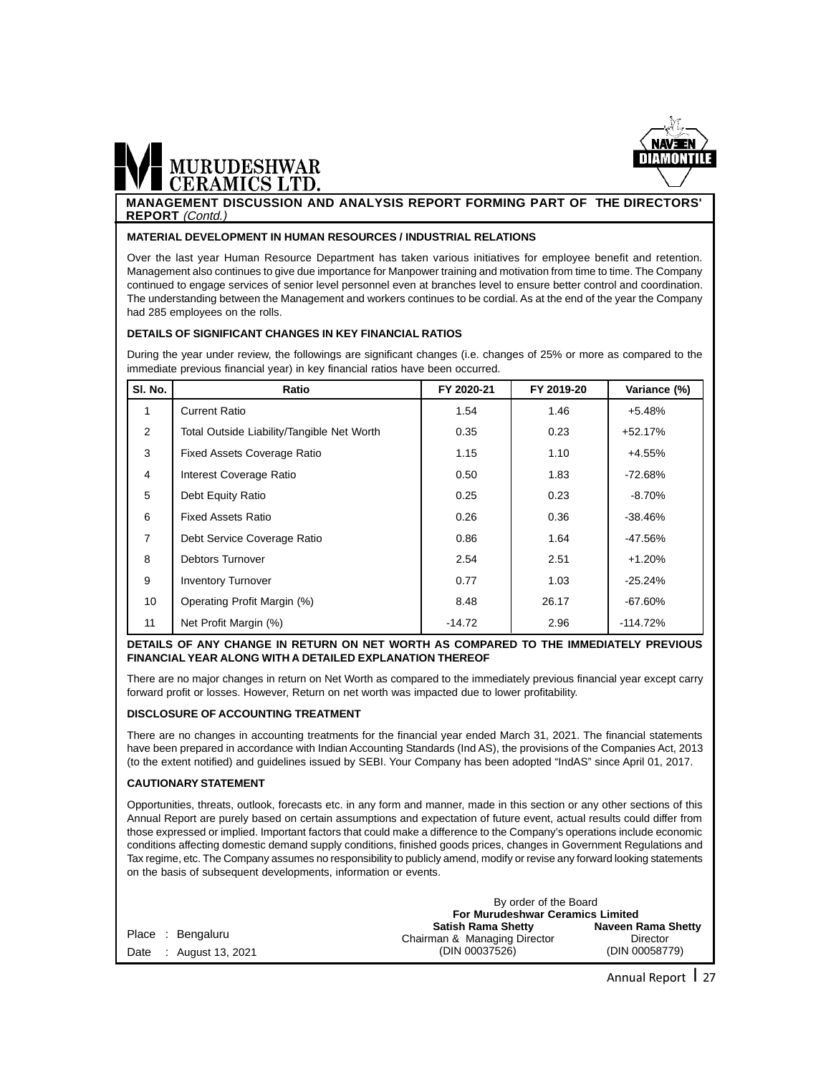

**MANAGEMENT DISCUSSION AND ANALYSIS REPORT FORMING PART OF THE DIRECTORS' REPORT** (Contd.)

#### **MATERIAL DEVELOPMENT IN HUMAN RESOURCES / INDUSTRIAL RELATIONS**

Over the last year Human Resource Department has taken various initiatives for employee benefit and retention. Management also continues to give due importance for Manpower training and motivation from time to time. The Company continued to engage services of senior level personnel even at branches level to ensure better control and coordination. The understanding between the Management and workers continues to be cordial. As at the end of the year the Company had 285 employees on the rolls.

#### **DETAILS OF SIGNIFICANT CHANGES IN KEY FINANCIAL RATIOS**

During the year under review, the followings are significant changes (i.e. changes of 25% or more as compared to the immediate previous financial year) in key financial ratios have been occurred.

| SI. No.        | Ratio                                      | FY 2020-21 | FY 2019-20 | Variance (%) |
|----------------|--------------------------------------------|------------|------------|--------------|
| 1              | <b>Current Ratio</b>                       | 1.54       | 1.46       | $+5.48%$     |
| $\overline{2}$ | Total Outside Liability/Tangible Net Worth | 0.35       | 0.23       | $+52.17%$    |
| 3              | <b>Fixed Assets Coverage Ratio</b>         | 1.15       | 1.10       | +4.55%       |
| 4              | Interest Coverage Ratio                    | 0.50       | 1.83       | -72.68%      |
| 5              | Debt Equity Ratio                          | 0.25       | 0.23       | $-8.70%$     |
| 6              | <b>Fixed Assets Ratio</b>                  | 0.26       | 0.36       | $-38.46%$    |
| $\overline{7}$ | Debt Service Coverage Ratio                | 0.86       | 1.64       | $-47.56%$    |
| 8              | Debtors Turnover                           | 2.54       | 2.51       | $+1.20%$     |
| 9              | <b>Inventory Turnover</b>                  | 0.77       | 1.03       | $-25.24%$    |
| 10             | Operating Profit Margin (%)                | 8.48       | 26.17      | $-67.60%$    |
| 11             | Net Profit Margin (%)                      | $-14.72$   | 2.96       | $-114.72\%$  |

#### **DETAILS OF ANY CHANGE IN RETURN ON NET WORTH AS COMPARED TO THE IMMEDIATELY PREVIOUS FINANCIAL YEAR ALONG WITH A DETAILED EXPLANATION THEREOF**

There are no major changes in return on Net Worth as compared to the immediately previous financial year except carry forward profit or losses. However, Return on net worth was impacted due to lower profitability.

#### **DISCLOSURE OF ACCOUNTING TREATMENT**

There are no changes in accounting treatments for the financial year ended March 31, 2021. The financial statements have been prepared in accordance with Indian Accounting Standards (Ind AS), the provisions of the Companies Act, 2013 (to the extent notified) and guidelines issued by SEBI. Your Company has been adopted "IndAS" since April 01, 2017.

#### **CAUTIONARY STATEMENT**

Opportunities, threats, outlook, forecasts etc. in any form and manner, made in this section or any other sections of this Annual Report are purely based on certain assumptions and expectation of future event, actual results could differ from those expressed or implied. Important factors that could make a difference to the Company's operations include economic conditions affecting domestic demand supply conditions, finished goods prices, changes in Government Regulations and Tax regime, etc. The Company assumes no responsibility to publicly amend, modify or revise any forward looking statements on the basis of subsequent developments, information or events.

|                                            | By order of the Board<br><b>For Murudeshwar Ceramics Limited</b>            |                                                  |  |
|--------------------------------------------|-----------------------------------------------------------------------------|--------------------------------------------------|--|
| Place : Bengaluru<br>Date: August 13, 2021 | <b>Satish Rama Shetty</b><br>Chairman & Managing Director<br>(DIN 00037526) | Naveen Rama Shetty<br>Director<br>(DIN 00058779) |  |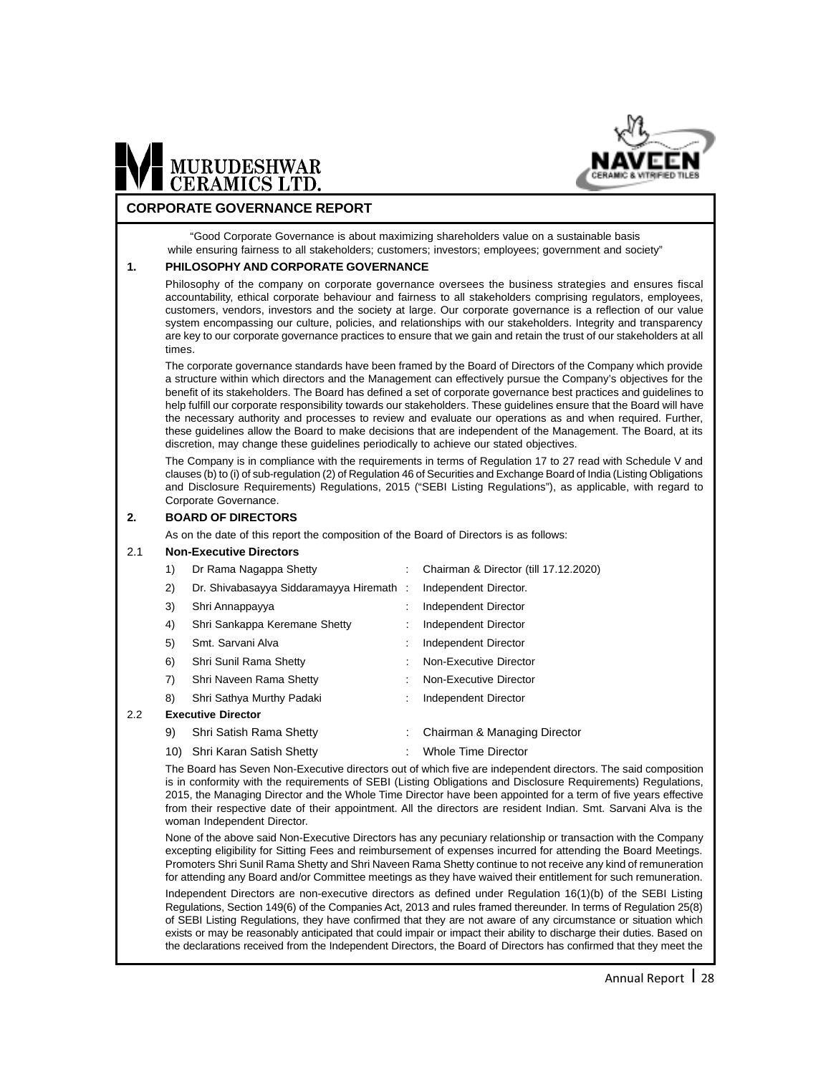

#### **CORPORATE GOVERNANCE REPORT**

MURUDESHWAR<br>CERAMICS LTD.

"Good Corporate Governance is about maximizing shareholders value on a sustainable basis while ensuring fairness to all stakeholders; customers; investors; employees; government and society"

#### **1. PHILOSOPHY AND CORPORATE GOVERNANCE**

Philosophy of the company on corporate governance oversees the business strategies and ensures fiscal accountability, ethical corporate behaviour and fairness to all stakeholders comprising regulators, employees, customers, vendors, investors and the society at large. Our corporate governance is a reflection of our value system encompassing our culture, policies, and relationships with our stakeholders. Integrity and transparency are key to our corporate governance practices to ensure that we gain and retain the trust of our stakeholders at all times.

The corporate governance standards have been framed by the Board of Directors of the Company which provide a structure within which directors and the Management can effectively pursue the Company's objectives for the benefit of its stakeholders. The Board has defined a set of corporate governance best practices and guidelines to help fulfill our corporate responsibility towards our stakeholders. These guidelines ensure that the Board will have the necessary authority and processes to review and evaluate our operations as and when required. Further, these guidelines allow the Board to make decisions that are independent of the Management. The Board, at its discretion, may change these guidelines periodically to achieve our stated objectives.

The Company is in compliance with the requirements in terms of Regulation 17 to 27 read with Schedule V and clauses (b) to (i) of sub-regulation (2) of Regulation 46 of Securities and Exchange Board of India (Listing Obligations and Disclosure Requirements) Regulations, 2015 ("SEBI Listing Regulations"), as applicable, with regard to Corporate Governance.

#### **2. BOARD OF DIRECTORS**

As on the date of this report the composition of the Board of Directors is as follows:

#### 2.1 **Non-Executive Directors**

 $2.2$ 

| 1) | Dr Rama Nagappa Shetty                  |   | Chairman & Director (till 17.12.2020) |
|----|-----------------------------------------|---|---------------------------------------|
| 2) | Dr. Shivabasayya Siddaramayya Hiremath: |   | Independent Director.                 |
| 3) | Shri Annappayya                         |   | Independent Director                  |
| 4) | Shri Sankappa Keremane Shetty           |   | Independent Director                  |
| 5) | Smt. Sarvani Alva                       | ÷ | Independent Director                  |
| 6) | Shri Sunil Rama Shetty                  |   | Non-Executive Director                |
| 7) | Shri Naveen Rama Shetty                 |   | Non-Executive Director                |
| 8) | Shri Sathya Murthy Padaki               | ÷ | Independent Director                  |
|    | <b>Executive Director</b>               |   |                                       |
| 9) | Shri Satish Rama Shetty                 | ÷ | Chairman & Managing Director          |
|    | 10) Shri Karan Satish Shetty            |   | <b>Whole Time Director</b>            |

The Board has Seven Non-Executive directors out of which five are independent directors. The said composition is in conformity with the requirements of SEBI (Listing Obligations and Disclosure Requirements) Regulations, 2015, the Managing Director and the Whole Time Director have been appointed for a term of five years effective from their respective date of their appointment. All the directors are resident Indian. Smt. Sarvani Alva is the woman Independent Director.

None of the above said Non-Executive Directors has any pecuniary relationship or transaction with the Company excepting eligibility for Sitting Fees and reimbursement of expenses incurred for attending the Board Meetings. Promoters Shri Sunil Rama Shetty and Shri Naveen Rama Shetty continue to not receive any kind of remuneration for attending any Board and/or Committee meetings as they have waived their entitlement for such remuneration.

Independent Directors are non-executive directors as defined under Regulation 16(1)(b) of the SEBI Listing Regulations, Section 149(6) of the Companies Act, 2013 and rules framed thereunder. In terms of Regulation 25(8) of SEBI Listing Regulations, they have confirmed that they are not aware of any circumstance or situation which exists or may be reasonably anticipated that could impair or impact their ability to discharge their duties. Based on the declarations received from the Independent Directors, the Board of Directors has confirmed that they meet the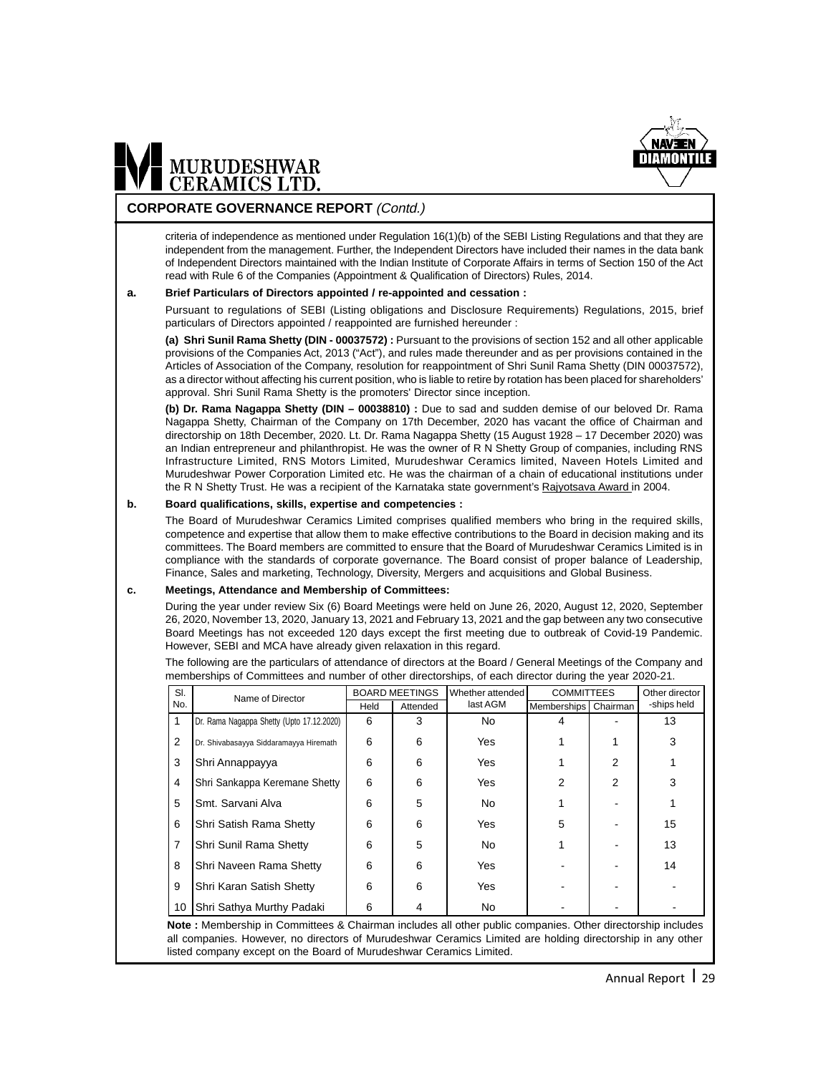

#### **CORPORATE GOVERNANCE REPORT** (Contd.)

criteria of independence as mentioned under Regulation 16(1)(b) of the SEBI Listing Regulations and that they are independent from the management. Further, the Independent Directors have included their names in the data bank of Independent Directors maintained with the Indian Institute of Corporate Affairs in terms of Section 150 of the Act read with Rule 6 of the Companies (Appointment & Qualification of Directors) Rules, 2014.

#### **a. Brief Particulars of Directors appointed / re-appointed and cessation :**

Pursuant to regulations of SEBI (Listing obligations and Disclosure Requirements) Regulations, 2015, brief particulars of Directors appointed / reappointed are furnished hereunder :

**(a) Shri Sunil Rama Shetty (DIN - 00037572) :** Pursuant to the provisions of section 152 and all other applicable provisions of the Companies Act, 2013 ("Act"), and rules made thereunder and as per provisions contained in the Articles of Association of the Company, resolution for reappointment of Shri Sunil Rama Shetty (DIN 00037572), as a director without affecting his current position, who is liable to retire by rotation has been placed for shareholders' approval. Shri Sunil Rama Shetty is the promoters' Director since inception.

**(b) Dr. Rama Nagappa Shetty (DIN – 00038810) :** Due to sad and sudden demise of our beloved Dr. Rama Nagappa Shetty, Chairman of the Company on 17th December, 2020 has vacant the office of Chairman and directorship on 18th December, 2020. Lt. Dr. Rama Nagappa Shetty (15 August 1928 – 17 December 2020) was an Indian entrepreneur and philanthropist. He was the owner of R N Shetty Group of companies, including RNS Infrastructure Limited, RNS Motors Limited, Murudeshwar Ceramics limited, Naveen Hotels Limited and Murudeshwar Power Corporation Limited etc. He was the chairman of a chain of educational institutions under the R N Shetty Trust. He was a recipient of the Karnataka state government's Rajyotsava Award in 2004.

#### **b. Board qualifications, skills, expertise and competencies :**

The Board of Murudeshwar Ceramics Limited comprises qualified members who bring in the required skills, competence and expertise that allow them to make effective contributions to the Board in decision making and its committees. The Board members are committed to ensure that the Board of Murudeshwar Ceramics Limited is in compliance with the standards of corporate governance. The Board consist of proper balance of Leadership, Finance, Sales and marketing, Technology, Diversity, Mergers and acquisitions and Global Business.

#### **c. Meetings, Attendance and Membership of Committees:**

During the year under review Six (6) Board Meetings were held on June 26, 2020, August 12, 2020, September 26, 2020, November 13, 2020, January 13, 2021 and February 13, 2021 and the gap between any two consecutive Board Meetings has not exceeded 120 days except the first meeting due to outbreak of Covid-19 Pandemic. However, SEBI and MCA have already given relaxation in this regard.

The following are the particulars of attendance of directors at the Board / General Meetings of the Company and memberships of Committees and number of other directorships, of each director during the year 2020-21.

| SI.            | Name of Director                          | <b>BOARD MEETINGS</b> |          | Whether attended | <b>COMMITTEES</b> |          | Other director |
|----------------|-------------------------------------------|-----------------------|----------|------------------|-------------------|----------|----------------|
| No.            |                                           | Held                  | Attended | last AGM         | Memberships       | Chairman | -ships held    |
| 1              | Dr. Rama Nagappa Shetty (Upto 17.12.2020) | 6                     | 3        | No.              | 4                 |          | 13             |
| 2              | Dr. Shivabasayya Siddaramayya Hiremath    | 6                     | 6        | Yes              |                   |          | 3              |
| 3              | Shri Annappayya                           | 6                     | 6        | Yes              |                   | 2        |                |
| $\overline{4}$ | Shri Sankappa Keremane Shetty             | 6                     | 6        | <b>Yes</b>       | 2                 | 2        | 3              |
| 5              | Smt. Sarvani Alva                         | 6                     | 5        | No.              |                   |          |                |
| 6              | Shri Satish Rama Shetty                   | 6                     | 6        | Yes              | 5                 |          | 15             |
| $\overline{7}$ | Shri Sunil Rama Shetty                    | 6                     | 5        | No.              |                   |          | 13             |
| 8              | Shri Naveen Rama Shetty                   | 6                     | 6        | Yes              |                   |          | 14             |
| 9              | Shri Karan Satish Shetty                  | 6                     | 6        | Yes              |                   |          |                |
| 10             | Shri Sathya Murthy Padaki                 | 6                     | 4        | No.              |                   |          |                |

**Note :** Membership in Committees & Chairman includes all other public companies. Other directorship includes all companies. However, no directors of Murudeshwar Ceramics Limited are holding directorship in any other listed company except on the Board of Murudeshwar Ceramics Limited.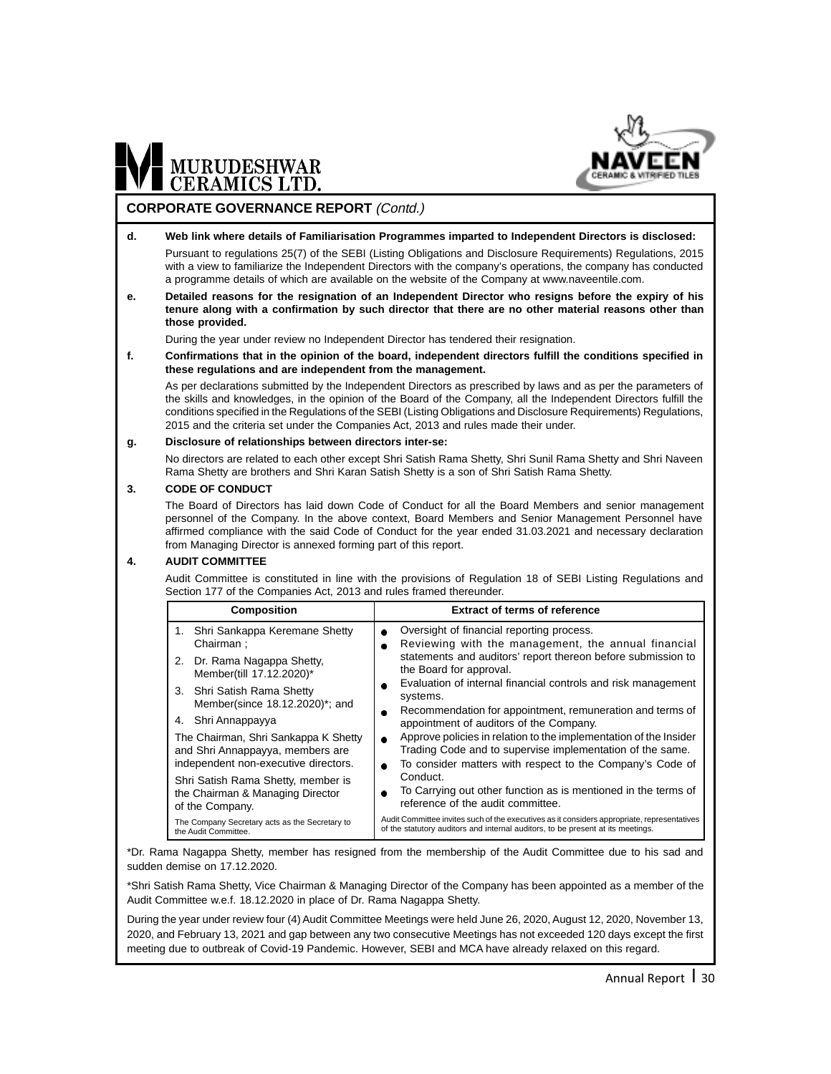

#### **CORPORATE GOVERNANCE REPORT** (Contd.)

#### **d. Web link where details of Familiarisation Programmes imparted to Independent Directors is disclosed:**

Pursuant to regulations 25(7) of the SEBI (Listing Obligations and Disclosure Requirements) Regulations, 2015 with a view to familiarize the Independent Directors with the company's operations, the company has conducted a programme details of which are available on the website of the Company at www.naveentile.com.

**e. Detailed reasons for the resignation of an Independent Director who resigns before the expiry of his tenure along with a confirmation by such director that there are no other material reasons other than those provided.**

During the year under review no Independent Director has tendered their resignation.

**f. Confirmations that in the opinion of the board, independent directors fulfill the conditions specified in these regulations and are independent from the management.**

As per declarations submitted by the Independent Directors as prescribed by laws and as per the parameters of the skills and knowledges, in the opinion of the Board of the Company, all the Independent Directors fulfill the conditions specified in the Regulations of the SEBI (Listing Obligations and Disclosure Requirements) Regulations, 2015 and the criteria set under the Companies Act, 2013 and rules made their under.

#### **g. Disclosure of relationships between directors inter-se:**

No directors are related to each other except Shri Satish Rama Shetty, Shri Sunil Rama Shetty and Shri Naveen Rama Shetty are brothers and Shri Karan Satish Shetty is a son of Shri Satish Rama Shetty.

#### **3. CODE OF CONDUCT**

The Board of Directors has laid down Code of Conduct for all the Board Members and senior management personnel of the Company. In the above context, Board Members and Senior Management Personnel have affirmed compliance with the said Code of Conduct for the year ended 31.03.2021 and necessary declaration from Managing Director is annexed forming part of this report.

#### **4. AUDIT COMMITTEE**

Audit Committee is constituted in line with the provisions of Regulation 18 of SEBI Listing Regulations and Section 177 of the Companies Act, 2013 and rules framed thereunder.

| <b>Composition</b>                                                                                               | <b>Extract of terms of reference</b>                                                                                                                                                                                  |
|------------------------------------------------------------------------------------------------------------------|-----------------------------------------------------------------------------------------------------------------------------------------------------------------------------------------------------------------------|
| Shri Sankappa Keremane Shetty<br>1.<br>Chairman:                                                                 | Oversight of financial reporting process.<br>$\bullet$<br>Reviewing with the management, the annual financial                                                                                                         |
| Dr. Rama Nagappa Shetty,<br>2.<br>Member(till 17.12.2020)*                                                       | statements and auditors' report thereon before submission to<br>the Board for approval.                                                                                                                               |
| 3. Shri Satish Rama Shetty<br>Member(since 18.12.2020)*; and                                                     | Evaluation of internal financial controls and risk management<br>۰<br>systems.                                                                                                                                        |
| Shri Annappayya<br>4.                                                                                            | Recommendation for appointment, remuneration and terms of<br>۰<br>appointment of auditors of the Company.                                                                                                             |
| The Chairman, Shri Sankappa K Shetty<br>and Shri Annappayya, members are<br>independent non-executive directors. | Approve policies in relation to the implementation of the Insider<br>$\bullet$<br>Trading Code and to supervise implementation of the same.<br>To consider matters with respect to the Company's Code of<br>$\bullet$ |
| Shri Satish Rama Shetty, member is<br>the Chairman & Managing Director<br>of the Company.                        | Conduct.<br>To Carrying out other function as is mentioned in the terms of<br>reference of the audit committee.                                                                                                       |
| The Company Secretary acts as the Secretary to<br>the Audit Committee.                                           | Audit Committee invites such of the executives as it considers appropriate, representatives<br>of the statutory auditors and internal auditors, to be present at its meetings.                                        |

\*Dr. Rama Nagappa Shetty, member has resigned from the membership of the Audit Committee due to his sad and sudden demise on 17.12.2020.

\*Shri Satish Rama Shetty, Vice Chairman & Managing Director of the Company has been appointed as a member of the Audit Committee w.e.f. 18.12.2020 in place of Dr. Rama Nagappa Shetty.

During the year under review four (4) Audit Committee Meetings were held June 26, 2020, August 12, 2020, November 13, 2020, and February 13, 2021 and gap between any two consecutive Meetings has not exceeded 120 days except the first meeting due to outbreak of Covid-19 Pandemic. However, SEBI and MCA have already relaxed on this regard.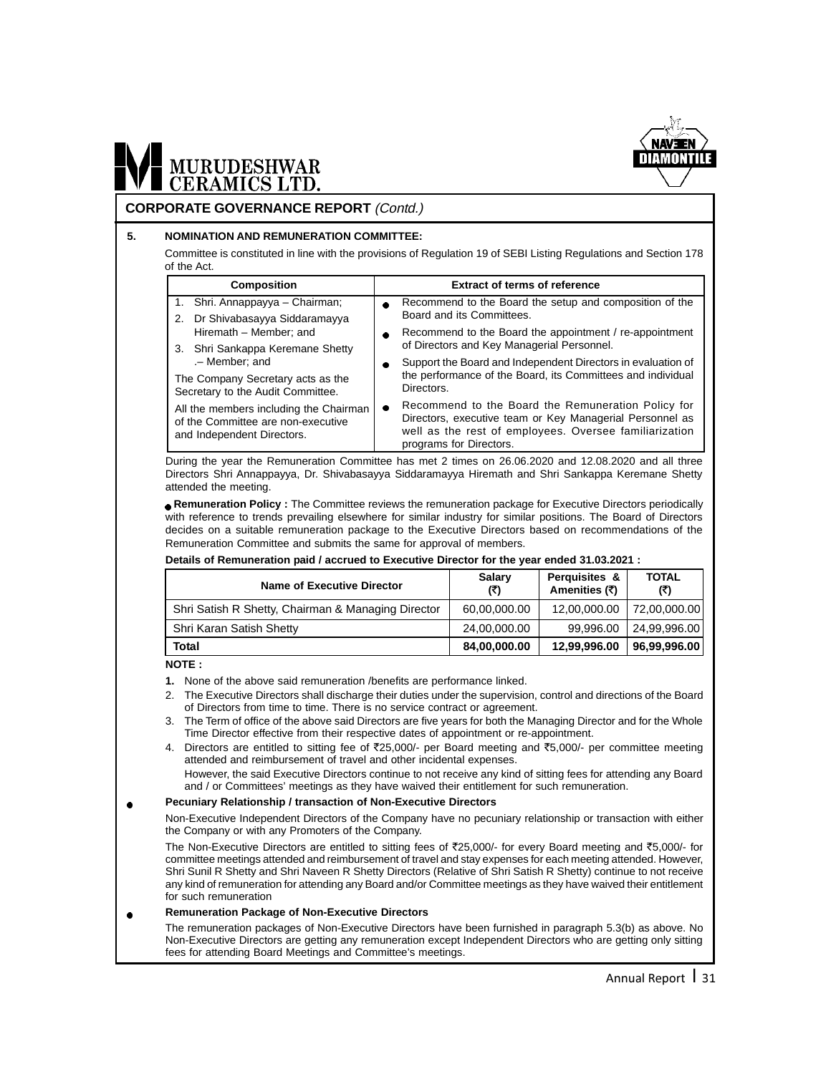

#### **CORPORATE GOVERNANCE REPORT** (Contd.)

#### **5. NOMINATION AND REMUNERATION COMMITTEE:**

Committee is constituted in line with the provisions of Regulation 19 of SEBI Listing Regulations and Section 178 of the Act.

| <b>Composition</b>                                                                                         | <b>Extract of terms of reference</b>                                                                                                                                                                |
|------------------------------------------------------------------------------------------------------------|-----------------------------------------------------------------------------------------------------------------------------------------------------------------------------------------------------|
| 1. Shri. Annappayya – Chairman;                                                                            | Recommend to the Board the setup and composition of the                                                                                                                                             |
| 2. Dr Shivabasayya Siddaramayya                                                                            | Board and its Committees.                                                                                                                                                                           |
| Hiremath - Member; and                                                                                     | Recommend to the Board the appointment / re-appointment                                                                                                                                             |
| Shri Sankappa Keremane Shetty<br>3.                                                                        | of Directors and Key Managerial Personnel.                                                                                                                                                          |
| .- Member; and                                                                                             | Support the Board and Independent Directors in evaluation of                                                                                                                                        |
| The Company Secretary acts as the<br>Secretary to the Audit Committee.                                     | the performance of the Board, its Committees and individual<br>Directors.                                                                                                                           |
| All the members including the Chairman<br>of the Committee are non-executive<br>and Independent Directors. | Recommend to the Board the Remuneration Policy for<br>Directors, executive team or Key Managerial Personnel as<br>well as the rest of employees. Oversee familiarization<br>programs for Directors. |

During the year the Remuneration Committee has met 2 times on 26.06.2020 and 12.08.2020 and all three Directors Shri Annappayya, Dr. Shivabasayya Siddaramayya Hiremath and Shri Sankappa Keremane Shetty attended the meeting.

**Remuneration Policy :** The Committee reviews the remuneration package for Executive Directors periodically with reference to trends prevailing elsewhere for similar industry for similar positions. The Board of Directors decides on a suitable remuneration package to the Executive Directors based on recommendations of the Remuneration Committee and submits the same for approval of members.

#### **Details of Remuneration paid / accrued to Executive Director for the year ended 31.03.2021 :**

| Name of Executive Director                         | <b>Salarv</b><br>(₹) | Perquisites &<br>Amenities (₹) | <b>TOTAL</b><br>(₹) |
|----------------------------------------------------|----------------------|--------------------------------|---------------------|
| Shri Satish R Shetty, Chairman & Managing Director | 60,00,000.00         | 12,00,000.00                   | 72,00,000.00        |
| Shri Karan Satish Shetty                           | 24,00,000.00         | 99.996.00                      | 24.99.996.00        |
| Total                                              | 84,00,000.00         | 12,99,996.00                   | 96,99,996.00        |

#### **NOTE :**

- **1.** None of the above said remuneration /benefits are performance linked.
- 2. The Executive Directors shall discharge their duties under the supervision, control and directions of the Board of Directors from time to time. There is no service contract or agreement.
- 3. The Term of office of the above said Directors are five years for both the Managing Director and for the Whole Time Director effective from their respective dates of appointment or re-appointment.
- 4. Directors are entitled to sitting fee of  $\overline{2}25,000/$  per Board meeting and  $\overline{5},000/$  per committee meeting attended and reimbursement of travel and other incidental expenses.

However, the said Executive Directors continue to not receive any kind of sitting fees for attending any Board and / or Committees' meetings as they have waived their entitlement for such remuneration.

#### **Pecuniary Relationship / transaction of Non-Executive Directors**

Non-Executive Independent Directors of the Company have no pecuniary relationship or transaction with either the Company or with any Promoters of the Company.

The Non-Executive Directors are entitled to sitting fees of  $\bar{\zeta}25,000/$ - for every Board meeting and  $\bar{\zeta}5,000/$ - for committee meetings attended and reimbursement of travel and stay expenses for each meeting attended. However, Shri Sunil R Shetty and Shri Naveen R Shetty Directors (Relative of Shri Satish R Shetty) continue to not receive any kind of remuneration for attending any Board and/or Committee meetings as they have waived their entitlement for such remuneration

#### **Remuneration Package of Non-Executive Directors**  $\bullet$

The remuneration packages of Non-Executive Directors have been furnished in paragraph 5.3(b) as above. No Non-Executive Directors are getting any remuneration except Independent Directors who are getting only sitting fees for attending Board Meetings and Committee's meetings.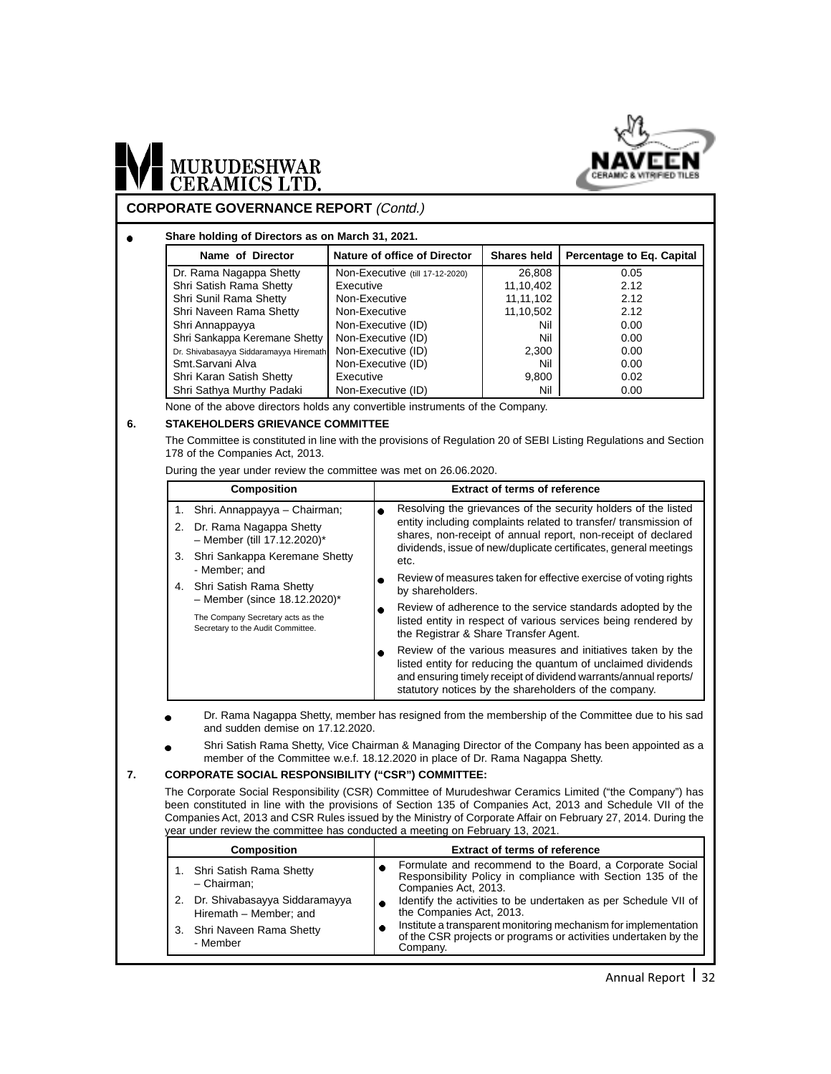

# MURUDESHWAR

#### **CORPORATE GOVERNANCE REPORT** (Contd.)

#### **Share holding of Directors as on March 31, 2021.**  $\bullet$

| Name of Director                       | Nature of office of Director    | <b>Shares held</b> | Percentage to Eq. Capital |
|----------------------------------------|---------------------------------|--------------------|---------------------------|
| Dr. Rama Nagappa Shetty                | Non-Executive (till 17-12-2020) | 26,808             | 0.05                      |
| Shri Satish Rama Shetty                | Executive                       | 11,10,402          | 2.12                      |
| Shri Sunil Rama Shetty                 | Non-Executive                   | 11, 11, 102        | 2.12                      |
| Shri Naveen Rama Shetty                | Non-Executive                   | 11,10,502          | 2.12                      |
| Shri Annappayya                        | Non-Executive (ID)              | Nil                | 0.00                      |
| Shri Sankappa Keremane Shetty          | Non-Executive (ID)              | Nil                | 0.00                      |
| Dr. Shivabasayya Siddaramayya Hiremath | Non-Executive (ID)              | 2.300              | 0.00                      |
| Smt.Sarvani Alva                       | Non-Executive (ID)              | Nil                | 0.00                      |
| Shri Karan Satish Shetty               | Executive                       | 9,800              | 0.02                      |
| Shri Sathya Murthy Padaki              | Non-Executive (ID)              | Nil                | 0.00                      |

None of the above directors holds any convertible instruments of the Company.

#### **6. STAKEHOLDERS GRIEVANCE COMMITTEE**

The Committee is constituted in line with the provisions of Regulation 20 of SEBI Listing Regulations and Section 178 of the Companies Act, 2013.

During the year under review the committee was met on 26.06.2020.

| <b>Composition</b>                                                     |      | <b>Extract of terms of reference</b>                                                                                                                                                                                                                      |
|------------------------------------------------------------------------|------|-----------------------------------------------------------------------------------------------------------------------------------------------------------------------------------------------------------------------------------------------------------|
| 1. Shri. Annappayya – Chairman;                                        |      | Resolving the grievances of the security holders of the listed                                                                                                                                                                                            |
| 2. Dr. Rama Nagappa Shetty<br>- Member (till $17.12.2020$ )*           |      | entity including complaints related to transfer/ transmission of<br>shares, non-receipt of annual report, non-receipt of declared<br>dividends, issue of new/duplicate certificates, general meetings                                                     |
| 3. Shri Sankappa Keremane Shetty<br>- Member; and                      | etc. |                                                                                                                                                                                                                                                           |
| 4. Shri Satish Rama Shetty                                             |      | Review of measures taken for effective exercise of voting rights<br>by shareholders.                                                                                                                                                                      |
| $-$ Member (since 18.12.2020)*                                         |      | Review of adherence to the service standards adopted by the                                                                                                                                                                                               |
| The Company Secretary acts as the<br>Secretary to the Audit Committee. |      | listed entity in respect of various services being rendered by<br>the Registrar & Share Transfer Agent.                                                                                                                                                   |
|                                                                        |      | Review of the various measures and initiatives taken by the<br>listed entity for reducing the quantum of unclaimed dividends<br>and ensuring timely receipt of dividend warrants/annual reports/<br>statutory notices by the shareholders of the company. |

Dr. Rama Nagappa Shetty, member has resigned from the membership of the Committee due to his sad and sudden demise on 17.12.2020.

Shri Satish Rama Shetty, Vice Chairman & Managing Director of the Company has been appointed as a member of the Committee w.e.f. 18.12.2020 in place of Dr. Rama Nagappa Shetty.

#### **7. CORPORATE SOCIAL RESPONSIBILITY ("CSR") COMMITTEE:**

The Corporate Social Responsibility (CSR) Committee of Murudeshwar Ceramics Limited ("the Company") has been constituted in line with the provisions of Section 135 of Companies Act, 2013 and Schedule VII of the Companies Act, 2013 and CSR Rules issued by the Ministry of Corporate Affair on February 27, 2014. During the year under review the committee has conducted a meeting on February 13, 2021.

| <b>Composition</b>                                         | <b>Extract of terms of reference</b>                                                                                                            |  |  |  |
|------------------------------------------------------------|-------------------------------------------------------------------------------------------------------------------------------------------------|--|--|--|
| 1. Shri Satish Rama Shetty<br>- Chairman:                  | Formulate and recommend to the Board, a Corporate Social<br>Responsibility Policy in compliance with Section 135 of the<br>Companies Act, 2013. |  |  |  |
| 2. Dr. Shivabasayya Siddaramayya<br>Hiremath - Member; and | Identify the activities to be undertaken as per Schedule VII of<br>the Companies Act, 2013.                                                     |  |  |  |
| 3. Shri Naveen Rama Shetty<br>- Member                     | Institute a transparent monitoring mechanism for implementation<br>of the CSR projects or programs or activities undertaken by the<br>Company.  |  |  |  |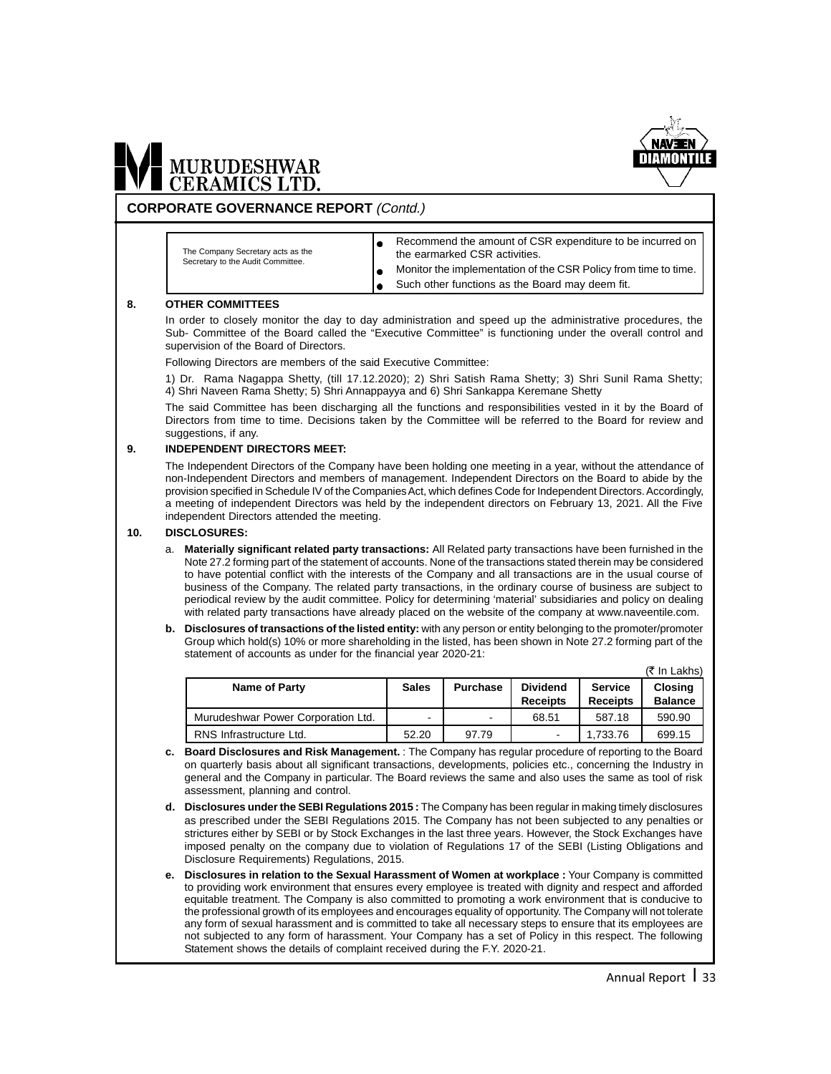

#### **CORPORATE GOVERNANCE REPORT** (Contd.)

The Company Secretary acts as the Secretary to the Audit Committee.

- Recommend the amount of CSR expenditure to be incurred on the earmarked CSR activities.
- Monitor the implementation of the CSR Policy from time to time.  $\bullet$ 
	- Such other functions as the Board may deem fit.

#### **8. OTHER COMMITTEES**

In order to closely monitor the day to day administration and speed up the administrative procedures, the Sub- Committee of the Board called the "Executive Committee" is functioning under the overall control and supervision of the Board of Directors.

Following Directors are members of the said Executive Committee:

1) Dr. Rama Nagappa Shetty, (till 17.12.2020); 2) Shri Satish Rama Shetty; 3) Shri Sunil Rama Shetty; 4) Shri Naveen Rama Shetty; 5) Shri Annappayya and 6) Shri Sankappa Keremane Shetty

The said Committee has been discharging all the functions and responsibilities vested in it by the Board of Directors from time to time. Decisions taken by the Committee will be referred to the Board for review and suggestions, if any.

#### **9. INDEPENDENT DIRECTORS MEET:**

The Independent Directors of the Company have been holding one meeting in a year, without the attendance of non-Independent Directors and members of management. Independent Directors on the Board to abide by the provision specified in Schedule IV of the Companies Act, which defines Code for Independent Directors. Accordingly, a meeting of independent Directors was held by the independent directors on February 13, 2021. All the Five independent Directors attended the meeting.

#### **10. DISCLOSURES:**

- a. **Materially significant related party transactions:** All Related party transactions have been furnished in the Note 27.2 forming part of the statement of accounts. None of the transactions stated therein may be considered to have potential conflict with the interests of the Company and all transactions are in the usual course of business of the Company. The related party transactions, in the ordinary course of business are subject to periodical review by the audit committee. Policy for determining 'material' subsidiaries and policy on dealing with related party transactions have already placed on the website of the company at www.naveentile.com.
- **b. Disclosures of transactions of the listed entity:** with any person or entity belonging to the promoter/promoter Group which hold(s) 10% or more shareholding in the listed, has been shown in Note 27.2 forming part of the statement of accounts as under for the financial year 2020-21:

|                                    |              |                 |                                    |                                   | $(5 \text{ In Lakhs})$           |
|------------------------------------|--------------|-----------------|------------------------------------|-----------------------------------|----------------------------------|
| Name of Party                      | <b>Sales</b> | <b>Purchase</b> | <b>Dividend</b><br><b>Receipts</b> | <b>Service</b><br><b>Receipts</b> | <b>Closing</b><br><b>Balance</b> |
| Murudeshwar Power Corporation Ltd. | ۰            |                 | 68.51                              | 587.18                            | 590.90                           |
| RNS Infrastructure Ltd.            | 52.20        | 97.79           | -                                  | 1.733.76                          | 699.15                           |

- **c. Board Disclosures and Risk Management.** : The Company has regular procedure of reporting to the Board on quarterly basis about all significant transactions, developments, policies etc., concerning the Industry in general and the Company in particular. The Board reviews the same and also uses the same as tool of risk assessment, planning and control.
- **d. Disclosures under the SEBI Regulations 2015 :** The Company has been regular in making timely disclosures as prescribed under the SEBI Regulations 2015. The Company has not been subjected to any penalties or strictures either by SEBI or by Stock Exchanges in the last three years. However, the Stock Exchanges have imposed penalty on the company due to violation of Regulations 17 of the SEBI (Listing Obligations and Disclosure Requirements) Regulations, 2015.
- **e. Disclosures in relation to the Sexual Harassment of Women at workplace :** Your Company is committed to providing work environment that ensures every employee is treated with dignity and respect and afforded equitable treatment. The Company is also committed to promoting a work environment that is conducive to the professional growth of its employees and encourages equality of opportunity. The Company will not tolerate any form of sexual harassment and is committed to take all necessary steps to ensure that its employees are not subjected to any form of harassment. Your Company has a set of Policy in this respect. The following Statement shows the details of complaint received during the F.Y. 2020-21.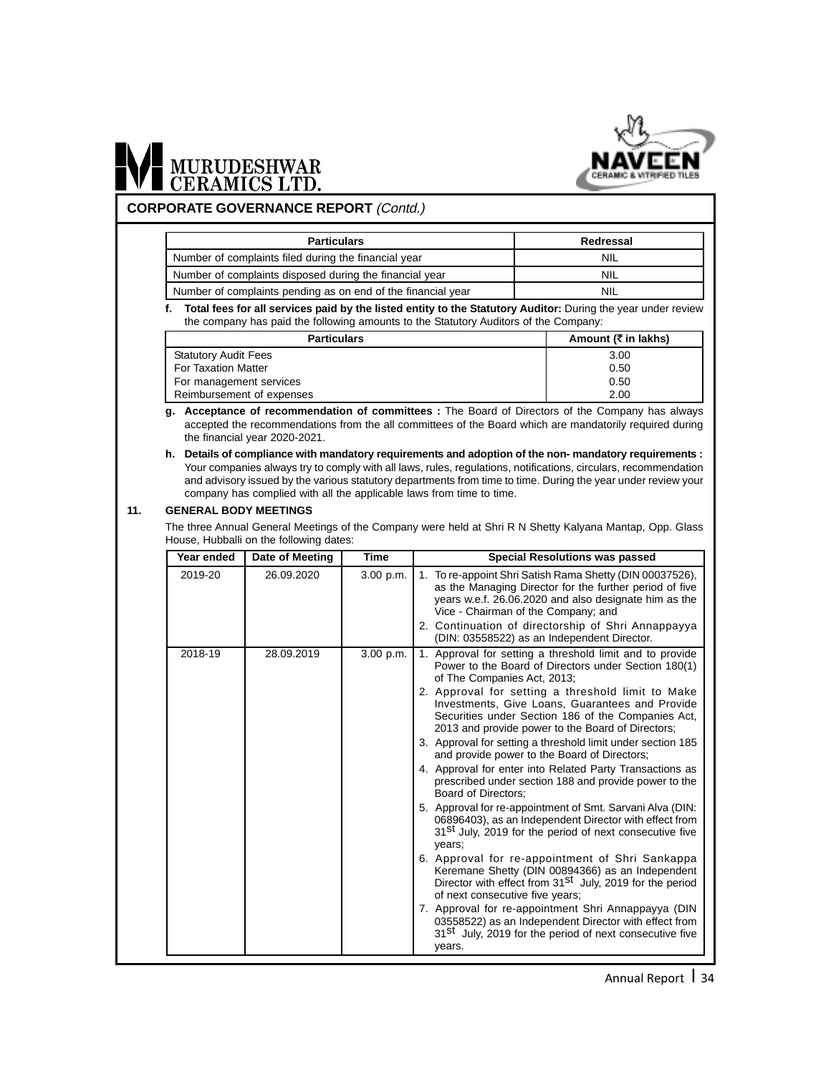

# MURUDESHWAR

#### **CORPORATE GOVERNANCE REPORT** (Contd.)

| <b>Particulars</b>                                           | Redressal  |
|--------------------------------------------------------------|------------|
| Number of complaints filed during the financial year         | <b>NIL</b> |
| Number of complaints disposed during the financial year      | <b>NIL</b> |
| Number of complaints pending as on end of the financial year | NIL        |

**f. Total fees for all services paid by the listed entity to the Statutory Auditor:** During the year under review the company has paid the following amounts to the Statutory Auditors of the Company:

| <b>Particulars</b>          | Amount ( $\bar{\tau}$ in lakhs) |
|-----------------------------|---------------------------------|
| <b>Statutory Audit Fees</b> | 3.00                            |
| <b>For Taxation Matter</b>  | 0.50                            |
| For management services     | 0.50                            |
| Reimbursement of expenses   | 2.00                            |

- **g. Acceptance of recommendation of committees :** The Board of Directors of the Company has always accepted the recommendations from the all committees of the Board which are mandatorily required during the financial year 2020-2021.
- **h. Details of compliance with mandatory requirements and adoption of the non- mandatory requirements :** Your companies always try to comply with all laws, rules, regulations, notifications, circulars, recommendation and advisory issued by the various statutory departments from time to time. During the year under review your company has complied with all the applicable laws from time to time.

#### **11. GENERAL BODY MEETINGS**

The three Annual General Meetings of the Company were held at Shri R N Shetty Kalyana Mantap, Opp. Glass House, Hubballi on the following dates:

| Year ended | Date of Meeting | <b>Time</b> | <b>Special Resolutions was passed</b>                                                                                                                                                                                                                                                                                                                                                                                                                                                                                                                                                                                                                                                                                                                                                                                                                                                                                                                                                                                                                                                                                                                                                                                                                    |
|------------|-----------------|-------------|----------------------------------------------------------------------------------------------------------------------------------------------------------------------------------------------------------------------------------------------------------------------------------------------------------------------------------------------------------------------------------------------------------------------------------------------------------------------------------------------------------------------------------------------------------------------------------------------------------------------------------------------------------------------------------------------------------------------------------------------------------------------------------------------------------------------------------------------------------------------------------------------------------------------------------------------------------------------------------------------------------------------------------------------------------------------------------------------------------------------------------------------------------------------------------------------------------------------------------------------------------|
| 2019-20    | 26.09.2020      | 3.00 p.m.   | 1. To re-appoint Shri Satish Rama Shetty (DIN 00037526),<br>as the Managing Director for the further period of five<br>years w.e.f. 26.06.2020 and also designate him as the<br>Vice - Chairman of the Company; and<br>2. Continuation of directorship of Shri Annappayya<br>(DIN: 03558522) as an Independent Director.                                                                                                                                                                                                                                                                                                                                                                                                                                                                                                                                                                                                                                                                                                                                                                                                                                                                                                                                 |
| 2018-19    | 28.09.2019      | 3.00 p.m.   | 1. Approval for setting a threshold limit and to provide<br>Power to the Board of Directors under Section 180(1)<br>of The Companies Act, 2013;<br>2. Approval for setting a threshold limit to Make<br>Investments, Give Loans, Guarantees and Provide<br>Securities under Section 186 of the Companies Act,<br>2013 and provide power to the Board of Directors;<br>3. Approval for setting a threshold limit under section 185<br>and provide power to the Board of Directors;<br>4. Approval for enter into Related Party Transactions as<br>prescribed under section 188 and provide power to the<br>Board of Directors:<br>5. Approval for re-appointment of Smt. Sarvani Alva (DIN:<br>06896403), as an Independent Director with effect from<br>31 <sup>St</sup> July, 2019 for the period of next consecutive five<br>years;<br>6. Approval for re-appointment of Shri Sankappa<br>Keremane Shetty (DIN 00894366) as an Independent<br>Director with effect from 31 <sup>St</sup> July, 2019 for the period<br>of next consecutive five years;<br>7. Approval for re-appointment Shri Annappayya (DIN<br>03558522) as an Independent Director with effect from<br>31 <sup>St</sup> July, 2019 for the period of next consecutive five<br>years. |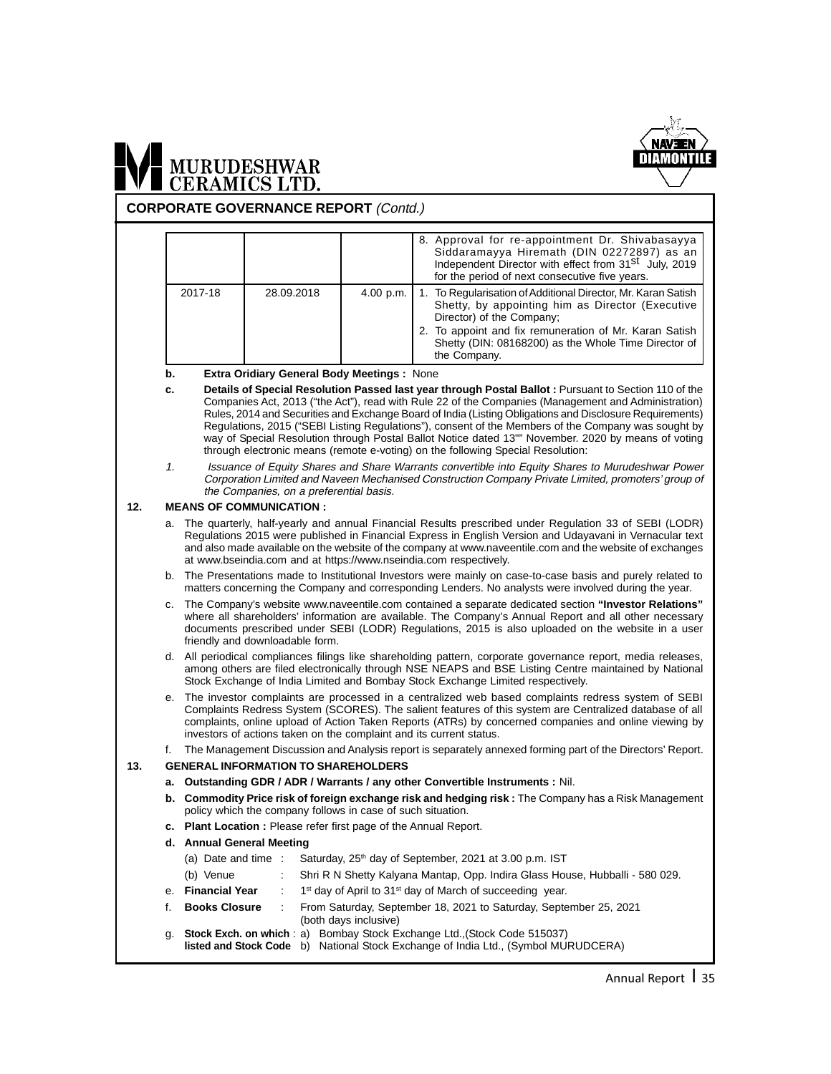

**CORPORATE GOVERNANCE REPORT** (Contd.)

|         |            |           | 8. Approval for re-appointment Dr. Shivabasayya<br>Siddaramayya Hiremath (DIN 02272897) as an<br>Independent Director with effect from 31 <sup>st</sup> July, 2019<br>for the period of next consecutive five years. |
|---------|------------|-----------|----------------------------------------------------------------------------------------------------------------------------------------------------------------------------------------------------------------------|
| 2017-18 | 28.09.2018 | 4.00 p.m. | 1. To Regularisation of Additional Director, Mr. Karan Satish<br>Shetty, by appointing him as Director (Executive<br>Director) of the Company;                                                                       |
|         |            |           | 2. To appoint and fix remuneration of Mr. Karan Satish<br>Shetty (DIN: 08168200) as the Whole Time Director of<br>the Company.                                                                                       |

**b. Extra Oridiary General Body Meetings :** None

- **c. Details of Special Resolution Passed last year through Postal Ballot :** Pursuant to Section 110 of the Companies Act, 2013 ("the Act"), read with Rule 22 of the Companies (Management and Administration) Rules, 2014 and Securities and Exchange Board of India (Listing Obligations and Disclosure Requirements) Regulations, 2015 ("SEBI Listing Regulations"), consent of the Members of the Company was sought by way of Special Resolution through Postal Ballot Notice dated 13"" November. 2020 by means of voting through electronic means (remote e-voting) on the following Special Resolution:
- 1. Issuance of Equity Shares and Share Warrants convertible into Equity Shares to Murudeshwar Power Corporation Limited and Naveen Mechanised Construction Company Private Limited, promoters' group of the Companies, on a preferential basis.

#### **12. MEANS OF COMMUNICATION :**

- a. The quarterly, half-yearly and annual Financial Results prescribed under Regulation 33 of SEBI (LODR) Regulations 2015 were published in Financial Express in English Version and Udayavani in Vernacular text and also made available on the website of the company at www.naveentile.com and the website of exchanges at www.bseindia.com and at https://www.nseindia.com respectively.
- b. The Presentations made to Institutional Investors were mainly on case-to-case basis and purely related to matters concerning the Company and corresponding Lenders. No analysts were involved during the year.
- c. The Company's website www.naveentile.com contained a separate dedicated section **"Investor Relations"** where all shareholders' information are available. The Company's Annual Report and all other necessary documents prescribed under SEBI (LODR) Regulations, 2015 is also uploaded on the website in a user friendly and downloadable form.
- d. All periodical compliances filings like shareholding pattern, corporate governance report, media releases, among others are filed electronically through NSE NEAPS and BSE Listing Centre maintained by National Stock Exchange of India Limited and Bombay Stock Exchange Limited respectively.
- e. The investor complaints are processed in a centralized web based complaints redress system of SEBI Complaints Redress System (SCORES). The salient features of this system are Centralized database of all complaints, online upload of Action Taken Reports (ATRs) by concerned companies and online viewing by investors of actions taken on the complaint and its current status.
- f. The Management Discussion and Analysis report is separately annexed forming part of the Directors' Report.

#### **13. GENERAL INFORMATION TO SHAREHOLDERS**

- **a. Outstanding GDR / ADR / Warrants / any other Convertible Instruments :** Nil.
- **b. Commodity Price risk of foreign exchange risk and hedging risk :** The Company has a Risk Management policy which the company follows in case of such situation.
- **c. Plant Location :** Please refer first page of the Annual Report.
- **d. Annual General Meeting**

|    |                      | (a) Date and time : Saturday, $25th$ day of September, 2021 at 3.00 p.m. IST                                                                                          |
|----|----------------------|-----------------------------------------------------------------------------------------------------------------------------------------------------------------------|
|    | (b) Venue            | Shri R N Shetty Kalyana Mantap, Opp. Indira Glass House, Hubballi - 580 029.                                                                                          |
|    | e. Financial Year    | : 1 <sup>st</sup> day of April to 31 <sup>st</sup> day of March of succeeding year.                                                                                   |
| f. | <b>Books Closure</b> | From Saturday, September 18, 2021 to Saturday, September 25, 2021<br>(both days inclusive)                                                                            |
| α. |                      | Stock Exch. on which: a) Bombay Stock Exchange Ltd., (Stock Code 515037)<br><b>listed and Stock Code</b> b) National Stock Exchange of India Ltd., (Symbol MURUDCERA) |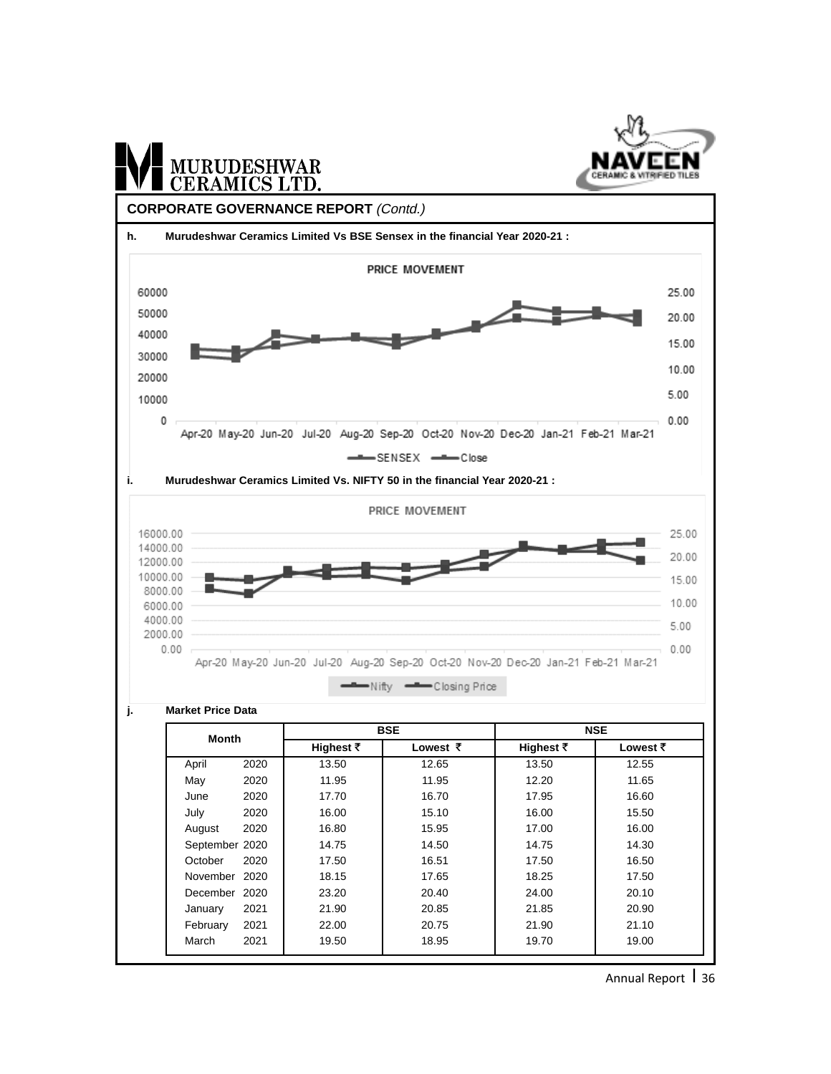

Annual Report 1 36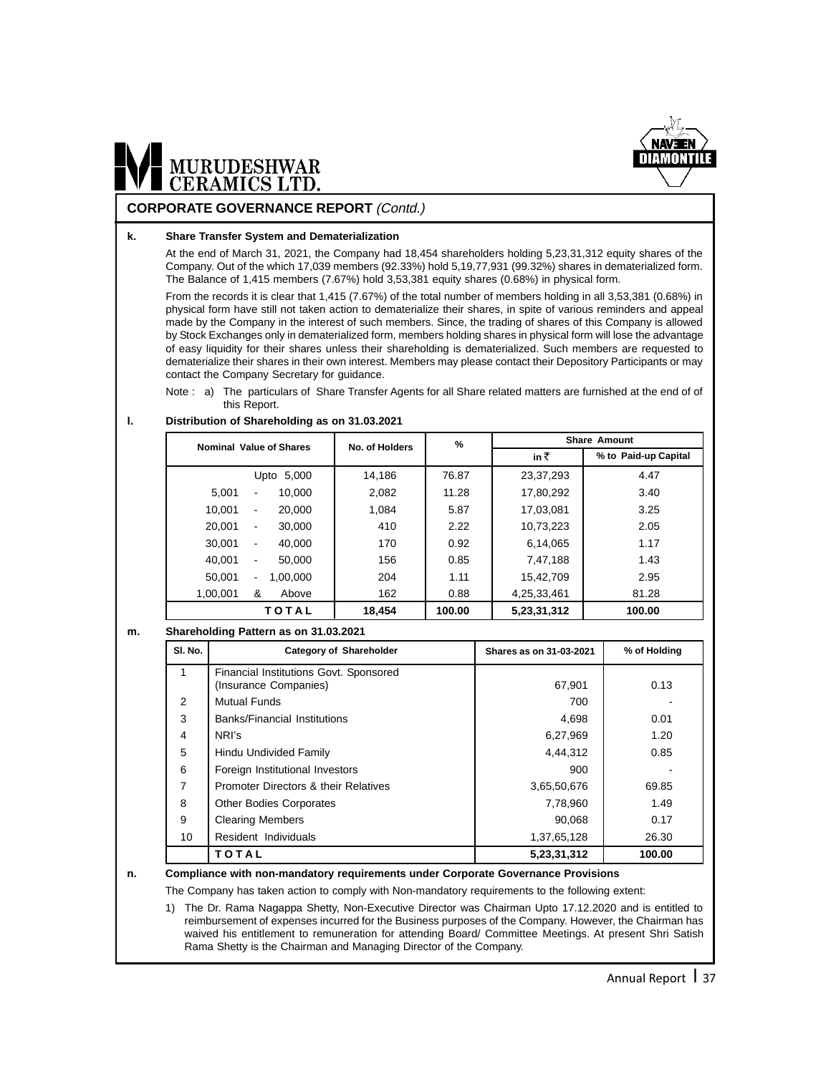

#### **CORPORATE GOVERNANCE REPORT** (Contd.)

#### **k. Share Transfer System and Dematerialization**

At the end of March 31, 2021, the Company had 18,454 shareholders holding 5,23,31,312 equity shares of the Company. Out of the which 17,039 members (92.33%) hold 5,19,77,931 (99.32%) shares in dematerialized form. The Balance of 1,415 members (7.67%) hold 3,53,381 equity shares (0.68%) in physical form.

From the records it is clear that 1,415 (7.67%) of the total number of members holding in all 3,53,381 (0.68%) in physical form have still not taken action to dematerialize their shares, in spite of various reminders and appeal made by the Company in the interest of such members. Since, the trading of shares of this Company is allowed by Stock Exchanges only in dematerialized form, members holding shares in physical form will lose the advantage of easy liquidity for their shares unless their shareholding is dematerialized. Such members are requested to dematerialize their shares in their own interest. Members may please contact their Depository Participants or may contact the Company Secretary for guidance.

Note : a) The particulars of Share Transfer Agents for all Share related matters are furnished at the end of of this Report.

#### **l. Distribution of Shareholding as on 31.03.2021**

| Nominal Value of Shares                      | No. of Holders | %      | <b>Share Amount</b>         |        |  |
|----------------------------------------------|----------------|--------|-----------------------------|--------|--|
|                                              |                |        | in₹<br>% to Paid-up Capital |        |  |
| Upto 5,000                                   | 14.186         | 76.87  | 23,37,293                   | 4.47   |  |
| 5.001<br>10.000<br>-                         | 2,082          | 11.28  | 17,80,292                   | 3.40   |  |
| 10.001<br>20,000<br>$\overline{\phantom{a}}$ | 1.084          | 5.87   | 17,03,081                   | 3.25   |  |
| 20.001<br>30.000<br>$\blacksquare$           | 410            | 2.22   | 10,73,223                   | 2.05   |  |
| 30.001<br>40.000<br>$\blacksquare$           | 170            | 0.92   | 6,14,065                    | 1.17   |  |
| 40.001<br>50,000<br>٠                        | 156            | 0.85   | 7,47,188                    | 1.43   |  |
| 50.001<br>1.00.000<br>۰                      | 204            | 1.11   | 15,42,709                   | 2.95   |  |
| 1,00,001<br>&<br>Above                       | 162            | 0.88   | 4,25,33,461                 | 81.28  |  |
| TOTAL                                        | 18,454         | 100.00 | 5,23,31,312                 | 100.00 |  |

#### **m. Shareholding Pattern as on 31.03.2021**

| SI. No.        | <b>Category of Shareholder</b>                                  | Shares as on 31-03-2021 | % of Holding |
|----------------|-----------------------------------------------------------------|-------------------------|--------------|
| 1              | Financial Institutions Govt. Sponsored<br>(Insurance Companies) | 67,901                  | 0.13         |
| 2              | <b>Mutual Funds</b>                                             | 700                     |              |
| 3              | <b>Banks/Financial Institutions</b>                             | 4,698                   | 0.01         |
| $\overline{4}$ | NRI's                                                           | 6,27,969                | 1.20         |
| 5              | Hindu Undivided Family                                          | 4,44,312                | 0.85         |
| 6              | Foreign Institutional Investors                                 | 900                     |              |
| 7              | Promoter Directors & their Relatives                            | 3,65,50,676             | 69.85        |
| 8              | <b>Other Bodies Corporates</b>                                  | 7,78,960                | 1.49         |
| 9              | <b>Clearing Members</b>                                         | 90.068                  | 0.17         |
| 10             | Resident Individuals                                            | 1,37,65,128             | 26.30        |
|                | TOTAL                                                           | 5,23,31,312             | 100.00       |

#### **n. Compliance with non-mandatory requirements under Corporate Governance Provisions**

The Company has taken action to comply with Non-mandatory requirements to the following extent:

1) The Dr. Rama Nagappa Shetty, Non-Executive Director was Chairman Upto 17.12.2020 and is entitled to reimbursement of expenses incurred for the Business purposes of the Company. However, the Chairman has waived his entitlement to remuneration for attending Board/ Committee Meetings. At present Shri Satish Rama Shetty is the Chairman and Managing Director of the Company.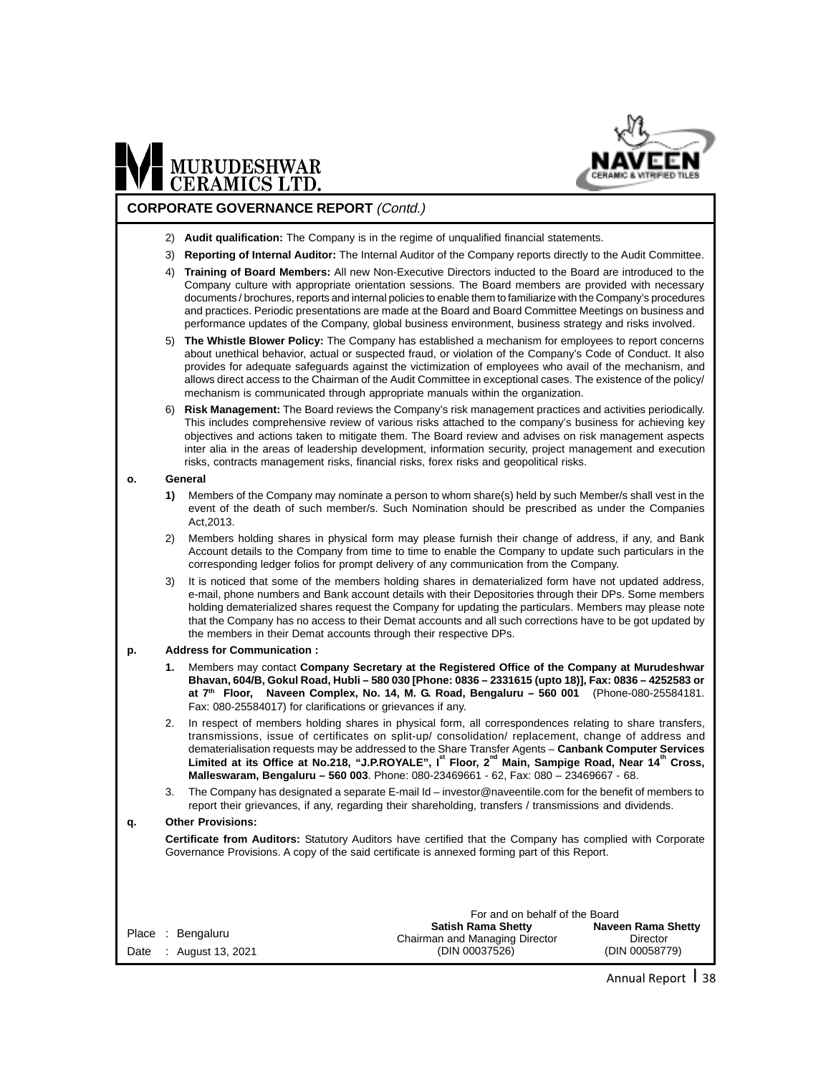

#### **CORPORATE GOVERNANCE REPORT** (Contd.)

- 2) **Audit qualification:** The Company is in the regime of unqualified financial statements.
- 3) **Reporting of Internal Auditor:** The Internal Auditor of the Company reports directly to the Audit Committee.
- 4) **Training of Board Members:** All new Non-Executive Directors inducted to the Board are introduced to the Company culture with appropriate orientation sessions. The Board members are provided with necessary documents / brochures, reports and internal policies to enable them to familiarize with the Company's procedures and practices. Periodic presentations are made at the Board and Board Committee Meetings on business and performance updates of the Company, global business environment, business strategy and risks involved.
- 5) **The Whistle Blower Policy:** The Company has established a mechanism for employees to report concerns about unethical behavior, actual or suspected fraud, or violation of the Company's Code of Conduct. It also provides for adequate safeguards against the victimization of employees who avail of the mechanism, and allows direct access to the Chairman of the Audit Committee in exceptional cases. The existence of the policy/ mechanism is communicated through appropriate manuals within the organization.
- 6) **Risk Management:** The Board reviews the Company's risk management practices and activities periodically. This includes comprehensive review of various risks attached to the company's business for achieving key objectives and actions taken to mitigate them. The Board review and advises on risk management aspects inter alia in the areas of leadership development, information security, project management and execution risks, contracts management risks, financial risks, forex risks and geopolitical risks.

#### **o. General**

- **1)** Members of the Company may nominate a person to whom share(s) held by such Member/s shall vest in the event of the death of such member/s. Such Nomination should be prescribed as under the Companies Act,2013.
- 2) Members holding shares in physical form may please furnish their change of address, if any, and Bank Account details to the Company from time to time to enable the Company to update such particulars in the corresponding ledger folios for prompt delivery of any communication from the Company.
- It is noticed that some of the members holding shares in dematerialized form have not updated address, e-mail, phone numbers and Bank account details with their Depositories through their DPs. Some members holding dematerialized shares request the Company for updating the particulars. Members may please note that the Company has no access to their Demat accounts and all such corrections have to be got updated by the members in their Demat accounts through their respective DPs.

#### **p. Address for Communication :**

- **1.** Members may contact **Company Secretary at the Registered Office of the Company at Murudeshwar Bhavan, 604/B, Gokul Road, Hubli – 580 030 [Phone: 0836 – 2331615 (upto 18)], Fax: 0836 – 4252583 or at 7th Floor, Naveen Complex, No. 14, M. G. Road, Bengaluru – 560 001** (Phone-080-25584181. Fax: 080-25584017) for clarifications or grievances if any.
- In respect of members holding shares in physical form, all correspondences relating to share transfers, transmissions, issue of certificates on split-up/ consolidation/ replacement, change of address and dematerialisation requests may be addressed to the Share Transfer Agents – **Canbank Computer Services Limited at its Office at No.218, "J.P.ROYALE", Ist Floor, 2nd Main, Sampige Road, Near 14th Cross, Malleswaram, Bengaluru – 560 003**. Phone: 080-23469661 - 62, Fax: 080 – 23469667 - 68.
- The Company has designated a separate E-mail Id investor@naveentile.com for the benefit of members to report their grievances, if any, regarding their shareholding, transfers / transmissions and dividends.

#### **q. Other Provisions:**

**Certificate from Auditors:** Statutory Auditors have certified that the Company has complied with Corporate Governance Provisions. A copy of the said certificate is annexed forming part of this Report.

|                                             | For and on behalf of the Board                                                |                                                         |  |  |
|---------------------------------------------|-------------------------------------------------------------------------------|---------------------------------------------------------|--|--|
| Place : Bengaluru<br>Date : August 13, 2021 | <b>Satish Rama Shetty</b><br>Chairman and Managing Director<br>(DIN 00037526) | <b>Naveen Rama Shetty</b><br>Director<br>(DIN 00058779) |  |  |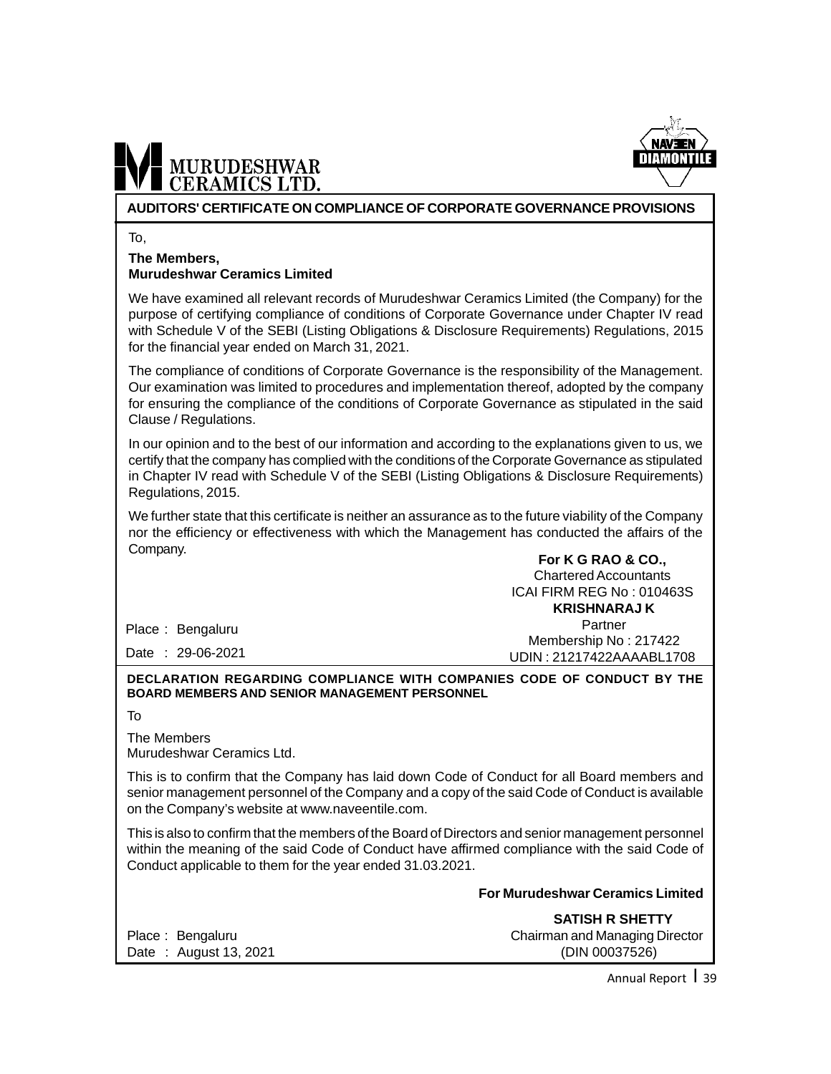

#### **AUDITORS' CERTIFICATE ON COMPLIANCE OF CORPORATE GOVERNANCE PROVISIONS**

To,

#### **The Members, Murudeshwar Ceramics Limited**

We have examined all relevant records of Murudeshwar Ceramics Limited (the Company) for the purpose of certifying compliance of conditions of Corporate Governance under Chapter IV read with Schedule V of the SEBI (Listing Obligations & Disclosure Requirements) Regulations, 2015 for the financial year ended on March 31, 2021.

The compliance of conditions of Corporate Governance is the responsibility of the Management. Our examination was limited to procedures and implementation thereof, adopted by the company for ensuring the compliance of the conditions of Corporate Governance as stipulated in the said Clause / Regulations.

In our opinion and to the best of our information and according to the explanations given to us, we certify that the company has complied with the conditions of the Corporate Governance as stipulated in Chapter IV read with Schedule V of the SEBI (Listing Obligations & Disclosure Requirements) Regulations, 2015.

We further state that this certificate is neither an assurance as to the future viability of the Company nor the efficiency or effectiveness with which the Management has conducted the affairs of the Company.

**For K G RAO & CO.,** Chartered Accountants ICAI FIRM REG No : 010463S  **KRISHNARAJ K** Partner Membership No : 217422

UDIN : 21217422AAAABL1708

Place : Bengaluru

Date : 29-06-2021

#### **DECLARATION REGARDING COMPLIANCE WITH COMPANIES CODE OF CONDUCT BY THE BOARD MEMBERS AND SENIOR MANAGEMENT PERSONNEL**

To

The Members Murudeshwar Ceramics Ltd.

This is to confirm that the Company has laid down Code of Conduct for all Board members and senior management personnel of the Company and a copy of the said Code of Conduct is available on the Company's website at www.naveentile.com.

This is also to confirm that the members of the Board of Directors and senior management personnel within the meaning of the said Code of Conduct have affirmed compliance with the said Code of Conduct applicable to them for the year ended 31.03.2021.

**For Murudeshwar Ceramics Limited**

Date : August 13, 2021 (DIN 00037526)

 **SATISH R SHETTY** Place : Bengaluru Chairman and Managing Director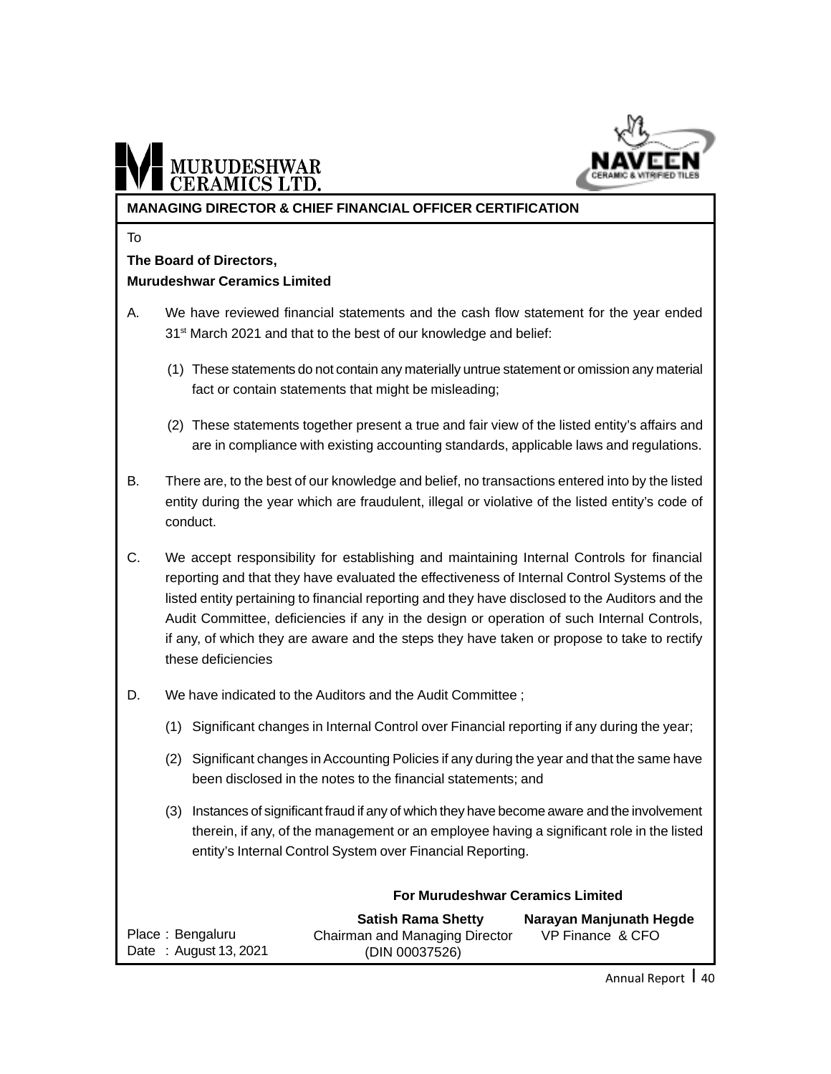

# MURUDESHWAR

#### **MANAGING DIRECTOR & CHIEF FINANCIAL OFFICER CERTIFICATION**

To

#### **The Board of Directors, Murudeshwar Ceramics Limited**

- A. We have reviewed financial statements and the cash flow statement for the year ended 31<sup>st</sup> March 2021 and that to the best of our knowledge and belief:
	- (1) These statements do not contain any materially untrue statement or omission any material fact or contain statements that might be misleading;
	- (2) These statements together present a true and fair view of the listed entity's affairs and are in compliance with existing accounting standards, applicable laws and regulations.
- B. There are, to the best of our knowledge and belief, no transactions entered into by the listed entity during the year which are fraudulent, illegal or violative of the listed entity's code of conduct.
- C. We accept responsibility for establishing and maintaining Internal Controls for financial reporting and that they have evaluated the effectiveness of Internal Control Systems of the listed entity pertaining to financial reporting and they have disclosed to the Auditors and the Audit Committee, deficiencies if any in the design or operation of such Internal Controls, if any, of which they are aware and the steps they have taken or propose to take to rectify these deficiencies
- D. We have indicated to the Auditors and the Audit Committee ;
	- (1) Significant changes in Internal Control over Financial reporting if any during the year;
	- (2) Significant changes in Accounting Policies if any during the year and that the same have been disclosed in the notes to the financial statements; and
	- (3) Instances of significant fraud if any of which they have become aware and the involvement therein, if any, of the management or an employee having a significant role in the listed entity's Internal Control System over Financial Reporting.

**For Murudeshwar Ceramics Limited**

|                       | ו טו וזומו שטכטוואמו טכומוווטט בוווווונט |                         |  |  |  |
|-----------------------|------------------------------------------|-------------------------|--|--|--|
|                       | <b>Satish Rama Shetty</b>                | Narayan Manjunath Hegde |  |  |  |
| Place: Bengaluru      | Chairman and Managing Director           | VP Finance & CFO        |  |  |  |
| Date: August 13, 2021 | (DIN 00037526)                           |                         |  |  |  |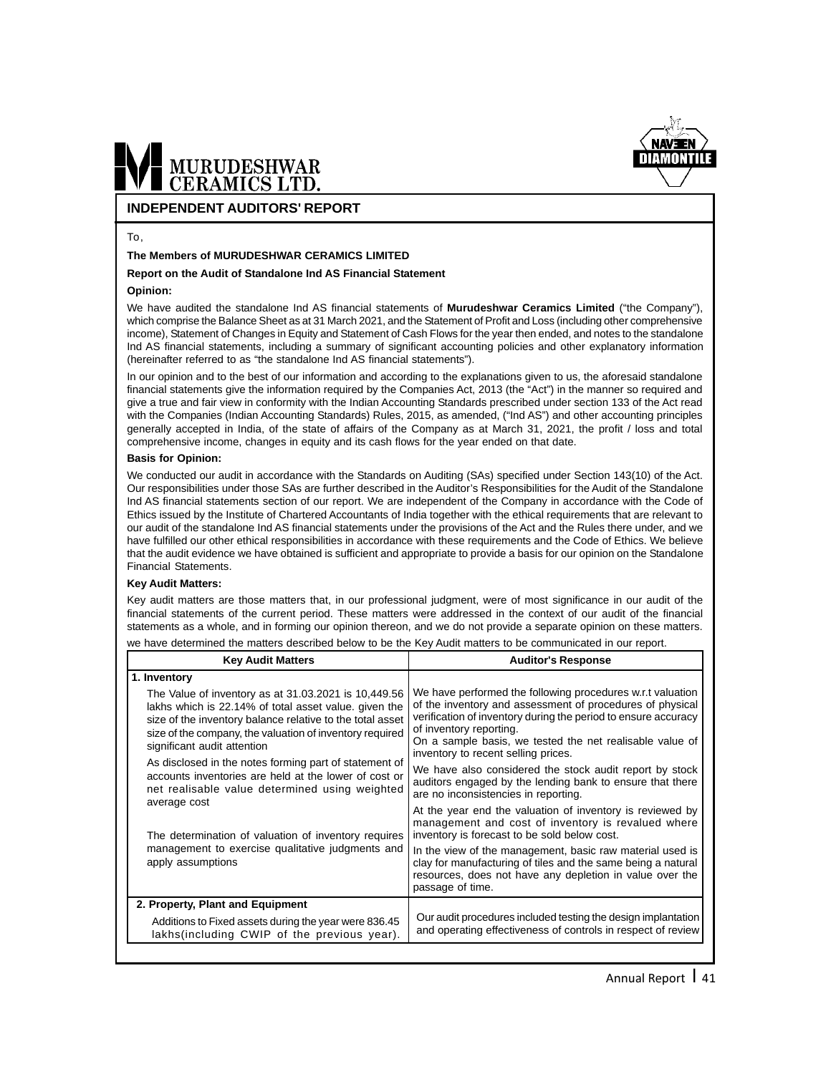

#### **INDEPENDENT AUDITORS' REPORT**

#### To,

#### **The Members of MURUDESHWAR CERAMICS LIMITED**

#### **Report on the Audit of Standalone Ind AS Financial Statement**

#### **Opinion:**

We have audited the standalone Ind AS financial statements of **Murudeshwar Ceramics Limited** ("the Company"), which comprise the Balance Sheet as at 31 March 2021, and the Statement of Profit and Loss (including other comprehensive income), Statement of Changes in Equity and Statement of Cash Flows for the year then ended, and notes to the standalone Ind AS financial statements, including a summary of significant accounting policies and other explanatory information (hereinafter referred to as "the standalone Ind AS financial statements").

In our opinion and to the best of our information and according to the explanations given to us, the aforesaid standalone financial statements give the information required by the Companies Act, 2013 (the "Act") in the manner so required and give a true and fair view in conformity with the Indian Accounting Standards prescribed under section 133 of the Act read with the Companies (Indian Accounting Standards) Rules, 2015, as amended, ("Ind AS") and other accounting principles generally accepted in India, of the state of affairs of the Company as at March 31, 2021, the profit / loss and total comprehensive income, changes in equity and its cash flows for the year ended on that date.

#### **Basis for Opinion:**

We conducted our audit in accordance with the Standards on Auditing (SAs) specified under Section 143(10) of the Act. Our responsibilities under those SAs are further described in the Auditor's Responsibilities for the Audit of the Standalone Ind AS financial statements section of our report. We are independent of the Company in accordance with the Code of Ethics issued by the Institute of Chartered Accountants of India together with the ethical requirements that are relevant to our audit of the standalone Ind AS financial statements under the provisions of the Act and the Rules there under, and we have fulfilled our other ethical responsibilities in accordance with these requirements and the Code of Ethics. We believe that the audit evidence we have obtained is sufficient and appropriate to provide a basis for our opinion on the Standalone Financial Statements.

#### **Key Audit Matters:**

Key audit matters are those matters that, in our professional judgment, were of most significance in our audit of the financial statements of the current period. These matters were addressed in the context of our audit of the financial statements as a whole, and in forming our opinion thereon, and we do not provide a separate opinion on these matters. we have determined the matters described below to be the Key Audit matters to be communicated in our report.

| <b>Key Audit Matters</b>                                                                                                                                                                                                                                              | <b>Auditor's Response</b>                                                                                                                                                                                                                                                                                               |
|-----------------------------------------------------------------------------------------------------------------------------------------------------------------------------------------------------------------------------------------------------------------------|-------------------------------------------------------------------------------------------------------------------------------------------------------------------------------------------------------------------------------------------------------------------------------------------------------------------------|
| 1. Inventory                                                                                                                                                                                                                                                          |                                                                                                                                                                                                                                                                                                                         |
| The Value of inventory as at 31.03.2021 is 10,449.56<br>lakhs which is 22.14% of total asset value, given the<br>size of the inventory balance relative to the total asset<br>size of the company, the valuation of inventory required<br>significant audit attention | We have performed the following procedures w.r.t valuation<br>of the inventory and assessment of procedures of physical<br>verification of inventory during the period to ensure accuracy<br>of inventory reporting.<br>On a sample basis, we tested the net realisable value of<br>inventory to recent selling prices. |
| As disclosed in the notes forming part of statement of<br>accounts inventories are held at the lower of cost or<br>net realisable value determined using weighted                                                                                                     | We have also considered the stock audit report by stock<br>auditors engaged by the lending bank to ensure that there<br>are no inconsistencies in reporting.                                                                                                                                                            |
| average cost<br>The determination of valuation of inventory requires                                                                                                                                                                                                  | At the year end the valuation of inventory is reviewed by<br>management and cost of inventory is revalued where<br>inventory is forecast to be sold below cost.                                                                                                                                                         |
| management to exercise qualitative judgments and<br>apply assumptions                                                                                                                                                                                                 | In the view of the management, basic raw material used is<br>clay for manufacturing of tiles and the same being a natural<br>resources, does not have any depletion in value over the<br>passage of time.                                                                                                               |
| 2. Property, Plant and Equipment                                                                                                                                                                                                                                      |                                                                                                                                                                                                                                                                                                                         |
| Additions to Fixed assets during the year were 836.45<br>lakhs(including CWIP of the previous year).                                                                                                                                                                  | Our audit procedures included testing the design implantation<br>and operating effectiveness of controls in respect of review                                                                                                                                                                                           |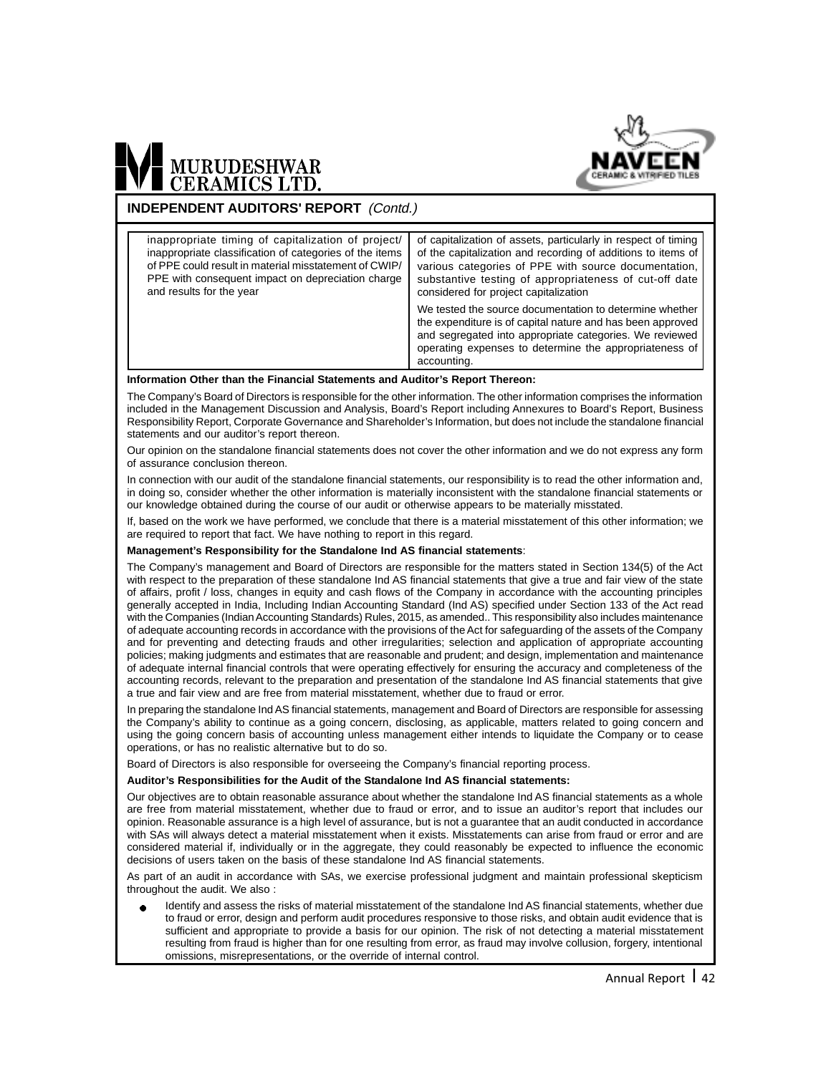

#### **INDEPENDENT AUDITORS' REPORT** (Contd.)

| inappropriate timing of capitalization of project/      | of capitalization of assets, particularly in respect of timing                                                                                                                                                                                            |
|---------------------------------------------------------|-----------------------------------------------------------------------------------------------------------------------------------------------------------------------------------------------------------------------------------------------------------|
| inappropriate classification of categories of the items | of the capitalization and recording of additions to items of                                                                                                                                                                                              |
| of PPE could result in material misstatement of CWIP/   | various categories of PPE with source documentation,                                                                                                                                                                                                      |
| PPE with consequent impact on depreciation charge       | substantive testing of appropriateness of cut-off date                                                                                                                                                                                                    |
| and results for the year                                | considered for project capitalization                                                                                                                                                                                                                     |
|                                                         | We tested the source documentation to determine whether<br>the expenditure is of capital nature and has been approved<br>and segregated into appropriate categories. We reviewed<br>operating expenses to determine the appropriateness of<br>accounting. |

#### **Information Other than the Financial Statements and Auditor's Report Thereon:**

The Company's Board of Directors is responsible for the other information. The other information comprises the information included in the Management Discussion and Analysis, Board's Report including Annexures to Board's Report, Business Responsibility Report, Corporate Governance and Shareholder's Information, but does not include the standalone financial statements and our auditor's report thereon.

Our opinion on the standalone financial statements does not cover the other information and we do not express any form of assurance conclusion thereon.

In connection with our audit of the standalone financial statements, our responsibility is to read the other information and, in doing so, consider whether the other information is materially inconsistent with the standalone financial statements or our knowledge obtained during the course of our audit or otherwise appears to be materially misstated.

If, based on the work we have performed, we conclude that there is a material misstatement of this other information; we are required to report that fact. We have nothing to report in this regard.

#### **Management's Responsibility for the Standalone Ind AS financial statements**:

The Company's management and Board of Directors are responsible for the matters stated in Section 134(5) of the Act with respect to the preparation of these standalone Ind AS financial statements that give a true and fair view of the state of affairs, profit / loss, changes in equity and cash flows of the Company in accordance with the accounting principles generally accepted in India, Including Indian Accounting Standard (Ind AS) specified under Section 133 of the Act read with the Companies (Indian Accounting Standards) Rules, 2015, as amended.. This responsibility also includes maintenance of adequate accounting records in accordance with the provisions of the Act for safeguarding of the assets of the Company and for preventing and detecting frauds and other irregularities; selection and application of appropriate accounting policies; making judgments and estimates that are reasonable and prudent; and design, implementation and maintenance of adequate internal financial controls that were operating effectively for ensuring the accuracy and completeness of the accounting records, relevant to the preparation and presentation of the standalone Ind AS financial statements that give a true and fair view and are free from material misstatement, whether due to fraud or error.

In preparing the standalone Ind AS financial statements, management and Board of Directors are responsible for assessing the Company's ability to continue as a going concern, disclosing, as applicable, matters related to going concern and using the going concern basis of accounting unless management either intends to liquidate the Company or to cease operations, or has no realistic alternative but to do so.

Board of Directors is also responsible for overseeing the Company's financial reporting process.

#### **Auditor's Responsibilities for the Audit of the Standalone Ind AS financial statements:**

Our objectives are to obtain reasonable assurance about whether the standalone Ind AS financial statements as a whole are free from material misstatement, whether due to fraud or error, and to issue an auditor's report that includes our opinion. Reasonable assurance is a high level of assurance, but is not a guarantee that an audit conducted in accordance with SAs will always detect a material misstatement when it exists. Misstatements can arise from fraud or error and are considered material if, individually or in the aggregate, they could reasonably be expected to influence the economic decisions of users taken on the basis of these standalone Ind AS financial statements.

As part of an audit in accordance with SAs, we exercise professional judgment and maintain professional skepticism throughout the audit. We also :

Identify and assess the risks of material misstatement of the standalone Ind AS financial statements, whether due to fraud or error, design and perform audit procedures responsive to those risks, and obtain audit evidence that is sufficient and appropriate to provide a basis for our opinion. The risk of not detecting a material misstatement resulting from fraud is higher than for one resulting from error, as fraud may involve collusion, forgery, intentional omissions, misrepresentations, or the override of internal control.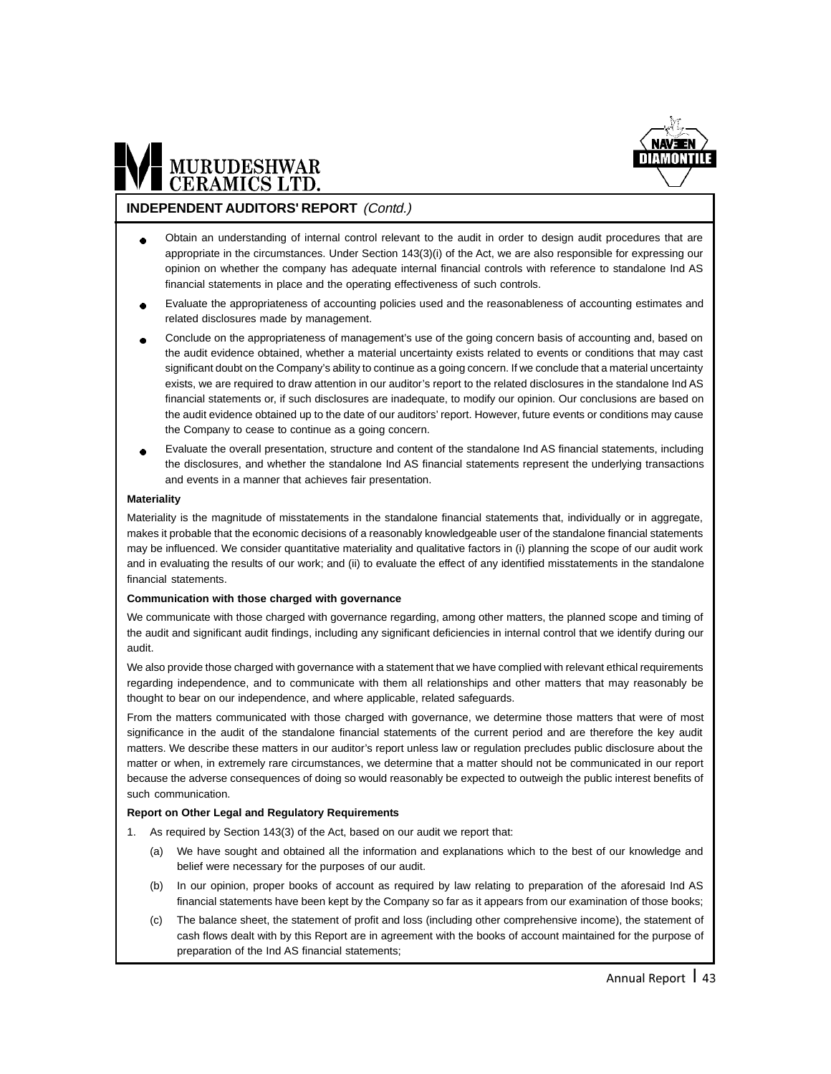

## MURUDESHWAR

#### **INDEPENDENT AUDITORS' REPORT** (Contd.)

- Obtain an understanding of internal control relevant to the audit in order to design audit procedures that are appropriate in the circumstances. Under Section 143(3)(i) of the Act, we are also responsible for expressing our opinion on whether the company has adequate internal financial controls with reference to standalone Ind AS financial statements in place and the operating effectiveness of such controls.
- Evaluate the appropriateness of accounting policies used and the reasonableness of accounting estimates and related disclosures made by management.
- Conclude on the appropriateness of management's use of the going concern basis of accounting and, based on the audit evidence obtained, whether a material uncertainty exists related to events or conditions that may cast significant doubt on the Company's ability to continue as a going concern. If we conclude that a material uncertainty exists, we are required to draw attention in our auditor's report to the related disclosures in the standalone Ind AS financial statements or, if such disclosures are inadequate, to modify our opinion. Our conclusions are based on the audit evidence obtained up to the date of our auditors' report. However, future events or conditions may cause the Company to cease to continue as a going concern.
- Evaluate the overall presentation, structure and content of the standalone Ind AS financial statements, including the disclosures, and whether the standalone Ind AS financial statements represent the underlying transactions and events in a manner that achieves fair presentation.

#### **Materiality**

Materiality is the magnitude of misstatements in the standalone financial statements that, individually or in aggregate, makes it probable that the economic decisions of a reasonably knowledgeable user of the standalone financial statements may be influenced. We consider quantitative materiality and qualitative factors in (i) planning the scope of our audit work and in evaluating the results of our work; and (ii) to evaluate the effect of any identified misstatements in the standalone financial statements.

#### **Communication with those charged with governance**

We communicate with those charged with governance regarding, among other matters, the planned scope and timing of the audit and significant audit findings, including any significant deficiencies in internal control that we identify during our audit.

We also provide those charged with governance with a statement that we have complied with relevant ethical requirements regarding independence, and to communicate with them all relationships and other matters that may reasonably be thought to bear on our independence, and where applicable, related safeguards.

From the matters communicated with those charged with governance, we determine those matters that were of most significance in the audit of the standalone financial statements of the current period and are therefore the key audit matters. We describe these matters in our auditor's report unless law or regulation precludes public disclosure about the matter or when, in extremely rare circumstances, we determine that a matter should not be communicated in our report because the adverse consequences of doing so would reasonably be expected to outweigh the public interest benefits of such communication.

#### **Report on Other Legal and Regulatory Requirements**

- 1. As required by Section 143(3) of the Act, based on our audit we report that:
	- (a) We have sought and obtained all the information and explanations which to the best of our knowledge and belief were necessary for the purposes of our audit.
	- (b) In our opinion, proper books of account as required by law relating to preparation of the aforesaid Ind AS financial statements have been kept by the Company so far as it appears from our examination of those books;
	- (c) The balance sheet, the statement of profit and loss (including other comprehensive income), the statement of cash flows dealt with by this Report are in agreement with the books of account maintained for the purpose of preparation of the Ind AS financial statements;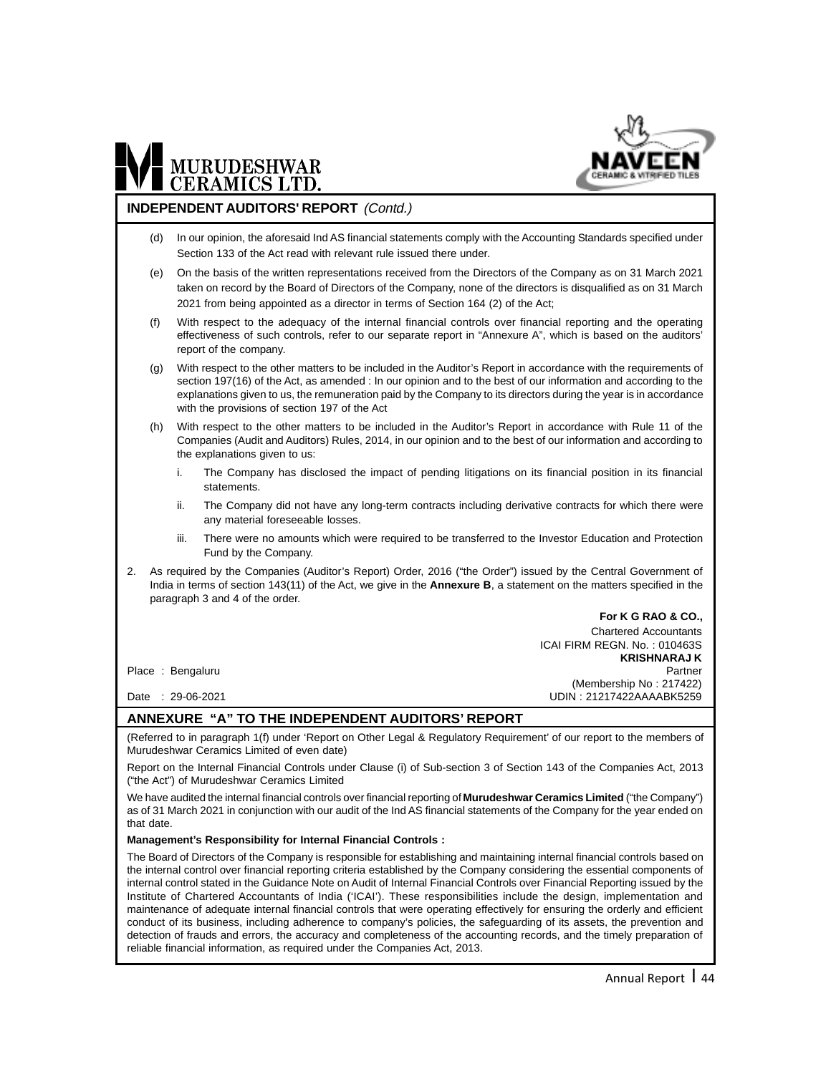

#### **INDEPENDENT AUDITORS' REPORT** (Contd.)

- (d) In our opinion, the aforesaid Ind AS financial statements comply with the Accounting Standards specified under Section 133 of the Act read with relevant rule issued there under.
- (e) On the basis of the written representations received from the Directors of the Company as on 31 March 2021 taken on record by the Board of Directors of the Company, none of the directors is disqualified as on 31 March 2021 from being appointed as a director in terms of Section 164 (2) of the Act;
- (f) With respect to the adequacy of the internal financial controls over financial reporting and the operating effectiveness of such controls, refer to our separate report in "Annexure A", which is based on the auditors' report of the company.
- (g) With respect to the other matters to be included in the Auditor's Report in accordance with the requirements of section 197(16) of the Act, as amended : In our opinion and to the best of our information and according to the explanations given to us, the remuneration paid by the Company to its directors during the year is in accordance with the provisions of section 197 of the Act
- (h) With respect to the other matters to be included in the Auditor's Report in accordance with Rule 11 of the Companies (Audit and Auditors) Rules, 2014, in our opinion and to the best of our information and according to the explanations given to us:
	- The Company has disclosed the impact of pending litigations on its financial position in its financial statements.
	- ii. The Company did not have any long-term contracts including derivative contracts for which there were any material foreseeable losses.
	- iii. There were no amounts which were required to be transferred to the Investor Education and Protection Fund by the Company.
- 2. As required by the Companies (Auditor's Report) Order, 2016 ("the Order") issued by the Central Government of India in terms of section 143(11) of the Act, we give in the **Annexure B**, a statement on the matters specified in the paragraph 3 and 4 of the order.

**For K G RAO & CO.,** Chartered Accountants ICAI FIRM REGN. No. : 010463S  **KRISHNARAJ K** Place : Bengaluru Partner Partner Partner Partner Partner Partner Partner Partner (Membership No : 217422) Date : 29-06-2021 UDIN : 21217422AAAABK5259

#### **ANNEXURE "A" TO THE INDEPENDENT AUDITORS' REPORT**

(Referred to in paragraph 1(f) under 'Report on Other Legal & Regulatory Requirement' of our report to the members of Murudeshwar Ceramics Limited of even date)

Report on the Internal Financial Controls under Clause (i) of Sub-section 3 of Section 143 of the Companies Act, 2013 ("the Act") of Murudeshwar Ceramics Limited

We have audited the internal financial controls over financial reporting of **Murudeshwar Ceramics Limited** ("the Company") as of 31 March 2021 in conjunction with our audit of the Ind AS financial statements of the Company for the year ended on that date.

#### **Management's Responsibility for Internal Financial Controls :**

The Board of Directors of the Company is responsible for establishing and maintaining internal financial controls based on the internal control over financial reporting criteria established by the Company considering the essential components of internal control stated in the Guidance Note on Audit of Internal Financial Controls over Financial Reporting issued by the Institute of Chartered Accountants of India ('ICAI'). These responsibilities include the design, implementation and maintenance of adequate internal financial controls that were operating effectively for ensuring the orderly and efficient conduct of its business, including adherence to company's policies, the safeguarding of its assets, the prevention and detection of frauds and errors, the accuracy and completeness of the accounting records, and the timely preparation of reliable financial information, as required under the Companies Act, 2013.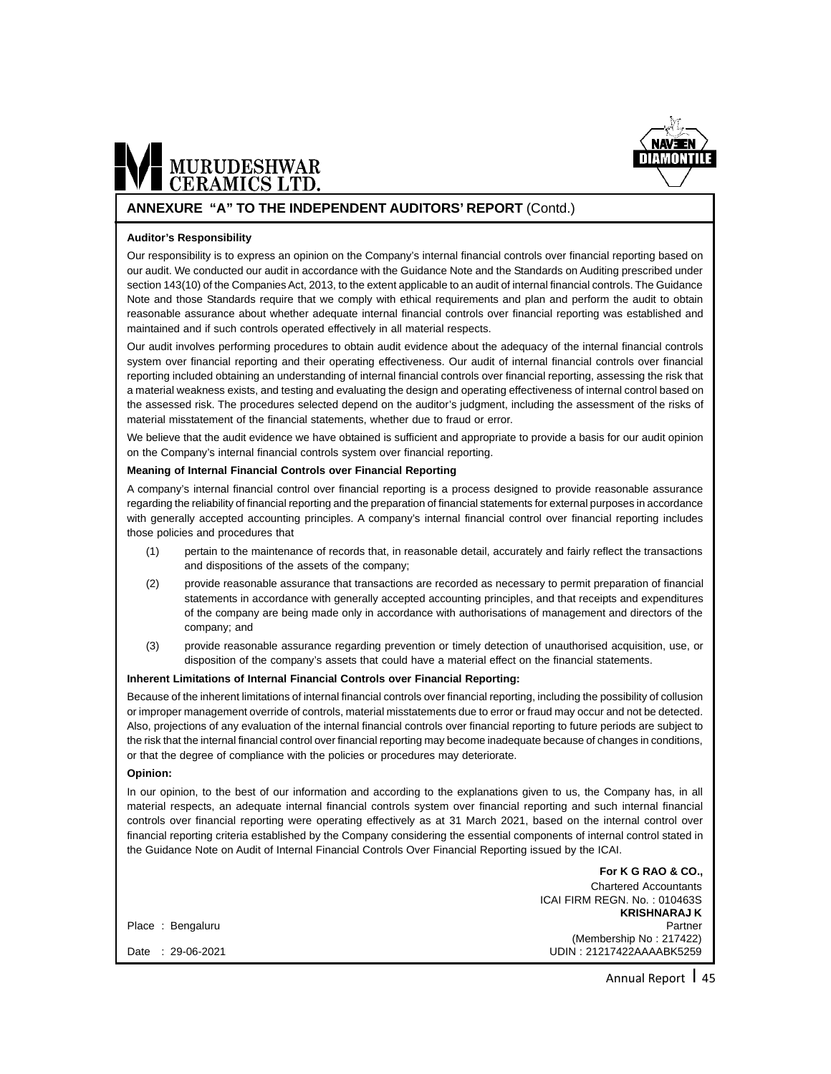

#### **ANNEXURE "A" TO THE INDEPENDENT AUDITORS' REPORT** (Contd.)

#### **Auditor's Responsibility**

Our responsibility is to express an opinion on the Company's internal financial controls over financial reporting based on our audit. We conducted our audit in accordance with the Guidance Note and the Standards on Auditing prescribed under section 143(10) of the Companies Act, 2013, to the extent applicable to an audit of internal financial controls. The Guidance Note and those Standards require that we comply with ethical requirements and plan and perform the audit to obtain reasonable assurance about whether adequate internal financial controls over financial reporting was established and maintained and if such controls operated effectively in all material respects.

Our audit involves performing procedures to obtain audit evidence about the adequacy of the internal financial controls system over financial reporting and their operating effectiveness. Our audit of internal financial controls over financial reporting included obtaining an understanding of internal financial controls over financial reporting, assessing the risk that a material weakness exists, and testing and evaluating the design and operating effectiveness of internal control based on the assessed risk. The procedures selected depend on the auditor's judgment, including the assessment of the risks of material misstatement of the financial statements, whether due to fraud or error.

We believe that the audit evidence we have obtained is sufficient and appropriate to provide a basis for our audit opinion on the Company's internal financial controls system over financial reporting.

#### **Meaning of Internal Financial Controls over Financial Reporting**

A company's internal financial control over financial reporting is a process designed to provide reasonable assurance regarding the reliability of financial reporting and the preparation of financial statements for external purposes in accordance with generally accepted accounting principles. A company's internal financial control over financial reporting includes those policies and procedures that

- (1) pertain to the maintenance of records that, in reasonable detail, accurately and fairly reflect the transactions and dispositions of the assets of the company;
- (2) provide reasonable assurance that transactions are recorded as necessary to permit preparation of financial statements in accordance with generally accepted accounting principles, and that receipts and expenditures of the company are being made only in accordance with authorisations of management and directors of the company; and
- (3) provide reasonable assurance regarding prevention or timely detection of unauthorised acquisition, use, or disposition of the company's assets that could have a material effect on the financial statements.

#### **Inherent Limitations of Internal Financial Controls over Financial Reporting:**

Because of the inherent limitations of internal financial controls over financial reporting, including the possibility of collusion or improper management override of controls, material misstatements due to error or fraud may occur and not be detected. Also, projections of any evaluation of the internal financial controls over financial reporting to future periods are subject to the risk that the internal financial control over financial reporting may become inadequate because of changes in conditions, or that the degree of compliance with the policies or procedures may deteriorate.

#### **Opinion:**

In our opinion, to the best of our information and according to the explanations given to us, the Company has, in all material respects, an adequate internal financial controls system over financial reporting and such internal financial controls over financial reporting were operating effectively as at 31 March 2021, based on the internal control over financial reporting criteria established by the Company considering the essential components of internal control stated in the Guidance Note on Audit of Internal Financial Controls Over Financial Reporting issued by the ICAI.

|                  | ייט איס איז וע ו <b>זע</b>   |
|------------------|------------------------------|
|                  | <b>Chartered Accountants</b> |
|                  | ICAI FIRM REGN. No.: 010463S |
|                  | <b>KRISHNARAJ K</b>          |
| Place: Bengaluru | Partner                      |
|                  | (Membership No: 217422)      |
| Date: 29-06-2021 | UDIN: 21217422AAAABK5259     |
|                  |                              |

**For K G RAO & CO.,**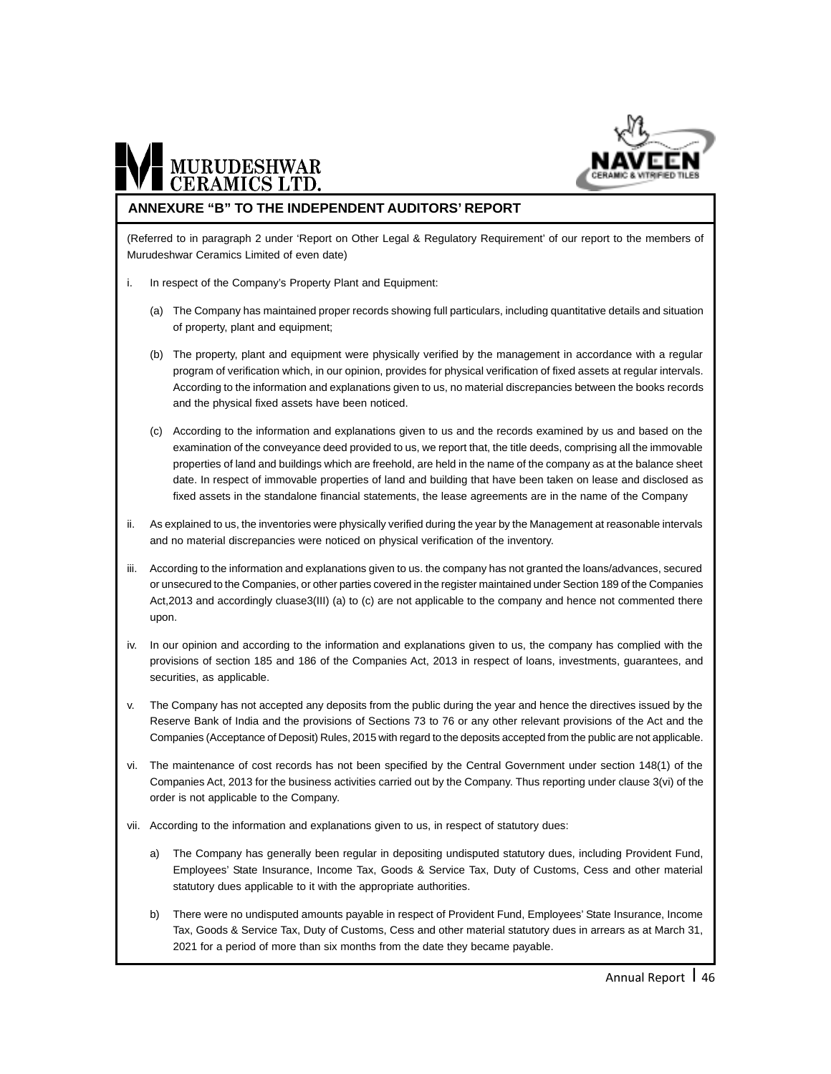

## MURUDESHWAR

#### **ANNEXURE "B" TO THE INDEPENDENT AUDITORS' REPORT**

(Referred to in paragraph 2 under 'Report on Other Legal & Regulatory Requirement' of our report to the members of Murudeshwar Ceramics Limited of even date)

- i. In respect of the Company's Property Plant and Equipment:
	- (a) The Company has maintained proper records showing full particulars, including quantitative details and situation of property, plant and equipment;
	- (b) The property, plant and equipment were physically verified by the management in accordance with a regular program of verification which, in our opinion, provides for physical verification of fixed assets at regular intervals. According to the information and explanations given to us, no material discrepancies between the books records and the physical fixed assets have been noticed.
	- (c) According to the information and explanations given to us and the records examined by us and based on the examination of the conveyance deed provided to us, we report that, the title deeds, comprising all the immovable properties of land and buildings which are freehold, are held in the name of the company as at the balance sheet date. In respect of immovable properties of land and building that have been taken on lease and disclosed as fixed assets in the standalone financial statements, the lease agreements are in the name of the Company
- ii. As explained to us, the inventories were physically verified during the year by the Management at reasonable intervals and no material discrepancies were noticed on physical verification of the inventory.
- iii. According to the information and explanations given to us. the company has not granted the loans/advances, secured or unsecured to the Companies, or other parties covered in the register maintained under Section 189 of the Companies Act,2013 and accordingly cluase3(III) (a) to (c) are not applicable to the company and hence not commented there upon.
- iv. In our opinion and according to the information and explanations given to us, the company has complied with the provisions of section 185 and 186 of the Companies Act, 2013 in respect of loans, investments, guarantees, and securities, as applicable.
- v. The Company has not accepted any deposits from the public during the year and hence the directives issued by the Reserve Bank of India and the provisions of Sections 73 to 76 or any other relevant provisions of the Act and the Companies (Acceptance of Deposit) Rules, 2015 with regard to the deposits accepted from the public are not applicable.
- vi. The maintenance of cost records has not been specified by the Central Government under section 148(1) of the Companies Act, 2013 for the business activities carried out by the Company. Thus reporting under clause 3(vi) of the order is not applicable to the Company.
- vii. According to the information and explanations given to us, in respect of statutory dues:
	- a) The Company has generally been regular in depositing undisputed statutory dues, including Provident Fund, Employees' State Insurance, Income Tax, Goods & Service Tax, Duty of Customs, Cess and other material statutory dues applicable to it with the appropriate authorities.
	- b) There were no undisputed amounts payable in respect of Provident Fund, Employees' State Insurance, Income Tax, Goods & Service Tax, Duty of Customs, Cess and other material statutory dues in arrears as at March 31, 2021 for a period of more than six months from the date they became payable.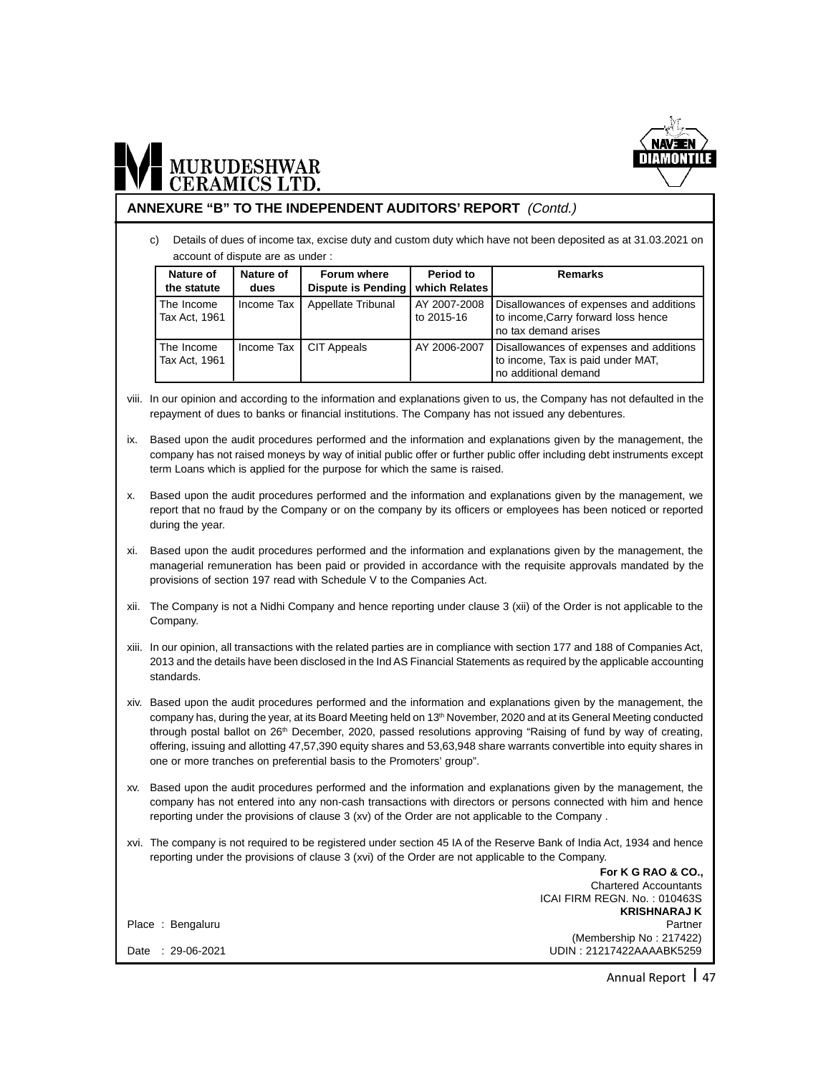

#### **ANNEXURE "B" TO THE INDEPENDENT AUDITORS' REPORT** (Contd.)

c) Details of dues of income tax, excise duty and custom duty which have not been deposited as at 31.03.2021 on account of dispute are as under :

| Nature of<br>the statute    | Nature of<br>dues | Forum where<br>Dispute is Pending | Period to<br>which Relates | <b>Remarks</b>                                                                                         |
|-----------------------------|-------------------|-----------------------------------|----------------------------|--------------------------------------------------------------------------------------------------------|
| The Income<br>Tax Act, 1961 | Income Tax        | Appellate Tribunal                | AY 2007-2008<br>to 2015-16 | Disallowances of expenses and additions<br>to income, Carry forward loss hence<br>no tax demand arises |
| The Income<br>Tax Act. 1961 | Income Tax        | <b>CIT Appeals</b>                | AY 2006-2007               | Disallowances of expenses and additions<br>to income, Tax is paid under MAT,<br>no additional demand   |

- viii. In our opinion and according to the information and explanations given to us, the Company has not defaulted in the repayment of dues to banks or financial institutions. The Company has not issued any debentures.
- ix. Based upon the audit procedures performed and the information and explanations given by the management, the company has not raised moneys by way of initial public offer or further public offer including debt instruments except term Loans which is applied for the purpose for which the same is raised.
- x. Based upon the audit procedures performed and the information and explanations given by the management, we report that no fraud by the Company or on the company by its officers or employees has been noticed or reported during the year.
- xi. Based upon the audit procedures performed and the information and explanations given by the management, the managerial remuneration has been paid or provided in accordance with the requisite approvals mandated by the provisions of section 197 read with Schedule V to the Companies Act.
- xii. The Company is not a Nidhi Company and hence reporting under clause 3 (xii) of the Order is not applicable to the Company.
- xiii. In our opinion, all transactions with the related parties are in compliance with section 177 and 188 of Companies Act, 2013 and the details have been disclosed in the Ind AS Financial Statements as required by the applicable accounting standards.
- xiv. Based upon the audit procedures performed and the information and explanations given by the management, the company has, during the year, at its Board Meeting held on 13<sup>th</sup> November, 2020 and at its General Meeting conducted through postal ballot on 26<sup>th</sup> December, 2020, passed resolutions approving "Raising of fund by way of creating, offering, issuing and allotting 47,57,390 equity shares and 53,63,948 share warrants convertible into equity shares in one or more tranches on preferential basis to the Promoters' group".
- xv. Based upon the audit procedures performed and the information and explanations given by the management, the company has not entered into any non-cash transactions with directors or persons connected with him and hence reporting under the provisions of clause 3 (xv) of the Order are not applicable to the Company .
- xvi. The company is not required to be registered under section 45 IA of the Reserve Bank of India Act, 1934 and hence reporting under the provisions of clause 3 (xvi) of the Order are not applicable to the Company. **For K G RAO & CO.,**

|                  | <b>Chartered Accountants</b> |
|------------------|------------------------------|
|                  | ICAI FIRM REGN. No.: 010463S |
|                  | <b>KRISHNARAJ K</b>          |
| Place: Bengaluru | Partner                      |
|                  | (Membership No: 217422)      |
| Date: 29-06-2021 | UDIN: 21217422AAAABK5259     |
|                  |                              |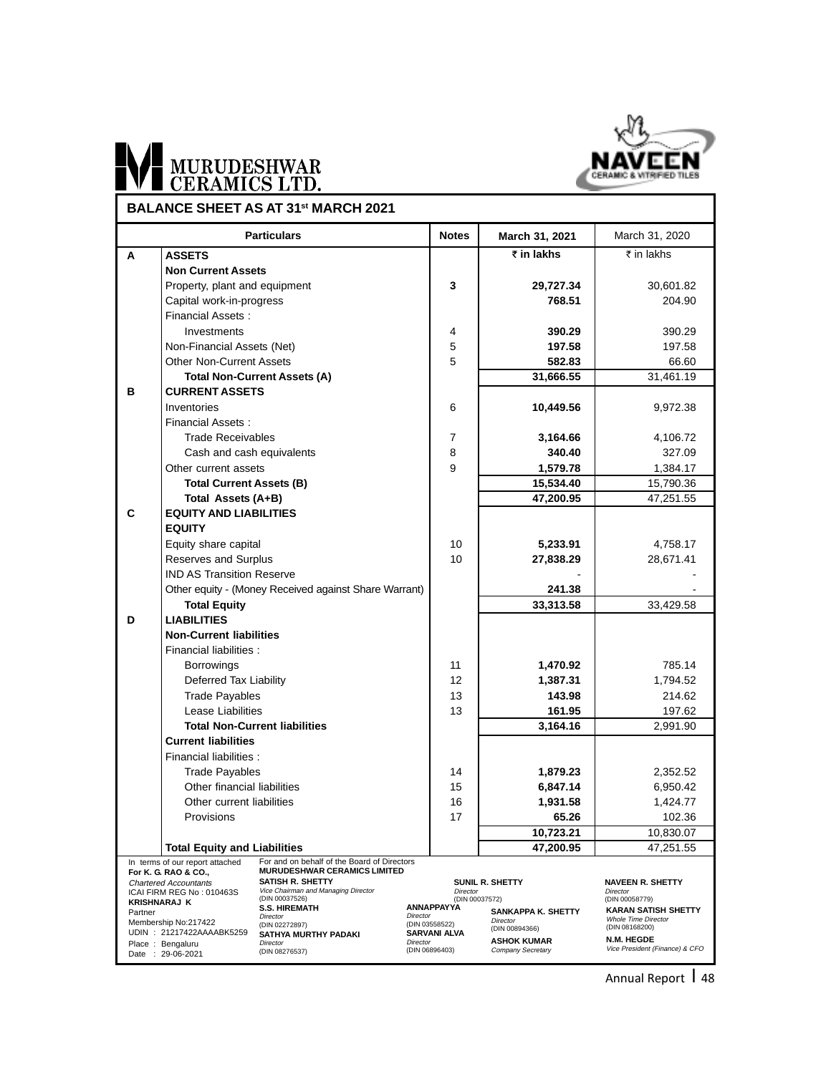

### MURUDESHWAR Ŀ\

|         |                                                                        | <b>Particulars</b>                                             | <b>Notes</b>               | March 31, 2021                          | March 31, 2020                                    |
|---------|------------------------------------------------------------------------|----------------------------------------------------------------|----------------------------|-----------------------------------------|---------------------------------------------------|
| A       | <b>ASSETS</b>                                                          |                                                                |                            | $\overline{\tau}$ in lakhs              | ₹ in lakhs                                        |
|         | <b>Non Current Assets</b>                                              |                                                                |                            |                                         |                                                   |
|         | Property, plant and equipment                                          |                                                                | 3                          | 29,727.34                               | 30,601.82                                         |
|         | Capital work-in-progress                                               |                                                                |                            | 768.51                                  | 204.90                                            |
|         | Financial Assets:                                                      |                                                                |                            |                                         |                                                   |
|         | Investments                                                            |                                                                | 4                          | 390.29                                  | 390.29                                            |
|         | Non-Financial Assets (Net)                                             |                                                                | 5                          | 197.58                                  | 197.58                                            |
|         | Other Non-Current Assets                                               |                                                                | 5                          | 582.83                                  | 66.60                                             |
|         |                                                                        | <b>Total Non-Current Assets (A)</b>                            |                            | 31,666.55                               | 31,461.19                                         |
| В       | <b>CURRENT ASSETS</b>                                                  |                                                                |                            |                                         |                                                   |
|         | Inventories                                                            |                                                                | 6                          | 10,449.56                               | 9,972.38                                          |
|         | Financial Assets:                                                      |                                                                |                            |                                         |                                                   |
|         | <b>Trade Receivables</b>                                               |                                                                | 7                          | 3,164.66                                | 4,106.72                                          |
|         | Cash and cash equivalents                                              |                                                                | 8                          | 340.40                                  | 327.09                                            |
|         | Other current assets                                                   |                                                                | 9                          | 1,579.78                                | 1,384.17                                          |
|         | <b>Total Current Assets (B)</b>                                        |                                                                |                            | 15,534.40                               | 15,790.36                                         |
|         | Total Assets (A+B)                                                     |                                                                |                            | 47,200.95                               | 47,251.55                                         |
| C       | <b>EQUITY AND LIABILITIES</b>                                          |                                                                |                            |                                         |                                                   |
|         | <b>EQUITY</b>                                                          |                                                                |                            |                                         |                                                   |
|         | Equity share capital                                                   |                                                                | 10                         | 5,233.91                                | 4,758.17                                          |
|         | Reserves and Surplus                                                   |                                                                | 10                         | 27,838.29                               | 28,671.41                                         |
|         | <b>IND AS Transition Reserve</b>                                       |                                                                |                            |                                         |                                                   |
|         |                                                                        | Other equity - (Money Received against Share Warrant)          |                            | 241.38                                  |                                                   |
|         | <b>Total Equity</b>                                                    |                                                                |                            | 33,313.58                               | 33,429.58                                         |
| D       | <b>LIABILITIES</b>                                                     |                                                                |                            |                                         |                                                   |
|         | <b>Non-Current liabilities</b>                                         |                                                                |                            |                                         |                                                   |
|         | Financial liabilities :                                                |                                                                |                            |                                         |                                                   |
|         | <b>Borrowings</b>                                                      |                                                                | 11                         | 1,470.92                                | 785.14                                            |
|         | Deferred Tax Liability                                                 |                                                                | 12                         | 1,387.31                                | 1,794.52                                          |
|         | <b>Trade Payables</b>                                                  |                                                                | 13                         | 143.98                                  | 214.62                                            |
|         | Lease Liabilities                                                      |                                                                | 13                         | 161.95                                  | 197.62                                            |
|         |                                                                        | <b>Total Non-Current liabilities</b>                           |                            | 3,164.16                                | 2,991.90                                          |
|         | <b>Current liabilities</b>                                             |                                                                |                            |                                         |                                                   |
|         | Financial liabilities :                                                |                                                                |                            |                                         |                                                   |
|         | <b>Trade Payables</b>                                                  |                                                                | 14                         | 1,879.23                                | 2,352.52                                          |
|         | Other financial liabilities                                            |                                                                | 15                         | 6,847.14                                | 6,950.42                                          |
|         | Other current liabilities                                              |                                                                | 16                         | 1,931.58                                | 1,424.77                                          |
|         | Provisions                                                             |                                                                | 17                         | 65.26                                   | 102.36                                            |
|         |                                                                        |                                                                |                            | 10,723.21                               | 10,830.07                                         |
|         | <b>Total Equity and Liabilities</b><br>In terms of our report attached | For and on behalf of the Board of Directors                    |                            | 47,200.95                               | 47,251.55                                         |
|         | For K. G. RAO & CO.,                                                   | <b>MURUDESHWAR CERAMICS LIMITED</b>                            |                            |                                         |                                                   |
|         | <b>Chartered Accountants</b><br>ICAI FIRM REG No: 010463S              | <b>SATISH R. SHETTY</b><br>Vice Chairman and Managing Director | <b>Director</b>            | SUNIL R. SHETTY                         | <b>NAVEEN R. SHETTY</b><br><b>Director</b>        |
|         | <b>KRISHNARAJ K</b>                                                    | (DIN 00037526)<br><b>S.S. HIREMATH</b>                         | <b>ANNAPPAYYA</b>          | (DIN 00037572)                          | (DIN 00058779)                                    |
| Partner | Membership No:217422                                                   | Director                                                       | Director<br>(DIN 03558522) | SANKAPPA K. SHETTY<br><b>Director</b>   | KARAN SATISH SHETTY<br><b>Whole Time Director</b> |
|         | UDIN: 21217422AAAABK5259                                               | (DIN 02272897)<br>SATHYA MURTHY PADAKI                         | <b>SARVANI ALVA</b>        | (DIN 00894366)                          | (DIN 08168200)<br>N.M. HEGDE                      |
|         | Place: Bengaluru<br>Date: 29-06-2021                                   | Director<br>(DIN 08276537)                                     | Director<br>(DIN 06896403) | <b>ASHOK KUMAR</b><br>Company Secretary | Vice President (Finance) & CFO                    |

**BALANCE SHEET AS AT 31st MARCH 2021**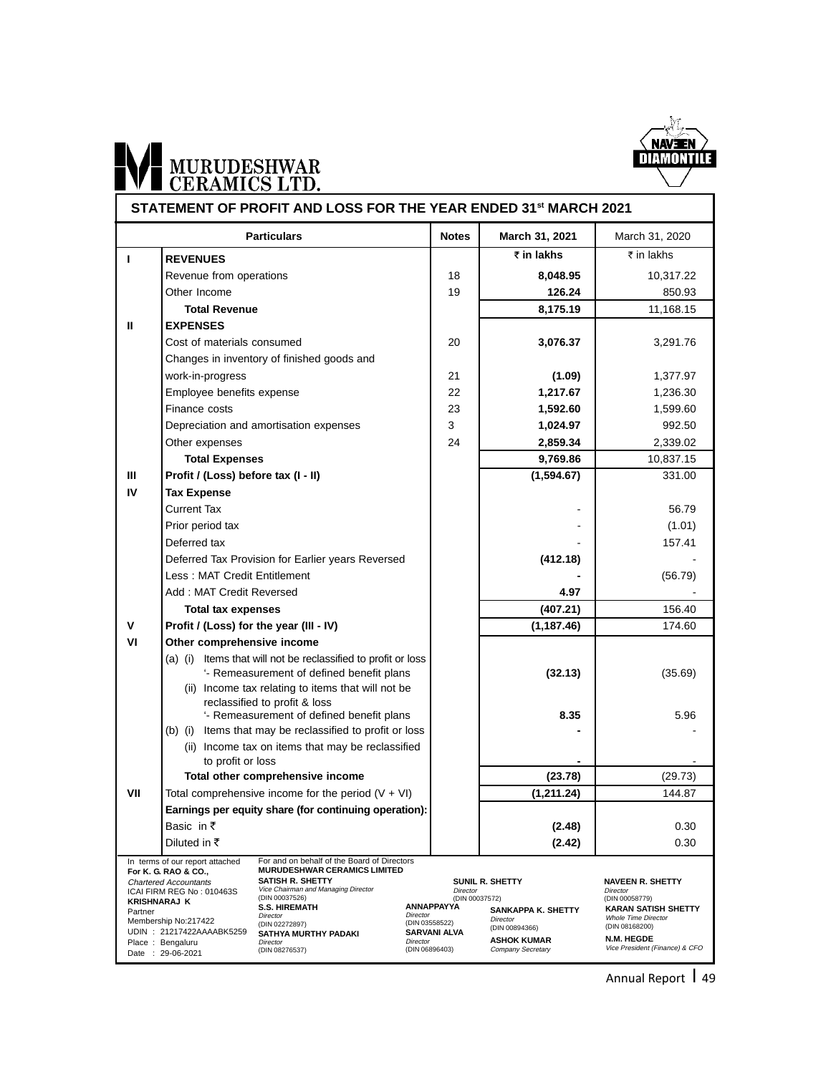

# WI MURUDESHWAR

|                                |                                                                                                                                              | STATEMENT OF PROFIT AND LOSS FOR THE YEAR ENDED 31st MARCH 2021                                                                                                                                                              |                                                             |                                                                            |                                                                                                                   |
|--------------------------------|----------------------------------------------------------------------------------------------------------------------------------------------|------------------------------------------------------------------------------------------------------------------------------------------------------------------------------------------------------------------------------|-------------------------------------------------------------|----------------------------------------------------------------------------|-------------------------------------------------------------------------------------------------------------------|
|                                |                                                                                                                                              | <b>Particulars</b>                                                                                                                                                                                                           | <b>Notes</b>                                                | March 31, 2021                                                             | March 31, 2020                                                                                                    |
| т                              | <b>REVENUES</b>                                                                                                                              |                                                                                                                                                                                                                              |                                                             | ₹ in lakhs                                                                 | ₹ in lakhs                                                                                                        |
|                                | Revenue from operations                                                                                                                      |                                                                                                                                                                                                                              | 18                                                          | 8,048.95                                                                   | 10,317.22                                                                                                         |
|                                | Other Income                                                                                                                                 |                                                                                                                                                                                                                              | 19                                                          | 126.24                                                                     | 850.93                                                                                                            |
|                                | <b>Total Revenue</b>                                                                                                                         |                                                                                                                                                                                                                              |                                                             | 8,175.19                                                                   | 11,168.15                                                                                                         |
| Ш                              | <b>EXPENSES</b>                                                                                                                              |                                                                                                                                                                                                                              |                                                             |                                                                            |                                                                                                                   |
|                                | Cost of materials consumed                                                                                                                   |                                                                                                                                                                                                                              | 20                                                          | 3,076.37                                                                   | 3,291.76                                                                                                          |
|                                |                                                                                                                                              | Changes in inventory of finished goods and                                                                                                                                                                                   |                                                             |                                                                            |                                                                                                                   |
|                                | work-in-progress                                                                                                                             |                                                                                                                                                                                                                              | 21                                                          | (1.09)                                                                     | 1,377.97                                                                                                          |
|                                | Employee benefits expense                                                                                                                    |                                                                                                                                                                                                                              | 22                                                          | 1,217.67                                                                   | 1,236.30                                                                                                          |
|                                | Finance costs                                                                                                                                |                                                                                                                                                                                                                              | 23                                                          | 1,592.60                                                                   | 1,599.60                                                                                                          |
|                                |                                                                                                                                              | Depreciation and amortisation expenses                                                                                                                                                                                       | 3                                                           | 1,024.97                                                                   | 992.50                                                                                                            |
|                                | Other expenses                                                                                                                               |                                                                                                                                                                                                                              | 24                                                          | 2,859.34                                                                   | 2,339.02                                                                                                          |
|                                | <b>Total Expenses</b>                                                                                                                        |                                                                                                                                                                                                                              |                                                             | 9,769.86                                                                   | 10,837.15                                                                                                         |
| Ш                              | Profit / (Loss) before tax (I - II)                                                                                                          |                                                                                                                                                                                                                              |                                                             | (1,594.67)                                                                 | 331.00                                                                                                            |
| IV                             | <b>Tax Expense</b>                                                                                                                           |                                                                                                                                                                                                                              |                                                             |                                                                            |                                                                                                                   |
|                                | <b>Current Tax</b>                                                                                                                           |                                                                                                                                                                                                                              |                                                             |                                                                            | 56.79                                                                                                             |
|                                | Prior period tax                                                                                                                             |                                                                                                                                                                                                                              |                                                             |                                                                            | (1.01)                                                                                                            |
|                                | Deferred tax                                                                                                                                 |                                                                                                                                                                                                                              |                                                             |                                                                            | 157.41                                                                                                            |
|                                |                                                                                                                                              | Deferred Tax Provision for Earlier years Reversed                                                                                                                                                                            |                                                             | (412.18)                                                                   |                                                                                                                   |
|                                | Less: MAT Credit Entitlement                                                                                                                 |                                                                                                                                                                                                                              |                                                             |                                                                            | (56.79)                                                                                                           |
|                                | Add: MAT Credit Reversed                                                                                                                     |                                                                                                                                                                                                                              |                                                             | 4.97                                                                       |                                                                                                                   |
|                                | <b>Total tax expenses</b>                                                                                                                    |                                                                                                                                                                                                                              |                                                             | (407.21)                                                                   | 156.40                                                                                                            |
| V                              |                                                                                                                                              | Profit / (Loss) for the year (III - IV)                                                                                                                                                                                      |                                                             | (1, 187.46)                                                                | 174.60                                                                                                            |
| VI                             | Other comprehensive income                                                                                                                   |                                                                                                                                                                                                                              |                                                             |                                                                            |                                                                                                                   |
|                                |                                                                                                                                              | (a) (i) Items that will not be reclassified to profit or loss                                                                                                                                                                |                                                             |                                                                            |                                                                                                                   |
|                                |                                                                                                                                              | '- Remeasurement of defined benefit plans                                                                                                                                                                                    |                                                             | (32.13)                                                                    | (35.69)                                                                                                           |
|                                |                                                                                                                                              | (ii) Income tax relating to items that will not be<br>reclassified to profit & loss                                                                                                                                          |                                                             |                                                                            |                                                                                                                   |
|                                |                                                                                                                                              | '- Remeasurement of defined benefit plans                                                                                                                                                                                    |                                                             | 8.35                                                                       | 5.96                                                                                                              |
|                                |                                                                                                                                              | (b) (i) Items that may be reclassified to profit or loss                                                                                                                                                                     |                                                             |                                                                            |                                                                                                                   |
|                                |                                                                                                                                              | (ii) Income tax on items that may be reclassified                                                                                                                                                                            |                                                             |                                                                            |                                                                                                                   |
|                                | to profit or loss                                                                                                                            |                                                                                                                                                                                                                              |                                                             |                                                                            |                                                                                                                   |
|                                |                                                                                                                                              | Total other comprehensive income                                                                                                                                                                                             |                                                             | (23.78)                                                                    | (29.73)                                                                                                           |
| VII                            |                                                                                                                                              | Total comprehensive income for the period $(V + VI)$                                                                                                                                                                         |                                                             | (1, 211.24)                                                                | 144.87                                                                                                            |
|                                |                                                                                                                                              | Earnings per equity share (for continuing operation):                                                                                                                                                                        |                                                             |                                                                            |                                                                                                                   |
|                                | Basic in $\bar{z}$                                                                                                                           |                                                                                                                                                                                                                              |                                                             | (2.48)                                                                     | 0.30                                                                                                              |
|                                | Diluted in $\bar{\tau}$                                                                                                                      |                                                                                                                                                                                                                              |                                                             | (2.42)                                                                     | 0.30                                                                                                              |
| <b>KRISHNARAJ K</b><br>Partner | In terms of our report attached<br>For K. G. RAO & CO.,<br><b>Chartered Accountants</b><br>ICAI FIRM REG No: 010463S<br>Membership No:217422 | For and on behalf of the Board of Directors<br><b>MURUDESHWAR CERAMICS LIMITED</b><br><b>SATISH R. SHETTY</b><br>Vice Chairman and Managing Director<br>(DIN 00037526)<br><b>S.S. HIREMATH</b><br>Director<br>(DIN 02272897) | Director<br><b>ANNAPPAYYA</b><br>Director<br>(DIN 03558522) | SUNIL R. SHETTY<br>(DIN 00037572)<br><b>SANKAPPA K. SHETTY</b><br>Director | <b>NAVEEN R. SHETTY</b><br>Director<br>(DIN 00058779)<br><b>KARAN SATISH SHETTY</b><br><b>Whole Time Director</b> |
|                                | UDIN : 21217422AAAABK5259<br>Place: Bengaluru                                                                                                | SATHYA MURTHY PADAKI<br>Director                                                                                                                                                                                             | <b>SARVANI ALVA</b><br>Director                             | (DIN 00894366)<br><b>ASHOK KUMAR</b>                                       | (DIN 08168200)<br>N.M. HEGDE                                                                                      |
|                                | Date: 29-06-2021                                                                                                                             | (DIN 08276537)                                                                                                                                                                                                               | (DIN 06896403)                                              | Company Secretary                                                          | Vice President (Finance) & CFO                                                                                    |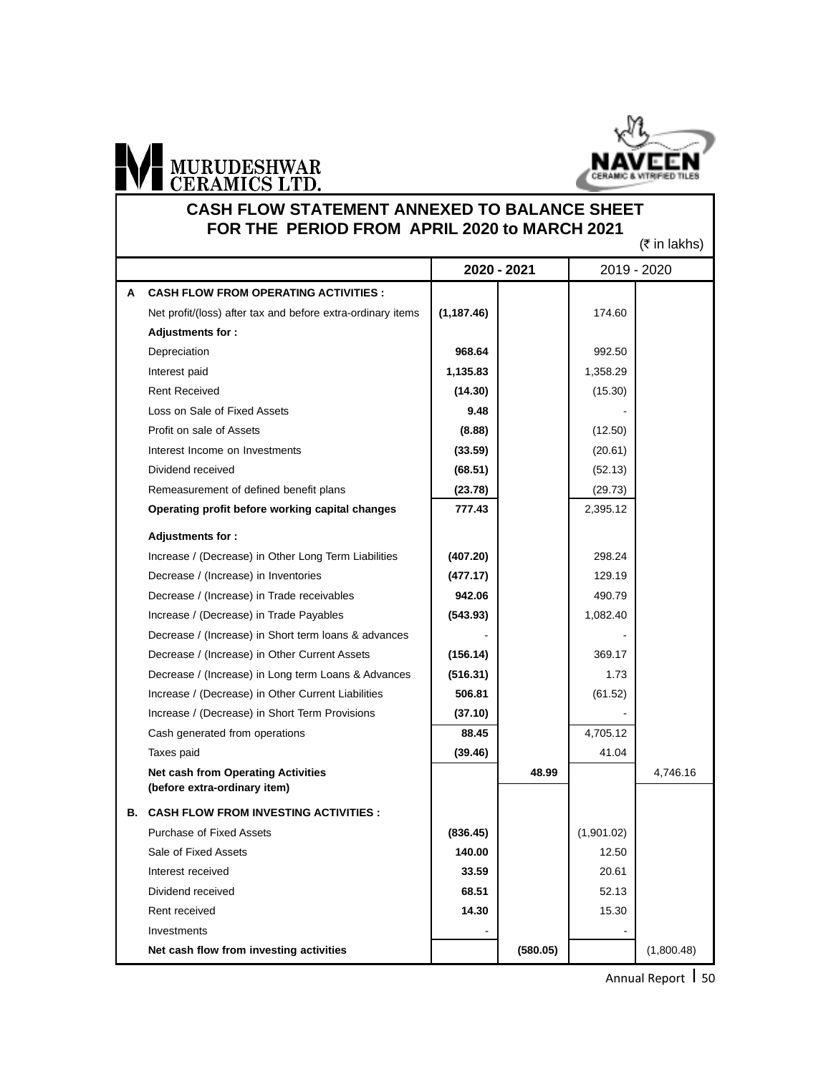

#### **CASH FLOW STATEMENT ANNEXED TO BALANCE SHEET FOR THE PERIOD FROM APRIL 2020 to MARCH 2021**

 $(7$  in lakhe)

|   | $(x \sin \alpha x)$                                                       |             |          |            |            |
|---|---------------------------------------------------------------------------|-------------|----------|------------|------------|
|   | 2020 - 2021<br>2019 - 2020                                                |             |          |            |            |
| A | <b>CASH FLOW FROM OPERATING ACTIVITIES :</b>                              |             |          |            |            |
|   | Net profit/(loss) after tax and before extra-ordinary items               | (1, 187.46) |          | 174.60     |            |
|   | <b>Adjustments for:</b>                                                   |             |          |            |            |
|   | Depreciation                                                              | 968.64      |          | 992.50     |            |
|   | Interest paid                                                             | 1,135.83    |          | 1,358.29   |            |
|   | <b>Rent Received</b>                                                      | (14.30)     |          | (15.30)    |            |
|   | Loss on Sale of Fixed Assets                                              | 9.48        |          |            |            |
|   | Profit on sale of Assets                                                  | (8.88)      |          | (12.50)    |            |
|   | Interest Income on Investments                                            | (33.59)     |          | (20.61)    |            |
|   | Dividend received                                                         | (68.51)     |          | (52.13)    |            |
|   | Remeasurement of defined benefit plans                                    | (23.78)     |          | (29.73)    |            |
|   | Operating profit before working capital changes                           | 777.43      |          | 2,395.12   |            |
|   | Adjustments for:                                                          |             |          |            |            |
|   | Increase / (Decrease) in Other Long Term Liabilities                      | (407.20)    |          | 298.24     |            |
|   | Decrease / (Increase) in Inventories                                      | (477.17)    |          | 129.19     |            |
|   | Decrease / (Increase) in Trade receivables                                | 942.06      |          | 490.79     |            |
|   | Increase / (Decrease) in Trade Payables                                   | (543.93)    |          | 1,082.40   |            |
|   | Decrease / (Increase) in Short term loans & advances                      |             |          |            |            |
|   | Decrease / (Increase) in Other Current Assets                             | (156.14)    |          | 369.17     |            |
|   | Decrease / (Increase) in Long term Loans & Advances                       | (516.31)    |          | 1.73       |            |
|   | Increase / (Decrease) in Other Current Liabilities                        | 506.81      |          | (61.52)    |            |
|   | Increase / (Decrease) in Short Term Provisions                            | (37.10)     |          |            |            |
|   | Cash generated from operations                                            | 88.45       |          | 4,705.12   |            |
|   | Taxes paid                                                                | (39.46)     |          | 41.04      |            |
|   | <b>Net cash from Operating Activities</b><br>(before extra-ordinary item) |             | 48.99    |            | 4,746.16   |
|   | <b>B. CASH FLOW FROM INVESTING ACTIVITIES :</b>                           |             |          |            |            |
|   | <b>Purchase of Fixed Assets</b>                                           | (836.45)    |          | (1,901.02) |            |
|   | Sale of Fixed Assets                                                      | 140.00      |          | 12.50      |            |
|   | Interest received                                                         | 33.59       |          | 20.61      |            |
|   | Dividend received                                                         | 68.51       |          | 52.13      |            |
|   | Rent received                                                             | 14.30       |          | 15.30      |            |
|   | Investments                                                               |             |          |            |            |
|   | Net cash flow from investing activities                                   |             | (580.05) |            | (1,800.48) |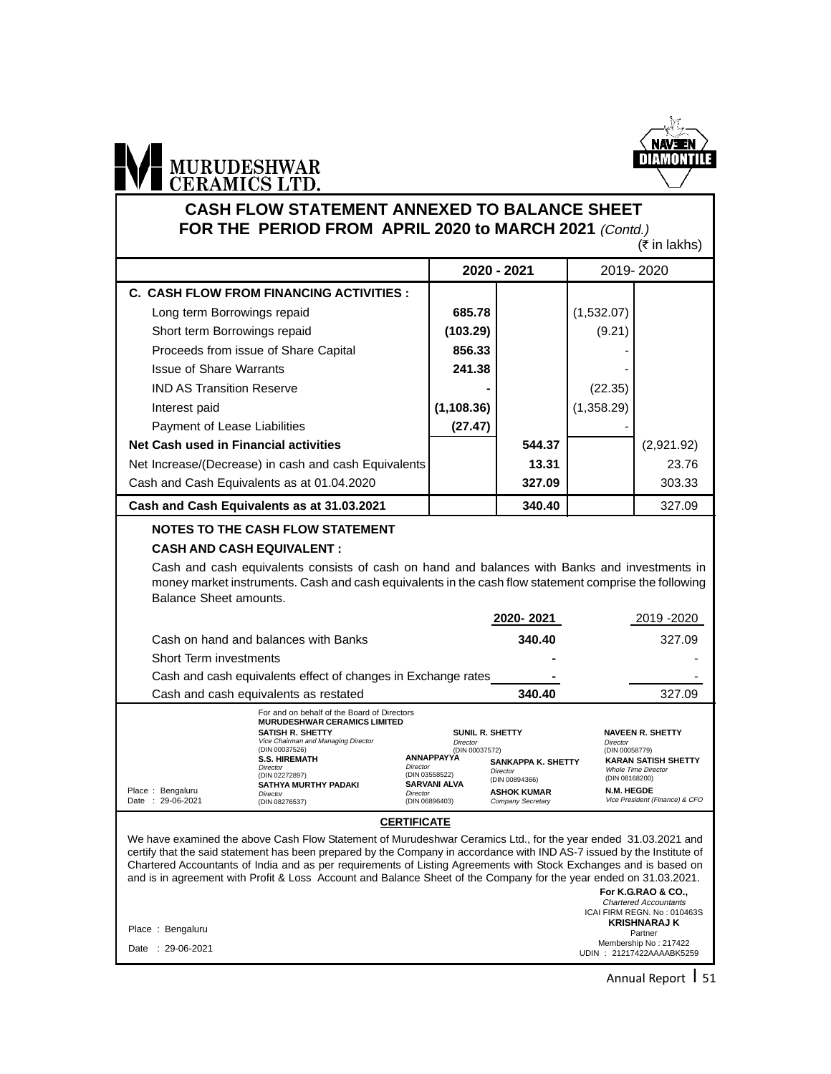

#### **CASH FLOW STATEMENT ANNEXED TO BALANCE SHEET** FOR THE PERIOD FROM APRIL 2020 to MARCH 2021 (Contd.)

 $(\bar{\bar{\tau}}$  in lakhs)

|                                                                                                                                                                                                                                  |                                                                                  | 2020 - 2021                    | 2019-2020                  |                                                                                     |  |  |  |
|----------------------------------------------------------------------------------------------------------------------------------------------------------------------------------------------------------------------------------|----------------------------------------------------------------------------------|--------------------------------|----------------------------|-------------------------------------------------------------------------------------|--|--|--|
| <b>C. CASH FLOW FROM FINANCING ACTIVITIES:</b>                                                                                                                                                                                   |                                                                                  |                                |                            |                                                                                     |  |  |  |
| Long term Borrowings repaid                                                                                                                                                                                                      | 685.78                                                                           |                                | (1,532.07)                 |                                                                                     |  |  |  |
| Short term Borrowings repaid                                                                                                                                                                                                     | (103.29)                                                                         |                                | (9.21)                     |                                                                                     |  |  |  |
| Proceeds from issue of Share Capital                                                                                                                                                                                             | 856.33                                                                           |                                |                            |                                                                                     |  |  |  |
| <b>Issue of Share Warrants</b>                                                                                                                                                                                                   | 241.38                                                                           |                                |                            |                                                                                     |  |  |  |
| <b>IND AS Transition Reserve</b>                                                                                                                                                                                                 |                                                                                  |                                | (22.35)                    |                                                                                     |  |  |  |
| Interest paid                                                                                                                                                                                                                    | (1, 108.36)                                                                      |                                | (1,358.29)                 |                                                                                     |  |  |  |
| Payment of Lease Liabilities                                                                                                                                                                                                     | (27.47)                                                                          |                                |                            |                                                                                     |  |  |  |
| Net Cash used in Financial activities                                                                                                                                                                                            |                                                                                  | 544.37                         |                            | (2,921.92)                                                                          |  |  |  |
| Net Increase/(Decrease) in cash and cash Equivalents                                                                                                                                                                             |                                                                                  | 13.31                          |                            | 23.76                                                                               |  |  |  |
| Cash and Cash Equivalents as at 01.04.2020                                                                                                                                                                                       |                                                                                  | 327.09                         |                            | 303.33                                                                              |  |  |  |
| Cash and Cash Equivalents as at 31.03.2021                                                                                                                                                                                       |                                                                                  | 340.40                         |                            | 327.09                                                                              |  |  |  |
| <b>NOTES TO THE CASH FLOW STATEMENT</b>                                                                                                                                                                                          |                                                                                  |                                |                            |                                                                                     |  |  |  |
| <b>CASH AND CASH EQUIVALENT:</b>                                                                                                                                                                                                 |                                                                                  |                                |                            |                                                                                     |  |  |  |
| Cash and cash equivalents consists of cash on hand and balances with Banks and investments in<br>money market instruments. Cash and cash equivalents in the cash flow statement comprise the following<br>Balance Sheet amounts. |                                                                                  |                                |                            |                                                                                     |  |  |  |
|                                                                                                                                                                                                                                  |                                                                                  | 2020-2021                      |                            | 2019 - 2020                                                                         |  |  |  |
| Cash on hand and balances with Banks                                                                                                                                                                                             |                                                                                  | 340.40                         | 327.09                     |                                                                                     |  |  |  |
| Short Term investments                                                                                                                                                                                                           |                                                                                  |                                |                            |                                                                                     |  |  |  |
| Cash and cash equivalents effect of changes in Exchange rates                                                                                                                                                                    |                                                                                  |                                |                            |                                                                                     |  |  |  |
| Cash and cash equivalents as restated                                                                                                                                                                                            |                                                                                  | 340.40                         |                            | 327.09                                                                              |  |  |  |
| For and on behalf of the Board of Directors<br><b>MURUDESHWAR CERAMICS LIMITED</b><br>SATISH R. SHETTY<br>Vice Chairman and Managing Director<br>(DIN 00037526)<br><b>S.S. HIREMATH</b><br>Director<br>Director                  | <b>SUNIL R. SHETTY</b><br><b>Director</b><br>(DIN 00037572)<br><b>ANNAPPAYYA</b> | SANKAPPA K. SHETTY<br>Diroctor | Director<br>(DIN 00058779) | <b>NAVEEN R. SHETTY</b><br><b>KARAN SATISH SHETTY</b><br><b>Whole Time Director</b> |  |  |  |

#### **CERTIFICATE**

*Director*<br>(DIN 03558522) **SARVANI ALVA** Director (DIN 06896403)

Director (DIN 00894366) **ASHOK KUMAR** Company Secretary

**For K.G.RAO & CO.,** Chartered Accountants ICAI FIRM REGN. No : 010463S **KRISHNARAJ K** Partner Membership No : 217422 Place : Bengaluru We have examined the above Cash Flow Statement of Murudeshwar Ceramics Ltd., for the year ended 31.03.2021 and certify that the said statement has been prepared by the Company in accordance with IND AS-7 issued by the Institute of Chartered Accountants of India and as per requirements of Listing Agreements with Stock Exchanges and is based on and is in agreement with Profit & Loss Account and Balance Sheet of the Company for the year ended on 31.03.2021.

Date : 29-06-2021

Place : Bengaluru Date : 29-06-2021 (DIN 02272897)

Director (DIN 08276537)

**SATHYA MURTHY PADAKI**

Annual Report | 51

UDIN : 21217422AAAABK5259

(DIN 08168200) **N.M. HEGDE** Vice President (Finance) & CFO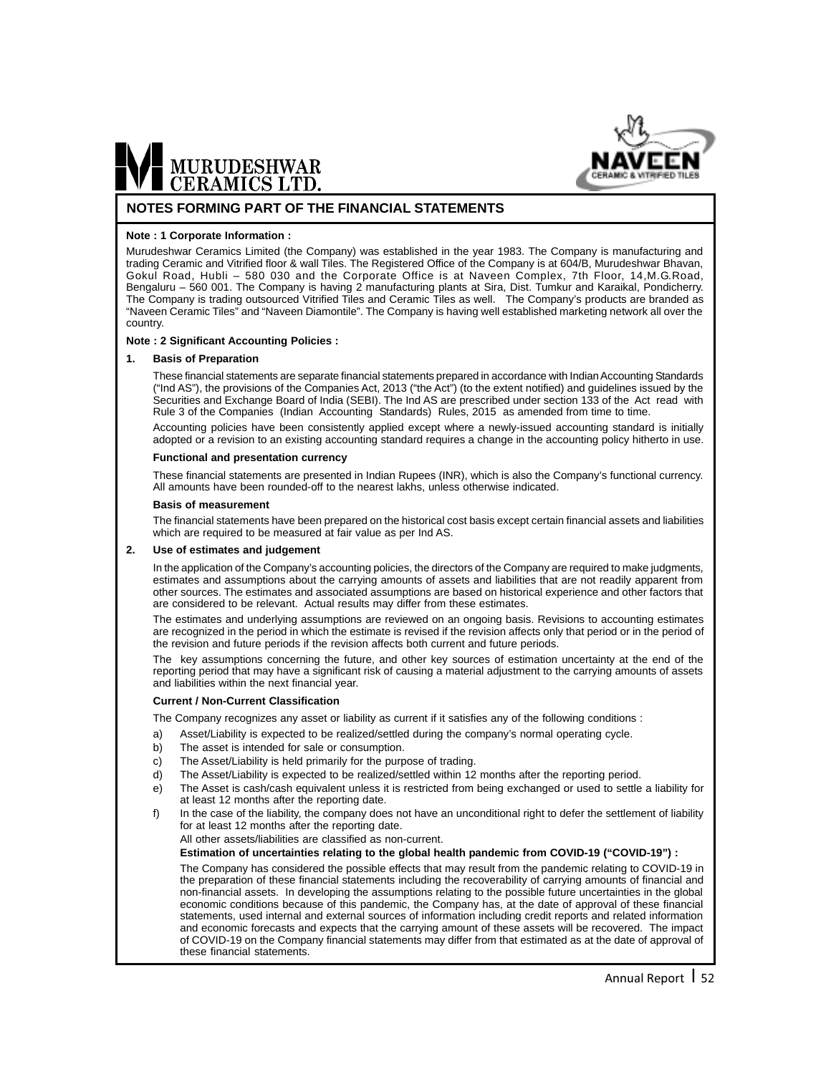

#### **NOTES FORMING PART OF THE FINANCIAL STATEMENTS**

#### **Note : 1 Corporate Information :**

Murudeshwar Ceramics Limited (the Company) was established in the year 1983. The Company is manufacturing and trading Ceramic and Vitrified floor & wall Tiles. The Registered Office of the Company is at 604/B, Murudeshwar Bhavan, Gokul Road, Hubli – 580 030 and the Corporate Office is at Naveen Complex, 7th Floor, 14,M.G.Road, Bengaluru – 560 001. The Company is having 2 manufacturing plants at Sira, Dist. Tumkur and Karaikal, Pondicherry. The Company is trading outsourced Vitrified Tiles and Ceramic Tiles as well. The Company's products are branded as "Naveen Ceramic Tiles" and "Naveen Diamontile". The Company is having well established marketing network all over the country.

#### **Note : 2 Significant Accounting Policies :**

#### **1. Basis of Preparation**

These financial statements are separate financial statements prepared in accordance with Indian Accounting Standards ("Ind AS"), the provisions of the Companies Act, 2013 ("the Act") (to the extent notified) and guidelines issued by the Securities and Exchange Board of India (SEBI). The Ind AS are prescribed under section 133 of the Act read with Rule 3 of the Companies (Indian Accounting Standards) Rules, 2015 as amended from time to time.

Accounting policies have been consistently applied except where a newly-issued accounting standard is initially adopted or a revision to an existing accounting standard requires a change in the accounting policy hitherto in use.

#### **Functional and presentation currency**

These financial statements are presented in Indian Rupees (INR), which is also the Company's functional currency. All amounts have been rounded-off to the nearest lakhs, unless otherwise indicated.

#### **Basis of measurement**

The financial statements have been prepared on the historical cost basis except certain financial assets and liabilities which are required to be measured at fair value as per Ind AS.

#### **2. Use of estimates and judgement**

In the application of the Company's accounting policies, the directors of the Company are required to make judgments, estimates and assumptions about the carrying amounts of assets and liabilities that are not readily apparent from other sources. The estimates and associated assumptions are based on historical experience and other factors that are considered to be relevant. Actual results may differ from these estimates.

The estimates and underlying assumptions are reviewed on an ongoing basis. Revisions to accounting estimates are recognized in the period in which the estimate is revised if the revision affects only that period or in the period of the revision and future periods if the revision affects both current and future periods.

The key assumptions concerning the future, and other key sources of estimation uncertainty at the end of the reporting period that may have a significant risk of causing a material adjustment to the carrying amounts of assets and liabilities within the next financial year.

#### **Current / Non-Current Classification**

The Company recognizes any asset or liability as current if it satisfies any of the following conditions :

- a) Asset/Liability is expected to be realized/settled during the company's normal operating cycle.
- b) The asset is intended for sale or consumption.
- c) The Asset/Liability is held primarily for the purpose of trading.
- d) The Asset/Liability is expected to be realized/settled within 12 months after the reporting period.
- e) The Asset is cash/cash equivalent unless it is restricted from being exchanged or used to settle a liability for at least 12 months after the reporting date.
- f) In the case of the liability, the company does not have an unconditional right to defer the settlement of liability for at least 12 months after the reporting date.

All other assets/liabilities are classified as non-current.

**Estimation of uncertainties relating to the global health pandemic from COVID-19 ("COVID-19") :**

The Company has considered the possible effects that may result from the pandemic relating to COVID-19 in the preparation of these financial statements including the recoverability of carrying amounts of financial and non-financial assets. In developing the assumptions relating to the possible future uncertainties in the global economic conditions because of this pandemic, the Company has, at the date of approval of these financial statements, used internal and external sources of information including credit reports and related information and economic forecasts and expects that the carrying amount of these assets will be recovered. The impact of COVID-19 on the Company financial statements may differ from that estimated as at the date of approval of these financial statements.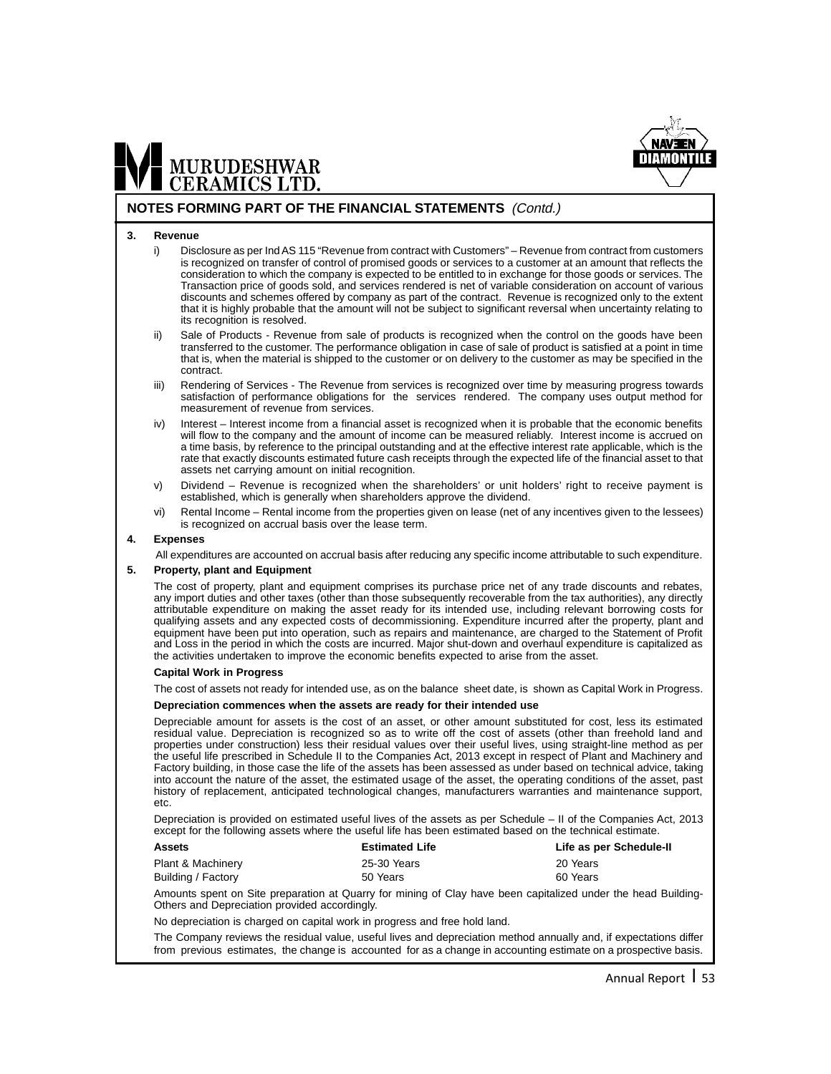

#### **NOTES FORMING PART OF THE FINANCIAL STATEMENTS** (Contd.)

#### **3. Revenue**

MURUDESHWAR<br>CERAMICS LTD.

- i) Disclosure as per Ind AS 115 "Revenue from contract with Customers" Revenue from contract from customers is recognized on transfer of control of promised goods or services to a customer at an amount that reflects the consideration to which the company is expected to be entitled to in exchange for those goods or services. The Transaction price of goods sold, and services rendered is net of variable consideration on account of various discounts and schemes offered by company as part of the contract. Revenue is recognized only to the extent that it is highly probable that the amount will not be subject to significant reversal when uncertainty relating to its recognition is resolved.
- Sale of Products Revenue from sale of products is recognized when the control on the goods have been transferred to the customer. The performance obligation in case of sale of product is satisfied at a point in time that is, when the material is shipped to the customer or on delivery to the customer as may be specified in the contract.
- iii) Rendering of Services The Revenue from services is recognized over time by measuring progress towards satisfaction of performance obligations for the services rendered. The company uses output method for measurement of revenue from services.
- iv) Interest Interest income from a financial asset is recognized when it is probable that the economic benefits will flow to the company and the amount of income can be measured reliably. Interest income is accrued on a time basis, by reference to the principal outstanding and at the effective interest rate applicable, which is the rate that exactly discounts estimated future cash receipts through the expected life of the financial asset to that assets net carrying amount on initial recognition.
- v) Dividend Revenue is recognized when the shareholders' or unit holders' right to receive payment is established, which is generally when shareholders approve the dividend.
- vi) Rental Income Rental income from the properties given on lease (net of any incentives given to the lessees) is recognized on accrual basis over the lease term.

#### **4. Expenses**

All expenditures are accounted on accrual basis after reducing any specific income attributable to such expenditure.

#### **5. Property, plant and Equipment**

The cost of property, plant and equipment comprises its purchase price net of any trade discounts and rebates, any import duties and other taxes (other than those subsequently recoverable from the tax authorities), any directly attributable expenditure on making the asset ready for its intended use, including relevant borrowing costs for qualifying assets and any expected costs of decommissioning. Expenditure incurred after the property, plant and equipment have been put into operation, such as repairs and maintenance, are charged to the Statement of Profit and Loss in the period in which the costs are incurred. Major shut-down and overhaul expenditure is capitalized as the activities undertaken to improve the economic benefits expected to arise from the asset.

#### **Capital Work in Progress**

The cost of assets not ready for intended use, as on the balance sheet date, is shown as Capital Work in Progress.

#### **Depreciation commences when the assets are ready for their intended use**

Depreciable amount for assets is the cost of an asset, or other amount substituted for cost, less its estimated residual value. Depreciation is recognized so as to write off the cost of assets (other than freehold land and properties under construction) less their residual values over their useful lives, using straight-line method as per the useful life prescribed in Schedule II to the Companies Act, 2013 except in respect of Plant and Machinery and Factory building, in those case the life of the assets has been assessed as under based on technical advice, taking into account the nature of the asset, the estimated usage of the asset, the operating conditions of the asset, past history of replacement, anticipated technological changes, manufacturers warranties and maintenance support, etc.

Depreciation is provided on estimated useful lives of the assets as per Schedule – II of the Companies Act, 2013 except for the following assets where the useful life has been estimated based on the technical estimate.

| <b>Estimated Life</b> | Life as per Schedule-II |
|-----------------------|-------------------------|
| 25-30 Years           | 20 Years                |
| 50 Years              | 60 Years                |
|                       |                         |

Amounts spent on Site preparation at Quarry for mining of Clay have been capitalized under the head Building-Others and Depreciation provided accordingly.

No depreciation is charged on capital work in progress and free hold land.

The Company reviews the residual value, useful lives and depreciation method annually and, if expectations differ from previous estimates, the change is accounted for as a change in accounting estimate on a prospective basis.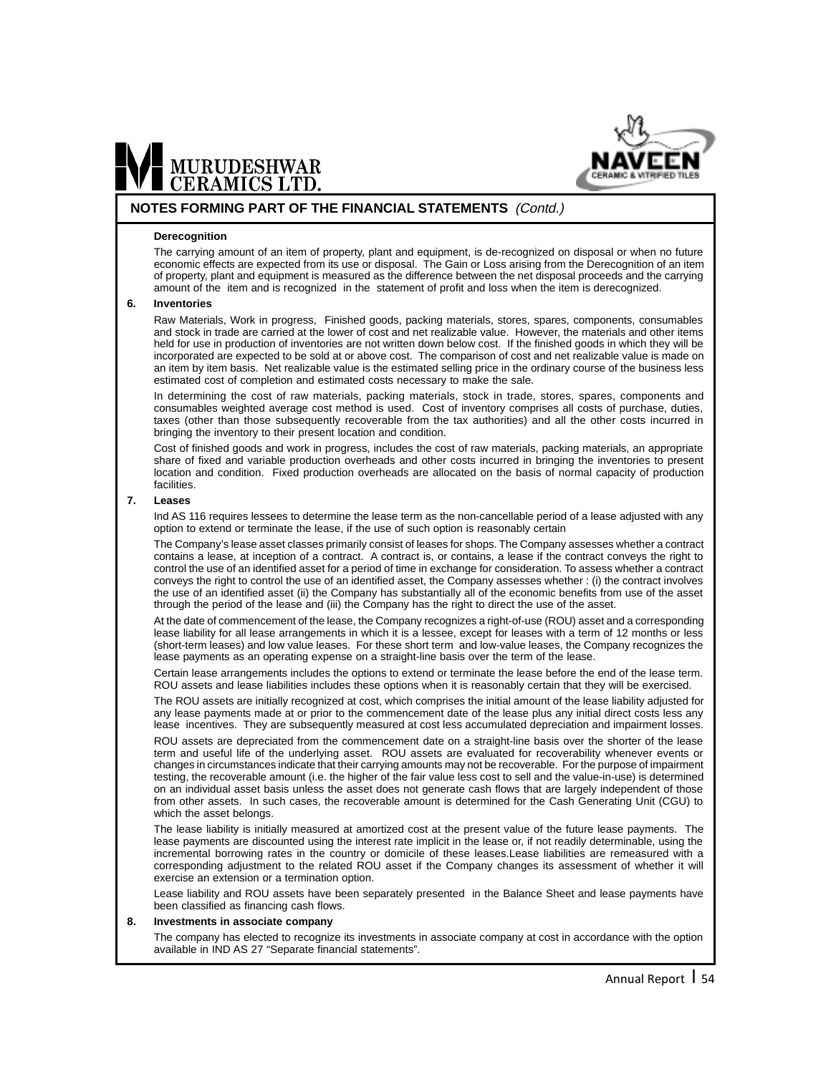

#### **NOTES FORMING PART OF THE FINANCIAL STATEMENTS** (Contd.)

#### **Derecognition**

MURUDESHWAR<br>CERAMICS LTD.

The carrying amount of an item of property, plant and equipment, is de-recognized on disposal or when no future economic effects are expected from its use or disposal. The Gain or Loss arising from the Derecognition of an item of property, plant and equipment is measured as the difference between the net disposal proceeds and the carrying amount of the item and is recognized in the statement of profit and loss when the item is derecognized.

#### **6. Inventories**

Raw Materials, Work in progress, Finished goods, packing materials, stores, spares, components, consumables and stock in trade are carried at the lower of cost and net realizable value. However, the materials and other items held for use in production of inventories are not written down below cost. If the finished goods in which they will be incorporated are expected to be sold at or above cost. The comparison of cost and net realizable value is made on an item by item basis. Net realizable value is the estimated selling price in the ordinary course of the business less estimated cost of completion and estimated costs necessary to make the sale.

In determining the cost of raw materials, packing materials, stock in trade, stores, spares, components and consumables weighted average cost method is used. Cost of inventory comprises all costs of purchase, duties, taxes (other than those subsequently recoverable from the tax authorities) and all the other costs incurred in bringing the inventory to their present location and condition.

Cost of finished goods and work in progress, includes the cost of raw materials, packing materials, an appropriate share of fixed and variable production overheads and other costs incurred in bringing the inventories to present location and condition. Fixed production overheads are allocated on the basis of normal capacity of production facilities.

#### **7. Leases**

Ind AS 116 requires lessees to determine the lease term as the non-cancellable period of a lease adjusted with any option to extend or terminate the lease, if the use of such option is reasonably certain

The Company's lease asset classes primarily consist of leases for shops. The Company assesses whether a contract contains a lease, at inception of a contract. A contract is, or contains, a lease if the contract conveys the right to control the use of an identified asset for a period of time in exchange for consideration. To assess whether a contract conveys the right to control the use of an identified asset, the Company assesses whether : (i) the contract involves the use of an identified asset (ii) the Company has substantially all of the economic benefits from use of the asset through the period of the lease and (iii) the Company has the right to direct the use of the asset.

At the date of commencement of the lease, the Company recognizes a right-of-use (ROU) asset and a corresponding lease liability for all lease arrangements in which it is a lessee, except for leases with a term of 12 months or less (short-term leases) and low value leases. For these short term and low-value leases, the Company recognizes the lease payments as an operating expense on a straight-line basis over the term of the lease.

Certain lease arrangements includes the options to extend or terminate the lease before the end of the lease term. ROU assets and lease liabilities includes these options when it is reasonably certain that they will be exercised.

The ROU assets are initially recognized at cost, which comprises the initial amount of the lease liability adjusted for any lease payments made at or prior to the commencement date of the lease plus any initial direct costs less any lease incentives. They are subsequently measured at cost less accumulated depreciation and impairment losses.

ROU assets are depreciated from the commencement date on a straight-line basis over the shorter of the lease term and useful life of the underlying asset. ROU assets are evaluated for recoverability whenever events or changes in circumstances indicate that their carrying amounts may not be recoverable. For the purpose of impairment testing, the recoverable amount (i.e. the higher of the fair value less cost to sell and the value-in-use) is determined on an individual asset basis unless the asset does not generate cash flows that are largely independent of those from other assets. In such cases, the recoverable amount is determined for the Cash Generating Unit (CGU) to which the asset belongs.

The lease liability is initially measured at amortized cost at the present value of the future lease payments. The lease payments are discounted using the interest rate implicit in the lease or, if not readily determinable, using the incremental borrowing rates in the country or domicile of these leases.Lease liabilities are remeasured with a corresponding adjustment to the related ROU asset if the Company changes its assessment of whether it will exercise an extension or a termination option.

Lease liability and ROU assets have been separately presented in the Balance Sheet and lease payments have been classified as financing cash flows.

#### **8. Investments in associate company**

The company has elected to recognize its investments in associate company at cost in accordance with the option available in IND AS 27 "Separate financial statements".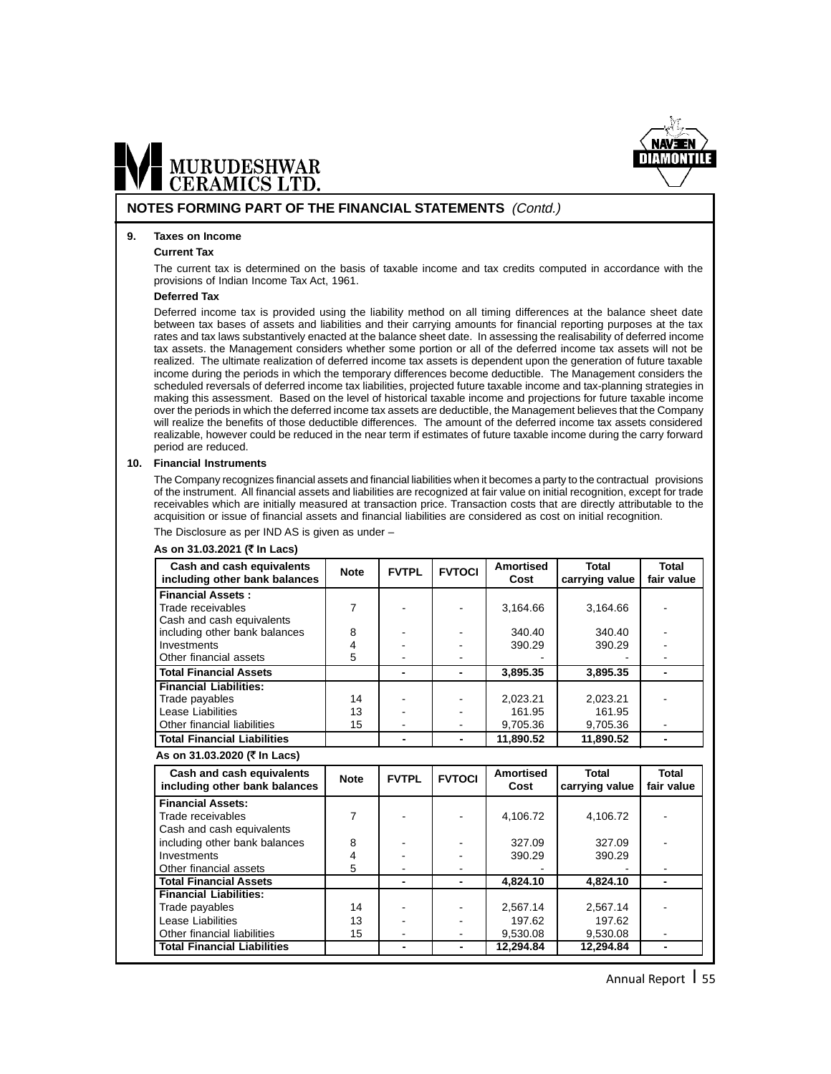

#### **NOTES FORMING PART OF THE FINANCIAL STATEMENTS** (Contd.)

#### **9. Taxes on Income**

#### **Current Tax**

The current tax is determined on the basis of taxable income and tax credits computed in accordance with the provisions of Indian Income Tax Act, 1961.

#### **Deferred Tax**

Deferred income tax is provided using the liability method on all timing differences at the balance sheet date between tax bases of assets and liabilities and their carrying amounts for financial reporting purposes at the tax rates and tax laws substantively enacted at the balance sheet date. In assessing the realisability of deferred income tax assets. the Management considers whether some portion or all of the deferred income tax assets will not be realized. The ultimate realization of deferred income tax assets is dependent upon the generation of future taxable income during the periods in which the temporary differences become deductible. The Management considers the scheduled reversals of deferred income tax liabilities, projected future taxable income and tax-planning strategies in making this assessment. Based on the level of historical taxable income and projections for future taxable income over the periods in which the deferred income tax assets are deductible, the Management believes that the Company will realize the benefits of those deductible differences. The amount of the deferred income tax assets considered realizable, however could be reduced in the near term if estimates of future taxable income during the carry forward period are reduced.

#### **10. Financial Instruments**

The Company recognizes financial assets and financial liabilities when it becomes a party to the contractual provisions of the instrument. All financial assets and liabilities are recognized at fair value on initial recognition, except for trade receivables which are initially measured at transaction price. Transaction costs that are directly attributable to the acquisition or issue of financial assets and financial liabilities are considered as cost on initial recognition.

The Disclosure as per IND AS is given as under –

#### **As on 31.03.2021 (**` **In Lacs)**

| Cash and cash equivalents                                                  | <b>Note</b>    | <b>FVTPL</b> | <b>FVTOCI</b>            | <b>Amortised</b><br>Cost | <b>Total</b>   | <b>Total</b><br>fair value |
|----------------------------------------------------------------------------|----------------|--------------|--------------------------|--------------------------|----------------|----------------------------|
| including other bank balances                                              |                |              |                          |                          | carrying value |                            |
| <b>Financial Assets:</b><br>Trade receivables<br>Cash and cash equivalents | $\overline{7}$ |              |                          | 3,164.66                 | 3,164.66       |                            |
| including other bank balances                                              | 8              |              |                          | 340.40                   | 340.40         |                            |
| Investments                                                                | 4              |              |                          | 390.29                   | 390.29         |                            |
| Other financial assets                                                     | 5              |              |                          |                          |                |                            |
| <b>Total Financial Assets</b>                                              |                |              | $\blacksquare$           | 3,895.35                 | 3,895.35       |                            |
| <b>Financial Liabilities:</b>                                              |                |              |                          |                          |                |                            |
| Trade payables                                                             | 14             |              |                          | 2,023.21                 | 2,023.21       |                            |
| Lease Liabilities                                                          | 13             |              |                          | 161.95                   | 161.95         |                            |
| Other financial liabilities                                                | 15             |              |                          | 9,705.36                 | 9,705.36       |                            |
| <b>Total Financial Liabilities</b>                                         |                |              | $\blacksquare$           | 11,890.52                | 11,890.52      |                            |
| As on 31.03.2020 (₹ In Lacs)                                               |                |              |                          |                          |                |                            |
| Cash and cash equivalents                                                  | <b>Note</b>    | <b>FVTPL</b> | <b>FVTOCI</b>            | <b>Amortised</b>         | <b>Total</b>   | <b>Total</b>               |
| including other bank balances                                              |                |              |                          | Cost                     | carrying value | fair value                 |
| <b>Financial Assets:</b>                                                   |                |              |                          |                          |                |                            |
| Trade receivables                                                          | 7              |              |                          | 4,106.72                 | 4,106.72       |                            |
| Cash and cash equivalents                                                  |                |              |                          |                          |                |                            |
| including other bank balances                                              | 8              |              |                          | 327.09                   | 327.09         |                            |
| Investments                                                                | 4              |              |                          | 390.29                   | 390.29         |                            |
| Other financial assets                                                     | 5              |              |                          |                          |                |                            |
| <b>Total Financial Assets</b>                                              |                |              |                          | 4,824.10                 | 4,824.10       |                            |
| <b>Financial Liabilities:</b>                                              |                |              |                          |                          |                |                            |
| Trade payables                                                             | 14             |              |                          | 2,567.14                 | 2,567.14       |                            |
| Lease Liabilities                                                          | 13             |              |                          | 197.62                   | 197.62         |                            |
| Other financial liabilities                                                | 15             |              |                          | 9,530.08                 | 9,530.08       |                            |
| <b>Total Financial Liabilities</b>                                         |                |              | $\overline{\phantom{0}}$ | 12.294.84                | 12,294.84      |                            |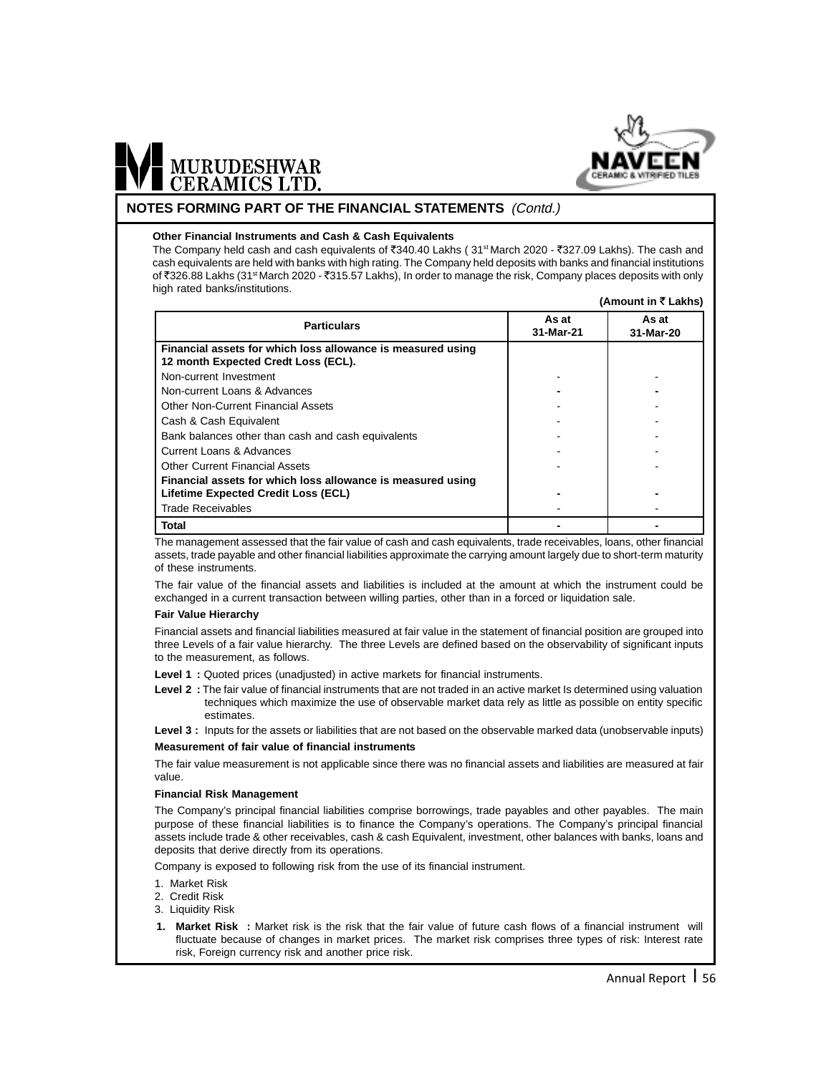

#### **NOTES FORMING PART OF THE FINANCIAL STATEMENTS** (Contd.)

#### **Other Financial Instruments and Cash & Cash Equivalents**

The Company held cash and cash equivalents of  $\overline{3}340.40$  Lakhs ( $31$ <sup>st</sup> March 2020 -  $\overline{3}327.09$  Lakhs). The cash and cash equivalents are held with banks with high rating. The Company held deposits with banks and financial institutions of ₹326.88 Lakhs (31<sup>st</sup> March 2020 - ₹315.57 Lakhs), In order to manage the risk, Company places deposits with only high rated banks/institutions. **(Amount in** ` **Lakhs)**

|                                                                                                    |                    | AIIIUUIIL III \LANISI |
|----------------------------------------------------------------------------------------------------|--------------------|-----------------------|
| <b>Particulars</b>                                                                                 | As at<br>31-Mar-21 | As at<br>31-Mar-20    |
| Financial assets for which loss allowance is measured using<br>12 month Expected Credt Loss (ECL). |                    |                       |
| Non-current Investment                                                                             |                    |                       |
| Non-current Loans & Advances                                                                       |                    |                       |
| Other Non-Current Financial Assets                                                                 |                    |                       |
| Cash & Cash Equivalent                                                                             |                    |                       |
| Bank balances other than cash and cash equivalents                                                 |                    |                       |
| Current Loans & Advances                                                                           |                    |                       |
| Other Current Financial Assets                                                                     |                    |                       |
| Financial assets for which loss allowance is measured using<br>Lifetime Expected Credit Loss (ECL) |                    |                       |
| <b>Trade Receivables</b>                                                                           |                    |                       |
| Total                                                                                              |                    |                       |

The management assessed that the fair value of cash and cash equivalents, trade receivables, loans, other financial assets, trade payable and other financial liabilities approximate the carrying amount largely due to short-term maturity of these instruments.

The fair value of the financial assets and liabilities is included at the amount at which the instrument could be exchanged in a current transaction between willing parties, other than in a forced or liquidation sale.

#### **Fair Value Hierarchy**

Financial assets and financial liabilities measured at fair value in the statement of financial position are grouped into three Levels of a fair value hierarchy. The three Levels are defined based on the observability of significant inputs to the measurement, as follows.

**Level 1 :** Quoted prices (unadjusted) in active markets for financial instruments.

**Level 2 :** The fair value of financial instruments that are not traded in an active market Is determined using valuation techniques which maximize the use of observable market data rely as little as possible on entity specific estimates.

Level 3 : Inputs for the assets or liabilities that are not based on the observable marked data (unobservable inputs)

#### **Measurement of fair value of financial instruments**

The fair value measurement is not applicable since there was no financial assets and liabilities are measured at fair value.

#### **Financial Risk Management**

The Company's principal financial liabilities comprise borrowings, trade payables and other payables. The main purpose of these financial liabilities is to finance the Company's operations. The Company's principal financial assets include trade & other receivables, cash & cash Equivalent, investment, other balances with banks, loans and deposits that derive directly from its operations.

Company is exposed to following risk from the use of its financial instrument.

- 1. Market Risk
- 2. Credit Risk
- 3. Liquidity Risk
- **1. Market Risk :** Market risk is the risk that the fair value of future cash flows of a financial instrument will fluctuate because of changes in market prices. The market risk comprises three types of risk: Interest rate risk, Foreign currency risk and another price risk.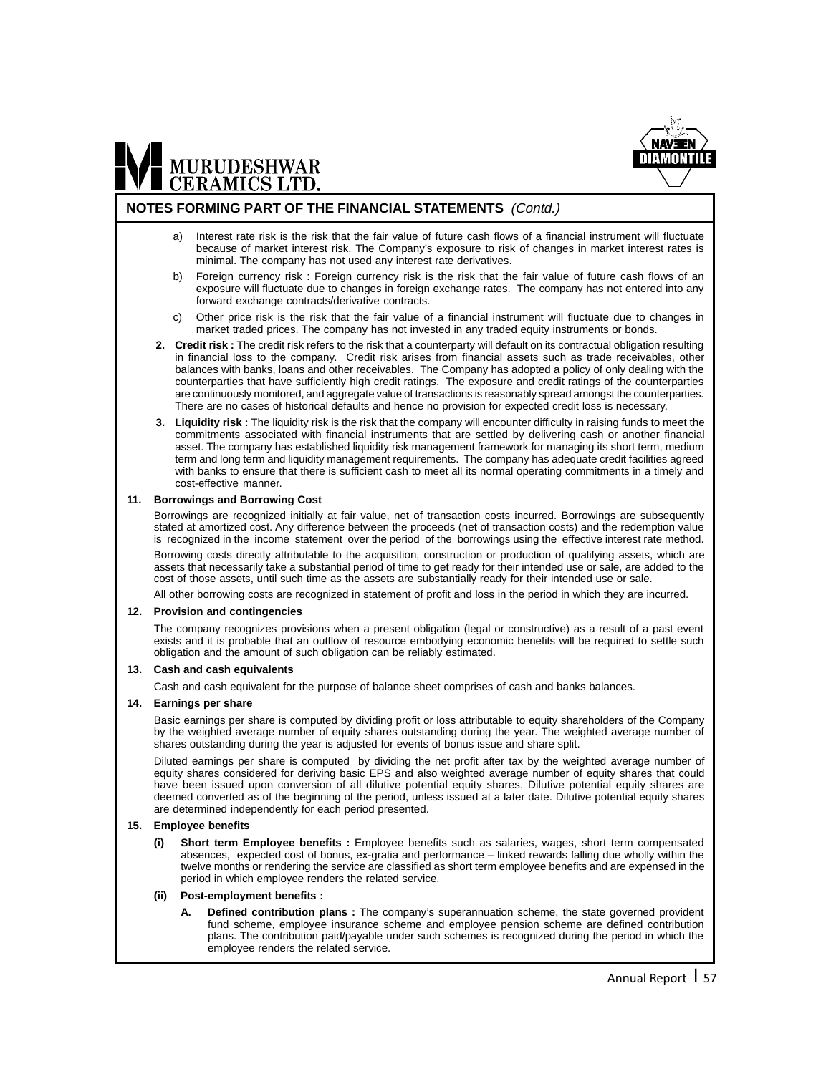

#### **NOTES FORMING PART OF THE FINANCIAL STATEMENTS** (Contd.)

- a) Interest rate risk is the risk that the fair value of future cash flows of a financial instrument will fluctuate because of market interest risk. The Company's exposure to risk of changes in market interest rates is minimal. The company has not used any interest rate derivatives.
- b) Foreign currency risk : Foreign currency risk is the risk that the fair value of future cash flows of an exposure will fluctuate due to changes in foreign exchange rates. The company has not entered into any forward exchange contracts/derivative contracts.
- c) Other price risk is the risk that the fair value of a financial instrument will fluctuate due to changes in market traded prices. The company has not invested in any traded equity instruments or bonds.
- **2. Credit risk :** The credit risk refers to the risk that a counterparty will default on its contractual obligation resulting in financial loss to the company. Credit risk arises from financial assets such as trade receivables, other balances with banks, loans and other receivables. The Company has adopted a policy of only dealing with the counterparties that have sufficiently high credit ratings. The exposure and credit ratings of the counterparties are continuously monitored, and aggregate value of transactions is reasonably spread amongst the counterparties. There are no cases of historical defaults and hence no provision for expected credit loss is necessary.
- **3. Liquidity risk :** The liquidity risk is the risk that the company will encounter difficulty in raising funds to meet the commitments associated with financial instruments that are settled by delivering cash or another financial asset. The company has established liquidity risk management framework for managing its short term, medium term and long term and liquidity management requirements. The company has adequate credit facilities agreed with banks to ensure that there is sufficient cash to meet all its normal operating commitments in a timely and cost-effective manner.

#### **11. Borrowings and Borrowing Cost**

Borrowings are recognized initially at fair value, net of transaction costs incurred. Borrowings are subsequently stated at amortized cost. Any difference between the proceeds (net of transaction costs) and the redemption value is recognized in the income statement over the period of the borrowings using the effective interest rate method.

Borrowing costs directly attributable to the acquisition, construction or production of qualifying assets, which are assets that necessarily take a substantial period of time to get ready for their intended use or sale, are added to the cost of those assets, until such time as the assets are substantially ready for their intended use or sale.

All other borrowing costs are recognized in statement of profit and loss in the period in which they are incurred.

#### **12. Provision and contingencies**

The company recognizes provisions when a present obligation (legal or constructive) as a result of a past event exists and it is probable that an outflow of resource embodying economic benefits will be required to settle such obligation and the amount of such obligation can be reliably estimated.

#### **13. Cash and cash equivalents**

Cash and cash equivalent for the purpose of balance sheet comprises of cash and banks balances.

#### **14. Earnings per share**

Basic earnings per share is computed by dividing profit or loss attributable to equity shareholders of the Company by the weighted average number of equity shares outstanding during the year. The weighted average number of shares outstanding during the year is adjusted for events of bonus issue and share split.

Diluted earnings per share is computed by dividing the net profit after tax by the weighted average number of equity shares considered for deriving basic EPS and also weighted average number of equity shares that could have been issued upon conversion of all dilutive potential equity shares. Dilutive potential equity shares are deemed converted as of the beginning of the period, unless issued at a later date. Dilutive potential equity shares are determined independently for each period presented.

#### **15. Employee benefits**

- **(i) Short term Employee benefits :** Employee benefits such as salaries, wages, short term compensated absences, expected cost of bonus, ex-gratia and performance – linked rewards falling due wholly within the twelve months or rendering the service are classified as short term employee benefits and are expensed in the period in which employee renders the related service.
- **(ii) Post-employment benefits :**
	- **A. Defined contribution plans :** The company's superannuation scheme, the state governed provident fund scheme, employee insurance scheme and employee pension scheme are defined contribution plans. The contribution paid/payable under such schemes is recognized during the period in which the employee renders the related service.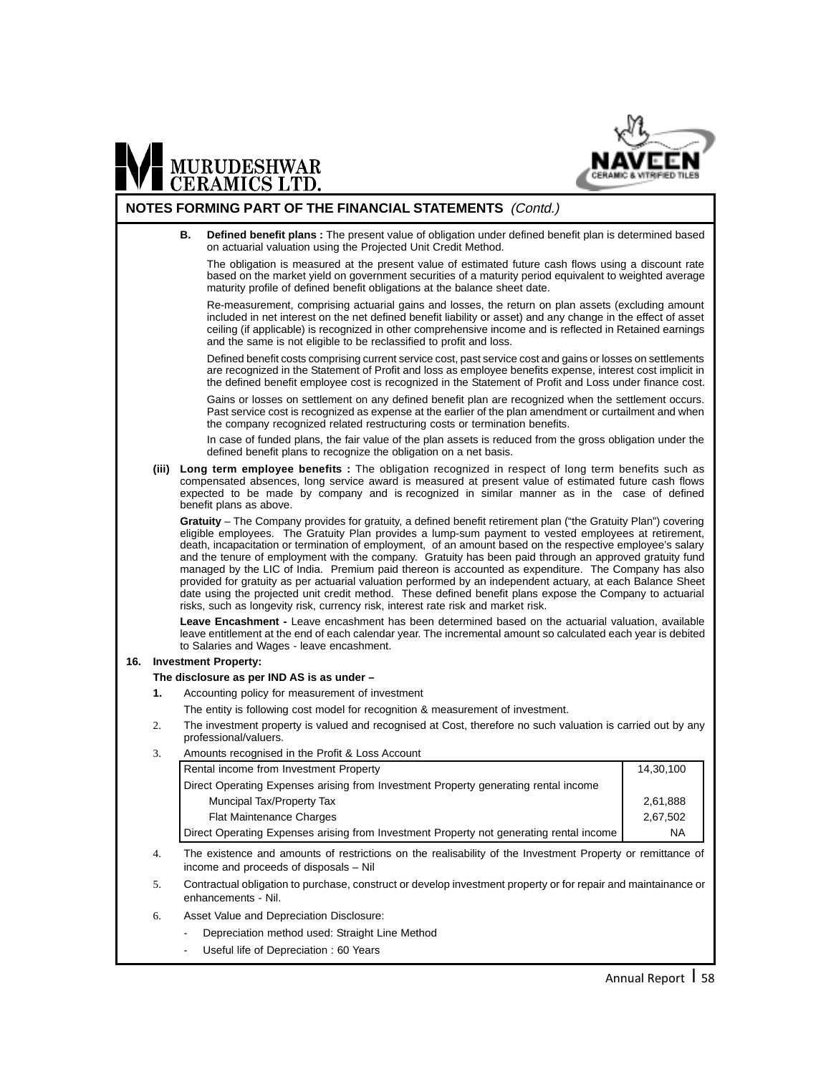

#### **NOTES FORMING PART OF THE FINANCIAL STATEMENTS** (Contd.)

**B. Defined benefit plans :** The present value of obligation under defined benefit plan is determined based on actuarial valuation using the Projected Unit Credit Method.

The obligation is measured at the present value of estimated future cash flows using a discount rate based on the market yield on government securities of a maturity period equivalent to weighted average maturity profile of defined benefit obligations at the balance sheet date.

Re-measurement, comprising actuarial gains and losses, the return on plan assets (excluding amount included in net interest on the net defined benefit liability or asset) and any change in the effect of asset ceiling (if applicable) is recognized in other comprehensive income and is reflected in Retained earnings and the same is not eligible to be reclassified to profit and loss.

Defined benefit costs comprising current service cost, past service cost and gains or losses on settlements are recognized in the Statement of Profit and loss as employee benefits expense, interest cost implicit in the defined benefit employee cost is recognized in the Statement of Profit and Loss under finance cost.

Gains or losses on settlement on any defined benefit plan are recognized when the settlement occurs. Past service cost is recognized as expense at the earlier of the plan amendment or curtailment and when the company recognized related restructuring costs or termination benefits.

In case of funded plans, the fair value of the plan assets is reduced from the gross obligation under the defined benefit plans to recognize the obligation on a net basis.

**(iii) Long term employee benefits :** The obligation recognized in respect of long term benefits such as compensated absences, long service award is measured at present value of estimated future cash flows expected to be made by company and is recognized in similar manner as in the case of defined benefit plans as above.

**Gratuity** – The Company provides for gratuity, a defined benefit retirement plan ("the Gratuity Plan") covering eligible employees. The Gratuity Plan provides a lump-sum payment to vested employees at retirement, death, incapacitation or termination of employment, of an amount based on the respective employee's salary and the tenure of employment with the company. Gratuity has been paid through an approved gratuity fund managed by the LIC of India. Premium paid thereon is accounted as expenditure. The Company has also provided for gratuity as per actuarial valuation performed by an independent actuary, at each Balance Sheet date using the projected unit credit method. These defined benefit plans expose the Company to actuarial risks, such as longevity risk, currency risk, interest rate risk and market risk.

**Leave Encashment -** Leave encashment has been determined based on the actuarial valuation, available leave entitlement at the end of each calendar year. The incremental amount so calculated each year is debited to Salaries and Wages - leave encashment.

#### **16. Investment Property:**

#### **The disclosure as per IND AS is as under –**

- **1.** Accounting policy for measurement of investment
	- The entity is following cost model for recognition & measurement of investment.
- 2. The investment property is valued and recognised at Cost, therefore no such valuation is carried out by any professional/valuers.
- 3. Amounts recognised in the Profit & Loss Account

| Rental income from Investment Property                                                  | 14.30.100 |
|-----------------------------------------------------------------------------------------|-----------|
| Direct Operating Expenses arising from Investment Property generating rental income     |           |
| Muncipal Tax/Property Tax                                                               | 2.61.888  |
| <b>Flat Maintenance Charges</b>                                                         | 2.67.502  |
| Direct Operating Expenses arising from Investment Property not generating rental income | <b>NA</b> |

- 4. The existence and amounts of restrictions on the realisability of the Investment Property or remittance of income and proceeds of disposals – Nil
- 5. Contractual obligation to purchase, construct or develop investment property or for repair and maintainance or enhancements - Nil.
- 6. Asset Value and Depreciation Disclosure:
	- Depreciation method used: Straight Line Method
	- Useful life of Depreciation : 60 Years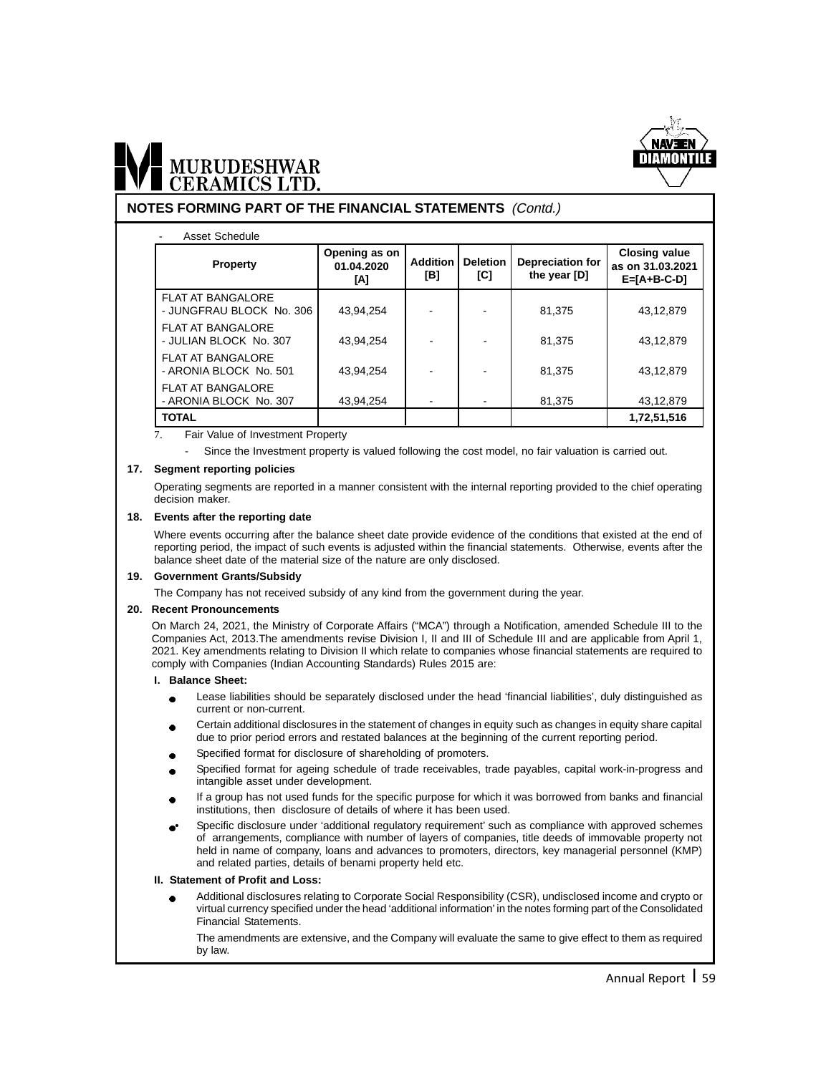

#### **NOTES FORMING PART OF THE FINANCIAL STATEMENTS** (Contd.)

#### - Asset Schedule

| <b>Property</b>                                      | Opening as on<br>01.04.2020<br>ΙAΙ | <b>Addition</b><br>[B] | <b>Deletion</b><br>[C] | <b>Depreciation for</b><br>the year [D] | <b>Closing value</b><br>as on 31.03.2021<br>$E=[A+B-C-D]$ |
|------------------------------------------------------|------------------------------------|------------------------|------------------------|-----------------------------------------|-----------------------------------------------------------|
| <b>FLAT AT BANGALORE</b><br>- JUNGFRAU BLOCK No. 306 | 43,94,254                          |                        |                        | 81,375                                  | 43,12,879                                                 |
| <b>FLAT AT BANGALORE</b><br>- JULIAN BLOCK No. 307   | 43.94.254                          |                        |                        | 81.375                                  | 43,12,879                                                 |
| <b>FLAT AT BANGALORE</b><br>- ARONIA BLOCK No. 501   | 43.94.254                          |                        |                        | 81.375                                  | 43.12.879                                                 |
| <b>FLAT AT BANGALORE</b><br>- ARONIA BLOCK No. 307   | 43,94,254                          |                        |                        | 81,375                                  | 43,12,879                                                 |
| <b>TOTAL</b>                                         |                                    |                        |                        |                                         | 1,72,51,516                                               |

7. Fair Value of Investment Property

Since the Investment property is valued following the cost model, no fair valuation is carried out.

#### **17. Segment reporting policies**

Operating segments are reported in a manner consistent with the internal reporting provided to the chief operating decision maker.

#### **18. Events after the reporting date**

Where events occurring after the balance sheet date provide evidence of the conditions that existed at the end of reporting period, the impact of such events is adjusted within the financial statements. Otherwise, events after the balance sheet date of the material size of the nature are only disclosed.

#### **19. Government Grants/Subsidy**

The Company has not received subsidy of any kind from the government during the year.

#### **20. Recent Pronouncements**

On March 24, 2021, the Ministry of Corporate Affairs ("MCA") through a Notification, amended Schedule III to the Companies Act, 2013.The amendments revise Division I, II and III of Schedule III and are applicable from April 1, 2021. Key amendments relating to Division II which relate to companies whose financial statements are required to comply with Companies (Indian Accounting Standards) Rules 2015 are:

#### **I. Balance Sheet:**

- Lease liabilities should be separately disclosed under the head 'financial liabilities', duly distinguished as current or non-current.
- Certain additional disclosures in the statement of changes in equity such as changes in equity share capital due to prior period errors and restated balances at the beginning of the current reporting period.
- Specified format for disclosure of shareholding of promoters.
- Specified format for ageing schedule of trade receivables, trade payables, capital work-in-progress and intangible asset under development.
- If a group has not used funds for the specific purpose for which it was borrowed from banks and financial institutions, then disclosure of details of where it has been used.
- Specific disclosure under 'additional regulatory requirement' such as compliance with approved schemes of arrangements, compliance with number of layers of companies, title deeds of immovable property not held in name of company, loans and advances to promoters, directors, key managerial personnel (KMP) and related parties, details of benami property held etc.

#### **II. Statement of Profit and Loss:**

Additional disclosures relating to Corporate Social Responsibility (CSR), undisclosed income and crypto or virtual currency specified under the head 'additional information' in the notes forming part of the Consolidated Financial Statements.

The amendments are extensive, and the Company will evaluate the same to give effect to them as required by law.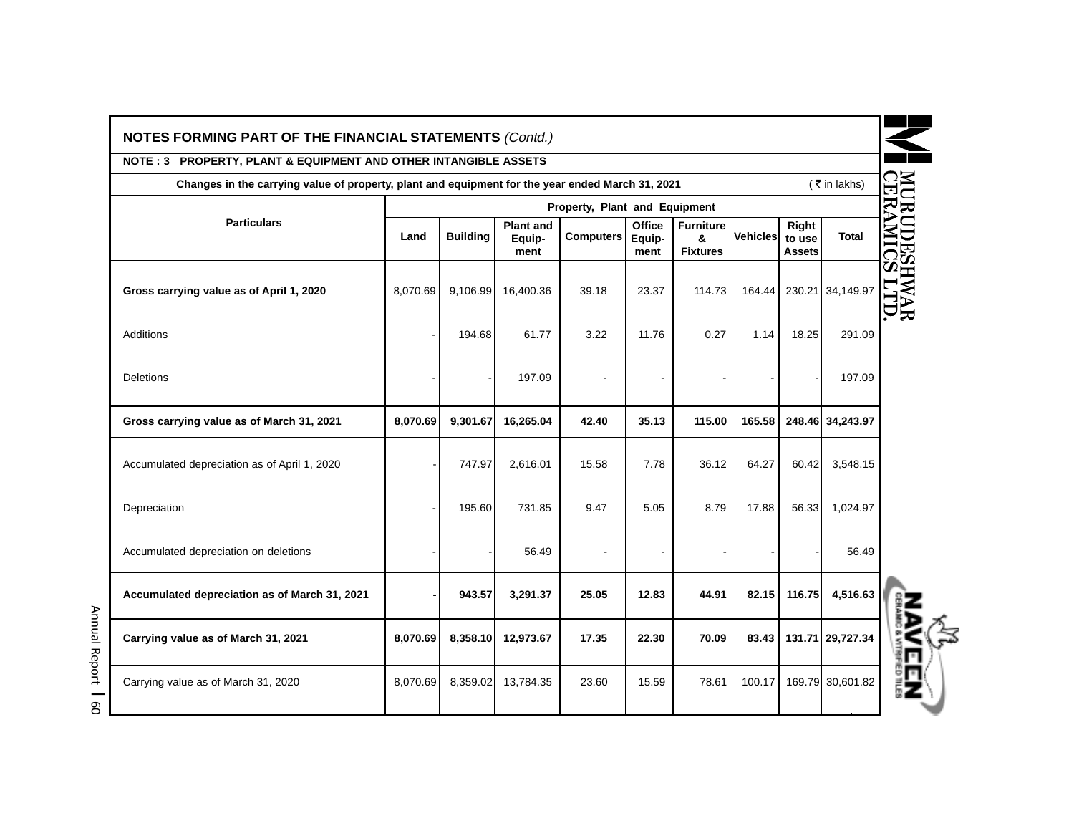| <b>NOTES FORMING PART OF THE FINANCIAL STATEMENTS (Contd.)</b>                                                    |          |                 |                                    |                               |                                 |                                          |                 |                                  |                  |
|-------------------------------------------------------------------------------------------------------------------|----------|-----------------|------------------------------------|-------------------------------|---------------------------------|------------------------------------------|-----------------|----------------------------------|------------------|
| NOTE: 3 PROPERTY, PLANT & EQUIPMENT AND OTHER INTANGIBLE ASSETS                                                   |          |                 |                                    |                               |                                 |                                          |                 |                                  |                  |
| ( ₹ in lakhs)<br>Changes in the carrying value of property, plant and equipment for the year ended March 31, 2021 |          |                 |                                    |                               |                                 |                                          |                 |                                  |                  |
|                                                                                                                   |          |                 |                                    | Property, Plant and Equipment |                                 |                                          |                 |                                  |                  |
| <b>Particulars</b>                                                                                                | Land     | <b>Building</b> | <b>Plant and</b><br>Equip-<br>ment | <b>Computers</b>              | <b>Office</b><br>Equip-<br>ment | <b>Furniture</b><br>&<br><b>Fixtures</b> | <b>Vehicles</b> | Right<br>to use<br><b>Assets</b> | <b>Total</b>     |
| Gross carrying value as of April 1, 2020                                                                          | 8,070.69 | 9,106.99        | 16,400.36                          | 39.18                         | 23.37                           | 114.73                                   | 164.44          |                                  | 230.21 34,149.97 |
| <b>Additions</b>                                                                                                  |          | 194.68          | 61.77                              | 3.22                          | 11.76                           | 0.27                                     | 1.14            | 18.25                            | 291.09           |
| Deletions                                                                                                         |          |                 | 197.09                             |                               |                                 |                                          |                 |                                  | 197.09           |
| Gross carrying value as of March 31, 2021                                                                         | 8,070.69 | 9,301.67        | 16,265.04                          | 42.40                         | 35.13                           | 115.00                                   | 165.58          |                                  | 248.46 34,243.97 |
| Accumulated depreciation as of April 1, 2020                                                                      |          | 747.97          | 2,616.01                           | 15.58                         | 7.78                            | 36.12                                    | 64.27           | 60.42                            | 3,548.15         |
| Depreciation                                                                                                      |          | 195.60          | 731.85                             | 9.47                          | 5.05                            | 8.79                                     | 17.88           | 56.33                            | 1,024.97         |
| Accumulated depreciation on deletions                                                                             |          |                 | 56.49                              |                               |                                 |                                          |                 |                                  | 56.49            |
| Accumulated depreciation as of March 31, 2021                                                                     |          | 943.57          | 3,291.37                           | 25.05                         | 12.83                           | 44.91                                    | 82.15           | 116.75                           | 4,516.63         |
| Carrying value as of March 31, 2021                                                                               | 8,070.69 | 8,358.10        | 12,973.67                          | 17.35                         | 22.30                           | 70.09                                    | 83.43           |                                  | 131.71 29,727.34 |
| Carrying value as of March 31, 2020                                                                               | 8.070.69 | 8.359.02        | 13,784.35                          | 23.60                         | 15.59                           | 78.61                                    | 100.17          |                                  | 169.79 30,601.82 |

Annual Report

l 60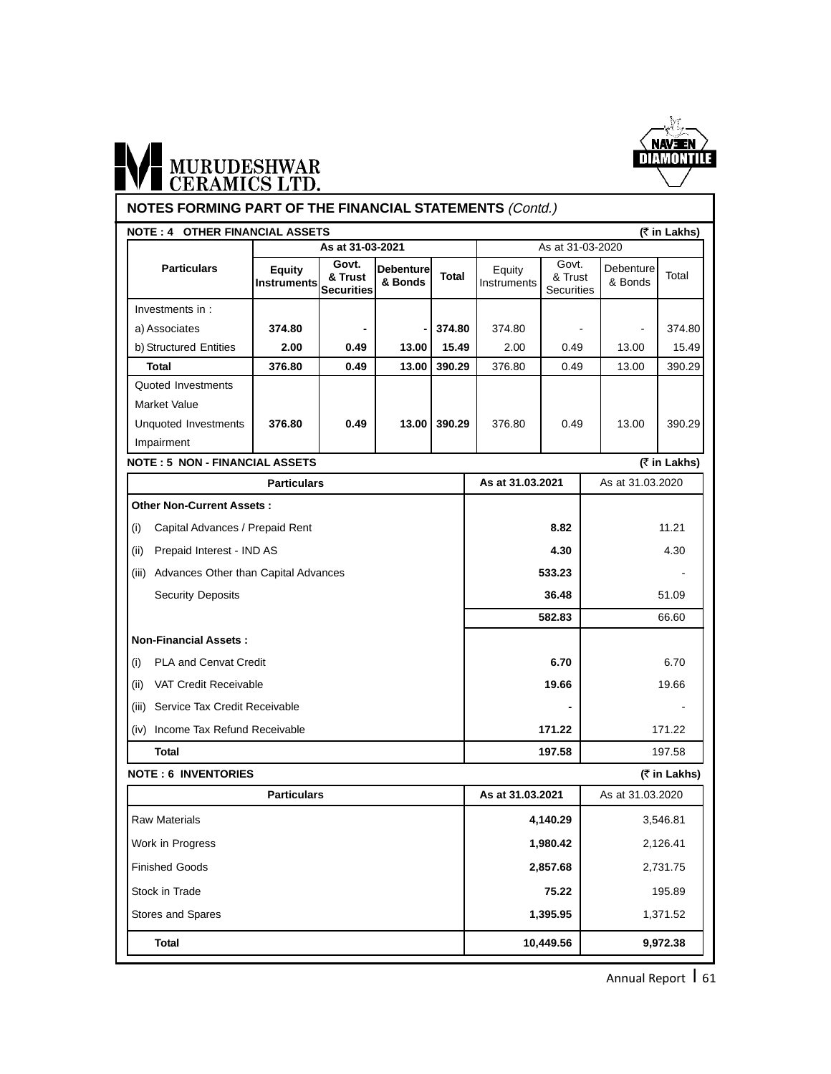

# WI MURUDESHWAR

#### **NOTES FORMING PART OF THE FINANCIAL STATEMENTS** (Contd.)

| As at 31-03-2020<br>As at 31-03-2021<br>Govt.<br>Govt.<br><b>Particulars</b><br><b>Debenture</b><br>Equity<br>Equity<br>Total<br>& Trust<br>& Trust<br>& Bonds<br><b>Instruments</b><br>Instruments<br><b>Securities</b><br>Securities<br>Investments in:<br>a) Associates<br>374.80<br>374.80<br>374.80<br>$\blacksquare$<br>b) Structured Entities<br>15.49<br>2.00<br>0.49<br>2.00<br>13.00<br>0.49<br><b>Total</b><br>0.49<br>13.00<br>390.29<br>376.80<br>376.80<br>0.49<br>Quoted Investments<br>Market Value<br>Unquoted Investments<br>376.80<br>0.49<br>390.29<br>376.80<br>0.49<br>13.00<br>Impairment<br><b>NOTE: 5 NON - FINANCIAL ASSETS</b><br>As at 31.03.2021<br><b>Particulars</b><br><b>Other Non-Current Assets:</b><br>Capital Advances / Prepaid Rent<br>8.82<br>(i)<br>Prepaid Interest - IND AS<br>4.30<br>(ii)<br>(iii) Advances Other than Capital Advances<br>533.23<br><b>Security Deposits</b><br>36.48<br>582.83<br><b>Non-Financial Assets:</b><br><b>PLA and Cenvat Credit</b><br>6.70<br>(i)<br>VAT Credit Receivable<br>19.66<br>(iii)<br>(iii) Service Tax Credit Receivable<br>(iv) Income Tax Refund Receivable<br>171.22<br><b>Total</b><br>197.58<br>As at 31.03.2021<br><b>Particulars</b><br><b>Raw Materials</b><br>4,140.29<br>1,980.42<br>Work in Progress |                                            |        |  |  |  |  |  |
|-------------------------------------------------------------------------------------------------------------------------------------------------------------------------------------------------------------------------------------------------------------------------------------------------------------------------------------------------------------------------------------------------------------------------------------------------------------------------------------------------------------------------------------------------------------------------------------------------------------------------------------------------------------------------------------------------------------------------------------------------------------------------------------------------------------------------------------------------------------------------------------------------------------------------------------------------------------------------------------------------------------------------------------------------------------------------------------------------------------------------------------------------------------------------------------------------------------------------------------------------------------------------------------------------------|--------------------------------------------|--------|--|--|--|--|--|
|                                                                                                                                                                                                                                                                                                                                                                                                                                                                                                                                                                                                                                                                                                                                                                                                                                                                                                                                                                                                                                                                                                                                                                                                                                                                                                       |                                            |        |  |  |  |  |  |
|                                                                                                                                                                                                                                                                                                                                                                                                                                                                                                                                                                                                                                                                                                                                                                                                                                                                                                                                                                                                                                                                                                                                                                                                                                                                                                       | Debenture<br>& Bonds                       | Total  |  |  |  |  |  |
|                                                                                                                                                                                                                                                                                                                                                                                                                                                                                                                                                                                                                                                                                                                                                                                                                                                                                                                                                                                                                                                                                                                                                                                                                                                                                                       |                                            |        |  |  |  |  |  |
|                                                                                                                                                                                                                                                                                                                                                                                                                                                                                                                                                                                                                                                                                                                                                                                                                                                                                                                                                                                                                                                                                                                                                                                                                                                                                                       | $\blacksquare$                             | 374.80 |  |  |  |  |  |
|                                                                                                                                                                                                                                                                                                                                                                                                                                                                                                                                                                                                                                                                                                                                                                                                                                                                                                                                                                                                                                                                                                                                                                                                                                                                                                       | 13.00                                      | 15.49  |  |  |  |  |  |
|                                                                                                                                                                                                                                                                                                                                                                                                                                                                                                                                                                                                                                                                                                                                                                                                                                                                                                                                                                                                                                                                                                                                                                                                                                                                                                       | 13.00                                      | 390.29 |  |  |  |  |  |
|                                                                                                                                                                                                                                                                                                                                                                                                                                                                                                                                                                                                                                                                                                                                                                                                                                                                                                                                                                                                                                                                                                                                                                                                                                                                                                       |                                            |        |  |  |  |  |  |
|                                                                                                                                                                                                                                                                                                                                                                                                                                                                                                                                                                                                                                                                                                                                                                                                                                                                                                                                                                                                                                                                                                                                                                                                                                                                                                       |                                            |        |  |  |  |  |  |
|                                                                                                                                                                                                                                                                                                                                                                                                                                                                                                                                                                                                                                                                                                                                                                                                                                                                                                                                                                                                                                                                                                                                                                                                                                                                                                       | 13.00                                      | 390.29 |  |  |  |  |  |
|                                                                                                                                                                                                                                                                                                                                                                                                                                                                                                                                                                                                                                                                                                                                                                                                                                                                                                                                                                                                                                                                                                                                                                                                                                                                                                       |                                            |        |  |  |  |  |  |
|                                                                                                                                                                                                                                                                                                                                                                                                                                                                                                                                                                                                                                                                                                                                                                                                                                                                                                                                                                                                                                                                                                                                                                                                                                                                                                       | (₹ in Lakhs)                               |        |  |  |  |  |  |
|                                                                                                                                                                                                                                                                                                                                                                                                                                                                                                                                                                                                                                                                                                                                                                                                                                                                                                                                                                                                                                                                                                                                                                                                                                                                                                       | As at 31.03.2020                           |        |  |  |  |  |  |
|                                                                                                                                                                                                                                                                                                                                                                                                                                                                                                                                                                                                                                                                                                                                                                                                                                                                                                                                                                                                                                                                                                                                                                                                                                                                                                       |                                            |        |  |  |  |  |  |
|                                                                                                                                                                                                                                                                                                                                                                                                                                                                                                                                                                                                                                                                                                                                                                                                                                                                                                                                                                                                                                                                                                                                                                                                                                                                                                       |                                            | 11.21  |  |  |  |  |  |
|                                                                                                                                                                                                                                                                                                                                                                                                                                                                                                                                                                                                                                                                                                                                                                                                                                                                                                                                                                                                                                                                                                                                                                                                                                                                                                       |                                            | 4.30   |  |  |  |  |  |
|                                                                                                                                                                                                                                                                                                                                                                                                                                                                                                                                                                                                                                                                                                                                                                                                                                                                                                                                                                                                                                                                                                                                                                                                                                                                                                       |                                            |        |  |  |  |  |  |
|                                                                                                                                                                                                                                                                                                                                                                                                                                                                                                                                                                                                                                                                                                                                                                                                                                                                                                                                                                                                                                                                                                                                                                                                                                                                                                       |                                            | 51.09  |  |  |  |  |  |
|                                                                                                                                                                                                                                                                                                                                                                                                                                                                                                                                                                                                                                                                                                                                                                                                                                                                                                                                                                                                                                                                                                                                                                                                                                                                                                       |                                            | 66.60  |  |  |  |  |  |
|                                                                                                                                                                                                                                                                                                                                                                                                                                                                                                                                                                                                                                                                                                                                                                                                                                                                                                                                                                                                                                                                                                                                                                                                                                                                                                       |                                            |        |  |  |  |  |  |
|                                                                                                                                                                                                                                                                                                                                                                                                                                                                                                                                                                                                                                                                                                                                                                                                                                                                                                                                                                                                                                                                                                                                                                                                                                                                                                       | 6.70                                       |        |  |  |  |  |  |
|                                                                                                                                                                                                                                                                                                                                                                                                                                                                                                                                                                                                                                                                                                                                                                                                                                                                                                                                                                                                                                                                                                                                                                                                                                                                                                       |                                            | 19.66  |  |  |  |  |  |
|                                                                                                                                                                                                                                                                                                                                                                                                                                                                                                                                                                                                                                                                                                                                                                                                                                                                                                                                                                                                                                                                                                                                                                                                                                                                                                       |                                            |        |  |  |  |  |  |
|                                                                                                                                                                                                                                                                                                                                                                                                                                                                                                                                                                                                                                                                                                                                                                                                                                                                                                                                                                                                                                                                                                                                                                                                                                                                                                       |                                            | 171.22 |  |  |  |  |  |
|                                                                                                                                                                                                                                                                                                                                                                                                                                                                                                                                                                                                                                                                                                                                                                                                                                                                                                                                                                                                                                                                                                                                                                                                                                                                                                       |                                            | 197.58 |  |  |  |  |  |
|                                                                                                                                                                                                                                                                                                                                                                                                                                                                                                                                                                                                                                                                                                                                                                                                                                                                                                                                                                                                                                                                                                                                                                                                                                                                                                       | <b>NOTE: 6 INVENTORIES</b><br>(₹ in Lakhs) |        |  |  |  |  |  |
|                                                                                                                                                                                                                                                                                                                                                                                                                                                                                                                                                                                                                                                                                                                                                                                                                                                                                                                                                                                                                                                                                                                                                                                                                                                                                                       | As at 31.03.2020                           |        |  |  |  |  |  |
|                                                                                                                                                                                                                                                                                                                                                                                                                                                                                                                                                                                                                                                                                                                                                                                                                                                                                                                                                                                                                                                                                                                                                                                                                                                                                                       | 3,546.81                                   |        |  |  |  |  |  |
|                                                                                                                                                                                                                                                                                                                                                                                                                                                                                                                                                                                                                                                                                                                                                                                                                                                                                                                                                                                                                                                                                                                                                                                                                                                                                                       | 2,126.41                                   |        |  |  |  |  |  |
| <b>Finished Goods</b><br>2,857.68                                                                                                                                                                                                                                                                                                                                                                                                                                                                                                                                                                                                                                                                                                                                                                                                                                                                                                                                                                                                                                                                                                                                                                                                                                                                     | 2,731.75                                   |        |  |  |  |  |  |
| Stock in Trade<br>75.22                                                                                                                                                                                                                                                                                                                                                                                                                                                                                                                                                                                                                                                                                                                                                                                                                                                                                                                                                                                                                                                                                                                                                                                                                                                                               | 195.89                                     |        |  |  |  |  |  |
| Stores and Spares<br>1,395.95                                                                                                                                                                                                                                                                                                                                                                                                                                                                                                                                                                                                                                                                                                                                                                                                                                                                                                                                                                                                                                                                                                                                                                                                                                                                         | 1,371.52                                   |        |  |  |  |  |  |
| <b>Total</b><br>10,449.56                                                                                                                                                                                                                                                                                                                                                                                                                                                                                                                                                                                                                                                                                                                                                                                                                                                                                                                                                                                                                                                                                                                                                                                                                                                                             | 9,972.38                                   |        |  |  |  |  |  |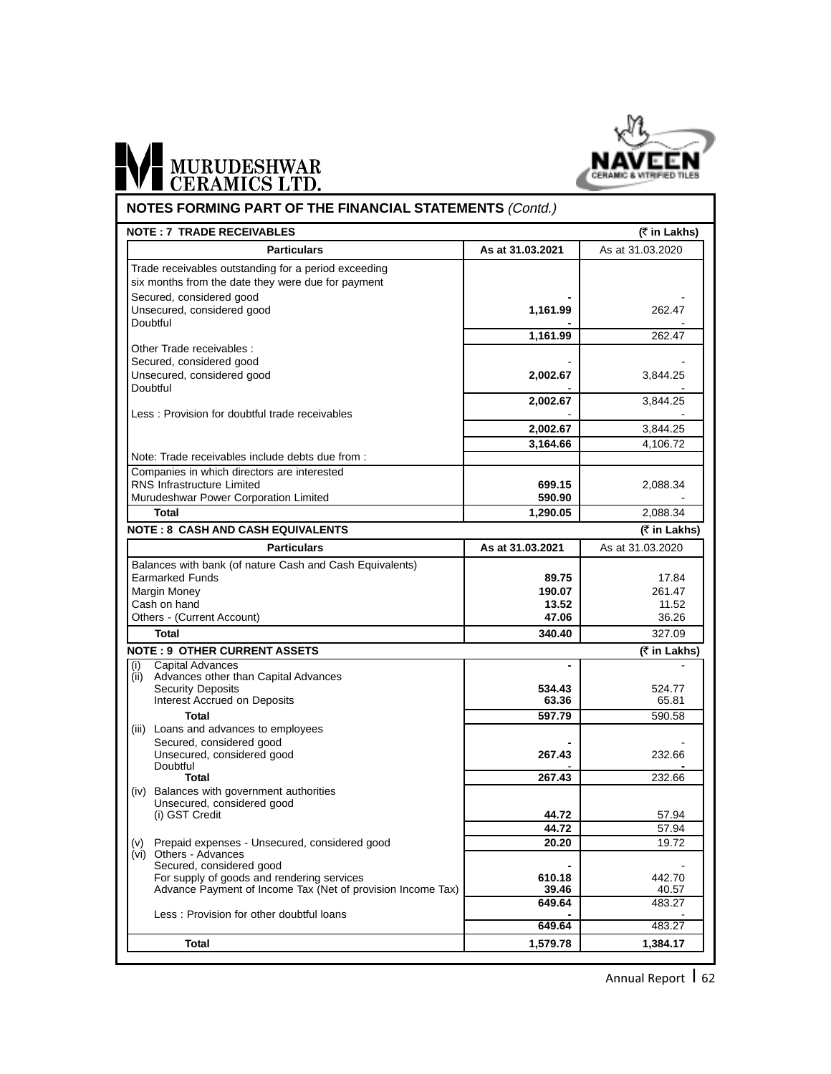

### WE MURUDESHWAR **NOTES FORMING PART OF THE FINANCIAL STATEMENTS** (Contd.)

| <b>NOTE: 7 TRADE RECEIVABLES</b>                                                                          |                    | (₹ in Lakhs)       |
|-----------------------------------------------------------------------------------------------------------|--------------------|--------------------|
| <b>Particulars</b>                                                                                        | As at 31.03.2021   | As at 31.03.2020   |
| Trade receivables outstanding for a period exceeding                                                      |                    |                    |
| six months from the date they were due for payment                                                        |                    |                    |
| Secured, considered good                                                                                  |                    |                    |
| Unsecured, considered good                                                                                | 1,161.99           | 262.47             |
| Doubtful                                                                                                  |                    |                    |
|                                                                                                           | 1,161.99           | 262.47             |
| Other Trade receivables:                                                                                  |                    |                    |
| Secured, considered good                                                                                  |                    |                    |
| Unsecured, considered good                                                                                | 2,002.67           | 3,844.25           |
| Doubtful                                                                                                  |                    |                    |
|                                                                                                           | 2,002.67           | 3,844.25           |
| Less: Provision for doubtful trade receivables                                                            |                    |                    |
|                                                                                                           | 2,002.67           | 3,844.25           |
|                                                                                                           | 3,164.66           | 4,106.72           |
| Note: Trade receivables include debts due from :                                                          |                    |                    |
| Companies in which directors are interested                                                               |                    |                    |
| <b>RNS Infrastructure Limited</b>                                                                         | 699.15             | 2,088.34           |
| Murudeshwar Power Corporation Limited                                                                     | 590.90             |                    |
| <b>Total</b>                                                                                              | 1,290.05           | 2.088.34           |
| <b>NOTE: 8 CASH AND CASH EQUIVALENTS</b>                                                                  |                    | (₹ in Lakhs)       |
| <b>Particulars</b>                                                                                        | As at 31.03.2021   | As at 31.03.2020   |
| Balances with bank (of nature Cash and Cash Equivalents)                                                  |                    |                    |
| <b>Earmarked Funds</b>                                                                                    | 89.75              | 17.84              |
| Margin Money                                                                                              | 190.07             | 261.47             |
| Cash on hand                                                                                              | 13.52              | 11.52              |
| Others - (Current Account)                                                                                | 47.06              | 36.26              |
| <b>Total</b>                                                                                              | 340.40             | 327.09             |
| <b>NOTE: 9 OTHER CURRENT ASSETS</b>                                                                       |                    | (₹ in Lakhs)       |
| <b>Capital Advances</b><br>(i)                                                                            | $\blacksquare$     |                    |
| Advances other than Capital Advances<br>(ii)                                                              |                    |                    |
| <b>Security Deposits</b>                                                                                  | 534.43             | 524.77             |
| Interest Accrued on Deposits                                                                              | 63.36              | 65.81              |
| <b>Total</b>                                                                                              | 597.79             | 590.58             |
| (iii) Loans and advances to employees                                                                     |                    |                    |
| Secured, considered good                                                                                  |                    |                    |
| Unsecured, considered good                                                                                | 267.43             | 232.66             |
| Doubtful                                                                                                  |                    |                    |
| Total                                                                                                     | 267.43             | 232.66             |
| Balances with government authorities<br>(iv)                                                              |                    |                    |
| Unsecured, considered good<br>(i) GST Credit                                                              | 44.72              | 57.94              |
|                                                                                                           | 44.72              | 57.94              |
|                                                                                                           |                    |                    |
| (v) Prepaid expenses - Unsecured, considered good<br>(vi) Others - Advances                               | 20.20              | 19.72              |
|                                                                                                           |                    |                    |
| Secured, considered good                                                                                  |                    | 442.70             |
|                                                                                                           | 610.18             |                    |
| For supply of goods and rendering services<br>Advance Payment of Income Tax (Net of provision Income Tax) | 39.46              | 40.57              |
|                                                                                                           | 649.64             | 483.27             |
| Less: Provision for other doubtful loans                                                                  |                    |                    |
| <b>Total</b>                                                                                              | 649.64<br>1,579.78 | 483.27<br>1,384.17 |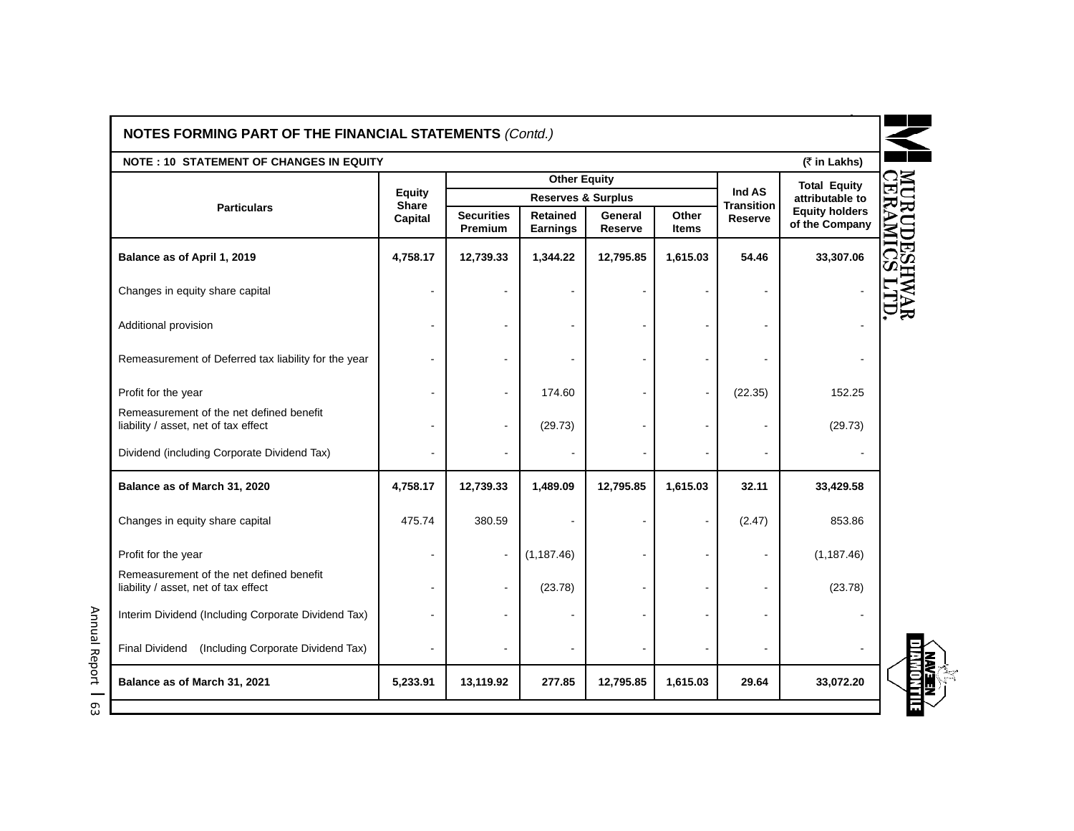| NOTES FORMING PART OF THE FINANCIAL STATEMENTS (Contd.)                          |                               |                              |                                    |                    |                          |                             |                                         |
|----------------------------------------------------------------------------------|-------------------------------|------------------------------|------------------------------------|--------------------|--------------------------|-----------------------------|-----------------------------------------|
| <b>NOTE: 10 STATEMENT OF CHANGES IN EQUITY</b>                                   |                               |                              |                                    |                    |                          |                             | (₹ in Lakhs)                            |
|                                                                                  |                               |                              | <b>Other Equity</b>                |                    |                          |                             | <b>Total Equity</b>                     |
| <b>Particulars</b>                                                               | <b>Equity</b><br><b>Share</b> |                              | <b>Reserves &amp; Surplus</b>      |                    |                          | Ind AS<br><b>Transition</b> | attributable to                         |
|                                                                                  | Capital                       | <b>Securities</b><br>Premium | <b>Retained</b><br><b>Earnings</b> | General<br>Reserve | Other<br><b>Items</b>    | Reserve                     | <b>Equity holders</b><br>of the Company |
| Balance as of April 1, 2019                                                      | 4,758.17                      | 12,739.33                    | 1,344.22                           | 12,795.85          | 1,615.03                 | 54.46                       | 33,307.06                               |
| Changes in equity share capital                                                  | $\blacksquare$                |                              |                                    |                    |                          |                             |                                         |
| Additional provision                                                             |                               |                              |                                    |                    |                          |                             |                                         |
| Remeasurement of Deferred tax liability for the year                             | $\blacksquare$                |                              |                                    |                    |                          |                             |                                         |
| Profit for the year                                                              | ÷                             |                              | 174.60                             |                    |                          | (22.35)                     | 152.25                                  |
| Remeasurement of the net defined benefit<br>liability / asset, net of tax effect | $\blacksquare$                | $\blacksquare$               | (29.73)                            |                    |                          |                             | (29.73)                                 |
| Dividend (including Corporate Dividend Tax)                                      |                               |                              |                                    |                    |                          |                             |                                         |
| Balance as of March 31, 2020                                                     | 4,758.17                      | 12,739.33                    | 1,489.09                           | 12,795.85          | 1,615.03                 | 32.11                       | 33,429.58                               |
| Changes in equity share capital                                                  | 475.74                        | 380.59                       |                                    |                    | $\blacksquare$           | (2.47)                      | 853.86                                  |
| Profit for the year                                                              | $\overline{a}$                | $\overline{\phantom{a}}$     | (1, 187.46)                        |                    | $\overline{\phantom{a}}$ |                             | (1, 187.46)                             |
| Remeasurement of the net defined benefit<br>liability / asset, net of tax effect | $\blacksquare$                | $\blacksquare$               | (23.78)                            |                    |                          |                             | (23.78)                                 |
| Interim Dividend (Including Corporate Dividend Tax)                              | $\blacksquare$                |                              |                                    |                    |                          |                             |                                         |
| (Including Corporate Dividend Tax)<br><b>Final Dividend</b>                      |                               |                              |                                    |                    |                          |                             |                                         |
| Balance as of March 31, 2021                                                     | 5,233.91                      | 13,119.92                    | 277.85                             | 12,795.85          | 1,615.03                 | 29.64                       | 33,072.20                               |

Annual Report

l 63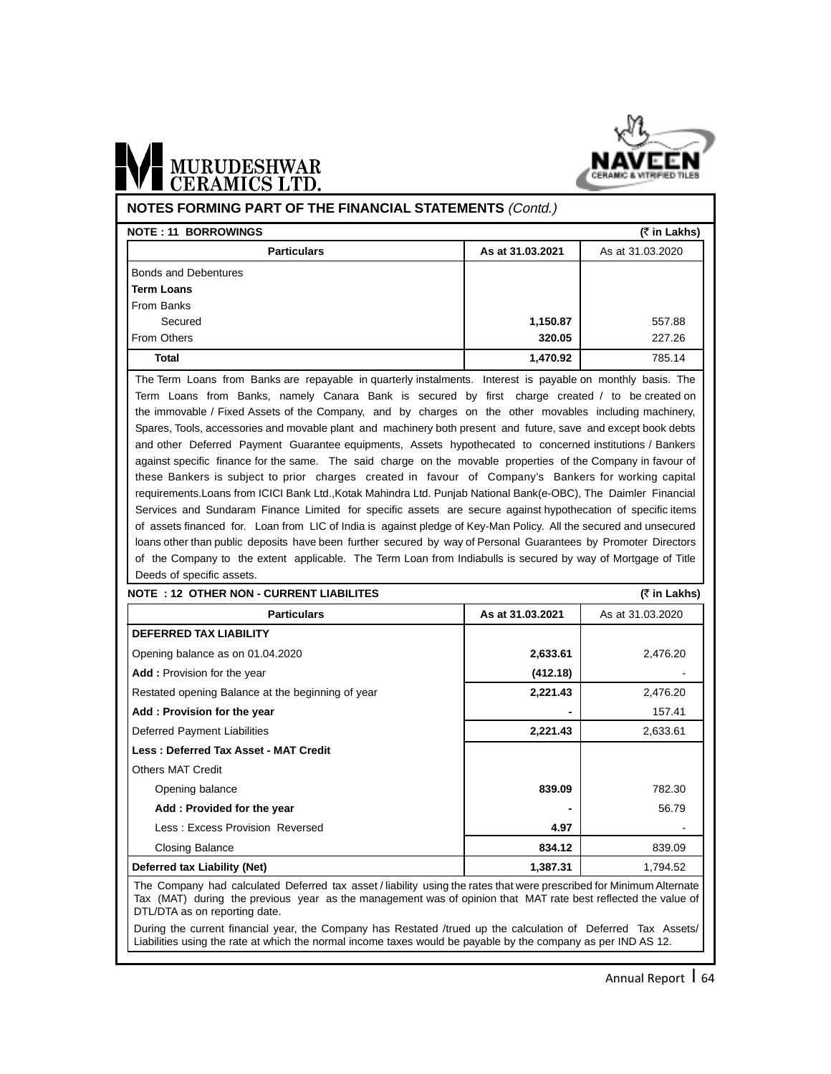

# MURUDESHWAR

#### **NOTES FORMING PART OF THE FINANCIAL STATEMENTS** (Contd.)

| <b>NOTE: 11 BORROWINGS</b>  | (₹ in Lakhs)     |                  |
|-----------------------------|------------------|------------------|
| <b>Particulars</b>          | As at 31.03.2021 | As at 31.03.2020 |
| <b>Bonds and Debentures</b> |                  |                  |
| <b>Term Loans</b>           |                  |                  |
| From Banks                  |                  |                  |
| Secured                     | 1,150.87         | 557.88           |
| From Others                 | 320.05           | 227.26           |
| Total                       | 1,470.92         | 785.14           |

The Term Loans from Banks are repayable in quarterly instalments. Interest is payable on monthly basis. The Term Loans from Banks, namely Canara Bank is secured by first charge created / to be created on the immovable / Fixed Assets of the Company, and by charges on the other movables including machinery, Spares, Tools, accessories and movable plant and machinery both present and future, save and except book debts and other Deferred Payment Guarantee equipments, Assets hypothecated to concerned institutions / Bankers against specific finance for the same. The said charge on the movable properties of the Company in favour of these Bankers is subject to prior charges created in favour of Company's Bankers for working capital requirements.Loans from ICICI Bank Ltd.,Kotak Mahindra Ltd. Punjab National Bank(e-OBC), The Daimler Financial Services and Sundaram Finance Limited for specific assets are secure against hypothecation of specific items of assets financed for. Loan from LIC of India is against pledge of Key-Man Policy. All the secured and unsecured loans other than public deposits have been further secured by way of Personal Guarantees by Promoter Directors of the Company to the extent applicable. The Term Loan from Indiabulls is secured by way of Mortgage of Title Deeds of specific assets.

| <b>NOTE : 12 OTHER NON - CURRENT LIABILITES</b>                                                                      |                  | (₹ in Lakhs)     |  |  |  |  |
|----------------------------------------------------------------------------------------------------------------------|------------------|------------------|--|--|--|--|
| <b>Particulars</b>                                                                                                   | As at 31.03.2021 | As at 31.03.2020 |  |  |  |  |
| <b>DEFERRED TAX LIABILITY</b>                                                                                        |                  |                  |  |  |  |  |
| Opening balance as on 01.04.2020                                                                                     | 2,633.61         | 2,476.20         |  |  |  |  |
| <b>Add:</b> Provision for the year                                                                                   | (412.18)         |                  |  |  |  |  |
| Restated opening Balance at the beginning of year                                                                    | 2,221.43         | 2,476.20         |  |  |  |  |
| Add: Provision for the year                                                                                          |                  | 157.41           |  |  |  |  |
| Deferred Payment Liabilities                                                                                         | 2,221.43         | 2,633.61         |  |  |  |  |
| Less: Deferred Tax Asset - MAT Credit                                                                                |                  |                  |  |  |  |  |
| Others MAT Credit                                                                                                    |                  |                  |  |  |  |  |
| Opening balance                                                                                                      | 839.09           | 782.30           |  |  |  |  |
| Add: Provided for the year                                                                                           |                  | 56.79            |  |  |  |  |
| Less: Excess Provision Reversed                                                                                      | 4.97             |                  |  |  |  |  |
| <b>Closing Balance</b>                                                                                               | 834.12           | 839.09           |  |  |  |  |
| Deferred tax Liability (Net)                                                                                         | 1,387.31         | 1,794.52         |  |  |  |  |
| The Company had calculated Deferred tax asset / liability using the rates that were prescribed for Minimum Alternate |                  |                  |  |  |  |  |

The Company had calculated Deferred tax asset / liability using the rates that were prescribed for Minimum Alternate Tax (MAT) during the previous year as the management was of opinion that MAT rate best reflected the value of DTL/DTA as on reporting date.

During the current financial year, the Company has Restated /trued up the calculation of Deferred Tax Assets/ Liabilities using the rate at which the normal income taxes would be payable by the company as per IND AS 12.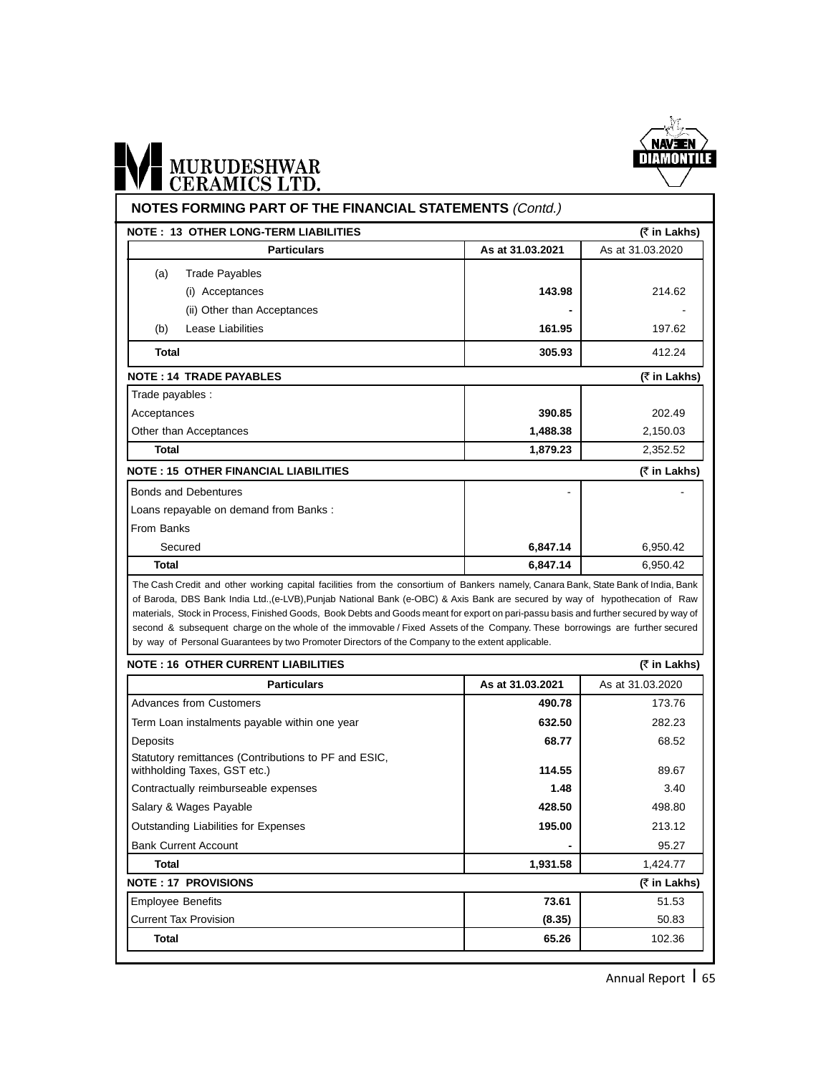

### WE MURUDESHWAR **NOTES FORMING PART OF THE FINANCIAL STATEMENTS** (Contd.)

| <u>INVILOTUMINING LAIVE OLI ITIL LIINANGIAL OTATLINLINTO (COMO.)</u>                                                                                                                                                                                                                                                                                                                                                                                                                                                                                                                                                                           |                  |                  |
|------------------------------------------------------------------------------------------------------------------------------------------------------------------------------------------------------------------------------------------------------------------------------------------------------------------------------------------------------------------------------------------------------------------------------------------------------------------------------------------------------------------------------------------------------------------------------------------------------------------------------------------------|------------------|------------------|
| <b>NOTE: 13 OTHER LONG-TERM LIABILITIES</b>                                                                                                                                                                                                                                                                                                                                                                                                                                                                                                                                                                                                    |                  | (₹ in Lakhs)     |
| <b>Particulars</b>                                                                                                                                                                                                                                                                                                                                                                                                                                                                                                                                                                                                                             | As at 31.03.2021 | As at 31.03.2020 |
| <b>Trade Payables</b><br>(a)                                                                                                                                                                                                                                                                                                                                                                                                                                                                                                                                                                                                                   |                  |                  |
| Acceptances<br>(i)                                                                                                                                                                                                                                                                                                                                                                                                                                                                                                                                                                                                                             | 143.98           | 214.62           |
| (ii) Other than Acceptances                                                                                                                                                                                                                                                                                                                                                                                                                                                                                                                                                                                                                    |                  |                  |
| Lease Liabilities<br>(b)                                                                                                                                                                                                                                                                                                                                                                                                                                                                                                                                                                                                                       | 161.95           | 197.62           |
| Total                                                                                                                                                                                                                                                                                                                                                                                                                                                                                                                                                                                                                                          | 305.93           | 412.24           |
| <b>NOTE: 14 TRADE PAYABLES</b>                                                                                                                                                                                                                                                                                                                                                                                                                                                                                                                                                                                                                 |                  | (₹ in Lakhs)     |
| Trade payables :                                                                                                                                                                                                                                                                                                                                                                                                                                                                                                                                                                                                                               |                  |                  |
| Acceptances                                                                                                                                                                                                                                                                                                                                                                                                                                                                                                                                                                                                                                    | 390.85           | 202.49           |
| Other than Acceptances                                                                                                                                                                                                                                                                                                                                                                                                                                                                                                                                                                                                                         | 1,488.38         | 2,150.03         |
| <b>Total</b>                                                                                                                                                                                                                                                                                                                                                                                                                                                                                                                                                                                                                                   | 1,879.23         | 2,352.52         |
| <b>NOTE: 15 OTHER FINANCIAL LIABILITIES</b>                                                                                                                                                                                                                                                                                                                                                                                                                                                                                                                                                                                                    |                  | (₹ in Lakhs)     |
| <b>Bonds and Debentures</b>                                                                                                                                                                                                                                                                                                                                                                                                                                                                                                                                                                                                                    |                  |                  |
| Loans repayable on demand from Banks:                                                                                                                                                                                                                                                                                                                                                                                                                                                                                                                                                                                                          |                  |                  |
| From Banks                                                                                                                                                                                                                                                                                                                                                                                                                                                                                                                                                                                                                                     |                  |                  |
| Secured                                                                                                                                                                                                                                                                                                                                                                                                                                                                                                                                                                                                                                        | 6,847.14         | 6,950.42         |
| <b>Total</b>                                                                                                                                                                                                                                                                                                                                                                                                                                                                                                                                                                                                                                   | 6.847.14         | 6.950.42         |
| The Cash Credit and other working capital facilities from the consortium of Bankers namely, Canara Bank, State Bank of India, Bank<br>of Baroda, DBS Bank India Ltd., (e-LVB), Punjab National Bank (e-OBC) & Axis Bank are secured by way of hypothecation of Raw<br>materials, Stock in Process, Finished Goods, Book Debts and Goods meant for export on pari-passu basis and further secured by way of<br>second & subsequent charge on the whole of the immovable / Fixed Assets of the Company. These borrowings are further secured<br>by way of Personal Guarantees by two Promoter Directors of the Company to the extent applicable. |                  |                  |

| <b>NOTE: 16 OTHER CURRENT LIABILITIES</b>                                            |                  | (₹ in Lakhs)     |
|--------------------------------------------------------------------------------------|------------------|------------------|
| <b>Particulars</b>                                                                   | As at 31.03.2021 | As at 31.03.2020 |
| Advances from Customers                                                              | 490.78           | 173.76           |
| Term Loan instalments payable within one year                                        | 632.50           | 282.23           |
| Deposits                                                                             | 68.77            | 68.52            |
| Statutory remittances (Contributions to PF and ESIC,<br>withholding Taxes, GST etc.) | 114.55           | 89.67            |
| Contractually reimburseable expenses                                                 | 1.48             | 3.40             |
| Salary & Wages Payable                                                               | 428.50           | 498.80           |
| Outstanding Liabilities for Expenses                                                 | 195.00           | 213.12           |
| <b>Bank Current Account</b>                                                          |                  | 95.27            |
| Total                                                                                | 1,931.58         | 1,424.77         |
| <b>NOTE: 17 PROVISIONS</b>                                                           |                  | (₹ in Lakhs)     |
| <b>Employee Benefits</b>                                                             | 73.61            | 51.53            |
| <b>Current Tax Provision</b>                                                         | (8.35)           | 50.83            |
| Total                                                                                | 65.26            | 102.36           |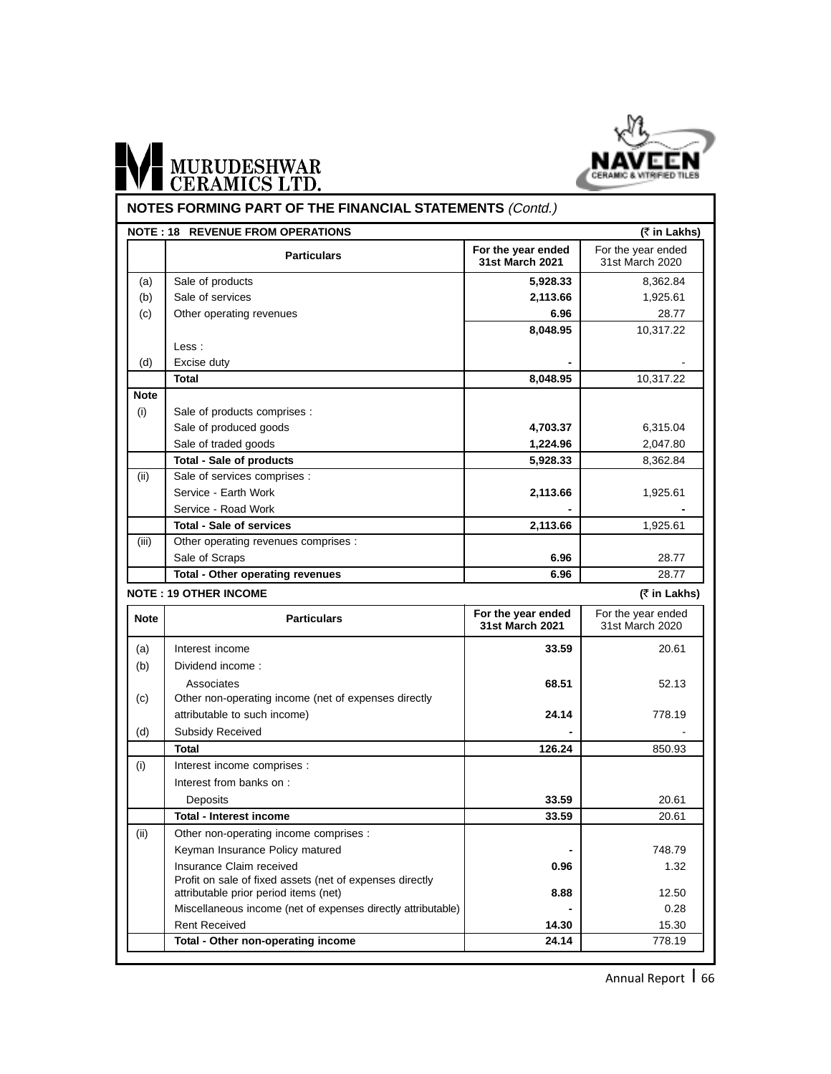

# WE MURUDESHWAR

### **NOTES FORMING PART OF THE FINANCIAL STATEMENTS (Contd.)**

|             | <b>NOTE : 18 REVENUE FROM OPERATIONS</b>                     |                                              | (₹ in Lakhs)                          |
|-------------|--------------------------------------------------------------|----------------------------------------------|---------------------------------------|
|             | <b>Particulars</b>                                           | For the year ended<br>31st March 2021        | For the year ended<br>31st March 2020 |
| (a)         | Sale of products                                             | 5,928.33                                     | 8,362.84                              |
| (b)         | Sale of services                                             | 2,113.66                                     | 1,925.61                              |
| (c)         | Other operating revenues                                     | 6.96                                         | 28.77                                 |
|             |                                                              | 8,048.95                                     | 10,317.22                             |
|             | Less:                                                        |                                              |                                       |
| (d)         | Excise duty                                                  |                                              |                                       |
|             | Total                                                        | 8,048.95                                     | 10,317.22                             |
| <b>Note</b> |                                                              |                                              |                                       |
| (i)         | Sale of products comprises :                                 |                                              |                                       |
|             | Sale of produced goods                                       | 4,703.37                                     | 6,315.04                              |
|             | Sale of traded goods                                         | 1,224.96                                     | 2,047.80                              |
|             | <b>Total - Sale of products</b>                              | 5,928.33                                     | 8,362.84                              |
| (ii)        | Sale of services comprises :                                 |                                              |                                       |
|             | Service - Earth Work                                         | 2,113.66                                     | 1,925.61                              |
|             | Service - Road Work                                          |                                              |                                       |
|             | <b>Total - Sale of services</b>                              | 2,113.66                                     | 1,925.61                              |
| (iii)       | Other operating revenues comprises :                         |                                              |                                       |
|             | Sale of Scraps                                               | 6.96                                         | 28.77                                 |
|             | Total - Other operating revenues                             | 6.96                                         | 28.77                                 |
|             | <b>NOTE: 19 OTHER INCOME</b>                                 |                                              | (₹ in Lakhs)                          |
| <b>Note</b> | <b>Particulars</b>                                           | For the year ended<br><b>31st March 2021</b> | For the year ended<br>31st March 2020 |
| (a)         | Interest income                                              | 33.59                                        | 20.61                                 |
| (b)         | Dividend income:                                             |                                              |                                       |
|             | Associates                                                   | 68.51                                        | 52.13                                 |
| (c)         | Other non-operating income (net of expenses directly         |                                              |                                       |
|             | attributable to such income)                                 | 24.14                                        | 778.19                                |
| (d)         | Subsidy Received                                             |                                              |                                       |
|             | <b>Total</b>                                                 | 126.24                                       | 850.93                                |
| (i)         | Interest income comprises :                                  |                                              |                                       |
|             | Interest from banks on:                                      |                                              |                                       |
|             | Deposits                                                     | 33.59                                        | 20.61                                 |
|             | <b>Total - Interest income</b>                               | 33.59                                        | 20.61                                 |
| (ii)        | Other non-operating income comprises :                       |                                              |                                       |
|             | Keyman Insurance Policy matured                              |                                              | 748.79                                |
|             | Insurance Claim received                                     | 0.96                                         | 1.32                                  |
|             | Profit on sale of fixed assets (net of expenses directly     |                                              |                                       |
|             | attributable prior period items (net)                        | 8.88                                         | 12.50                                 |
|             | Miscellaneous income (net of expenses directly attributable) |                                              | 0.28                                  |
|             |                                                              |                                              |                                       |
|             | <b>Rent Received</b><br>Total - Other non-operating income   | 14.30<br>24.14                               | 15.30<br>778.19                       |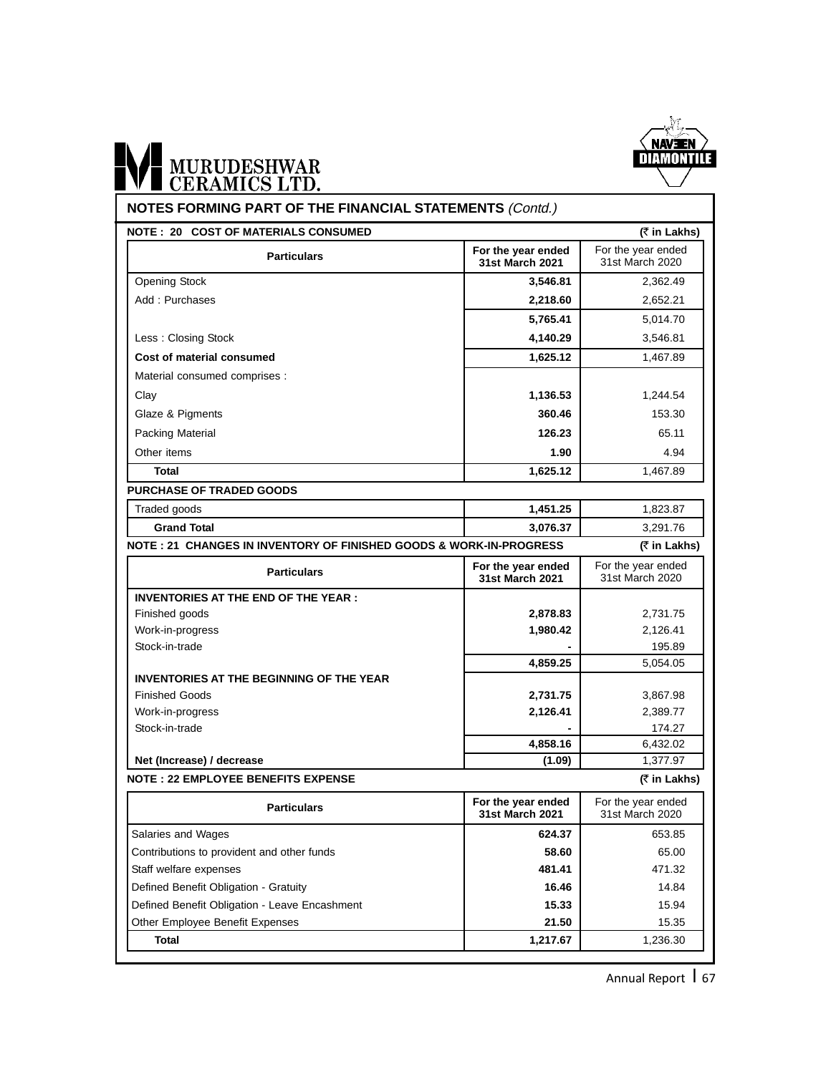

#### **NOTES FORMING PART OF THE FINANCIAL STATEMENTS** (Contd.) Opening Stock **3,546.81** 2,362.49 Add : Purchases 2,652.21 **5,765.41** 5,014.70 Less : Closing Stock **4,140.29** 3,546.81 **Cost of material consumed 1,625.12** 1,467.89 Material consumed comprises : Clay **1,136.53** 1,244.54 Glaze & Pigments **360.46** 153.30 **Packing Material 65.11** 65.11 Other items **1.90** 4.94 **Total 1,625.12** 1,467.89 **PURCHASE OF TRADED GOODS 1,451.25** 1,823.87 **Grand Total 3,076.37** 3,291.76 **NOTE : 20 COST OF MATERIALS CONSUMED (**` **in Lakhs) INVENTORIES AT THE END OF THE YEAR :** Finished goods **2,878.83** 2,731.75 **NOTE : 21 CHANGES IN INVENTORY OF FINISHED GOODS & WORK-IN-PROGRESS (**` **in Lakhs) For the year ended Particulars Particulars Particulars Particulars Particulars Particulars Particulars Particulars Particulars Particulars Particulars Particulars Particulars Particulars Particulars Particulars** For the year ended **For the year ended Particulars Particulars Particulars Particulars Particulars Particulars Particulars Particulars Particulars Particulars Particulars Particulars Particulars Particulars Particulars Particulars** For the year ended<br>31st March 2020

| <b>Particulars</b>                              | For the year ended<br>31 et March 2021 | For the year ended<br>31st March 2020 |
|-------------------------------------------------|----------------------------------------|---------------------------------------|
| <b>NOTE: 22 EMPLOYEE BENEFITS EXPENSE</b>       |                                        | (₹ in Lakhs)                          |
| Net (Increase) / decrease                       | (1.09)                                 | 1,377.97                              |
|                                                 | 4,858.16                               | 6,432.02                              |
| Stock-in-trade                                  |                                        | 174.27                                |
| Work-in-progress                                | 2,126.41                               | 2,389.77                              |
| <b>Finished Goods</b>                           | 2,731.75                               | 3,867.98                              |
| <b>INVENTORIES AT THE BEGINNING OF THE YEAR</b> |                                        |                                       |
|                                                 | 4,859.25                               | 5,054.05                              |
| Stock-in-trade                                  |                                        | 195.89                                |
| Work-in-progress                                | 1,980.42                               | 2,126.41                              |
| Finished goods                                  | 2,878.83                               | 2,731.75                              |

| <b>Particulars</b>                            | For the year ended<br>31st March 2021 | For the year ended<br>31st March 2020 |
|-----------------------------------------------|---------------------------------------|---------------------------------------|
| Salaries and Wages                            | 624.37                                | 653.85                                |
| Contributions to provident and other funds    | 58.60                                 | 65.00                                 |
| Staff welfare expenses                        | 481.41                                | 471.32                                |
| Defined Benefit Obligation - Gratuity         | 16.46                                 | 14.84                                 |
| Defined Benefit Obligation - Leave Encashment | 15.33                                 | 15.94                                 |
| Other Employee Benefit Expenses               | 21.50                                 | 15.35                                 |
| Total                                         | 1,217.67                              | 1,236.30                              |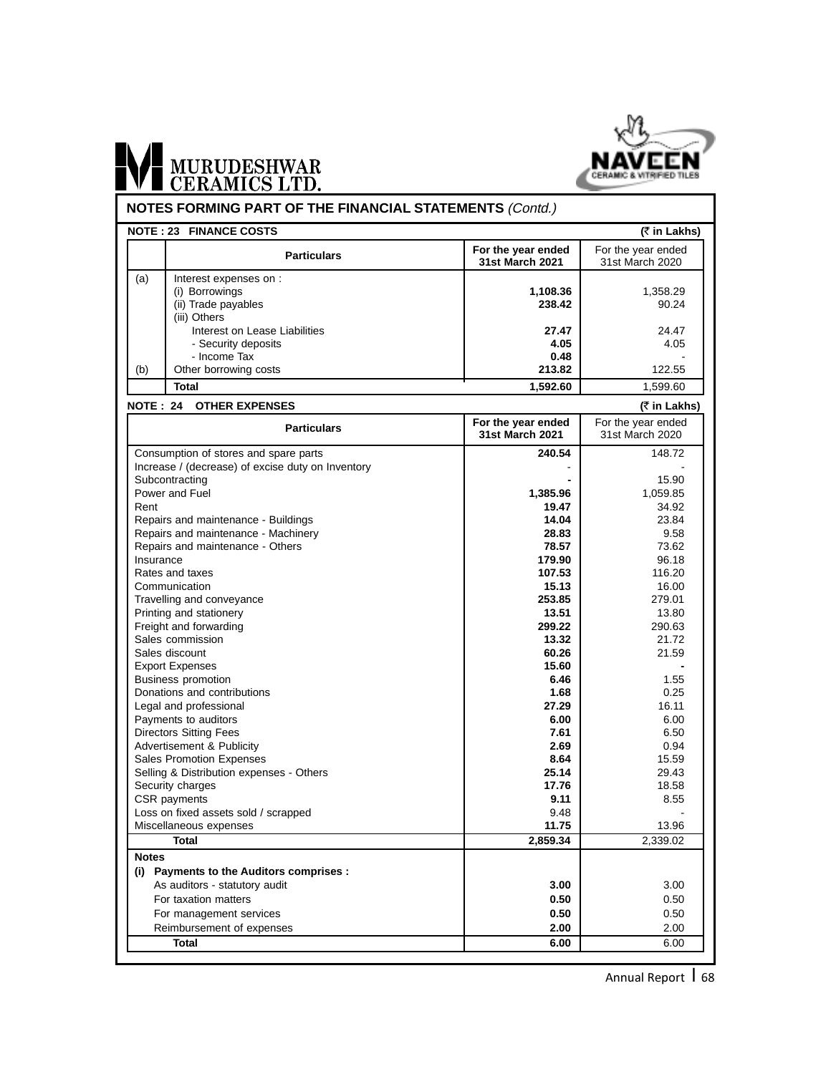

|              | <b>NOTE: 23 FINANCE COSTS</b>                     |                                              | (₹ in Lakhs)                          |
|--------------|---------------------------------------------------|----------------------------------------------|---------------------------------------|
|              | <b>Particulars</b>                                | For the year ended<br>31st March 2021        | For the year ended<br>31st March 2020 |
| (a)          | Interest expenses on :                            |                                              |                                       |
|              | (i) Borrowings                                    | 1,108.36                                     | 1,358.29                              |
|              | (ii) Trade payables                               | 238.42                                       | 90.24                                 |
|              | (iii) Others                                      |                                              |                                       |
|              | Interest on Lease Liabilities                     | 27.47                                        | 24.47                                 |
|              | - Security deposits                               | 4.05                                         | 4.05                                  |
|              | - Income Tax                                      | 0.48                                         |                                       |
| (b)          | Other borrowing costs                             | 213.82                                       | 122.55                                |
|              | <b>Total</b>                                      | 1,592.60                                     | 1,599.60                              |
|              | <b>NOTE: 24 OTHER EXPENSES</b>                    |                                              | (₹ in Lakhs)                          |
|              | <b>Particulars</b>                                | For the year ended<br><b>31st March 2021</b> | For the year ended<br>31st March 2020 |
|              | Consumption of stores and spare parts             | 240.54                                       | 148.72                                |
|              | Increase / (decrease) of excise duty on Inventory |                                              |                                       |
|              | Subcontracting                                    |                                              | 15.90                                 |
|              | Power and Fuel                                    | 1,385.96                                     | 1,059.85                              |
| Rent         |                                                   | 19.47                                        | 34.92                                 |
|              | Repairs and maintenance - Buildings               | 14.04                                        | 23.84                                 |
|              | Repairs and maintenance - Machinery               | 28.83                                        | 9.58                                  |
|              | Repairs and maintenance - Others                  | 78.57                                        | 73.62                                 |
| Insurance    |                                                   | 179.90                                       | 96.18                                 |
|              | Rates and taxes                                   | 107.53                                       | 116.20                                |
|              | Communication                                     | 15.13                                        | 16.00                                 |
|              | Travelling and conveyance                         | 253.85                                       | 279.01                                |
|              | Printing and stationery                           | 13.51                                        | 13.80                                 |
|              | Freight and forwarding                            | 299.22                                       | 290.63                                |
|              | Sales commission                                  | 13.32                                        | 21.72                                 |
|              | Sales discount                                    | 60.26                                        | 21.59                                 |
|              | <b>Export Expenses</b>                            | 15.60                                        |                                       |
|              | <b>Business promotion</b>                         | 6.46                                         | 1.55                                  |
|              | Donations and contributions                       | 1.68                                         | 0.25                                  |
|              | Legal and professional                            | 27.29                                        | 16.11                                 |
|              | Payments to auditors                              | 6.00                                         | 6.00                                  |
|              | <b>Directors Sitting Fees</b>                     | 7.61                                         | 6.50                                  |
|              | Advertisement & Publicity                         | 2.69                                         | 0.94                                  |
|              | <b>Sales Promotion Expenses</b>                   | 8.64                                         | 15.59                                 |
|              | Selling & Distribution expenses - Others          | 25.14                                        | 29.43                                 |
|              | Security charges                                  | 17.76                                        | 18.58                                 |
|              | CSR payments                                      | 9.11                                         | 8.55                                  |
|              | Loss on fixed assets sold / scrapped              | 9.48                                         |                                       |
|              | Miscellaneous expenses                            | 11.75                                        | 13.96                                 |
| <b>Notes</b> | <b>Total</b>                                      | 2,859.34                                     | 2,339.02                              |
|              | (i) Payments to the Auditors comprises :          |                                              |                                       |
|              | As auditors - statutory audit                     | 3.00                                         | 3.00                                  |
|              |                                                   |                                              |                                       |
|              | For taxation matters                              | 0.50                                         | 0.50                                  |
|              | For management services                           | 0.50                                         | 0.50                                  |
|              | Reimbursement of expenses                         | 2.00                                         | 2.00                                  |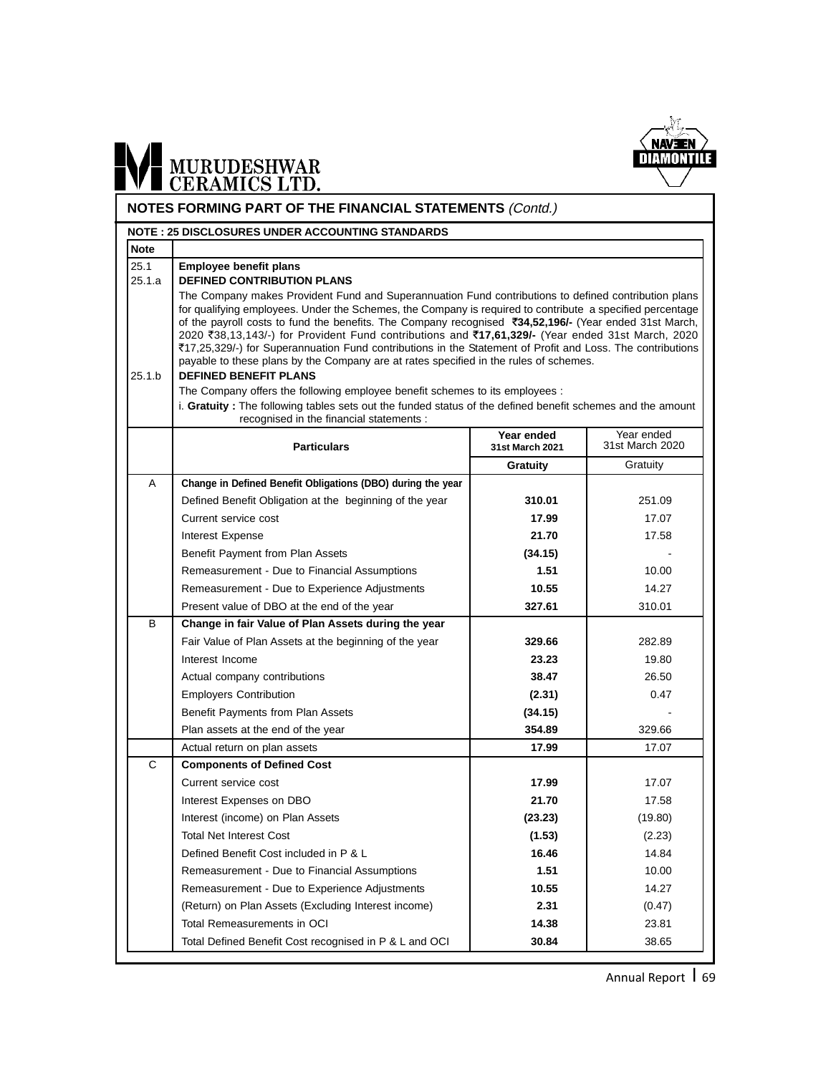

# WE MURUDESHWAR

#### **NOTES FORMING PART OF THE FINANCIAL STATEMENTS** (Contd.)

|                | <b>NOTE : 25 DISCLOSURES UNDER ACCOUNTING STANDARDS</b>                                                                                                                                                                                                                                                                                                                                                                                                                                                                                                                                                                                                                                                                                                                                                                                                                                                           |                               |                               |
|----------------|-------------------------------------------------------------------------------------------------------------------------------------------------------------------------------------------------------------------------------------------------------------------------------------------------------------------------------------------------------------------------------------------------------------------------------------------------------------------------------------------------------------------------------------------------------------------------------------------------------------------------------------------------------------------------------------------------------------------------------------------------------------------------------------------------------------------------------------------------------------------------------------------------------------------|-------------------------------|-------------------------------|
| <b>Note</b>    |                                                                                                                                                                                                                                                                                                                                                                                                                                                                                                                                                                                                                                                                                                                                                                                                                                                                                                                   |                               |                               |
| 25.1<br>25.1.a | <b>Employee benefit plans</b><br><b>DEFINED CONTRIBUTION PLANS</b>                                                                                                                                                                                                                                                                                                                                                                                                                                                                                                                                                                                                                                                                                                                                                                                                                                                |                               |                               |
| 25.1.b         | The Company makes Provident Fund and Superannuation Fund contributions to defined contribution plans<br>for qualifying employees. Under the Schemes, the Company is required to contribute a specified percentage<br>of the payroll costs to fund the benefits. The Company recognised ₹34,52,196/- (Year ended 31st March,<br>2020 ₹38,13,143/-) for Provident Fund contributions and ₹17,61,329/- (Year ended 31st March, 2020<br>₹17,25,329/-) for Superannuation Fund contributions in the Statement of Profit and Loss. The contributions<br>payable to these plans by the Company are at rates specified in the rules of schemes.<br><b>DEFINED BENEFIT PLANS</b><br>The Company offers the following employee benefit schemes to its employees :<br>i. Gratuity: The following tables sets out the funded status of the defined benefit schemes and the amount<br>recognised in the financial statements : |                               |                               |
|                | <b>Particulars</b>                                                                                                                                                                                                                                                                                                                                                                                                                                                                                                                                                                                                                                                                                                                                                                                                                                                                                                | Year ended<br>31st March 2021 | Year ended<br>31st March 2020 |
|                |                                                                                                                                                                                                                                                                                                                                                                                                                                                                                                                                                                                                                                                                                                                                                                                                                                                                                                                   | <b>Gratuity</b>               | Gratuity                      |
| A              | Change in Defined Benefit Obligations (DBO) during the year                                                                                                                                                                                                                                                                                                                                                                                                                                                                                                                                                                                                                                                                                                                                                                                                                                                       |                               |                               |
|                | Defined Benefit Obligation at the beginning of the year                                                                                                                                                                                                                                                                                                                                                                                                                                                                                                                                                                                                                                                                                                                                                                                                                                                           | 310.01                        | 251.09                        |
|                | Current service cost                                                                                                                                                                                                                                                                                                                                                                                                                                                                                                                                                                                                                                                                                                                                                                                                                                                                                              | 17.99                         | 17.07                         |
|                | Interest Expense                                                                                                                                                                                                                                                                                                                                                                                                                                                                                                                                                                                                                                                                                                                                                                                                                                                                                                  | 21.70                         | 17.58                         |
|                | Benefit Payment from Plan Assets                                                                                                                                                                                                                                                                                                                                                                                                                                                                                                                                                                                                                                                                                                                                                                                                                                                                                  | (34.15)                       |                               |
|                | Remeasurement - Due to Financial Assumptions                                                                                                                                                                                                                                                                                                                                                                                                                                                                                                                                                                                                                                                                                                                                                                                                                                                                      | 1.51                          | 10.00                         |
|                | Remeasurement - Due to Experience Adjustments                                                                                                                                                                                                                                                                                                                                                                                                                                                                                                                                                                                                                                                                                                                                                                                                                                                                     | 10.55                         | 14.27                         |
|                | Present value of DBO at the end of the year                                                                                                                                                                                                                                                                                                                                                                                                                                                                                                                                                                                                                                                                                                                                                                                                                                                                       | 327.61                        | 310.01                        |
| B              | Change in fair Value of Plan Assets during the year                                                                                                                                                                                                                                                                                                                                                                                                                                                                                                                                                                                                                                                                                                                                                                                                                                                               |                               |                               |
|                | Fair Value of Plan Assets at the beginning of the year                                                                                                                                                                                                                                                                                                                                                                                                                                                                                                                                                                                                                                                                                                                                                                                                                                                            | 329.66                        | 282.89                        |
|                | Interest Income                                                                                                                                                                                                                                                                                                                                                                                                                                                                                                                                                                                                                                                                                                                                                                                                                                                                                                   | 23.23                         | 19.80                         |
|                | Actual company contributions                                                                                                                                                                                                                                                                                                                                                                                                                                                                                                                                                                                                                                                                                                                                                                                                                                                                                      | 38.47                         | 26.50                         |
|                | <b>Employers Contribution</b>                                                                                                                                                                                                                                                                                                                                                                                                                                                                                                                                                                                                                                                                                                                                                                                                                                                                                     | (2.31)                        | 0.47                          |
|                | Benefit Payments from Plan Assets                                                                                                                                                                                                                                                                                                                                                                                                                                                                                                                                                                                                                                                                                                                                                                                                                                                                                 | (34.15)                       |                               |
|                | Plan assets at the end of the year                                                                                                                                                                                                                                                                                                                                                                                                                                                                                                                                                                                                                                                                                                                                                                                                                                                                                | 354.89                        | 329.66                        |
|                | Actual return on plan assets                                                                                                                                                                                                                                                                                                                                                                                                                                                                                                                                                                                                                                                                                                                                                                                                                                                                                      | 17.99                         | 17.07                         |
| C              | <b>Components of Defined Cost</b>                                                                                                                                                                                                                                                                                                                                                                                                                                                                                                                                                                                                                                                                                                                                                                                                                                                                                 |                               |                               |
|                | Current service cost                                                                                                                                                                                                                                                                                                                                                                                                                                                                                                                                                                                                                                                                                                                                                                                                                                                                                              | 17.99                         | 17.07                         |
|                | Interest Expenses on DBO                                                                                                                                                                                                                                                                                                                                                                                                                                                                                                                                                                                                                                                                                                                                                                                                                                                                                          | 21.70                         | 17.58                         |
|                | Interest (income) on Plan Assets                                                                                                                                                                                                                                                                                                                                                                                                                                                                                                                                                                                                                                                                                                                                                                                                                                                                                  | (23.23)                       | (19.80)                       |
|                | <b>Total Net Interest Cost</b>                                                                                                                                                                                                                                                                                                                                                                                                                                                                                                                                                                                                                                                                                                                                                                                                                                                                                    | (1.53)                        | (2.23)                        |
|                | Defined Benefit Cost included in P & L                                                                                                                                                                                                                                                                                                                                                                                                                                                                                                                                                                                                                                                                                                                                                                                                                                                                            | 16.46                         | 14.84                         |
|                | Remeasurement - Due to Financial Assumptions                                                                                                                                                                                                                                                                                                                                                                                                                                                                                                                                                                                                                                                                                                                                                                                                                                                                      | 1.51                          | 10.00                         |
|                | Remeasurement - Due to Experience Adjustments                                                                                                                                                                                                                                                                                                                                                                                                                                                                                                                                                                                                                                                                                                                                                                                                                                                                     | 10.55                         | 14.27                         |
|                | (Return) on Plan Assets (Excluding Interest income)                                                                                                                                                                                                                                                                                                                                                                                                                                                                                                                                                                                                                                                                                                                                                                                                                                                               | 2.31                          | (0.47)                        |
|                | Total Remeasurements in OCI                                                                                                                                                                                                                                                                                                                                                                                                                                                                                                                                                                                                                                                                                                                                                                                                                                                                                       | 14.38                         | 23.81                         |
|                | Total Defined Benefit Cost recognised in P & L and OCI                                                                                                                                                                                                                                                                                                                                                                                                                                                                                                                                                                                                                                                                                                                                                                                                                                                            | 30.84                         | 38.65                         |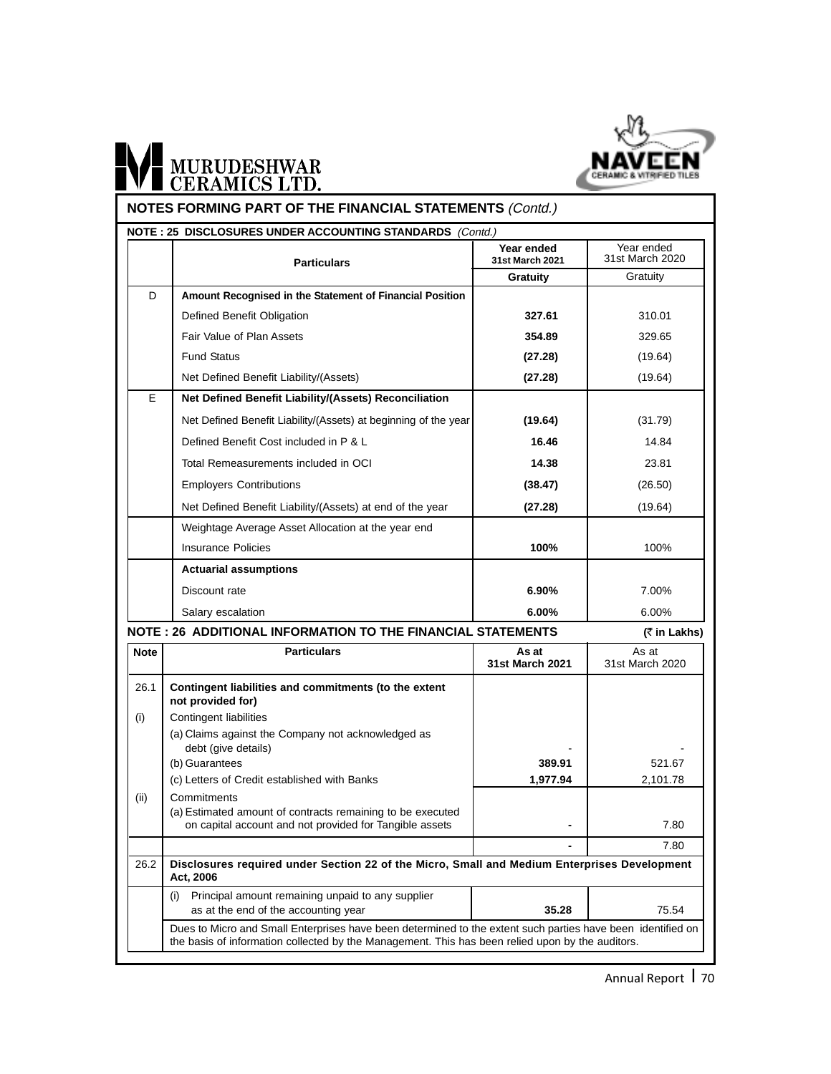

|             | NOTE: 25 DISCLOSURES UNDER ACCOUNTING STANDARDS (Contd.)<br><b>Particulars</b>                                                                                                                                  | Year ended<br>31st March 2021 | Year ended<br>31st March 2020 |
|-------------|-----------------------------------------------------------------------------------------------------------------------------------------------------------------------------------------------------------------|-------------------------------|-------------------------------|
|             |                                                                                                                                                                                                                 | Gratuity                      | Gratuity                      |
| D           | Amount Recognised in the Statement of Financial Position                                                                                                                                                        |                               |                               |
|             | Defined Benefit Obligation                                                                                                                                                                                      | 327.61                        | 310.01                        |
|             | Fair Value of Plan Assets                                                                                                                                                                                       | 354.89                        | 329.65                        |
|             | <b>Fund Status</b>                                                                                                                                                                                              | (27.28)                       | (19.64)                       |
|             | Net Defined Benefit Liability/(Assets)                                                                                                                                                                          | (27.28)                       | (19.64)                       |
| E           | Net Defined Benefit Liability/(Assets) Reconciliation                                                                                                                                                           |                               |                               |
|             | Net Defined Benefit Liability/(Assets) at beginning of the year                                                                                                                                                 | (19.64)                       | (31.79)                       |
|             | Defined Benefit Cost included in P & L                                                                                                                                                                          | 16.46                         | 14.84                         |
|             | Total Remeasurements included in OCI                                                                                                                                                                            | 14.38                         | 23.81                         |
|             | <b>Employers Contributions</b>                                                                                                                                                                                  | (38.47)                       | (26.50)                       |
|             | Net Defined Benefit Liability/(Assets) at end of the year                                                                                                                                                       | (27.28)                       | (19.64)                       |
|             | Weightage Average Asset Allocation at the year end                                                                                                                                                              |                               |                               |
|             | <b>Insurance Policies</b>                                                                                                                                                                                       | 100%                          | 100%                          |
|             | <b>Actuarial assumptions</b>                                                                                                                                                                                    |                               |                               |
|             | Discount rate                                                                                                                                                                                                   | 6.90%                         | 7.00%                         |
|             | Salary escalation                                                                                                                                                                                               | 6.00%                         | 6.00%                         |
|             | NOTE: 26 ADDITIONAL INFORMATION TO THE FINANCIAL STATEMENTS                                                                                                                                                     |                               | (₹ in Lakhs)                  |
| <b>Note</b> | Particulars                                                                                                                                                                                                     | As at<br>31st March 2021      | As at<br>31st March 2020      |
| 26.1        | Contingent liabilities and commitments (to the extent<br>not provided for)                                                                                                                                      |                               |                               |
| (i)         | Contingent liabilities                                                                                                                                                                                          |                               |                               |
|             | (a) Claims against the Company not acknowledged as<br>debt (give details)                                                                                                                                       |                               |                               |
|             | (b) Guarantees                                                                                                                                                                                                  | 389.91                        | 521.67                        |
|             | (c) Letters of Credit established with Banks                                                                                                                                                                    | 1,977.94                      | 2,101.78                      |
| (ii)        | Commitments<br>(a) Estimated amount of contracts remaining to be executed<br>on capital account and not provided for Tangible assets                                                                            |                               | 7.80                          |
|             |                                                                                                                                                                                                                 |                               | 7.80                          |
| 26.2        | Disclosures required under Section 22 of the Micro, Small and Medium Enterprises Development<br>Act, 2006                                                                                                       |                               |                               |
|             | Principal amount remaining unpaid to any supplier<br>(i)<br>as at the end of the accounting year                                                                                                                | 35.28                         | 75.54                         |
|             | Dues to Micro and Small Enterprises have been determined to the extent such parties have been identified on<br>the basis of information collected by the Management. This has been relied upon by the auditors. |                               |                               |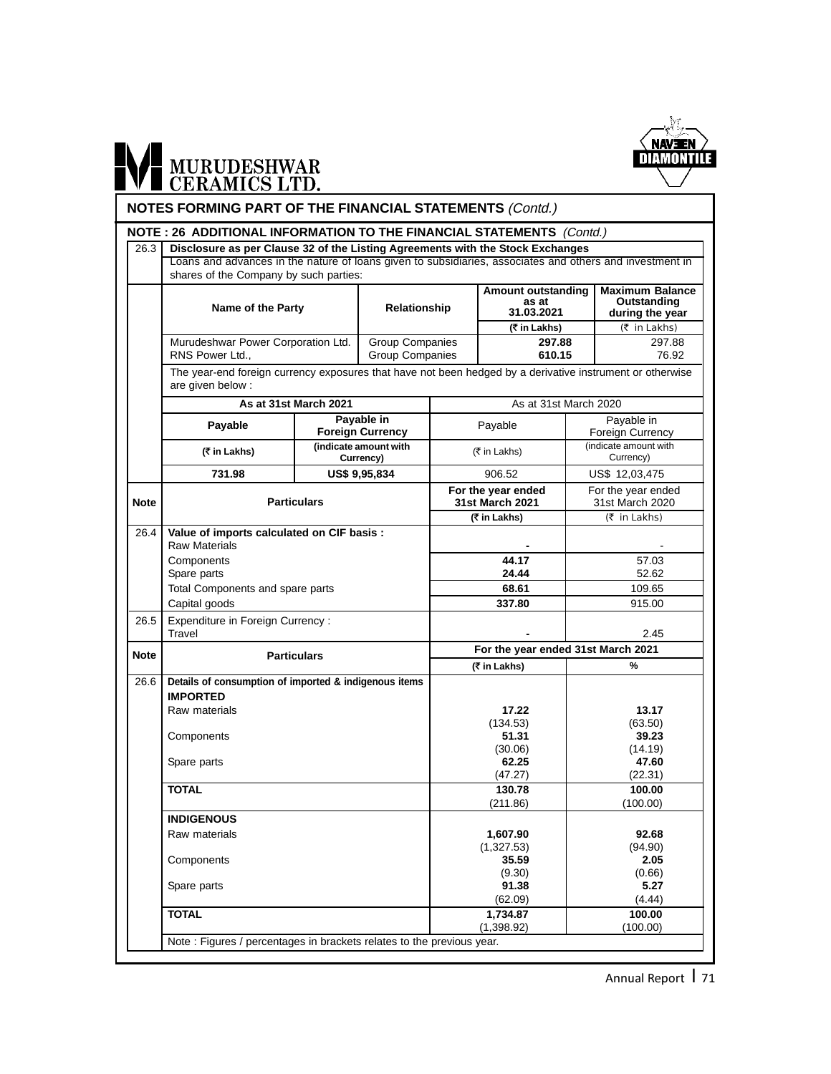

# WI MURUDESHWAR

#### **NOTES FORMING PART OF THE FINANCIAL STATEMENTS** (Contd.)

#### **NOTE : 26 ADDITIONAL INFORMATION TO THE FINANCIAL STATEMENTS** (Contd.)

|                      |                                                                                                                                                                                          |                                                                                                                                                                                                      |                                                                                                                                                                                                                                               |                                                           |                                                                                                                                                                                                                                                    | <b>Maximum Balance</b>                                                                                                                                                                                                                                                                                                                                                                                                  |
|----------------------|------------------------------------------------------------------------------------------------------------------------------------------------------------------------------------------|------------------------------------------------------------------------------------------------------------------------------------------------------------------------------------------------------|-----------------------------------------------------------------------------------------------------------------------------------------------------------------------------------------------------------------------------------------------|-----------------------------------------------------------|----------------------------------------------------------------------------------------------------------------------------------------------------------------------------------------------------------------------------------------------------|-------------------------------------------------------------------------------------------------------------------------------------------------------------------------------------------------------------------------------------------------------------------------------------------------------------------------------------------------------------------------------------------------------------------------|
|                      |                                                                                                                                                                                          |                                                                                                                                                                                                      |                                                                                                                                                                                                                                               | as at                                                     |                                                                                                                                                                                                                                                    | Outstanding                                                                                                                                                                                                                                                                                                                                                                                                             |
|                      |                                                                                                                                                                                          |                                                                                                                                                                                                      |                                                                                                                                                                                                                                               |                                                           |                                                                                                                                                                                                                                                    | during the year                                                                                                                                                                                                                                                                                                                                                                                                         |
|                      |                                                                                                                                                                                          |                                                                                                                                                                                                      |                                                                                                                                                                                                                                               |                                                           |                                                                                                                                                                                                                                                    | (₹ in Lakhs)                                                                                                                                                                                                                                                                                                                                                                                                            |
|                      |                                                                                                                                                                                          |                                                                                                                                                                                                      |                                                                                                                                                                                                                                               |                                                           |                                                                                                                                                                                                                                                    | 297.88                                                                                                                                                                                                                                                                                                                                                                                                                  |
|                      |                                                                                                                                                                                          |                                                                                                                                                                                                      |                                                                                                                                                                                                                                               |                                                           |                                                                                                                                                                                                                                                    | 76.92                                                                                                                                                                                                                                                                                                                                                                                                                   |
| are given below :    |                                                                                                                                                                                          |                                                                                                                                                                                                      |                                                                                                                                                                                                                                               |                                                           |                                                                                                                                                                                                                                                    |                                                                                                                                                                                                                                                                                                                                                                                                                         |
|                      |                                                                                                                                                                                          |                                                                                                                                                                                                      |                                                                                                                                                                                                                                               |                                                           |                                                                                                                                                                                                                                                    |                                                                                                                                                                                                                                                                                                                                                                                                                         |
|                      |                                                                                                                                                                                          |                                                                                                                                                                                                      |                                                                                                                                                                                                                                               |                                                           |                                                                                                                                                                                                                                                    | Payable in                                                                                                                                                                                                                                                                                                                                                                                                              |
|                      |                                                                                                                                                                                          |                                                                                                                                                                                                      |                                                                                                                                                                                                                                               |                                                           |                                                                                                                                                                                                                                                    | Foreign Currency                                                                                                                                                                                                                                                                                                                                                                                                        |
| (₹ in Lakhs)         |                                                                                                                                                                                          |                                                                                                                                                                                                      |                                                                                                                                                                                                                                               |                                                           |                                                                                                                                                                                                                                                    | (indicate amount with<br>Currency)                                                                                                                                                                                                                                                                                                                                                                                      |
| 731.98               |                                                                                                                                                                                          |                                                                                                                                                                                                      |                                                                                                                                                                                                                                               | 906.52                                                    |                                                                                                                                                                                                                                                    | US\$ 12,03,475                                                                                                                                                                                                                                                                                                                                                                                                          |
|                      |                                                                                                                                                                                          |                                                                                                                                                                                                      |                                                                                                                                                                                                                                               |                                                           |                                                                                                                                                                                                                                                    | For the year ended<br>31st March 2020                                                                                                                                                                                                                                                                                                                                                                                   |
|                      |                                                                                                                                                                                          |                                                                                                                                                                                                      |                                                                                                                                                                                                                                               |                                                           |                                                                                                                                                                                                                                                    | (₹ in Lakhs)                                                                                                                                                                                                                                                                                                                                                                                                            |
| <b>Raw Materials</b> |                                                                                                                                                                                          |                                                                                                                                                                                                      |                                                                                                                                                                                                                                               |                                                           |                                                                                                                                                                                                                                                    |                                                                                                                                                                                                                                                                                                                                                                                                                         |
|                      |                                                                                                                                                                                          |                                                                                                                                                                                                      |                                                                                                                                                                                                                                               | 44.17                                                     |                                                                                                                                                                                                                                                    | 57.03                                                                                                                                                                                                                                                                                                                                                                                                                   |
|                      |                                                                                                                                                                                          |                                                                                                                                                                                                      |                                                                                                                                                                                                                                               | 24.44                                                     |                                                                                                                                                                                                                                                    | 52.62                                                                                                                                                                                                                                                                                                                                                                                                                   |
|                      |                                                                                                                                                                                          |                                                                                                                                                                                                      |                                                                                                                                                                                                                                               | 68.61                                                     |                                                                                                                                                                                                                                                    | 109.65                                                                                                                                                                                                                                                                                                                                                                                                                  |
|                      |                                                                                                                                                                                          |                                                                                                                                                                                                      |                                                                                                                                                                                                                                               | 337.80                                                    |                                                                                                                                                                                                                                                    | 915.00                                                                                                                                                                                                                                                                                                                                                                                                                  |
| Travel               |                                                                                                                                                                                          |                                                                                                                                                                                                      |                                                                                                                                                                                                                                               |                                                           |                                                                                                                                                                                                                                                    | 2.45                                                                                                                                                                                                                                                                                                                                                                                                                    |
|                      |                                                                                                                                                                                          |                                                                                                                                                                                                      |                                                                                                                                                                                                                                               |                                                           |                                                                                                                                                                                                                                                    |                                                                                                                                                                                                                                                                                                                                                                                                                         |
|                      |                                                                                                                                                                                          |                                                                                                                                                                                                      |                                                                                                                                                                                                                                               |                                                           |                                                                                                                                                                                                                                                    | %                                                                                                                                                                                                                                                                                                                                                                                                                       |
|                      |                                                                                                                                                                                          |                                                                                                                                                                                                      |                                                                                                                                                                                                                                               |                                                           |                                                                                                                                                                                                                                                    |                                                                                                                                                                                                                                                                                                                                                                                                                         |
| <b>IMPORTED</b>      |                                                                                                                                                                                          |                                                                                                                                                                                                      |                                                                                                                                                                                                                                               |                                                           |                                                                                                                                                                                                                                                    |                                                                                                                                                                                                                                                                                                                                                                                                                         |
| Raw materials        |                                                                                                                                                                                          |                                                                                                                                                                                                      |                                                                                                                                                                                                                                               | 17.22                                                     |                                                                                                                                                                                                                                                    | 13.17                                                                                                                                                                                                                                                                                                                                                                                                                   |
|                      |                                                                                                                                                                                          |                                                                                                                                                                                                      |                                                                                                                                                                                                                                               | (134.53)                                                  |                                                                                                                                                                                                                                                    | (63.50)                                                                                                                                                                                                                                                                                                                                                                                                                 |
|                      |                                                                                                                                                                                          |                                                                                                                                                                                                      |                                                                                                                                                                                                                                               |                                                           |                                                                                                                                                                                                                                                    | 39.23                                                                                                                                                                                                                                                                                                                                                                                                                   |
|                      |                                                                                                                                                                                          |                                                                                                                                                                                                      |                                                                                                                                                                                                                                               |                                                           |                                                                                                                                                                                                                                                    | (14.19)                                                                                                                                                                                                                                                                                                                                                                                                                 |
|                      |                                                                                                                                                                                          |                                                                                                                                                                                                      |                                                                                                                                                                                                                                               |                                                           |                                                                                                                                                                                                                                                    | 47.60                                                                                                                                                                                                                                                                                                                                                                                                                   |
|                      |                                                                                                                                                                                          |                                                                                                                                                                                                      |                                                                                                                                                                                                                                               |                                                           |                                                                                                                                                                                                                                                    | (22.31)                                                                                                                                                                                                                                                                                                                                                                                                                 |
|                      |                                                                                                                                                                                          |                                                                                                                                                                                                      |                                                                                                                                                                                                                                               |                                                           |                                                                                                                                                                                                                                                    | 100.00                                                                                                                                                                                                                                                                                                                                                                                                                  |
|                      |                                                                                                                                                                                          |                                                                                                                                                                                                      |                                                                                                                                                                                                                                               |                                                           |                                                                                                                                                                                                                                                    | (100.00)                                                                                                                                                                                                                                                                                                                                                                                                                |
|                      |                                                                                                                                                                                          |                                                                                                                                                                                                      |                                                                                                                                                                                                                                               |                                                           |                                                                                                                                                                                                                                                    |                                                                                                                                                                                                                                                                                                                                                                                                                         |
|                      |                                                                                                                                                                                          |                                                                                                                                                                                                      |                                                                                                                                                                                                                                               |                                                           |                                                                                                                                                                                                                                                    | 92.68                                                                                                                                                                                                                                                                                                                                                                                                                   |
|                      |                                                                                                                                                                                          |                                                                                                                                                                                                      |                                                                                                                                                                                                                                               |                                                           |                                                                                                                                                                                                                                                    | (94.90)                                                                                                                                                                                                                                                                                                                                                                                                                 |
|                      |                                                                                                                                                                                          |                                                                                                                                                                                                      |                                                                                                                                                                                                                                               |                                                           |                                                                                                                                                                                                                                                    | 2.05<br>(0.66)                                                                                                                                                                                                                                                                                                                                                                                                          |
|                      |                                                                                                                                                                                          |                                                                                                                                                                                                      |                                                                                                                                                                                                                                               |                                                           |                                                                                                                                                                                                                                                    | 5.27                                                                                                                                                                                                                                                                                                                                                                                                                    |
|                      |                                                                                                                                                                                          |                                                                                                                                                                                                      |                                                                                                                                                                                                                                               | (62.09)                                                   |                                                                                                                                                                                                                                                    | (4.44)                                                                                                                                                                                                                                                                                                                                                                                                                  |
|                      |                                                                                                                                                                                          |                                                                                                                                                                                                      |                                                                                                                                                                                                                                               |                                                           |                                                                                                                                                                                                                                                    |                                                                                                                                                                                                                                                                                                                                                                                                                         |
| <b>TOTAL</b>         |                                                                                                                                                                                          |                                                                                                                                                                                                      |                                                                                                                                                                                                                                               | 1,734.87                                                  |                                                                                                                                                                                                                                                    | 100.00                                                                                                                                                                                                                                                                                                                                                                                                                  |
|                      | RNS Power Ltd.,<br>Payable<br>Components<br>Spare parts<br>Capital goods<br>Components<br>Spare parts<br><b>TOTAL</b><br><b>INDIGENOUS</b><br>Raw materials<br>Components<br>Spare parts | Name of the Party<br>Murudeshwar Power Corporation Ltd.<br>As at 31st March 2021<br><b>Particulars</b><br>Total Components and spare parts<br>Expenditure in Foreign Currency:<br><b>Particulars</b> | shares of the Company by such parties:<br>Payable in<br><b>Foreign Currency</b><br>(indicate amount with<br>Currency)<br>US\$ 9,95,834<br>Value of imports calculated on CIF basis :<br>Details of consumption of imported & indigenous items | Relationship<br><b>Group Companies</b><br>Group Companies | 31.03.2021<br>(₹ in Lakhs)<br>Payable<br>(₹ in Lakhs)<br>For the year ended<br>31st March 2021<br>(₹ in Lakhs)<br>(₹ in Lakhs)<br>51.31<br>(30.06)<br>62.25<br>(47.27)<br>130.78<br>(211.86)<br>1,607.90<br>(1,327.53)<br>35.59<br>(9.30)<br>91.38 | Disclosure as per Clause 32 of the Listing Agreements with the Stock Exchanges<br>Loans and advances in the nature of loans given to subsidiaries, associates and others and investment in<br><b>Amount outstanding</b><br>297.88<br>610.15<br>The year-end foreign currency exposures that have not been hedged by a derivative instrument or otherwise<br>As at 31st March 2020<br>For the year ended 31st March 2021 |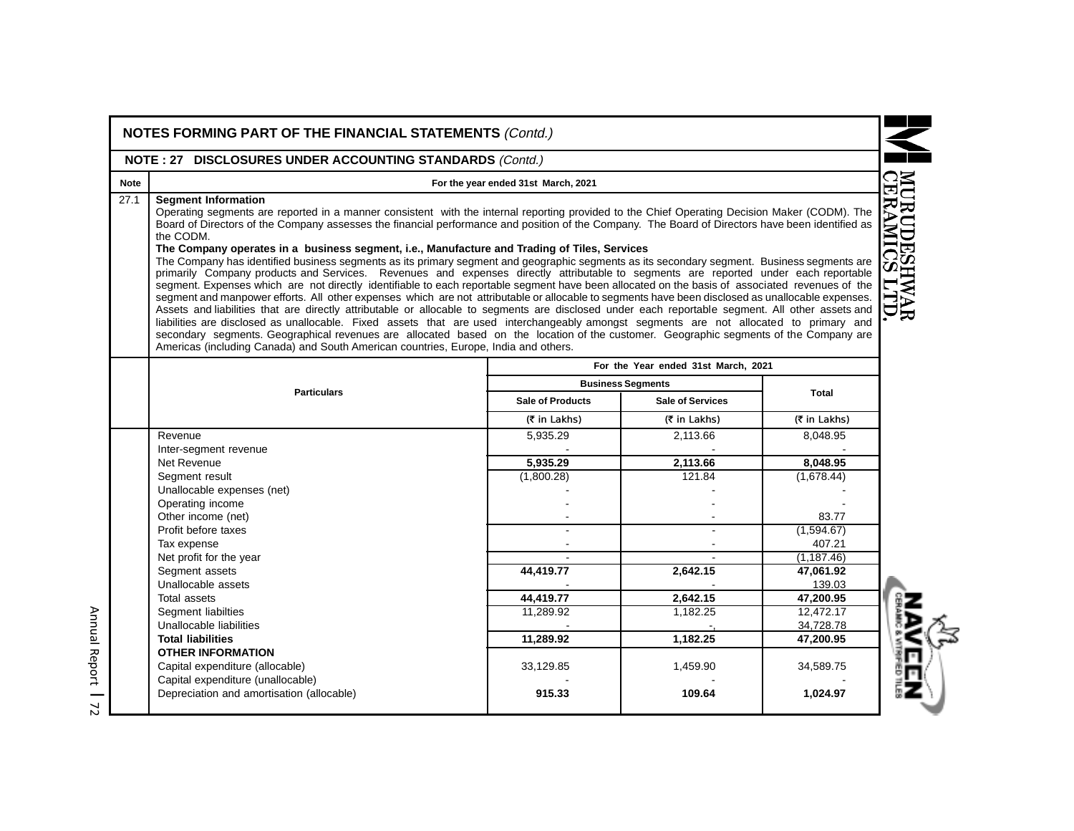|                                                                                                  | NOTE: 27 DISCLOSURES UNDER ACCOUNTING STANDARDS (Contd.)                                                                                                                                                                                                                                                                                                                                                                                                                                                                                                                                                                                                                                                                                                                                                                                                                                                                                                                                                                                                                                                                                                                                                                                                                                                                                                                                                                                                                                                                      |                          |                                     |              |  |  |  |
|--------------------------------------------------------------------------------------------------|-------------------------------------------------------------------------------------------------------------------------------------------------------------------------------------------------------------------------------------------------------------------------------------------------------------------------------------------------------------------------------------------------------------------------------------------------------------------------------------------------------------------------------------------------------------------------------------------------------------------------------------------------------------------------------------------------------------------------------------------------------------------------------------------------------------------------------------------------------------------------------------------------------------------------------------------------------------------------------------------------------------------------------------------------------------------------------------------------------------------------------------------------------------------------------------------------------------------------------------------------------------------------------------------------------------------------------------------------------------------------------------------------------------------------------------------------------------------------------------------------------------------------------|--------------------------|-------------------------------------|--------------|--|--|--|
| <b>Note</b>                                                                                      | For the year ended 31st March, 2021                                                                                                                                                                                                                                                                                                                                                                                                                                                                                                                                                                                                                                                                                                                                                                                                                                                                                                                                                                                                                                                                                                                                                                                                                                                                                                                                                                                                                                                                                           |                          |                                     |              |  |  |  |
| 27.1<br><b>Segment Information</b><br>the CODM.                                                  | Operating segments are reported in a manner consistent with the internal reporting provided to the Chief Operating Decision Maker (CODM). The<br>Board of Directors of the Company assesses the financial performance and position of the Company. The Board of Directors have been identified as<br>The Company operates in a business segment, i.e., Manufacture and Trading of Tiles, Services<br>The Company has identified business segments as its primary segment and geographic segments as its secondary segment. Business segments are<br>primarily Company products and Services. Revenues and expenses directly attributable to segments are reported under each reportable<br>segment. Expenses which are not directly identifiable to each reportable segment have been allocated on the basis of associated revenues of the<br>segment and manpower efforts. All other expenses which are not attributable or allocable to segments have been disclosed as unallocable expenses.<br>Assets and liabilities that are directly attributable or allocable to segments are disclosed under each reportable segment. All other assets and<br>liabilities are disclosed as unallocable. Fixed assets that are used interchangeably amongst segments are not allocated to primary and<br>secondary segments. Geographical revenues are allocated based on the location of the customer. Geographic segments of the Company are<br>Americas (including Canada) and South American countries, Europe, India and others. |                          |                                     |              |  |  |  |
|                                                                                                  |                                                                                                                                                                                                                                                                                                                                                                                                                                                                                                                                                                                                                                                                                                                                                                                                                                                                                                                                                                                                                                                                                                                                                                                                                                                                                                                                                                                                                                                                                                                               |                          | For the Year ended 31st March, 2021 |              |  |  |  |
|                                                                                                  | <b>Particulars</b>                                                                                                                                                                                                                                                                                                                                                                                                                                                                                                                                                                                                                                                                                                                                                                                                                                                                                                                                                                                                                                                                                                                                                                                                                                                                                                                                                                                                                                                                                                            | <b>Business Segments</b> |                                     | <b>Total</b> |  |  |  |
|                                                                                                  |                                                                                                                                                                                                                                                                                                                                                                                                                                                                                                                                                                                                                                                                                                                                                                                                                                                                                                                                                                                                                                                                                                                                                                                                                                                                                                                                                                                                                                                                                                                               | <b>Sale of Products</b>  | <b>Sale of Services</b>             |              |  |  |  |
|                                                                                                  |                                                                                                                                                                                                                                                                                                                                                                                                                                                                                                                                                                                                                                                                                                                                                                                                                                                                                                                                                                                                                                                                                                                                                                                                                                                                                                                                                                                                                                                                                                                               | (₹ in Lakhs)             | $(5$ in Lakhs)                      | (₹ in Lakhs) |  |  |  |
| Revenue                                                                                          |                                                                                                                                                                                                                                                                                                                                                                                                                                                                                                                                                                                                                                                                                                                                                                                                                                                                                                                                                                                                                                                                                                                                                                                                                                                                                                                                                                                                                                                                                                                               | 5,935.29                 | 2,113.66                            | 8,048.95     |  |  |  |
| Inter-segment revenue                                                                            |                                                                                                                                                                                                                                                                                                                                                                                                                                                                                                                                                                                                                                                                                                                                                                                                                                                                                                                                                                                                                                                                                                                                                                                                                                                                                                                                                                                                                                                                                                                               |                          |                                     |              |  |  |  |
| Net Revenue                                                                                      |                                                                                                                                                                                                                                                                                                                                                                                                                                                                                                                                                                                                                                                                                                                                                                                                                                                                                                                                                                                                                                                                                                                                                                                                                                                                                                                                                                                                                                                                                                                               | 5,935.29                 | 2,113.66                            | 8,048.95     |  |  |  |
| Segment result<br>Unallocable expenses (net)                                                     |                                                                                                                                                                                                                                                                                                                                                                                                                                                                                                                                                                                                                                                                                                                                                                                                                                                                                                                                                                                                                                                                                                                                                                                                                                                                                                                                                                                                                                                                                                                               | (1,800.28)               | 121.84                              | (1,678.44)   |  |  |  |
| Operating income                                                                                 |                                                                                                                                                                                                                                                                                                                                                                                                                                                                                                                                                                                                                                                                                                                                                                                                                                                                                                                                                                                                                                                                                                                                                                                                                                                                                                                                                                                                                                                                                                                               |                          |                                     |              |  |  |  |
|                                                                                                  |                                                                                                                                                                                                                                                                                                                                                                                                                                                                                                                                                                                                                                                                                                                                                                                                                                                                                                                                                                                                                                                                                                                                                                                                                                                                                                                                                                                                                                                                                                                               |                          |                                     | 83.77        |  |  |  |
|                                                                                                  |                                                                                                                                                                                                                                                                                                                                                                                                                                                                                                                                                                                                                                                                                                                                                                                                                                                                                                                                                                                                                                                                                                                                                                                                                                                                                                                                                                                                                                                                                                                               |                          |                                     | (1,594.67)   |  |  |  |
| Other income (net)                                                                               |                                                                                                                                                                                                                                                                                                                                                                                                                                                                                                                                                                                                                                                                                                                                                                                                                                                                                                                                                                                                                                                                                                                                                                                                                                                                                                                                                                                                                                                                                                                               |                          |                                     |              |  |  |  |
| Profit before taxes                                                                              |                                                                                                                                                                                                                                                                                                                                                                                                                                                                                                                                                                                                                                                                                                                                                                                                                                                                                                                                                                                                                                                                                                                                                                                                                                                                                                                                                                                                                                                                                                                               |                          |                                     |              |  |  |  |
| Tax expense                                                                                      |                                                                                                                                                                                                                                                                                                                                                                                                                                                                                                                                                                                                                                                                                                                                                                                                                                                                                                                                                                                                                                                                                                                                                                                                                                                                                                                                                                                                                                                                                                                               |                          |                                     | 407.21       |  |  |  |
| Net profit for the year                                                                          |                                                                                                                                                                                                                                                                                                                                                                                                                                                                                                                                                                                                                                                                                                                                                                                                                                                                                                                                                                                                                                                                                                                                                                                                                                                                                                                                                                                                                                                                                                                               |                          |                                     | (1, 187.46)  |  |  |  |
| Segment assets                                                                                   |                                                                                                                                                                                                                                                                                                                                                                                                                                                                                                                                                                                                                                                                                                                                                                                                                                                                                                                                                                                                                                                                                                                                                                                                                                                                                                                                                                                                                                                                                                                               | 44,419.77                | 2,642.15                            | 47,061.92    |  |  |  |
| Unallocable assets                                                                               |                                                                                                                                                                                                                                                                                                                                                                                                                                                                                                                                                                                                                                                                                                                                                                                                                                                                                                                                                                                                                                                                                                                                                                                                                                                                                                                                                                                                                                                                                                                               |                          |                                     | 139.03       |  |  |  |
| <b>Total assets</b>                                                                              |                                                                                                                                                                                                                                                                                                                                                                                                                                                                                                                                                                                                                                                                                                                                                                                                                                                                                                                                                                                                                                                                                                                                                                                                                                                                                                                                                                                                                                                                                                                               | 44,419.77                | 2,642.15                            | 47,200.95    |  |  |  |
| Segment liabilties                                                                               |                                                                                                                                                                                                                                                                                                                                                                                                                                                                                                                                                                                                                                                                                                                                                                                                                                                                                                                                                                                                                                                                                                                                                                                                                                                                                                                                                                                                                                                                                                                               | 11,289.92                | 1,182.25                            | 12,472.17    |  |  |  |
| Unallocable liabilities                                                                          |                                                                                                                                                                                                                                                                                                                                                                                                                                                                                                                                                                                                                                                                                                                                                                                                                                                                                                                                                                                                                                                                                                                                                                                                                                                                                                                                                                                                                                                                                                                               |                          |                                     | 34,728.78    |  |  |  |
| <b>Total liabilities</b>                                                                         |                                                                                                                                                                                                                                                                                                                                                                                                                                                                                                                                                                                                                                                                                                                                                                                                                                                                                                                                                                                                                                                                                                                                                                                                                                                                                                                                                                                                                                                                                                                               | 11,289.92                | 1,182.25                            | 47,200.95    |  |  |  |
| <b>OTHER INFORMATION</b><br>Capital expenditure (allocable)<br>Capital expenditure (unallocable) |                                                                                                                                                                                                                                                                                                                                                                                                                                                                                                                                                                                                                                                                                                                                                                                                                                                                                                                                                                                                                                                                                                                                                                                                                                                                                                                                                                                                                                                                                                                               | 33,129.85                | 1,459.90                            | 34,589.75    |  |  |  |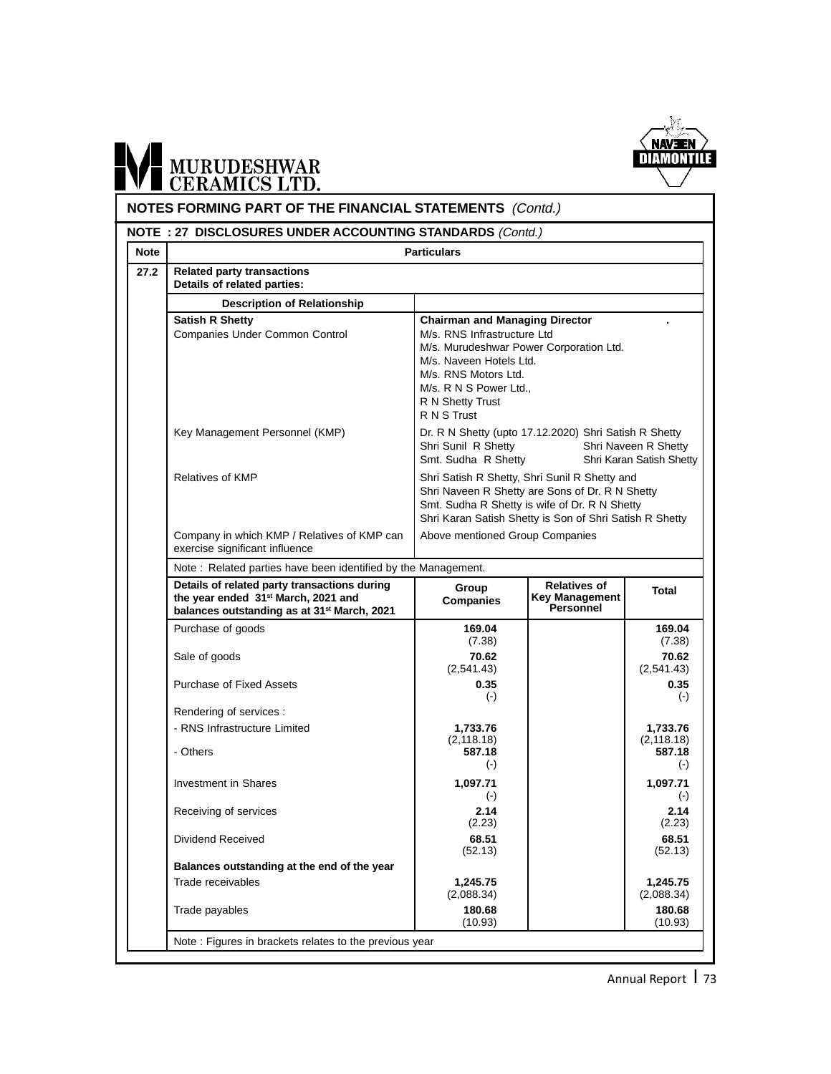

# MURUDESHWAR

#### **NOTES FORMING PART OF THE FINANCIAL STATEMENTS** (Contd.) **Note** Particulars **NOTE : 27 DISCLOSURES UNDER ACCOUNTING STANDARDS** (Contd.) **27.2 Related party transactions Details of related parties: Description of Relationship** Satish R Shetty **Chairman and Managing Director** Companies Under Common Control M/s. RNS Infrastructure Ltd M/s. Murudeshwar Power Corporation Ltd. M/s. Naveen Hotels Ltd. M/s. RNS Motors Ltd. M/s. R N S Power Ltd., R N Shetty Trust R N S Trust Key Management Personnel (KMP) Dr. R N Shetty (upto 17.12.2020) Shri Satish R Shetty Shri Sunil R Shetty Shri Naveen R Shetty Smt. Sudha R Shetty Shri Karan Satish Shetty Relatives of KMP Share Sheetty, Shri Satish R Shetty, Shri Sunil R Shetty and Shri Naveen R Shetty are Sons of Dr. R N Shetty Smt. Sudha R Shetty is wife of Dr. R N Shetty Shri Karan Satish Shetty is Son of Shri Satish R Shetty Company in which KMP / Relatives of KMP can | Above mentioned Group Companies exercise significant influence Note : Related parties have been identified by the Management. **Details of related party transactions during the year ended 31st March, 2021 and balances outstanding as at 31st March, 2021** Purchase of goods **169.04 169.04 169.04 169.04 169.04 169.04 169.04 169.04 169.04 169.04 169.04**  $(7.38)$ Sale of goods **70.62 70.62 70.62 70.62 70.62 70.62** *70.62 70.62 70.62 70.62**(2.541.43)* **<b>***70.62 P 70.62 P P P P P P P P P P P P P P*  $(2,541.43)$ Purchase of Fixed Assets **0.35 0.35 0.35 0.35** (-) (-) Rendering of services : Physical External Prince Limited **1,733.76** 1,733.76 1,733.76 1,733.76 1,733.76 1,733.76 1,733.76 1,733.76 1,733.76 1,183 18)  $(2,118.18)$   $(2,118.18)$   $(2,118.18)$  587.18 - Others **587.18 587.18** (-) (-) Investment in Shares **1,097.71 1,097.71 1,097.71 1,097.71** (-) (-) Receiving of services **2.14** 2.14 **2.14** 2.23  $(2.23)$ Dividend Received **68.51 68.51 68.51 68.51 68.51 68.51 68.51 68.51 68.51 68.51 68.51 68.51 68.51 68.51 68.51 68.51 68.51 68.51 68.51 68.51 68.51 68.51 68.51 68.51 68.51 68.**  $(52.13)$ **Balances outstanding at the end of the year** Trade receivables **1,245.75** 1,245.75 **1,245.75** 1,245.75 **1,245.75** 1,245.75 (2,088.34) (2,088.34) Trade payables **180.68 180.68 180.68 180.68**  $(10.93)$  (10.93) Note : Figures in brackets relates to the previous year **Total Relatives of Key Management Personnel Group Companies**

Annual Report | 73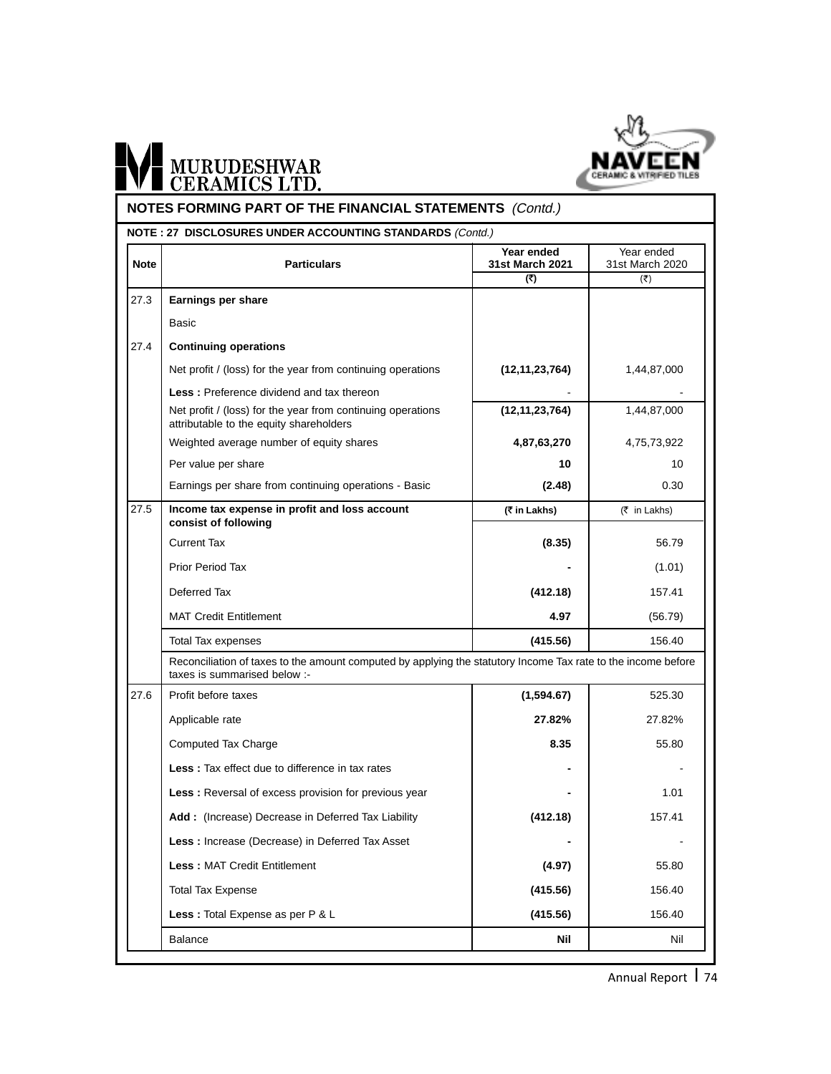

# **NOTES FORMING PART OF THE FINANCIAL STATEMENTS** *(Contd.)*

|             | <b>NOTE: 27 DISCLOSURES UNDER ACCOUNTING STANDARDS (Contd.)</b>                                                                               |                                      |                                                       |  |
|-------------|-----------------------------------------------------------------------------------------------------------------------------------------------|--------------------------------------|-------------------------------------------------------|--|
| <b>Note</b> | <b>Particulars</b>                                                                                                                            | Year ended<br>31st March 2021<br>(₹) | Year ended<br>31st March 2020<br>$(\overline{\zeta})$ |  |
| 27.3        | Earnings per share                                                                                                                            |                                      |                                                       |  |
|             | Basic                                                                                                                                         |                                      |                                                       |  |
| 27.4        | <b>Continuing operations</b>                                                                                                                  |                                      |                                                       |  |
|             | Net profit / (loss) for the year from continuing operations                                                                                   | (12, 11, 23, 764)                    | 1,44,87,000                                           |  |
|             | <b>Less:</b> Preference dividend and tax thereon                                                                                              |                                      |                                                       |  |
|             | Net profit / (loss) for the year from continuing operations<br>attributable to the equity shareholders                                        | (12, 11, 23, 764)                    | 1,44,87,000                                           |  |
|             | Weighted average number of equity shares                                                                                                      | 4,87,63,270                          | 4,75,73,922                                           |  |
|             | Per value per share                                                                                                                           | 10                                   | 10                                                    |  |
|             | Earnings per share from continuing operations - Basic                                                                                         | (2.48)                               | 0.30                                                  |  |
| 27.5        | Income tax expense in profit and loss account<br>consist of following                                                                         | (₹ in Lakhs)                         | (₹ in Lakhs)                                          |  |
|             | <b>Current Tax</b>                                                                                                                            | (8.35)                               | 56.79                                                 |  |
|             | <b>Prior Period Tax</b>                                                                                                                       |                                      | (1.01)                                                |  |
|             | Deferred Tax                                                                                                                                  | (412.18)                             | 157.41                                                |  |
|             | <b>MAT Credit Entitlement</b>                                                                                                                 | 4.97                                 | (56.79)                                               |  |
|             | <b>Total Tax expenses</b>                                                                                                                     | (415.56)                             | 156.40                                                |  |
|             | Reconciliation of taxes to the amount computed by applying the statutory Income Tax rate to the income before<br>taxes is summarised below :- |                                      |                                                       |  |
| 27.6        | Profit before taxes                                                                                                                           | (1,594.67)                           | 525.30                                                |  |
|             | Applicable rate                                                                                                                               | 27.82%                               | 27.82%                                                |  |
|             | <b>Computed Tax Charge</b>                                                                                                                    | 8.35                                 | 55.80                                                 |  |
|             | <b>Less:</b> Tax effect due to difference in tax rates                                                                                        |                                      |                                                       |  |
|             | Less: Reversal of excess provision for previous year                                                                                          |                                      | 1.01                                                  |  |
|             | Add: (Increase) Decrease in Deferred Tax Liability                                                                                            | (412.18)                             | 157.41                                                |  |
|             | Less: Increase (Decrease) in Deferred Tax Asset                                                                                               |                                      |                                                       |  |
|             | <b>Less: MAT Credit Entitlement</b>                                                                                                           | (4.97)                               | 55.80                                                 |  |
|             | <b>Total Tax Expense</b>                                                                                                                      | (415.56)                             | 156.40                                                |  |
|             | Less : Total Expense as per P & L                                                                                                             | (415.56)                             | 156.40                                                |  |
|             | Balance                                                                                                                                       | Nil                                  | Nil                                                   |  |

Annual Report | 74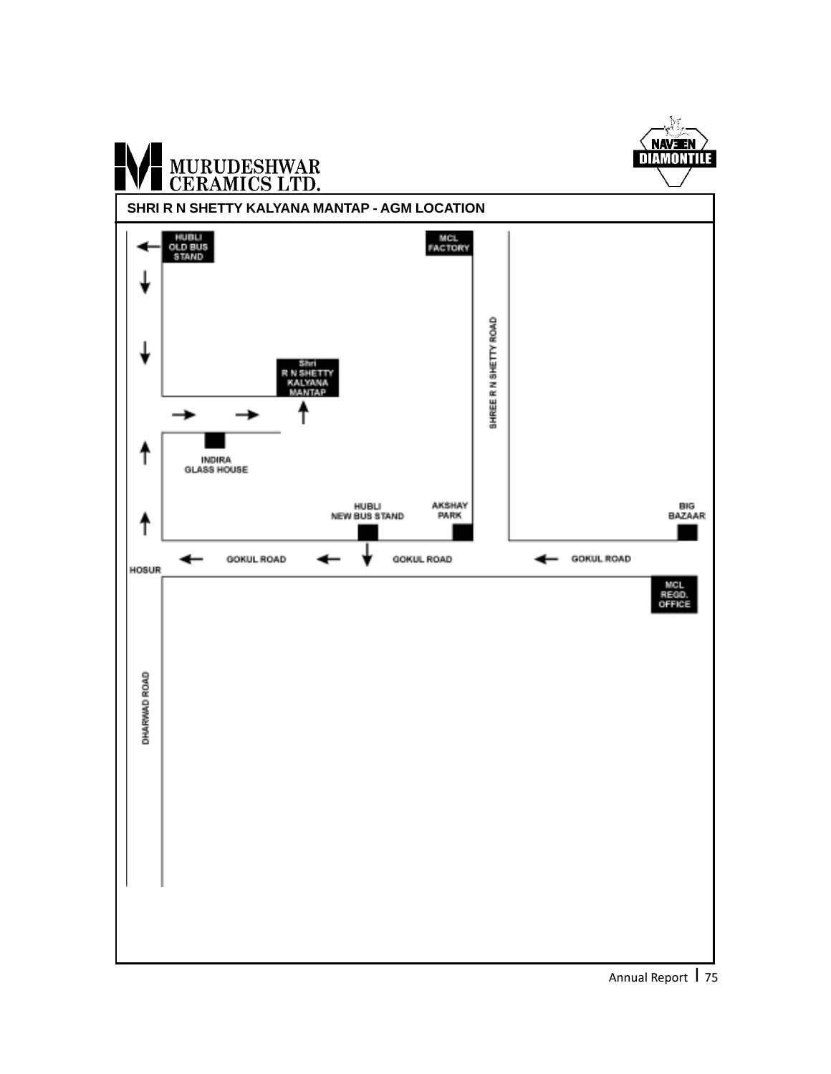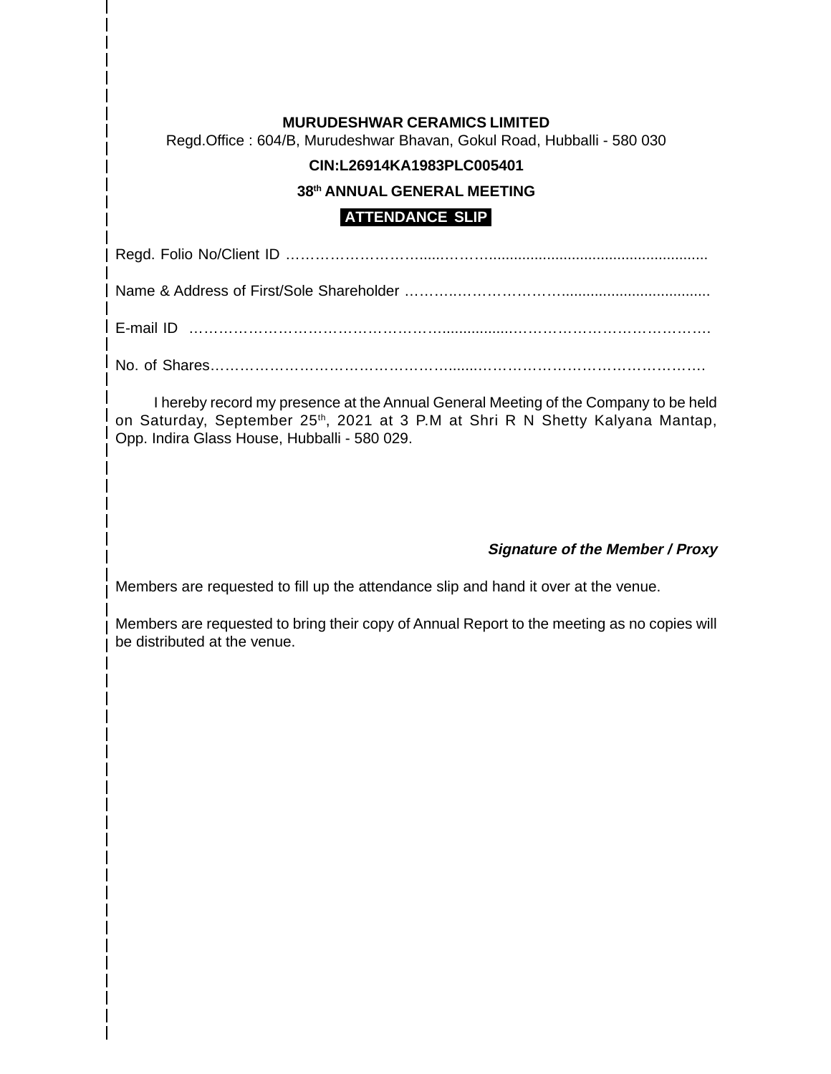## **MURUDESHWAR CERAMICS LIMITED**

Regd.Office : 604/B, Murudeshwar Bhavan, Gokul Road, Hubballi - 580 030

## **CIN:L26914KA1983PLC005401**

#### **38th ANNUAL GENERAL MEETING**

# **ATTENDANCE SLIP**

Regd. Folio No/Client ID ………………………......……….....................................................

Name & Address of First/Sole Shareholder ………..…………………....................................

E-mail ID …………………………………………….................………………………………….

No. of Shares………………………………………….......……………………………………….

I hereby record my presence at the Annual General Meeting of the Company to be held on Saturday, September 25<sup>th</sup>, 2021 at 3 P.M at Shri R N Shetty Kalyana Mantap, Opp. Indira Glass House, Hubballi - 580 029.

## **Signature of the Member / Proxy**

Members are requested to fill up the attendance slip and hand it over at the venue.

Members are requested to bring their copy of Annual Report to the meeting as no copies will be distributed at the venue.